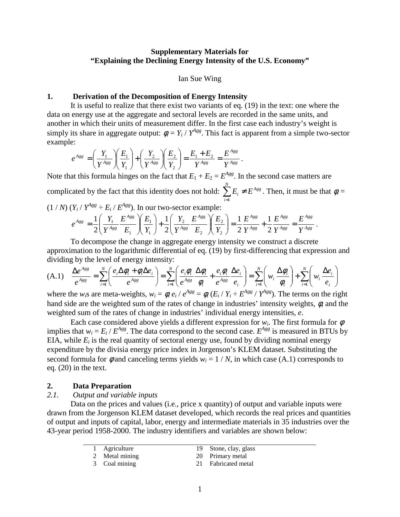# **Supplementary Materials for "Explaining the Declining Energy Intensity of the U.S. Economy"**

#### Ian Sue Wing

# **1. Derivation of the Decomposition of Energy Intensity**

It is useful to realize that there exist two variants of eq. (19) in the text: one where the data on energy use at the aggregate and sectoral levels are recorded in the same units, and another in which their units of measurement differ. In the first case each industry's weight is simply its share in aggregate output:  $\phi_i = Y_i / Y^{Agg}$ . This fact is apparent from a simple two-sector example:

$$
e^{Agg} = \left(\frac{Y_1}{Y^{Agg}}\right)\left(\frac{E_1}{Y_1}\right) + \left(\frac{Y_2}{Y^{Agg}}\right)\left(\frac{E_2}{Y_2}\right) = \frac{E_1 + E_2}{Y^{Agg}} = \frac{E^{Agg}}{Y^{Agg}}.
$$

Note that this formula hinges on the fact that  $E_1 + E_2 = E^{Agg}$ . In the second case matters are complicated by the fact that this identity does not hold:  $\sum_{i=1}^{N} E_i \neq E^{Agg}$ *i*  $\sum E_i \neq E$ =1 . Then, it must be that  $\phi_i =$ 

$$
(1/N) (Y_i/Y^{Agg} \div E_i/E^{Agg})
$$
. In our two-sector example:

$$
e^{Agg} = \frac{1}{2} \left( \frac{Y_1}{Y^{Agg}} \frac{E^{Agg}}{E_1} \right) \left( \frac{E_1}{Y_1} \right) + \frac{1}{2} \left( \frac{Y_2}{Y^{Agg}} \frac{E^{Agg}}{E_2} \right) \left( \frac{E_2}{Y_2} \right) = \frac{1}{2} \frac{E^{Agg}}{Y^{Agg}} + \frac{1}{2} \frac{E^{Agg}}{Y^{Agg}} = \frac{E^{Agg}}{Y^{Agg}}.
$$

To decompose the change in aggregate energy intensity we construct a discrete approximation to the logarithmic differential of eq. (19) by first-differencing that expression and dividing by the level of energy intensity:

$$
(A.1) \quad \frac{\Delta e^{Ags}}{e^{Ags}} = \sum_{i=1}^{N} \left( \frac{e_i \Delta \phi_i + \phi_i \Delta e_i}{e^{Ags}} \right) = \sum_{i=1}^{N} \left( \frac{e_i \phi_i}{e^{Ags}} \frac{\Delta \phi_i}{\phi_i} + \frac{e_i \phi_i}{e^{Ags}} \frac{\Delta e_i}{e_i} \right) = \sum_{i=1}^{N} \left( w_i \frac{\Delta \phi_i}{\phi_i} \right) + \sum_{i=1}^{N} \left( w_i \frac{\Delta e_i}{e_i} \right)
$$

where the  $w_i$ s are meta-weights,  $w_i = \phi_i e_i / e^{Agg} = \phi_i (E_i / Y_i \div E^{Agg} / Y^{Agg})$ . The terms on the right hand side are the weighted sum of the rates of change in industries' intensity weights, φ, and the weighted sum of the rates of change in industries' individual energy intensities, *e*.

Each case considered above yields a different expression for  $w_i$ . The first formula for  $\phi$ implies that  $w_i = E_i / E^{Agg}$ . The data correspond to the second case.  $E^{Agg}$  is measured in BTUs by EIA, while  $E_i$  is the real quantity of sectoral energy use, found by dividing nominal energy expenditure by the divisia energy price index in Jorgenson's KLEM dataset. Substituting the second formula for  $\phi$  and canceling terms yields  $w_i = 1/N$ , in which case (A.1) corresponds to eq. (20) in the text.

#### **2. Data Preparation**

## *2.1. Output and variable inputs*

Data on the prices and values (i.e., price x quantity) of output and variable inputs were drawn from the Jorgenson KLEM dataset developed, which records the real prices and quantities of output and inputs of capital, labor, energy and intermediate materials in 35 industries over the 43-year period 1958-2000. The industry identifiers and variables are shown below:

| 1 Agriculture  | 19 Stone, clay, glass |
|----------------|-----------------------|
| 2 Metal mining | 20 Primary metal      |
| 3 Coal mining  | 21 Fabricated metal   |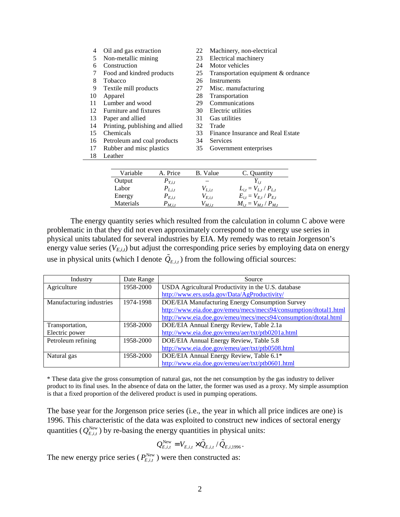| 4  | Oil and gas extraction          | 22 | Machinery, non-electrical           |
|----|---------------------------------|----|-------------------------------------|
| 5  | Non-metallic mining             | 23 | Electrical machinery                |
| 6  | Construction                    | 24 | Motor vehicles                      |
| 7  | Food and kindred products       | 25 | Transportation equipment & ordnance |
| 8  | Tobacco                         | 26 | Instruments                         |
| 9  | Textile mill products           | 27 | Misc. manufacturing                 |
| 10 | Apparel                         | 28 | Transportation                      |
| 11 | Lumber and wood                 | 29 | Communications                      |
| 12 | Furniture and fixtures          | 30 | Electric utilities                  |
| 13 | Paper and allied                | 31 | Gas utilities                       |
| 14 | Printing, publishing and allied | 32 | Trade                               |
| 15 | Chemicals                       | 33 | Finance Insurance and Real Estate   |
| 16 | Petroleum and coal products     | 34 | Services                            |
| 17 | Rubber and misc plastics        | 35 | Government enterprises              |
| 18 | Leather                         |    |                                     |
|    |                                 |    |                                     |
|    | A. Price<br>Variable            |    | <b>B.</b> Value<br>C. Quantity      |

| Variable  | A. Price    | B. Value    | C. Quantity                   |
|-----------|-------------|-------------|-------------------------------|
| Output    | $P_{Y,i,t}$ | -           |                               |
| Labor     | $P_{L,i,t}$ | $V_{L,i,t}$ | $L_{i,t} = V_{L,t} / P_{L,t}$ |
| Energy    | $P_{E,i,t}$ | $V_{E,i,t}$ | $E_{i,t} = V_{E,t} / P_{E,t}$ |
| Materials | $P_{M,i,t}$ | $V_{M,i,t}$ | $M_{i,t} = V_{M,t} / P_{M,t}$ |

The energy quantity series which resulted from the calculation in column C above were problematic in that they did not even approximately correspond to the energy use series in physical units tabulated for several industries by EIA. My remedy was to retain Jorgenson's energy value series (*VE,i,t*) but adjust the corresponding price series by employing data on energy use in physical units (which I denote  $\tilde{Q}_{E,i,t}$ ) from the following official sources:

| Industry                 | Date Range | Source                                                           |
|--------------------------|------------|------------------------------------------------------------------|
| Agriculture              | 1958-2000  | USDA Agricultural Productivity in the U.S. database              |
|                          |            | http://www.ers.usda.gov/Data/AgProductivity/                     |
| Manufacturing industries | 1974-1998  | DOE/EIA Manufacturing Energy Consumption Survey                  |
|                          |            | http://www.eia.doe.gov/emeu/mecs/mecs94/consumption/dtotal1.html |
|                          |            | http://www.eia.doe.gov/emeu/mecs/mecs94/consumption/dtotal.html  |
| Transportation,          | 1958-2000  | DOE/EIA Annual Energy Review, Table 2.1a                         |
| Electric power           |            | http://www.eia.doe.gov/emeu/aer/txt/ptb0201a.html                |
| Petroleum refining       | 1958-2000  | DOE/EIA Annual Energy Review, Table 5.8                          |
|                          |            | http://www.eia.doe.gov/emeu/aer/txt/ptb0508.html                 |
| Natural gas              | 1958-2000  | DOE/EIA Annual Energy Review, Table 6.1*                         |
|                          |            | http://www.eia.doe.gov/emeu/aer/txt/ptb0601.html                 |

\* These data give the gross consumption of natural gas, not the net consumption by the gas industry to deliver product to its final uses. In the absence of data on the latter, the former was used as a proxy. My simple assumption is that a fixed proportion of the delivered product is used in pumping operations.

The base year for the Jorgenson price series (i.e., the year in which all price indices are one) is 1996. This characteristic of the data was exploited to construct new indices of sectoral energy quantities ( $Q_{E,i,t}^{New}$ ) by re-basing the energy quantities in physical units:

$$
Q_{E,i,t}^{\text{New}} = V_{E,i,t} \times \tilde{Q}_{E,i,t} \, / \, \tilde{Q}_{E,i,1996} \, .
$$

The new energy price series ( $P_{E,i,t}^{\text{New}}$ ) were then constructed as: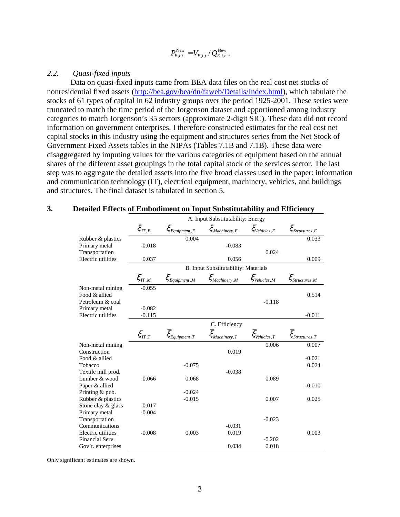$$
P_{E,i,t}^{\text{New}} = V_{E,i,t} / Q_{E,i,t}^{\text{New}}.
$$

# *2.2. Quasi-fixed inputs*

Data on quasi-fixed inputs came from BEA data files on the real cost net stocks of nonresidential fixed assets (http://bea.gov/bea/dn/faweb/Details/Index.html), which tabulate the stocks of 61 types of capital in 62 industry groups over the period 1925-2001. These series were truncated to match the time period of the Jorgenson dataset and apportioned among industry categories to match Jorgenson's 35 sectors (approximate 2-digit SIC). These data did not record information on government enterprises. I therefore constructed estimates for the real cost net capital stocks in this industry using the equipment and structures series from the Net Stock of Government Fixed Assets tables in the NIPAs (Tables 7.1B and 7.1B). These data were disaggregated by imputing values for the various categories of equipment based on the annual shares of the different asset groupings in the total capital stock of the services sector. The last step was to aggregate the detailed assets into the five broad classes used in the paper: information and communication technology (IT), electrical equipment, machinery, vehicles, and buildings and structures. The final dataset is tabulated in section 5.

|                                       |                                                  |                                         | A. Input Substitutability: Energy       |                                      |                                          |
|---------------------------------------|--------------------------------------------------|-----------------------------------------|-----------------------------------------|--------------------------------------|------------------------------------------|
|                                       | $\overline{\xi}_{\textit{IT},\textit{E}}$        | $\overline{\xi}_{Equipment,E}$          | $\overline{\xi}_{\textit{Machinery},E}$ | $\overline{\xi}_{\text{Vehicles},E}$ | $\overline{\xi}_{\textit{Structures},E}$ |
| Rubber & plastics                     |                                                  | 0.004                                   |                                         |                                      | 0.033                                    |
| Primary metal                         | $-0.018$                                         |                                         | $-0.083$                                |                                      |                                          |
| Transportation                        |                                                  |                                         |                                         | 0.024                                |                                          |
| Electric utilities                    | 0.037                                            |                                         | 0.056                                   |                                      | 0.009                                    |
|                                       |                                                  |                                         | B. Input Substitutability: Materials    |                                      |                                          |
|                                       | $\bar{\xi}_{\scriptscriptstyle{\mathit{\Pi},M}}$ | $\overline{\xi}_{\textit{Equipment},M}$ | $\overline{\xi}_{\textit{Machinery},M}$ | $\xi_{\text{Vehicles,M}}$            | $\overline{\xi}_{\textit{Structures},M}$ |
| Non-metal mining                      | $-0.055$                                         |                                         |                                         |                                      |                                          |
| Food & allied                         |                                                  |                                         |                                         |                                      | 0.514                                    |
| Petroleum & coal                      |                                                  |                                         |                                         | $-0.118$                             |                                          |
| Primary metal<br>Electric utilities   | $-0.082$<br>$-0.115$                             |                                         |                                         |                                      | $-0.011$                                 |
|                                       |                                                  |                                         |                                         |                                      |                                          |
|                                       |                                                  |                                         | C. Efficiency                           |                                      |                                          |
|                                       | $\overline{\xi}_{\pi,\underline{r}}$             | $\overline{\xi}_{\mathit{Equipment},T}$ | $\overline{\xi}_{\textit{Machinery},T}$ | $\overline{\xi}_{\text{Vehicles},T}$ | $\overline{\xi}_{Structures,T}$          |
| Non-metal mining                      |                                                  |                                         |                                         | 0.006                                | 0.007                                    |
| Construction                          |                                                  |                                         | 0.019                                   |                                      |                                          |
| Food & allied                         |                                                  |                                         |                                         |                                      | $-0.021$                                 |
| Tobacco                               |                                                  | $-0.075$                                |                                         |                                      | 0.024                                    |
| Textile mill prod.<br>Lumber & wood   | 0.066                                            |                                         | $-0.038$                                |                                      |                                          |
| Paper & allied                        |                                                  | 0.068                                   |                                         | 0.089                                | $-0.010$                                 |
| Printing & pub.                       |                                                  | $-0.024$                                |                                         |                                      |                                          |
| Rubber & plastics                     |                                                  | $-0.015$                                |                                         | 0.007                                | 0.025                                    |
| Stone clay & glass                    | $-0.017$                                         |                                         |                                         |                                      |                                          |
| Primary metal                         | $-0.004$                                         |                                         |                                         |                                      |                                          |
| Transportation                        |                                                  |                                         |                                         | $-0.023$                             |                                          |
| Communications                        |                                                  |                                         |                                         |                                      |                                          |
|                                       |                                                  |                                         | $-0.031$                                |                                      |                                          |
| Electric utilities                    | $-0.008$                                         | 0.003                                   | 0.019                                   |                                      | 0.003                                    |
| Financial Serv.<br>Gov't. enterprises |                                                  |                                         | 0.034                                   | $-0.202$<br>0.018                    |                                          |

#### **3. Detailed Effects of Embodiment on Input Substitutability and Efficiency**

Only significant estimates are shown.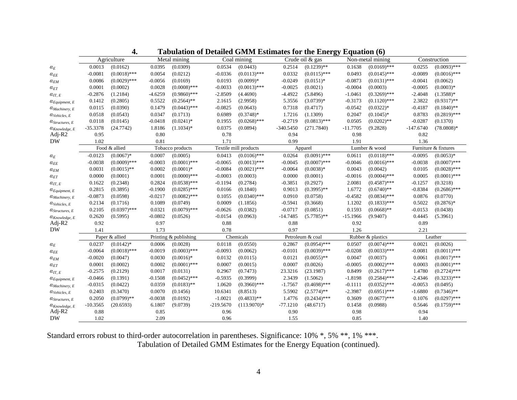|                                |            | Agriculture    |           | Metal mining          |             | Coal mining           |             | Crude oil & gas  |            | Non-metal mining  |             | Construction         |
|--------------------------------|------------|----------------|-----------|-----------------------|-------------|-----------------------|-------------|------------------|------------|-------------------|-------------|----------------------|
| $\mathfrak{o}_E$               | 0.0013     | (0.0162)       | 0.0395    | (0.0309)              | 0.0534      | (0.0443)              | 0.2514      | $(0.1239)$ **    | 0.1638     | $(0.0169)$ ***    | 0.0255      | $(0.0093)$ ***       |
| $\mathcal{O}_{EE}$             | $-0.0081$  | $(0.0018)$ *** | 0.0054    | (0.0212)              | $-0.0336$   | $(0.0113)$ ***        | 0.0332      | $(0.0115)$ ***   | 0.0493     | $(0.0145)$ ***    | $-0.0089$   | $(0.0016)$ ***       |
| $\alpha_{EM}$                  | 0.0086     | $(0.0029)$ *** | $-0.0056$ | (0.0169)              | 0.0193      | $(0.0099)*$           | $-0.0249$   | $(0.0151)^*$     | $-0.0873$  | $(0.0131)$ ***    | $-0.0041$   | (0.0062)             |
| $\alpha_{ET}$                  | 0.0001     | (0.0002)       | 0.0028    | $(0.0008)$ ***        | $-0.0033$   | $(0.0013)$ ***        | $-0.0025$   | (0.0021)         | $-0.0004$  | (0.0003)          | $-0.0005$   | $(0.0003)*$          |
| $O_{IT, E}$                    | $-0.2876$  | (1.2184)       | $-4.6259$ | $(0.9860)$ ***        | $-2.8509$   | (4.4690)              | $-4.4922$   | (5.8496)         | $-1.0461$  | $(0.3269)$ ***    | $-2.4048$   | $(1.3588)*$          |
| $\alpha_{Equipment, \ E}$      | 0.1412     | (0.2805)       | 0.5522    | $(0.2564)$ **         | 2.1615      | (2.9958)              | 5.3556      | $(3.0739)*$      | $-0.3173$  | $(0.1120)$ ***    | 2.3822      | $(0.9317)$ **        |
| $\alpha$ Machinery, E          | 0.0115     | (0.0390)       | 0.1479    | $(0.0443)$ ***        | $-0.0825$   | (0.0643)              | 0.7318      | (0.4717)         | $-0.0542$  | $(0.0322)*$       | $-0.4187$   | $(0.1840)$ **        |
| $\alpha_{Vehicles, E}$         | 0.0518     | (0.0543)       | 0.0347    | (0.1713)              | 0.6989      | $(0.3748)*$           | 1.7216      | (1.1309)         | 0.2047     | $(0.1045)^*$      | 0.8783      | $(0.2819)$ ***       |
| $a_{\text{Structures, }E}$     | 0.0118     | (0.0145)       | $-0.0418$ | $(0.0241)$ *          | 0.1955      | $(0.0268)$ ***        | $-0.2719$   | $(0.0813)$ ***   | 0.0505     | $(0.0202)$ **     | $-0.0287$   | (0.1370)             |
| $\alpha_{Knowledge, E}$        | $-35.3378$ | (24.7742)      | 1.8186    | $(1.1034)*$           | 0.0375      | (0.0894)              | $-340.5450$ | (271.7840)       | $-11.7705$ | (9.2828)          | $-147.6740$ | $(78.0808)*$         |
| Adj-R2                         | 0.95       |                | 0.80      |                       | 0.78        |                       | 0.94        |                  | 0.98       |                   | 0.82        |                      |
| <b>DW</b>                      | 1.02       |                | 0.81      |                       | 1.71        |                       | 0.99        |                  | 1.91       |                   | 1.36        |                      |
|                                |            | Food & allied  |           | Tobacco products      |             | Textile mill products |             | Apparel          |            | Lumber & wood     |             | Furniture & fixtures |
| $\alpha_E$                     | $-0.0123$  | $(0.0067)$ *   | 0.0007    | (0.0005)              | 0.0413      | $(0.0106)$ ***        | 0.0264      | $(0.0091)$ ***   | 0.0611     | $(0.0118)$ ***    | $-0.0095$   | $(0.0053)*$          |
| $\alpha_{EE}$                  | $-0.0038$  | $(0.0009)$ *** | $-0.0003$ | $(0.0001)$ ***        | $-0.0065$   | $(0.0013)$ ***        | $-0.0045$   | $(0.0007)$ ***   | $-0.0046$  | $(0.0016)$ ***    | $-0.0038$   | $(0.0007)$ ***       |
| $\alpha_{EM}$                  | 0.0031     | $(0.0015)$ **  | 0.0002    | $(0.0001)$ *          | $-0.0084$   | $(0.0021)$ ***        | $-0.0064$   | $(0.0038)*$      | 0.0043     | (0.0042)          | 0.0105      | $(0.0028)$ ***       |
| $a_{ET}$                       | 0.0000     | (0.0001)       | 0.0001    | $(0.0000)$ ***        | $-0.0003$   | (0.0003)              | 0.0000      | (0.0001)         | $-0.0016$  | $(0.0004)$ ***    | 0.0005      | $(0.0001)$ ***       |
| $O_{IT, E}$                    | 0.1622     | (0.2348)       | 0.2824    | $(0.0538)$ ***        | $-0.1194$   | (0.2784)              | $-0.3851$   | (0.2927)         | 2.0081     | $(0.4587)$ ***    | $-0.1257$   | (0.3218)             |
| $\alpha_{Equipment, \ E}$      | 0.2815     | (0.3895)       | $-0.1900$ | $(0.0285)$ ***        | 0.0166      | (0.1840)              | 0.9013      | $(0.3995)$ **    | 1.6772     | $(0.6740)$ **     | $-0.8384$   | $(0.2686)$ ***       |
| $\alpha_{Machinery, E}$        | $-0.0873$  | (0.0598)       | $-0.0217$ | $(0.0082)$ ***        | 0.1055      | $(0.0340)$ ***        | 0.0910      | (0.0758)         | $-0.4582$  | $(0.0834)$ ***    | 0.0876      | (0.0770)             |
| $\alpha_{Vehicles, E}$         | 0.2134     | (0.1716)       | 0.1089    | (0.0749)              | 0.0009      | (1.1856)              | $-0.5941$   | (0.3668)         | 1.1202     | $(0.1833)$ ***    | 0.5022      | $(0.2876)*$          |
| $a_{\text{Structures, }E}$     | 0.2105     | $(0.0397)$ *** | 0.0321    | $(0.0079)$ ***        | $-0.0626$   | (0.0382)              | $-0.0717$   | (0.0851)         | 0.1593     | $(0.0668)$ **     | $-0.0153$   | (0.0438)             |
| $\alpha_{Knowledge, E}$        | 0.2620     | (0.5995)       | $-0.0802$ | (0.0526)              | $-0.0154$   | (0.0963)              | $-14.7485$  | $(5.7785)$ **    | $-15.1966$ | (9.9407)          | 0.4445      | (5.3961)             |
| Adj- $R2$                      | 0.92       |                | 0.97      |                       | 0.88        |                       | 0.88        |                  | 0.92       |                   | 0.89        |                      |
| <b>DW</b>                      | 1.41       |                | 1.73      |                       | 0.78        |                       | 0.97        |                  | 1.26       |                   | 2.21        |                      |
|                                |            | Paper & allied |           | Printing & publishing |             | Chemicals             |             | Petroleum & coal |            | Rubber & plastics |             | Leather              |
| $\alpha_E$                     | 0.0237     | $(0.0142)*$    | 0.0006    | (0.0028)              | 0.0118      | (0.0550)              | 0.2867      | $(0.0954)$ ***   | 0.0507     | $(0.0074)$ ***    | 0.0021      | (0.0026)             |
| $\mathcal{O}_{EE}$             | $-0.0064$  | $(0.0018)$ *** | $-0.0019$ | $(0.0003)$ ***        | $-0.0093$   | (0.0062)              | $-0.0101$   | $(0.0039)$ ***   | $-0.0208$  | $(0.0033)$ ***    | $-0.0081$   | $(0.0011)$ ***       |
| $\alpha_{EM}$                  | $-0.0020$  | (0.0047)       | 0.0030    | $(0.0016)*$           | 0.0132      | (0.0115)              | 0.0121      | $(0.0055)$ **    | 0.0047     | (0.0037)          | 0.0061      | $(0.0017)$ ***       |
| $\alpha_{ET}$                  | 0.0001     | (0.0002)       | 0.0002    | $(0.0001)$ ***        | 0.0007      | (0.0015)              | 0.0007      | (0.0026)         | $-0.0005$  | $(0.0002)$ ***    | 0.0003      | $(0.0001)$ ***       |
| $O_{IT, E}$                    | $-0.2575$  | (0.2129)       | 0.0017    | (0.0131)              | 0.2967      | (0.7473)              | 23.3216     | (23.1987)        | 0.8499     | $(0.2617)$ ***    | 1.4780      | $(0.2724)$ ***       |
| $\mathcal{O}_{Equipment, \ E}$ | $-0.0466$  | (0.1391)       | $-0.1508$ | $(0.0452)$ ***        | $-0.5935$   | (0.3999)              | 2.3439      | (1.5062)         | $-1.8198$  | $(0.2584)$ ***    | $-2.4346$   | $(0.3233)$ ***       |
| $O$ <i>Machinery</i> , $E$     | $-0.0315$  | (0.0422)       | 0.0359    | $(0.0183)$ **         | 1.0620      | $(0.3960)$ ***        | $-1.7567$   | $(0.4698)$ ***   | $-0.1111$  | $(0.0352)$ ***    | $-0.0053$   | (0.0495)             |
| $\alpha_{Vehicles, E}$         | 0.2403     | (0.3470)       | 0.0070    | (0.1456)              | 10.6341     | (8.8513)              | 5.5902      | $(2.5774)$ **    | $-2.3987$  | $(0.6951)$ ***    | $-1.6880$   | $(0.7346)$ **        |
| $a_{\text{Structures, }E}$     | 0.2050     | $(0.0799)$ **  | $-0.0038$ | (0.0192)              | $-1.0021$   | $(0.4833)**$          | 1.4776      | $(0.2434)$ ***   | 0.3609     | $(0.0677)$ ***    | 0.1076      | $(0.0297)$ ***       |
| $\alpha_{Knowledge, E}$        | $-10.3565$ | (20.6593)      | 6.1807    | (9.0739)              | $-219.5670$ | $(113.9070)*$         | $-77.1210$  | (48.6717)        | 0.1458     | (0.0988)          | 0.5646      | $(0.1759)$ ***       |
| Adj-R2                         | 0.88       |                | 0.85      |                       | 0.96        |                       | 0.90        |                  | 0.98       |                   | 0.94        |                      |
| <b>DW</b>                      | 1.02       |                | 2.09      |                       | 0.96        |                       | 1.55        |                  | 0.85       |                   | 1.40        |                      |
|                                |            |                |           |                       |             |                       |             |                  |            |                   |             |                      |

**4.Tabulation of Detailed GMM Estimates for the Energy Equation (6)** 

Standard errors robust to third-order autocorrelation in parentheses. Significance: 10% \*, 5% \*\*, 1% \*\*\*. Tabulation of Detailed GMM Estimates for the Energy Equation (continued).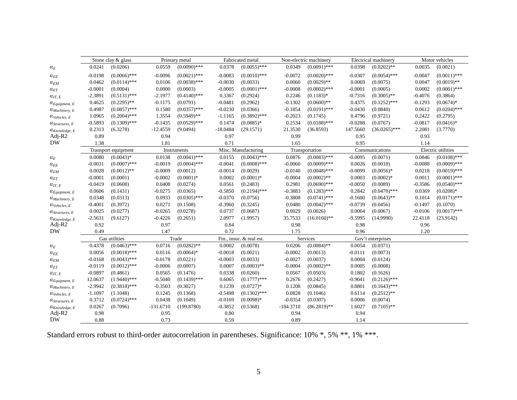|                            |           | Stone clay & glass  |             | Primary metal  |            | Fabricated metal         |             | Non-electric machinery |           | Electrical machinery |           | Motor vehicles     |
|----------------------------|-----------|---------------------|-------------|----------------|------------|--------------------------|-------------|------------------------|-----------|----------------------|-----------|--------------------|
| $\mathcal{O}_E$            | 0.0241    | (0.0206)            | 0.0559      | $(0.0090)$ *** | 0.0378     | $(0.0055)$ ***           | 0.0349      | $(0.0091)$ ***         | 0.0398    | $(0.0202)$ **        | 0.0035    | (0.0021)           |
| $\alpha_{EE}$              | $-0.0198$ | $(0.0066)$ ***      | $-0.0096$   | $(0.0021)$ *** | $-0.0083$  | $(0.0010)$ ***           | $-0.0072$   | $(0.0020)$ ***         | $-0.0307$ | $(0.0054)$ ***       | $-0.0047$ | $(0.0011)$ ***     |
| $\alpha_{EM}$              | 0.0462    | $(0.0114)$ ***      | 0.0106      | $(0.0038)$ *** | $-0.0030$  | (0.0033)                 | 0.0060      | $(0.0029)$ **          | 0.0069    | (0.0075)             | 0.0047    | $(0.0019)$ **      |
| $\alpha_{ET}$              | $-0.0001$ | (0.0004)            | 0.0000      | (0.0003)       | $-0.0005$  | $(0.0001)$ ***           | $-0.0008$   | $(0.0002)$ ***         | $-0.0001$ | (0.0005)             | 0.0002    | $(0.0001)$ ***     |
| $\alpha_{IT, E}$           | $-2.3891$ | $(0.5131)$ ***      | $-2.1977$   | $(0.4140)$ *** | 0.3367     | (0.2924)                 | 0.2246      | $(0.1183)*$            | $-0.7316$ | $(0.3005)$ **        | $-0.4076$ | (0.3864)           |
| $\alpha_{Equipment, E}$    | 0.4625    | $(0.2295)$ **       | $-0.1175$   | (0.0791)       | $-0.0481$  | (0.2962)                 | $-0.1302$   | $(0.0600)$ **          | 0.4375    | $(0.1252)$ ***       | $-0.1293$ | $(0.0674)*$        |
| $O$ <i>Machinery</i> , $E$ | 0.4987    | $(0.0857)$ ***      | 0.1580      | $(0.0357)$ *** | $-0.0230$  | (0.0366)                 | $-0.1854$   | $(0.0191)$ ***         | $-0.0430$ | (0.0840)             | 0.0612    | $(0.0204)$ ***     |
| $\alpha_{Vehicles, E}$     | 1.0965    | $(0.2004)$ ***      | 1.3554      | $(0.5949)$ **  | $-1.1165$  | $(0.3892)$ ***           | $-0.2023$   | (0.1745)               | 0.4796    | (0.9721)             | 0.2422    | (0.2795)           |
| $\alpha_{Structures, E}$   | $-0.5893$ | $(0.1309)$ ***      | $-0.1435$   | $(0.0529)$ *** | 0.1474     | $(0.0885)*$              | 0.2534      | $(0.0188)$ ***         | $-0.0288$ | (0.0767)             | $-0.0817$ | $(0.0416)*$        |
| $\alpha_{Knowledge, E}$    | 0.2313    | (6.3278)            | $-12.4559$  | (9.0494)       | $-18.0484$ | (29.1571)                | 21.3530     | (36.8593)              | 147.5660  | $(36.0265)$ ***      | 2.2081    | (3.7770)           |
| Adj- $R2$                  | 0.89      |                     | 0.94        |                | 0.97       |                          | 0.99        |                        | 0.95      |                      | 0.93      |                    |
| <b>DW</b>                  | 1.38      |                     | 1.81        |                | 0.71       |                          | 1.65        |                        | 0.95      |                      | 1.14      |                    |
|                            |           | Transport equipment |             | Instruments    |            | Misc. Manufacturing      |             | Transportation         |           | Communications       |           | Electric utilities |
| $\alpha_E$                 | 0.0080    | $(0.0043)*$         | 0.0138      | $(0.0041)$ *** | 0.0155     | $(0.0043)$ ***           | 0.0876      | $(0.0083)$ ***         | $-0.0095$ | (0.0071)             | 0.0846    | $(0.0108)$ ***     |
| $\alpha_{EE}$              | $-0.0031$ | $(0.0007)$ ***      | $-0.0019$   | $(0.0004)$ *** | $-0.0041$  | $(0.0008)$ ***           | $-0.0060$   | $(0.0009)$ ***         | 0.0026    | (0.0018)             | $-0.0088$ | $(0.0009)$ ***     |
| $\alpha_{EM}$              | 0.0028    | $(0.0012)$ **       | $-0.0009$   | (0.0012)       | $-0.0014$  | (0.0029)                 | -0.0140     | $(0.0048)$ ***         | $-0.0099$ | $(0.0056)*$          | 0.0218    | $(0.0019)$ ***     |
| $\alpha_{ET}$              | $-0.0001$ | (0.0001)            | $-0.0002$   | $(0.0001)$ *   | 0.0002     | $(0.0001)$ *             | $-0.0004$   | $(0.0002)$ **          | 0.0003    | $(0.0002)*$          | 0.0011    | $(0.0001)$ ***     |
| $O_{IT, E}$                | $-0.0419$ | (0.0608)            | 0.0408      | (0.0274)       | 0.0561     | (0.2483)                 | 0.2981      | $(0.0690)$ ***         | $-0.0050$ | (0.0089)             | $-0.3586$ | $(0.0540)$ ***     |
| $O_{Equipment, E}$         | 0.0606    | (0.1431)            | $-0.0275$   | (0.0365)       | $-0.5850$  | $(0.2194)$ ***           | $-0.3883$   | $(0.1283)$ ***         | 0.2842    | $(0.0470)$ ***       | 0.0369    | $(0.0208)*$        |
| $\alpha$ Machinery, E      | 0.0348    | (0.0313)            | 0.0933      | $(0.0305)$ *** | $-0.0370$  | (0.0756)                 | $-0.3808$   | $(0.0741)$ ***         | $-0.1600$ | $(0.0643)$ **        | 0.1014    | $(0.0171)$ ***     |
| $\alpha_{Vehicles, E}$     | $-0.4001$ | (0.3972)            | 0.0271      | (0.1508)       | $-0.3960$  | (0.3245)                 | 0.0480      | $(0.0042)$ ***         | $-0.0739$ | (0.0456)             | $-0.1497$ | (0.1070)           |
| $a_{\text{Structures, E}}$ | 0.0025    | (0.0277)            | $-0.0265$   | (0.0278)       | 0.0737     | (0.0687)                 | 0.0029      | (0.0026)               | 0.0064    | (0.0067)             | $-0.0106$ | $(0.0017)$ ***     |
| $\alpha_{Knowledge, E}$    | $-2.5631$ | (9.6127)            | $-0.4226$   | (0.2651)       | 2.0977     | (1.9957)                 | 35.7533     | $(16.0160)$ **         | $-9.5995$ | (14.9990)            | 22.4118   | (23.9142)          |
| Adj-R2                     | 0.92      |                     | 0.97        |                | 0.84       |                          | 0.98        |                        | 0.98      |                      | 0.96      |                    |
| <b>DW</b>                  | 0.49      |                     | 1.47        |                | 0.72       |                          | 1.75        |                        | 0.96      |                      | 1.20      |                    |
|                            |           | Gas utilities       |             | Trade          |            | Fin., insur. & real est. |             | Services               |           | Gov't enterprises    |           |                    |
| $\mathfrak{o}_E$           | 0.4378    | $(0.0463)$ ***      | 0.0716      | $(0.0282)$ **  | 0.0002     | (0.0078)                 | 0.0206      | $(0.0084)$ **          | 0.0054    | (0.0371)             |           |                    |
| $\mathcal{O}_{EE}$         | 0.0056    | $(0.0018)$ ***      | 0.0116      | $(0.0064)$ *   | $-0.0018$  | (0.0021)                 | $-0.0002$   | (0.0013)               | $-0.0111$ | (0.0073)             |           |                    |
| $\alpha_{EM}$              | $-0.0168$ | $(0.0043)$ ***      | $-0.0178$   | (0.0221)       | $-0.0003$  | (0.0033)                 | $-0.0027$   | (0.0037)               | 0.0004    | (0.0124)             |           |                    |
| $\alpha_{ET}$              | $-0.0119$ | $(0.0012)$ ***      | $-0.0006$   | (0.0007)       | 0.0007     | $(0.0003)$ **            | $-0.0004$   | $(0.0002)$ **          | 0.0005    | (0.0008)             |           |                    |
| $a_{IT. E}$                | $-0.0897$ | (0.4861)            | 0.0565      | (0.1476)       | 0.0338     | (0.0260)                 | 0.0567      | (0.0503)               | 0.1802    | (0.1626)             |           |                    |
| $\alpha_{Equipment, E}$    | 12.0637   | $(1.9440)$ ***      | $-0.5040$   | $(0.1439)$ *** | 0.6065     | $(0.1777)****$           | 0.2676      | (0.2427)               | $-0.9041$ | $(0.2126)$ ***       |           |                    |
| $\alpha$ Machinery, E      | $-2.9942$ | $(0.3818)$ ***      | $-0.3503$   | (0.3027)       | 0.1239     | $(0.0727)*$              | 0.1208      | (0.0845)               | 0.8801    | $(0.1643)$ ***       |           |                    |
| $\alpha_{Vehicles, E}$     | $-1.1097$ | (1.1048)            | 0.1245      | (0.1368)       | $-0.5498$  | $(0.1302)$ ***           | 0.0828      | (0.1046)               | 0.6114    | $(0.2512)$ **        |           |                    |
| $a_{\text{Structures, }E}$ | 0.3712    | $(0.0724)$ ***      | 0.0438      | (0.1049)       | $-0.0169$  | $(0.0098)*$              | $-0.0354$   | (0.0307)               | 0.0006    | (0.0074)             |           |                    |
| $\alpha_{Knowledge, E}$    | 0.0267    | (0.7096)            | $-131.6710$ | (199.8780)     | $-0.3852$  | (0.5368)                 | $-184.3710$ | $(86.2819)$ **         | 1.6027    | $(0.7105)$ **        |           |                    |
| Adj- $R2$                  | 0.98      |                     | 0.95        |                | 0.80       |                          | 0.94        |                        | 0.94      |                      |           |                    |
| <b>DW</b>                  | 0.88      |                     | 0.73        |                | 0.59       |                          | 0.89        |                        | 1.14      |                      |           |                    |
|                            |           |                     |             |                |            |                          |             |                        |           |                      |           |                    |

Standard errors robust to third-order autocorrelation in parentheses. Significance: 10% \*, 5% \*\*, 1% \*\*\*.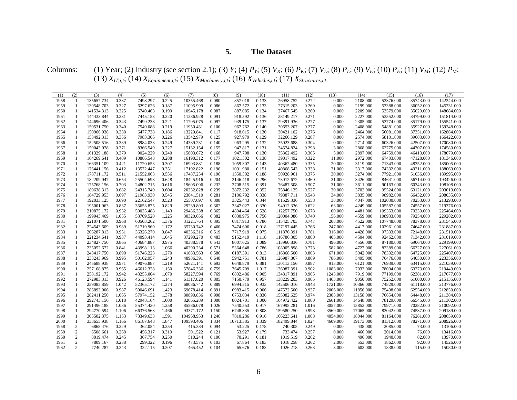#### **5.The Dataset**

Columns: (1) Year; (2) Industry (see section 2.1); (3) Y; (4)  $P_Y$ ; (5)  $V_K$ ; (6)  $P_K$ ; (7)  $V_L$ ; (8)  $P_L$ ; (9)  $V_E$ ; (10)  $P_E$ ; (11)  $V_M$ ; (12)  $P_M$ ; (13) *XIT,i,t*; (14) *XEquipment,i,t*; (15) *XMachinery,i,t*; (16) *XVehicles,i,t*; (17) *XStructures,i,t*

| (1)          | (2)                          | (3)                      | (4)            | (5)                    | (6)            | (7)                    | (8)            | (9)                  | (10)  | (11)                   | (12)           | (13)             | (14)                 | (15)                     | (16)                   | (17)                     |
|--------------|------------------------------|--------------------------|----------------|------------------------|----------------|------------------------|----------------|----------------------|-------|------------------------|----------------|------------------|----------------------|--------------------------|------------------------|--------------------------|
| 1958         | -1                           | 135657.734               | 0.337          | 7498.297               | 0.225          | 10355.468              | 0.080          | 857.018              | 0.133 | 26958.752              | 0.272          | 0.000            | 2108.000             | 52376.000                | 35743.000              | 142244.000               |
| 1959         | -1                           | 139548.703               | 0.327          | 6297.626               | 0.187          | 11095.999              | 0.086          | 867.572              | 0.133 | 27315.203              | 0.269          | 0.000            | 2199.000             | 53388.000                | 36052.000              | 145231.000               |
| 1960         | $\mathbf{1}$                 | 141534.313               | 0.325          | 6740.463               | 0.199          | 10945.178              | 0.087          | 887.085              | 0.134 | 27467.545              | 0.269          | 0.000            | 2209.000             | 53579.000                | 35029.000              | 148684.000               |
| 1961         | $\mathbf{1}$                 | 144433.844               | 0.331          | 7445.153               | 0.220          | 11286.928              | 0.091          | 918.592              | 0.136 | 28149.217              | 0.271          | 0.000            | 2227.000             | 53552.000                | 34799.000              | 151814.000               |
| 1962         | 1                            | 144696.406               | 0.343          | 7499.238               | 0.221          | 11795.075              | 0.097          | 939.175              | 0.137 | 29391.936              | 0.277          | 0.000            | 2305.000             | 53774.000                | 35179.000              | 155541.000               |
| 1963         | -1                           | 150531.750               | 0.340          | 7549.088               | 0.219          | 11950.431              | 0.100          | 967.762              | 0.140 | 30653.207              | 0.277          | 0.000            | 2408.000             | 54881.000                | 35927.000              | 159248.000               |
| 1964         | 1                            | 150966.938               | 0.338          | 6477.738               | 0.186          | 13229.841              | 0.117          | 918.015              | 0.130 | 30421.102              | 0.276          | 0.000            | 2464.000             | 56081.000                | 37351.000              | 162864.000               |
| 1965         | $\mathbf{1}$                 | 153492.313               | 0.356          | 7983.306               | 0.226          | 13542.979              | 0.125          | 927.979              | 0.129 | 32260.129              | 0.287          | 0.000            | 2574.000             | 58101.000                | 39683.000              | 166422.000               |
| 1966         | $\mathbf{1}$                 | 152508.516               | 0.389          | 8984.033               | 0.249          | 14389.231              | 0.140          | 963.295              | 0.132 | 35023.688              | 0.304          | 0.000            | 2714.000             | 60326.000                | 42507.000              | 170080.000               |
| 1967         | 1                            | 159043.078               | 0.371          | 8366.549               | 0.227          | 15132.154              | 0.155          | 947.817              | 0.131 | 34574.824              | 0.298          | 3.000            | 2868.000             | 62775.000                | 44707.000              | 174580.000               |
| 1968         | $\mathbf{1}$                 | 161329.188               | 0.379          | 9024.229               | 0.240          | 15803.672              | 0.168          | 947.708              | 0.130 | 35362.492              | 0.305          | 5.000            | 2897.000             | 64759.000                | 46413.000              | 178079.000               |
| 1969         | 1                            | 164269.641               | 0.409          | 10886.548              | 0.288          | 16190.312              | 0.177          | 1021.502             | 0.138 | 39017.492              | 0.322          | 11.000           | 2972.000             | 67403.000                | 47128.000              | 181346.000               |
| 1970         | $\mathbf{1}$                 | 166351.109               | 0.421          | 11720.653              | 0.307          | 16903.881              | 0.188          | 1059.307             | 0.143 | 40362.480              | 0.335          | 20.000           | 3119.000             | 71343.000                | 48352.000              | 185005.000               |
| 1971         | $\mathbf{1}$                 | 176441.156               | 0.412          | 13572.447              | 0.351          | 17192.822              | 0.196          | 1091.980             | 0.151 | 40868.543              | 0.338          | 31.000           | 3317.000             | 74332.000                | 49211.000              | 188069.000               |
| 1972         | 1                            | 178711.172               | 0.511          | 21552.063              | 0.556          | 17487.254              | 0.196          | 1350.302             | 0.188 | 50928.961              | 0.375          | 30.000           | 3274.000             | 77921.000                | 51036.000              | 189995.000               |
| 1973         | $\mathbf{1}$                 | 182209.047               | 0.654          | 25504.693              | 0.648          | 18425.916              | 0.204          | 2146.418             | 0.296 | 73012.672              | 0.460          | 31.000           | 3426.000             | 84641.000                | 56714.000              | 193426.000               |
|              | $\mathbf{1}$                 | 175768.156               | 0.703          | 24802.715              |                | 19605.096              | 0.232          | 2708.515             | 0.391 | 76487.508              | 0.507          |                  |                      |                          | 60343.000              | 198108.000               |
| 1974<br>1975 | $\mathbf{1}$                 | 180638.313               | 0.682          | 24315.740              | 0.616<br>0.604 | 20232.828              | 0.239          | 2872.232             | 0.352 | 75846.125              | 0.527          | 31.000<br>30.000 | 3611.000<br>3702.000 | 90163.000<br>95524.000   | 63121.000              | 203019.000               |
|              | $\mathbf{1}$                 |                          |                |                        |                |                        | 0.281          |                      | 0.338 |                        |                |                  |                      | 98982.000                |                        |                          |
| 1976         | $\mathbf{1}$                 | 184729.953<br>192033.125 | 0.697<br>0.690 | 21983.930<br>22162.547 | 0.545<br>0.523 | 23841.510<br>25507.697 | 0.308          | 3106.792<br>3325.443 | 0.344 | 79887.711<br>81529.336 | 0.543          | 34.000<br>38.000 | 3835.000             |                          | 66432.000<br>70253.000 | 208035.000<br>213293.000 |
| 1977         | $\mathbf{1}$                 | 195001.063               |                | 35653.875              | 0.829          | 29239.803              | 0.362          | 3347.027             | 0.330 | 94912.336              | 0.558<br>0.622 | 63.000           | 4047.000             | 102030.000<br>105587.000 | 74557.000              | 219376.000               |
| 1978         | $\mathbf{1}$                 | 210875.172               | 0.837<br>0.932 |                        | 1.143          | 29436.338              | 0.365          | 4894.464             | 0.528 |                        | 0.678          |                  | 4249.000             | 109353.000               | 79239.000              |                          |
| 1979         | $\mathbf{1}$                 |                          |                | 50035.488              |                | 30320.656              | 0.382          |                      |       | 112257.750             |                | 100.000          | 4481.000             |                          |                        | 225464.000<br>229282.000 |
| 1980         |                              | 199943.469               | 1.055          | 53709.520              | 1.225          |                        |                | 6830.975             | 0.756 | 120004.086             | 0.740          | 156.000          | 4559.000             | 108933.000               | 79254.000              |                          |
| 1981         | $\mathbf{1}$<br>$\mathbf{1}$ | 221071.500               | 0.968          | 60503.262              | 1.376          | 31221.764              | 0.395          | 6817.913             | 0.786 | 115425.703             | 0.747          | 208.000          | 4522.000             | 107748.000               | 78378.000              | 231545.000               |
| 1982         |                              | 224543.609               | 0.989          | 51719.969              | 1.172          | 35730.742              | 0.460          | 7474.606             | 0.918 | 127197.445             | 0.766          | 247.000          | 4417.000             | 102961.000               | 74647.000              | 231887.000               |
| 1983         | $\mathbf{1}$                 | 206287.813<br>221234.641 | 0.951          | 36326.270<br>44093.414 | 0.847          | 40336.316<br>37290.270 | 0.519<br>0.483 | 7717.919             | 0.975 | 111876.391             | 0.781          | 316.000          | 4428.000             | 97333.000                | 72148.000              | 231510.000<br>231019.000 |
| 1984         | $\mathbf{1}$<br>$\mathbf{1}$ |                          | 0.937          |                        | 1.045          |                        |                | 9152.419             | 1.118 | 116786.305             | 0.800          | 405.000          | 4504.000             | 92462.000                | 71342.000              |                          |
| 1985         |                              | 234827.750               | 0.865          | 40684.887              | 0.975          | 40388.578              | 0.543          | 8007.625             | 1.089 | 113960.836             | 0.781          | 496.000          | 4556.000             | 87180.000                | 69064.000              | 229199.000               |
| 1986         | $\mathbf{1}$                 | 235052.672               | 0.841          | 43998.113              | 1.066          | 40290.234              | 0.571          | 5364.648             | 0.786 | 108005.898             | 0.773          | 582.000          | 4727.000             | 82389.000                | 66327.000              | 227061.000               |
| 1987         | $\mathbf{1}$                 | 243417.750               | 0.890          | 51746.223              | 1.270          | 41883.563              | 0.586          | 6187.391             | 0.813 | 116868.500             | 0.803          | 671.000          | 5042.000             | 78332.000                | 64725.000              | 225407.000               |
| 1988         | -1                           | 233243.969               | 0.995          | 50102.957              | 1.243          | 48986.391              | 0.648          | 5942.751             | 0.781 | 126987.867             | 0.869          | 786.000          | 5495.000             | 76476.000                | 64050.000              | 223356.000               |
| 1989         | $\mathbf{1}$                 | 245688.938               | 0.971          | 49076.887              | 1.219          | 52621.141              | 0.693          | 6648.879             | 0.881 | 130113.156             | 0.887          | 913.000          | 6121.000             | 76939.000                | 63415.000              | 221039.000               |
| 1990         | -1                           | 257168.875               | 0.965          | 46612.328              | 1.150          | 57846.336              | 0.759          | 7645.709             | 1.017 | 136087.391             | 0.902          | 1083.000         | 7033.000             | 78094.000                | 63273.000              | 219449.000               |
| 1991         | -1                           | 258192.172               | 0.942          | 43255.004              | 1.070          | 58227.594              | 0.769          | 6832.486             | 0.905 | 134817.891             | 0.905          | 1243.000         | 7919.000             | 77199.000                | 62381.000              | 217677.000               |
| 1992         | -1                           | 272983.313               | 0.926          | 46123.594              | 1.141          | 61317.820              | 0.805          | 7150.779             | 0.957 | 138229.203             | 0.905          | 1463.000         | 9050.000             | 75252.000                | 61000.000              | 215135.000               |
| 1993         | $\mathbf{1}$                 | 259085.859               | 1.042          | 52365.172              | 1.274          | 68086.742              | 0.889          | 6994.515             | 0.933 | 142506.016             | 0.943          | 1721.000         | 10366.000            | 74829.000                | 61118.000              | 213776.000               |
| 1994         | $\mathbf{1}$                 | 286893.906               | 0.987          | 59046.691              | 1.423          | 69678.414              | 0.891          | 6983.415             | 0.906 | 147572.500             | 0.937          | 2006.000         | 11856.000            | 75498.000                | 62554.000              | 212850.000               |
| 1995         | $\mathbf{1}$                 | 282411.250               | 1.065          | 57974.152              | 1.378          | 80890.836              | 0.998          | 6753.034             | 0.836 | 155082.625             | 0.974          | 2305.000         | 13158.000            | 76654.000                | 64448.000              | 211384.000               |
| 1996         | -1                           | 292743.156               | 1.018          | 42948.164              | 1.000          | 82065.289              | 1.000          | 8024.701             | 1.000 | 164972.422             | 1.000          | 2661.000         | 14648.000            | 78129.000                | 66545.000              | 211302.000               |
| 1997         | 1                            | 291496.188               | 1.086          | 55374.430              | 1.258          | 85586.078              | 1.026          | 7540.553             | 0.917 | 167995.281             | 1.016          | 3057.000         | 15853.000            | 79971.000                | 70282.000              | 210092.000               |
| 1998         | $\mathbf{1}$                 | 294770.594               | 1.106          | 66376.563              | 1.466          | 93371.172              | 1.150          | 6748.335             | 0.808 | 159580.250             | 0.998          | 3569.000         | 17065.000            | 82042.000                | 74537.000              | 209189.000               |
| 1999         | $\mathbf{1}$                 | 305502.375               | 1.153          | 73349.633              | 1.591          | 104968.953             | 1.246          | 7810.286             | 0.916 | 166223.641             | 1.008          | 4054.000         | 18044.000            | 81164.000                | 76261.000              | 208659.000               |
| 2000         | $\mathbf{1}$                 | 333655.938               | 1.166          | 86187.648              | 1.847          | 109593.406             | 1.334          | 10713.585            | 1.339 | 182499.844             | 1.024          | 4609.000         | 19173.000            | 81312.000                | 78271.000              | 208926.000               |
| 1958         | $\sqrt{2}$                   | 6868.476                 | 0.229          | 362.054                | 0.254          | 415.384                | 0.094          | 53.225               | 0.178 | 740.305                | 0.249          | 0.000            | 438.000              | 2085.000                 | 73.000                 | 13106.000                |
| 1959         | $\sqrt{2}$                   | 6508.661                 | 0.268          | 456.317                | 0.319          | 501.522                | 0.121          | 53.927               | 0.179 | 733.474                | 0.257          | 0.000            | 466.000              | 2014.000                 | 76.000                 | 13416.000                |
| 1960         | $\overline{c}$               | 8019.474                 | 0.245          | 367.754                | 0.250          | 510.244                | 0.106          | 70.291               | 0.181 | 1019.519               | 0.262          | 0.000            | 496.000              | 1940.000                 | 82.000                 | 13970.000                |
| 1961         | $\overline{c}$               | 7809.167                 | 0.238          | 299.322                | 0.196          | 473.575                | 0.103          | 67.864               | 0.183 | 1018.258               | 0.262          | 2.000            | 553.000              | 1862.000                 | 92.000                 | 14526.000                |
| 1962         | $\overline{c}$               | 7740.287                 | 0.243          | 322.115                | 0.207          | 465.452                | 0.104          | 65.676               | 0.183 | 1026.218               | 0.263          | 3.000            | 603.000              | 1838.000                 | 115.000                | 15080.000                |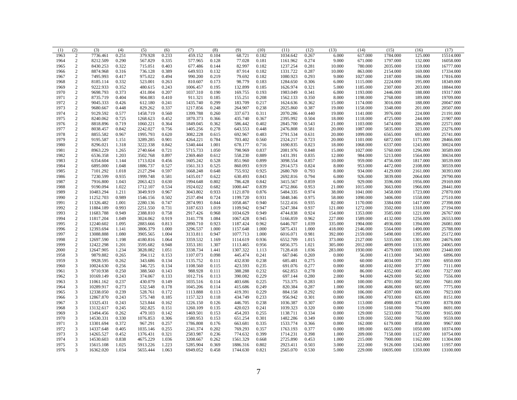| (1)  | (2)                     | (3)       | (4)   | (5)      | (6)   | (7)      | (8)   | (9)      | (10)  | (11)     | (12)  | (13)    | (14)     | (15)      | (16)     | (17)      |
|------|-------------------------|-----------|-------|----------|-------|----------|-------|----------|-------|----------|-------|---------|----------|-----------|----------|-----------|
| 1963 | $\overline{2}$          | 7736.461  | 0.251 | 379.928  | 0.233 | 459.152  | 0.104 | 68.721   | 0.182 | 1034.642 | 0.267 | 6.000   | 617.000  | 1784.000  | 125.000  | 15514.000 |
| 1964 | 2                       | 8212.509  | 0.290 | 567.829  | 0.335 | 577.965  | 0.128 | 77.028   | 0.181 | 1161.962 | 0.274 | 9.000   | 671.000  | 1797.000  | 132.000  | 16058.000 |
| 1965 | $\overline{2}$          | 8430.253  | 0.322 | 715.051  | 0.403 | 677.486  | 0.144 | 82.997   | 0.182 | 1237.254 | 0.281 | 10.000  | 780.000  | 2035.000  | 159.000  | 16777.000 |
| 1966 | 2                       | 8874.968  | 0.316 | 736.128  | 0.389 | 649.933  | 0.132 | 87.914   | 0.182 | 1331.722 | 0.287 | 10.000  | 863.000  | 2154.000  | 169.000  | 17334.000 |
| 1967 | 2                       | 7495.993  | 0.417 | 975.022  | 0.494 | 990.200  | 0.219 | 79.692   | 0.182 | 1080.923 | 0.293 | 9.000   | 1027.000 | 2187.000  | 186,000  | 17816.000 |
| 1968 | $\overline{2}$          | 8185.114  | 0.332 | 523.001  | 0.263 | 810.607  | 0.173 | 98.779   | 0.183 | 1284.650 | 0.306 | 6.000   | 1115.000 | 2224.000  | 195.000  | 18349.000 |
| 1969 | $\sqrt{2}$              | 9222.933  | 0.352 | 480.615  | 0.243 | 1006.457 | 0.195 | 132.899  | 0.185 | 1626.974 | 0.321 | 5.000   | 1185.000 | 2307.000  | 203.000  | 18844.000 |
| 1970 | $\sqrt{2}$              | 9698.793  | 0.373 | 431.004  | 0.207 | 1037.310 | 0.190 | 169.755  | 0.193 | 1983.049 | 0.341 | 6.000   | 1193.000 | 2446.000  | 188.000  | 19317.000 |
| 1971 | $\sqrt{2}$              | 8735.719  | 0.404 | 904.083  | 0.410 | 911.321  | 0.185 | 155.251  | 0.208 | 1562.133 | 0.350 | 8.000   | 1198.000 | 2768.000  | 189.000  | 19709.000 |
| 1972 | $\sqrt{2}$              | 9045.333  | 0.426 | 612.180  | 0.241 | 1435.740 | 0.299 | 183.709  | 0.217 | 1624.636 | 0.362 | 15.000  | 1174.000 | 3016.000  | 188.000  | 20047.000 |
| 1973 | $\sqrt{2}$              | 9680.667  | 0.448 | 829.262  | 0.337 | 1217.856 | 0.248 | 264.907  | 0.238 | 2025.860 | 0.387 | 19.000  | 1158.000 | 3348.000  | 201.000  | 20507.000 |
| 1974 | $\overline{2}$          | 9129.592  | 0.577 | 1458.719 | 0.560 | 1399.788 | 0.260 | 337.673  | 0.311 | 2070.286 | 0.440 | 19.000  | 1141.000 | 3976.000  | 224.000  | 21191.000 |
| 1975 | $\sqrt{2}$              | 8240.062  | 0.725 | 1268.623 | 0.452 | 1870.373 | 0.366 | 435.740  | 0.367 | 2395.992 | 0.504 | 18.000  | 1118.000 | 4725.000  | 244.000  | 21907.000 |
| 1976 | $\sqrt{2}$              | 8818.896  | 0.719 | 1060.221 | 0.364 | 1849.045 | 0.362 | 586.442  | 0.402 | 2845.700 | 0.543 | 21.000  | 1103.000 | 5474.000  | 286.000  | 22571.000 |
| 1977 | $\sqrt{2}$              | 8038.457  | 0.842 | 2242.027 | 0.756 | 1405.256 | 0.278 | 643.553  | 0.448 | 2476.808 | 0.581 | 20.000  | 1087.000 | 5835.000  | 323.000  | 23276.000 |
| 1978 | $\sqrt{2}$              | 8855.582  | 0.967 | 1995.793 | 0.620 | 3082.228 | 0.615 | 692.967  | 0.483 | 2791.534 | 0.631 | 20.000  | 1099.000 | 6565.000  | 693.000  | 25741.000 |
| 1979 | $\overline{2}$          | 9195.587  | 1.151 | 3289.285 | 0.901 | 4264.221 | 0.784 | 703.402  | 0.560 | 2324.217 | 0.723 | 20.000  | 1101.000 | 6872.000  | 1171.000 | 28466.000 |
| 1980 | $\sqrt{2}$              | 8296.021  | 1.318 | 3222.338 | 0.842 | 5340.444 | 1.001 | 678.177  | 0.716 | 1690.835 | 0.823 | 18.000  | 1068.000 | 6337.000  | 1243.000 | 30024.000 |
|      |                         |           |       |          |       |          |       |          |       |          |       |         |          |           |          |           |
| 1981 | $\sqrt{2}$              | 8963.229  | 1.265 | 2740.664 | 0.721 | 5715.733 | 1.050 | 798.969  | 0.837 | 2081.976 | 0.848 | 15.000  | 1027.000 | 5760.000  | 1296.000 | 30589.000 |
| 1982 | $\sqrt{2}$              | 6536.358  | 1.203 | 3502.768 | 0.897 | 2369.460 | 0.612 | 558.230  | 0.889 | 1431.391 | 0.835 | 12.000  | 984.000  | 5213.000  | 1564.000 | 30634.000 |
| 1983 | $\sqrt{2}$              | 6354.604  | 1.144 | 1713.024 | 0.456 | 1605.242 | 0.528 | 851.960  | 0.899 | 3098.554 | 0.857 | 10.000  | 959.000  | 4756.000  | 1817.000 | 30539.000 |
| 1984 | $\sqrt{2}$              | 6895.000  | 1.048 | 1886.737 | 0.527 | 1561.313 | 0.525 | 860.093  | 0.919 | 2914.573 | 0.824 | 8.000   | 953.000  | 4472.000  | 2108.000 | 30559.000 |
| 1985 | $\sqrt{2}$              | 7101.292  | 1.018 | 2127.294 | 0.597 | 1668.248 | 0.648 | 755.932  | 0.925 | 2680.769 | 0.793 | 8.000   | 934.000  | 4129.000  | 2161.000 | 30393.000 |
| 1986 | $\overline{2}$          | 7230.599  | 0.935 | 1999.748 | 0.581 | 1435.017 | 0.622 | 630.493  | 0.843 | 2692.816 | 0.794 | 6.000   | 926.000  | 3839.000  | 2064.000 | 29790.000 |
| 1987 | 2                       | 7916.800  | 1.043 | 2063.423 | 0.630 | 1994.648 | 0.802 | 786.428  | 0.842 | 3415.567 | 0.859 | 6.000   | 929.000  | 3596.000  | 1956.000 | 29169.000 |
| 1988 | $\overline{2}$          | 9190.094  | 1.022 | 1712.107 | 0.534 | 1924.022 | 0.682 | 1000.447 | 0.839 | 4752.866 | 0.953 | 21.000  | 1015.000 | 3663.000  | 1966.000 | 28441.000 |
| 1989 | $\sqrt{2}$              | 10483.294 | 1.211 | 3049.919 | 0.967 | 3043.802 | 0.933 | 1121.870 | 0.876 | 5484.335 | 0.974 | 38.000  | 1041.000 | 3458.000  | 1723.000 | 27870.000 |
| 1990 | $\sqrt{2}$              | 11252.703 | 0.989 | 1546.156 | 0.502 | 2537.494 | 0.724 | 1199.720 | 0.931 | 5848.346 | 0.975 | 58.000  | 1090.000 | 3406.000  | 1558.000 | 27510.000 |
| 1991 | $\sqrt{2}$              | 11326.482 | 1.001 | 2280.136 | 0.747 | 2874.993 | 0.844 | 1058.467 | 0.940 | 5122.416 | 0.935 | 82.000  | 1170.000 | 3384.000  | 1417.000 | 27398.000 |
| 1992 | $\sqrt{2}$              | 11884.189 | 0.993 | 2251.550 | 0.731 | 3187.633 | 1.019 | 1109.942 | 0.947 | 5247.384 | 0.937 | 121.000 | 1272.000 | 3502.000  | 1318.000 | 27194.000 |
| 1993 | $\sqrt{2}$              | 11683.788 | 0.949 | 2388.810 | 0.758 | 2917.426 | 0.968 | 1034.629 | 0.949 | 4744.838 | 0.924 | 154.000 | 1353.000 | 3585.000  | 1221.000 | 26767.000 |
| 1994 | 2                       | 11817.204 | 1.049 | 3024.062 | 0.919 | 3141.778 | 1.084 | 1067.428 | 0.945 | 5166.859 | 0.962 | 227.000 | 1589.000 | 4132.000  | 1256.000 | 26553.000 |
| 1995 | $\sqrt{2}$              | 12240.602 | 1.095 | 2883.666 | 0.813 | 2890.710 | 0.923 | 1187.424 | 0.962 | 6446.707 | 1.039 | 335.000 | 1904.000 | 4936.000  | 1394.000 | 26081.000 |
| 1996 | 2                       | 12393.694 | 1.141 | 3806.379 | 1.000 | 3296.537 | 1.000 | 1157.648 | 1.000 | 5875.431 | 1.000 | 418.000 | 2146.000 | 5564.000  | 1490.000 | 25788.000 |
| 1997 | $\overline{2}$          | 13088.888 | 1.080 | 3905.565 | 1.004 | 3133.811 | 0.947 | 1077.713 | 1.000 | 6016.071 | 0.981 | 392.000 | 2159.000 | 5498.000  | 1395.000 | 25172.000 |
| 1998 | $\sqrt{2}$              | 12697.590 | 1.198 | 4180.816 | 1.064 | 3359.532 | 1.169 | 1114.619 | 0.936 | 6552.709 | 1.015 | 373.000 | 2127.000 | 5335.000  | 1301.000 | 24676.000 |
| 1999 | $\overline{2}$          | 12422.298 | 1.201 | 3595.682 | 0.948 | 3353.181 | 1.307 | 1113.465 | 0.956 | 6856.375 | 1.021 | 305.000 | 2012.000 | 4899.000  | 1135.000 | 24065.000 |
| 2000 | $\overline{2}$          | 12647.905 | 1.234 | 3828.082 | 1.051 | 3338.734 | 1.441 | 1307.322 | 1.113 | 7128.418 | 1.036 | 283.000 | 1930.000 | 4579.000  | 1009.000 | 23440.000 |
| 1958 | $\mathfrak{Z}$          | 9879.882  | 0.265 | 394.112  | 0.153 | 1107.073 | 0.098 | 445.474  | 0.241 | 667.046  | 0.269 | 0.000   | 56.000   | 4113.000  | 343.000  | 6896.000  |
| 1959 | $\mathfrak{Z}$          | 9928.595  | 0.262 | 343.686  | 0.134 | 1135.752 | 0.111 | 432.830  | 0.238 | 685.481  | 0.275 | 0.000   | 60.000   | 4034.000  | 371.000  | 6950.000  |
| 1960 | $\mathfrak{Z}$          | 10024.630 | 0.256 | 346.725  | 0.134 | 1108.560 | 0.115 | 423.593  | 0.235 | 691.076  | 0.277 | 0.000   | 68.000   | 4102.000  | 377.000  | 7111.000  |
| 1961 | $\mathfrak{Z}$          | 9710.938  | 0.250 | 388.560  | 0.143 | 988.928  | 0.111 | 388.288  | 0.232 | 662.853  | 0.278 | 0.000   | 86.000   | 4352.000  | 455.000  | 7327.000  |
| 1962 | $\overline{3}$          | 10169.149 | 0.243 | 374.067  | 0.133 | 1012.716 | 0.113 | 390.082  | 0.229 | 697.144  | 0.280 | 2.000   | 94.000   | 4429.000  | 502.000  | 7556.000  |
| 1963 | $\mathfrak{Z}$          | 11061.162 | 0.237 | 430.079  | 0.149 | 1035.516 | 0.114 | 403.686  | 0.225 | 753.375  | 0.283 | 1.000   | 100.000  | 4701.000  | 582.000  | 7681.000  |
| 1964 | $\mathbf{3}$            | 10289.917 | 0.273 | 532.548  | 0.178 | 1045.206 | 0.114 | 415.686  | 0.249 | 820.384  | 0.287 | 1.000   | 106.000  | 4686.000  | 605.000  | 7775.000  |
| 1965 | $\mathbf{3}$            | 12338.050 | 0.239 | 528.761  | 0.172 | 1113.888 | 0.113 | 419.391  | 0.229 | 884.158  | 0.292 | 0.000   | 106.000  | 4597.000  | 606.000  | 7923.000  |
| 1966 | $\mathfrak{Z}$          | 12867.870 | 0.243 | 575.748  | 0.185 | 1157.323 | 0.118 | 434.749  | 0.233 | 956.942  | 0.301 | 0.000   | 106.000  | 4703.000  | 635.000  | 8151.000  |
| 1967 | $\overline{\mathbf{3}}$ | 13325.431 | 0.243 | 523.844  | 0.162 | 1226.150 | 0.126 | 446.705  | 0.238 | 1036.387 | 0.307 | 0.000   | 113.000  | 4988.000  | 673.000  | 8378.000  |
| 1968 | $\mathfrak{Z}$          | 13132.617 | 0.245 | 502.825  | 0.151 | 1260.109 | 0.135 | 420.023  | 0.241 | 1039.323 | 0.320 | 0.000   | 119.000  | 5160.000  | 704.000  | 8691.000  |
| 1969 | 3                       | 13494.456 | 0.262 | 479.103  | 0.142 | 1469.501 | 0.153 | 454.203  | 0.255 | 1138.711 | 0.334 | 0.000   | 129.000  | 5233.000  | 755.000  | 9165.000  |
| 1970 | $\mathfrak{Z}$          | 14530.331 | 0.330 | 1076.853 | 0.306 | 1580.953 | 0.153 | 651.254  | 0.301 | 1482.286 | 0.349 | 0.000   | 139.000  | 5502.000  | 760.000  | 9559.000  |
| 1971 | $\overline{3}$          | 13301.694 | 0.372 | 967.291  | 0.257 | 1786.808 | 0.176 | 663.681  | 0.335 | 1533.774 | 0.366 | 0.000   | 162.000  | 6179.000  | 858.000  | 9967.000  |
| 1972 | $\mathfrak{Z}$          | 14337.648 | 0.405 | 1035.146 | 0.255 | 2241.374 | 0.202 | 769.293  | 0.357 | 1763.193 | 0.377 |         | 189.000  |           |          | 10374.000 |
|      |                         |           |       |          |       |          |       |          |       |          |       | 0.000   |          | 6655.000  | 1050.000 |           |
| 1973 | 3                       | 14265.527 | 0.452 | 1376.431 | 0.321 | 2583.987 | 0.236 | 774.632  | 0.399 | 1714.231 | 0.398 | 1.000   | 209.000  | 7158.000  | 1127.000 | 10754.000 |
| 1974 | 3                       | 14530.603 | 0.838 | 4675.229 | 1.036 | 3208.667 | 0.262 | 1561.329 | 0.668 | 2725.890 | 0.453 | 1.000   | 215.000  | 7900.000  | 1162.000 | 11304.000 |
| 1975 | 3                       | 15615.108 | 1.025 | 5913.226 | 1.223 | 5285.904 | 0.369 | 1886.316 | 0.802 | 2923.411 | 0.503 | 3.000   | 222.000  | 9126.000  | 1243.000 | 11957.000 |
| 1976 | $\overline{3}$          | 16362.020 | 1.034 | 5655.444 | 1.063 | 6949.052 | 0.458 | 1744.630 | 0.821 | 2565.070 | 0.530 | 5.000   | 229.000  | 10695.000 | 1359.000 | 13100.000 |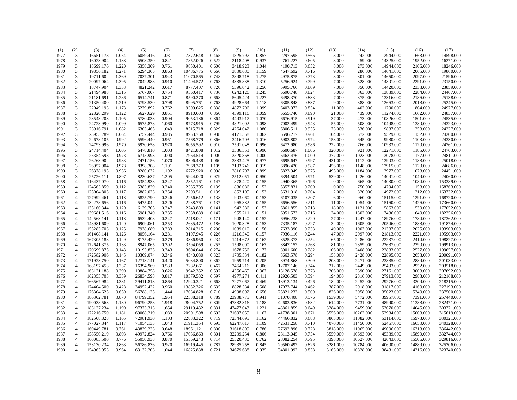| (1)  | (2)                       | (3)        | (4)   | (5)       | (6)   | (7)       | (8)   | (9)       | (10)  | (11)      | (12)  | (13)     | (14)      | (15)      | (16)      | (17)       |
|------|---------------------------|------------|-------|-----------|-------|-----------|-------|-----------|-------|-----------|-------|----------|-----------|-----------|-----------|------------|
| 1977 | 3                         | 16651.178  | 1.054 | 6059.416  | 1.031 | 7372.648  | 0.465 | 1825.797  | 0.857 | 2297.595  | 0.566 | 8.000    | 242.000   | 12944.000 | 1663.000  | 14598.000  |
| 1978 | 3                         | 16023.904  | 1.138 | 5508.350  | 0.841 | 7852.026  | 0.522 | 2118.408  | 0.937 | 2761.227  | 0.605 | 8.000    | 259.000   | 14325.000 | 1952.000  | 16271.000  |
| 1979 | 3                         | 18699.176  | 1.220 | 5358.309  | 0.761 | 9850.401  | 0.600 | 3418.923  | 1.044 | 4190.713  | 0.652 | 8.000    | 273.000   | 14944.000 | 2106.000  | 18246.000  |
| 1980 | 3                         | 19856.182  | 1.271 | 6294.365  | 0.863 | 10486.775 | 0.666 | 3800.680  | 1.159 | 4647.692  | 0.716 | 9.000    | 286.000   | 14641.000 | 2065.000  | 19860.000  |
| 1981 | $\mathfrak{Z}$            | 19711.602  | 1.369 | 7037.301  | 0.943 | 11070.565 | 0.748 | 3898.718  | 1.275 | 4975.875  | 0.773 | 8.000    | 301.000   | 14650.000 | 2097.000  | 21596.000  |
| 1982 | $\mathfrak{Z}$            | 20097.064  | 1.395 | 7042.988  | 0.910 | 11404.572 | 0.763 | 4335.838  | 1.310 | 5256.924  | 0.799 | 7.000    | 328.000   | 14801.000 | 2291.000  | 23150.000  |
| 1983 | $\mathfrak{Z}$            | 18747.904  | 1.333 | 4821.242  | 0.617 | 8777.407  | 0.720 | 5396.042  | 1.256 | 5995.766  | 0.809 | 7.000    | 350.000   | 14420.000 | 2338.000  | 23859.000  |
| 1984 | $\mathfrak{Z}$            | 21494.988  | 1.315 | 5767.007  | 0.754 | 9560.417  | 0.736 | 6242.126  | 1.245 | 6690.748  | 0.824 | 5.000    | 363.000   | 13889.000 | 2284.000  | 24467.000  |
| 1985 | $\mathfrak{Z}$            | 21181.691  | 1.286 | 6514.741  | 0.871 | 8590.270  | 0.668 | 5645.424  | 1.227 | 6498.370  | 0.833 | 7.000    | 375.000   | 13316.000 | 2186.000  | 25138.000  |
| 1986 | $\mathfrak{Z}$            | 21350.400  | 1.219 | 5793.530  | 0.798 | 8995.761  | 0.763 | 4928.664  | 1.118 | 6305.848  | 0.837 | 9.000    | 388.000   | 12663.000 | 2018.000  | 25245.000  |
| 1987 | $\mathfrak{Z}$            | 22049.193  | 1.173 | 5279.892  | 0.762 | 9309.625  | 0.838 | 4872.706  | 1.099 | 6403.972  | 0.854 | 11.000   | 402.000   | 11790.000 | 1804.000  | 24977.000  |
| 1988 | $\mathfrak{Z}$            | 22820.299  | 1.122 | 5627.629  | 0.851 | 8910.603  | 0.860 | 4399.116  | 1.059 | 6655.740  | 0.890 | 21.000   | 439.000   | 11274.000 | 1662.000  | 24837.000  |
| 1989 | $\mathfrak{Z}$            | 23543.203  | 1.105 | 5780.033  | 0.904 | 9053.186  | 0.864 | 4493.917  | 1.070 | 6676.915  | 0.919 | 37.000   | 473.000   | 10826.000 | 1501.000  | 24535.000  |
| 1990 | $\mathfrak{Z}$            | 24723.990  | 1.099 | 6575.878  | 1.060 | 8773.915  | 0.799 | 4821.002  | 1.098 | 7002.499  | 0.943 | 55.000   | 508.000   | 10498.000 | 1380.000  | 24323.000  |
| 1991 | $\mathfrak{Z}$            | 23916.791  | 1.082 | 6303.465  | 1.049 | 8515.718  | 0.829 | 4264.042  | 1.080 | 6806.511  | 0.955 | 73.000   | 536.000   | 9887.000  | 1253.000  | 24227.000  |
| 1992 | $\mathfrak{Z}$            | 23955.289  | 1.064 | 5757.444  | 0.985 | 8953.768  | 0.938 | 4171.558  | 1.062 | 6596.217  | 0.961 | 104.000  | 572.000   | 9529.000  | 1152.000  | 24200.000  |
| 1993 | $\mathfrak{Z}$            | 22678.105  | 0.992 | 5596.440  | 0.951 | 7568.779  | 0.866 | 3416.703  | 1.016 | 5903.802  | 0.974 | 153.000  | 645.000   | 9980.000  | 1103.000  | 24330.000  |
| 1994 | $\mathfrak{Z}$            | 24793.996  | 0.970 | 5930.658  | 0.970 | 8055.592  | 0.910 | 3591.048  | 0.996 | 6472.980  | 0.986 | 222.000  | 766.000   | 10933.000 | 1120.000  | 24761.000  |
| 1995 | $\mathfrak{Z}$            | 24714.404  | 1.005 | 6478.810  | 1.003 | 8421.808  | 1.012 | 3336.353  | 0.990 | 6600.687  | 1.006 | 320.000  | 921.000   | 12271.000 | 1185.000  | 24763.000  |
| 1996 | $\mathfrak{Z}$            | 25354.598  | 0.973 | 6715.993  | 1.000 | 7964.514  | 1.000 | 3520.868  | 1.000 | 6462.476  | 1.000 | 377.000  | 1023.000  | 13078.000 | 1177.000  | 24811.000  |
| 1997 | $\ensuremath{\mathsf{3}}$ | 26263.902  | 0.983 | 7471.156  | 1.070 | 8306.438  | 1.060 | 3333.425  | 0.977 | 6695.647  | 0.997 | 431.000  | 1112.000  | 13903.000 | 1188.000  | 25018.000  |
| 1998 | $\mathfrak{Z}$            | 26957.904  | 0.978 | 8398.308  | 1.191 | 7968.373  | 1.109 | 3103.746  | 0.919 | 6896.420  | 0.987 | 456.000  | 1148.000  | 13915.000 | 1120.000  | 24686.000  |
| 1999 | $\mathfrak{Z}$            | 26378.193  | 0.936 | 8280.632  | 1.192 | 6772.920  | 0.998 | 2816.707  | 0.899 | 6823.949  | 0.975 | 495.000  | 1184.000  | 13977.000 | 1078.000  | 24451.000  |
| 2000 | $\mathfrak{Z}$            | 25726.111  | 0.897 | 8230.637  | 1.205 | 5944.020  | 0.979 | 2512.051  | 0.950 | 6394.504  | 0.971 | 539.000  | 1226.000  | 14091.000 | 1049.000  | 24060.000  |
| 1958 | $\overline{4}$            | 116437.070 | 0.116 | 5354.938  | 0.247 | 2352.161  | 0.147 | 878.420   | 0.155 | 4940.365  | 0.196 | 0.000    | 665.000   | 14030.000 | 1084.000  | 153389.000 |
| 1959 | $\overline{4}$            | 124565.859 | 0.112 | 5383.829  | 0.240 | 2335.795  | 0.139 | 886.086   | 0.152 | 5357.831  | 0.200 | 0.000    | 750.000   | 14794.000 | 1158.000  | 158763.000 |
| 1960 | $\overline{4}$            | 125004.805 | 0.117 | 5882.023  | 0.254 | 2293.511  | 0.139 | 852.105   | 0.153 | 5631.918  | 0.204 | 2.000    | 820.000   | 14972.000 | 1212.000  | 163732.000 |
| 1961 | $\overline{4}$            | 127992.461 | 0.118 | 5825.790  | 0.246 | 2256.612  | 0.138 | 903.060   | 0.153 | 6107.035  | 0.207 | 6.000    | 960.000   | 15115.000 | 1291.000  | 168720.000 |
| 1962 | $\overline{4}$            | 132278.656 | 0.116 | 5475.042  | 0.226 | 2238.761  | 0.137 | 965.382   | 0.155 | 6656.556  | 0.211 | 11.000   | 1054.000  | 15160.000 | 1426.000  | 173660.000 |
| 1963 | $\overline{4}$            | 135160.344 | 0.120 | 6129.705  | 0.247 | 2243.809  | 0.141 | 942.586   | 0.153 | 6861.855  | 0.213 | 18.000   | 1121.000  | 15863.000 | 1530.000  | 177052.000 |
| 1964 | $\overline{4}$            | 139681.516 | 0.116 | 5981.340  | 0.235 | 2338.689  | 0.147 | 955.211   | 0.151 | 6951.573  | 0.216 | 24.000   | 1302.000  | 17436.000 | 1640.000  | 182256.000 |
| 1965 | $\overline{4}$            | 142563.141 | 0.118 | 6532.408  | 0.247 | 2418.041  | 0.171 | 948.140   | 0.152 | 6956.238  | 0.220 | 27.000   | 1447.000  | 18976.000 | 1784.000  | 187362.000 |
| 1966 | $\overline{4}$            | 148981.609 | 0.120 | 6909.061  | 0.253 | 2635.472  | 0.186 | 1020.328  | 0.153 | 7335.187  | 0.227 | 32.000   | 1605.000  | 20546.000 | 1888.000  | 191874.000 |
| 1967 | $\overline{4}$            | 155283.703 | 0.125 | 7938.689  | 0.283 | 2814.215  | 0.200 | 1089.010  | 0.156 | 7633.390  | 0.233 | 40.000   | 1903.000  | 21337.000 | 2025.000  | 193903.000 |
| 1968 | $\overline{4}$            | 161408.141 | 0.126 | 8056.164  | 0.281 | 3197.945  | 0.226 | 1216.340  | 0.157 | 7936.116  | 0.244 | 47.000   | 2097.000  | 21813.000 | 2221.000  | 195903.000 |
| 1969 | $\overline{4}$            | 167305.188 | 0.129 | 8175.429  | 0.279 | 3386.950  | 0.234 | 1414.672  | 0.162 | 8525.373  | 0.254 | 65.000   | 2286.000  | 22237.000 | 2414.000  | 198827.000 |
| 1970 | $\overline{4}$            | 172641.375 | 0.133 | 8947.065  | 0.302 | 3594.059  | 0.255 | 1598.000  | 0.167 | 8847.152  | 0.268 | 81.000   | 2359.000  | 22687.000 | 2390.000  | 199913.000 |
| 1971 | $\overline{4}$            | 170699.875 | 0.143 | 10193.825 | 0.343 | 3604.644  | 0.274 | 1678.756  | 0.177 | 8901.600  | 0.282 | 106.000  | 2408.000  | 22883.000 | 2527.000  | 199657.000 |
| 1972 | $\overline{4}$            | 172582.906 | 0.145 | 10309.074 | 0.346 | 4340.080  | 0.323 | 1705.534  | 0.182 | 8663.578  | 0.294 | 158.000  | 2428.000  | 22895.000 | 2658.000  | 200091.000 |
| 1973 | $\overline{4}$            | 171923.750 | 0.167 | 12713.141 | 0.420 | 5034.800  | 0.362 | 1959.714  | 0.205 | 8974.868  | 0.309 | 208.000  | 2471.000  | 23885.000 | 2889.000  | 201033.000 |
| 1974 | $\overline{4}$            | 168197.453 | 0.237 | 16394.969 | 0.533 | 7282.661  | 0.467 | 3464.216  | 0.306 | 12707.146 | 0.344 | 212.000  | 2449.000  | 25493.000 | 2952.000  | 203518.000 |
| 1975 | $\overline{4}$            | 163121.188 | 0.290 | 19884.758 | 0.626 | 9942.352  | 0.597 | 4356.465  | 0.367 | 13128.578 | 0.373 | 206.000  | 2390.000  | 27161.000 | 3003.000  | 207692.000 |
| 1976 | $\overline{4}$            | 162353.703 | 0.339 | 26834.598 | 0.817 | 10379.532 | 0.597 | 4977.274  | 0.411 | 12926.503 | 0.394 | 194.000  | 2316.000  | 27913.000 | 2983.000  | 212168.000 |
| 1977 | $\overline{4}$            | 166567.984 | 0.381 | 29411.813 | 0.864 | 12940.321 | 0.668 | 7277.067  | 0.469 | 13913.134 | 0.426 | 182.000  | 2252.000  | 29276.000 | 3209.000  | 218215.000 |
| 1978 | $\overline{4}$            | 174404.500 | 0.428 | 34952.422 | 0.960 | 13852.326 | 0.635 | 8828.534  | 0.508 | 17073.744 | 0.462 | 387.000  | 2918.000  | 31817.000 | 4160.000  | 227193.000 |
| 1979 | $\overline{4}$            | 176304.625 | 0.650 | 56788.125 | 1.444 | 17034.828 | 0.710 | 14998.092 | 0.656 | 25821.232 | 0.509 | 826.000  | 3958.000  | 35023.000 | 5340.000  | 237500.000 |
| 1980 | $\overline{4}$            | 186302.781 | 0.870 | 84799.352 | 1.954 | 22338.318 | 0.789 | 23908.775 | 0.941 | 31070.408 | 0.576 | 1539.000 | 5472.000  | 39957.000 | 7391.000  | 257440.000 |
| 1981 | $\overline{4}$            | 190038.563 | 1.130 | 96790.258 | 1.918 | 28004.752 | 0.809 | 47332.316 | 1.188 | 42603.836 | 0.632 | 2614.000 | 7731.000  | 48990.000 | 11388.000 | 282471.000 |
| 1982 | $\overline{4}$            | 183127.234 | 1.190 | 97373.313 | 1.654 | 29119.432 | 0.831 | 47477.043 | 1.221 | 43861.859 | 0.649 | 3284.000 | 9459.000  | 53070.000 | 14045.000 | 303771.000 |
| 1983 | $\overline{4}$            | 172216.750 | 1.181 | 69068.219 | 1.083 | 20901.598 | 0.693 | 71697.055 | 1.167 | 41738.301 | 0.671 | 3556.000 | 10262.000 | 52984.000 | 15003.000 | 315619.000 |
| 1984 | $\overline{4}$            | 182508.828 | 1.165 | 72981.930 | 1.103 | 22833.322 | 0.719 | 72344.695 | 1.162 | 44466.832 | 0.688 | 3863.000 | 11082.000 | 53114.000 | 15973.000 | 330321.000 |
| 1985 | $\overline{4}$            | 177027.844 | 1.117 | 71054.133 | 1.043 | 21911.354 | 0.693 | 62247.617 | 1.109 | 42531.258 | 0.710 | 4070.000 | 11450.000 | 52467.000 | 16650.000 | 340328.000 |
| 1986 | $\overline{4}$            | 160449.781 | 0.761 | 43839.223 | 0.648 | 18961.121 | 0.800 | 31618.809 | 0.786 | 27692.896 | 0.728 | 3818.000 | 11065.000 | 49006.000 | 16313.000 | 336442.000 |
| 1987 | $\overline{4}$            | 158550.219 | 0.803 | 49972.824 | 0.766 | 17036.863 | 0.801 | 32209.254 | 0.806 | 28113.045 | 0.754 | 3559.000 | 10693.000 | 45389.000 | 15899.000 | 332744.000 |
| 1988 | $\overline{4}$            | 160083.500 | 0.776 | 55050.938 | 0.870 | 15569.243 | 0.714 | 25520.430 | 0.762 | 28082.254 | 0.795 | 3398.000 | 10627.000 | 42643.000 | 15506.000 | 329816.000 |
| 1989 | $\overline{4}$            | 153130.234 | 0.863 | 56786.836 | 0.920 | 16919.445 | 0.787 | 28935.258 | 0.845 | 29560.492 | 0.826 | 3281.000 | 10784.000 | 40600.000 | 14889.000 | 325306.000 |
| 1990 | $\overline{4}$            | 154963.953 | 0.964 | 63132.203 | 1.044 | 16825.838 | 0.721 | 34679.688 | 0.935 | 34801.992 | 0.858 | 3165.000 | 10828.000 | 38481.000 | 14316.000 | 323740.000 |
|      |                           |            |       |           |       |           |       |           |       |           |       |          |           |           |           |            |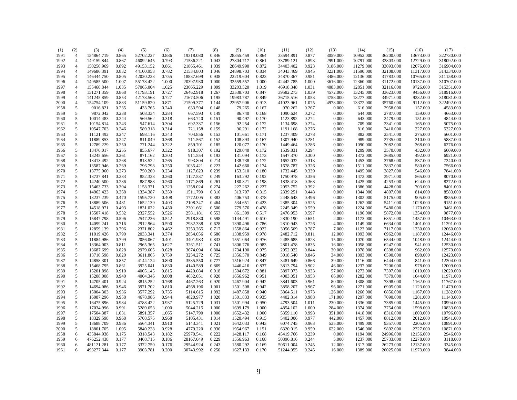| (1)  | (2)            | (3)        | (4)   | (5)                  | (6)   | (7)       | (8)   | (9)       | (10)  | (11)      | (12)  | (13)     | (14)      | (15)      | (16)                 | (17)       |
|------|----------------|------------|-------|----------------------|-------|-----------|-------|-----------|-------|-----------|-------|----------|-----------|-----------|----------------------|------------|
| 1991 | $\overline{4}$ | 154864.719 | 0.865 | 52702.227            | 0.886 | 19318.080 | 0.846 | 28355.459 | 0.864 | 33594.891 | 0.877 | 3059.000 | 10952.000 | 36200.000 | 13673.000            | 322730.000 |
| 1992 | $\overline{4}$ | 149159.844 | 0.867 | 46092.645            | 0.793 | 21586.221 | 1.043 | 27804.717 | 0.861 | 33789.121 | 0.893 | 2991.000 | 10791.000 | 33803.000 | 12729.000            | 318092.000 |
| 1993 | $\overline{4}$ | 150250.969 | 0.892 | 49153.152            | 0.861 | 21865.461 | 1.039 | 28649.990 | 0.872 | 34403.402 | 0.923 | 3186.000 | 11279.000 | 33093.000 | 12076.000            | 316904.000 |
| 1994 | $\overline{4}$ | 149686.391 | 0.832 | 44100.953            | 0.782 | 21534.803 | 1.046 | 24898.703 | 0.834 | 34043.469 | 0.945 | 3231.000 | 11590.000 | 32108.000 | 11317.000            | 314334.000 |
| 1995 | $\overline{4}$ | 146444.750 | 0.805 | 42020.223            | 0.755 | 18837.699 | 0.938 | 22219.604 | 0.823 | 34870.367 | 0.981 | 3486.000 | 12136.000 | 31783.000 | 10765.000            | 311158.000 |
| 1996 | $\overline{4}$ | 149585.500 | 1.007 | 55178.422            | 1.000 | 20397.930 | 1.000 | 32559.557 | 1.000 | 42442.785 | 1.000 | 3616.000 | 12360.000 | 31172.000 | 10137.000            | 310707.000 |
| 1997 | $\overline{4}$ | 155460.844 | 1.035 | 57065.004            | 1.025 | 23665.229 | 1.099 | 33203.520 | 1.019 | 46918.348 | 1.031 | 4083.000 | 12851.000 | 32116.000 | 9726.000             | 315351.000 |
| 1998 | $\overline{4}$ | 151271.359 | 0.868 | 41793.191            | 0.727 | 26462.918 | 1.267 | 23538.703 | 0.847 | 39582.273 | 1.039 | 4572.000 | 13245.000 | 33623.000 | 9456.000             | 318916.000 |
| 1999 | $\overline{4}$ | 141245.859 | 0.853 | 42173.563            | 0.727 | 21673.506 | 1.195 | 19983.787 | 0.849 | 36715.516 | 1.053 | 4758.000 | 13277.000 | 34971.000 | 9232.000             | 318081.000 |
| 2000 | $\overline{4}$ | 154754.109 | 0.883 | 51159.820            | 0.871 | 21509.377 | 1.144 | 22957.906 | 0.913 | 41023.961 | 1.075 | 4978.000 | 13372.000 | 35760.000 | 9112.000             | 322492.000 |
| 1958 | 5              | 9016.821   | 0.235 | 433.765              | 0.240 | 633.594   | 0.148 | 79.265    | 0.167 | 970.262   | 0.267 | 0.000    | 616.000   | 2958.000  | 157.000              | 4583.000   |
| 1959 | 5              | 9872.042   | 0.238 | 508.334              | 0.284 | 667.593   | 0.149 | 86.740    | 0.168 | 1090.624  | 0.272 | 0.000    | 644.000   | 2787.000  | 159.000              | 4663.000   |
| 1960 | $\mathfrak s$  | 10014.483  | 0.244 | 569.562              | 0.318 | 663.740   | 0.151 | 90.497    | 0.170 | 1123.892  | 0.274 | 0.000    | 643.000   | 2479.000  | 151.000              | 4844.000   |
| 1961 | 5              | 10154.814  | 0.243 | 547.614              | 0.304 | 692.337   | 0.156 | 92.254    | 0.172 | 1134.698  | 0.274 | 0.000    | 709.000   | 2341.000  | 165.000              | 5075.000   |
| 1962 | 5              | 10547.703  | 0.246 | 589.318              | 0.314 | 721.158   | 0.159 | 96.291    | 0.172 | 1191.168  | 0.276 | 0.000    | 816.000   | 2410.000  | 227.000              | 5327.000   |
| 1963 | $\sqrt{5}$     | 11121.492  | 0.247 | 698.116              | 0.343 | 704.856   | 0.153 | 101.661   | 0.171 | 1237.409  | 0.278 | 0.000    | 882.000   | 2541.000  | 275.000              | 5601.000   |
| 1964 | 5              | 11889.853  | 0.247 | 811.049              | 0.368 | 711.567   | 0.152 | 108.893   | 0.167 | 1307.940  | 0.281 | 0.000    | 989.000   | 2735.000  | 310.000              | 5887.000   |
| 1965 | 5              | 12789.229  | 0.250 | 771.244              | 0.322 | 859.701   | 0.185 | 120.077   | 0.170 | 1449.464  | 0.286 | 0.000    | 1090.000  | 3082.000  | 368.000              | 6276.000   |
| 1966 | 5              | 13476.017  | 0.255 | 855.677              | 0.322 | 918.307   | 0.192 | 129.040   | 0.172 | 1539.831  | 0.294 | 0.000    | 1209.000  | 3570.000  | 432.000              | 6609.000   |
| 1967 | 5              | 13245.656  | 0.261 | 871.162              | 0.303 | 911.554   | 0.193 | 131.094   | 0.173 | 1547.370  | 0.300 | 0.000    | 1372.000  | 3685.000  | 492.000              | 6921.000   |
| 1968 | 5              | 13413.492  | 0.268 | 813.522              | 0.265 | 993.804   | 0.214 | 138.738   | 0.172 | 1652.032  | 0.313 | 0.000    | 1453.000  | 3768.000  | 537.000              | 7240.000   |
| 1969 | 5              | 13587.946  | 0.269 | 796.798              | 0.250 | 1035.421  | 0.223 | 142.660   | 0.174 | 1678.787  | 0.326 | 0.000    | 1511.000  | 3837.000  | 580.000              | 7566.000   |
| 1970 | $\sqrt{5}$     | 13775.960  | 0.273 | 750.260              | 0.234 | 1127.623  | 0.239 | 153.510   | 0.180 | 1732.445  | 0.339 | 0.000    | 1495.000  | 3827.000  | 546.000              | 7841.000   |
| 1971 | $\mathfrak s$  | 13737.841  | 0.283 | 852.328              | 0.260 | 1127.537  | 0.249 | 163.292   | 0.192 | 1750.978  | 0.356 | 0.000    | 1472.000  | 3971.000  | 565.000              | 8070.000   |
| 1972 | 5              | 14240.500  | 0.286 | 887.988              | 0.260 | 1171.869  | 0.261 | 180.321   | 0.198 | 1838.418  | 0.368 | 0.000    | 1425.000  | 4253.000  | 624.000              | 8272.000   |
| 1973 | 5              | 15463.733  | 0.304 | 1158.371             | 0.323 | 1258.024  | 0.274 | 227.262   | 0.227 | 2053.752  | 0.392 | 0.000    | 1386.000  | 4428.000  | 703.000              | 8401.000   |
| 1974 | $\mathfrak s$  | 14963.423  | 0.368 | 1334.387             | 0.359 | 1511.799  | 0.316 | 313.797   | 0.315 | 2339.251  | 0.448 | 0.000    | 1344.000  | 4807.000  | 814.000              | 8583.000   |
| 1975 | $\sqrt{5}$     | 13237.239  | 0.470 | 1595.720             | 0.408 | 1772.005  | 0.383 | 406.753   | 0.378 | 2448.643  | 0.496 | 0.000    | 1302.000  | 5175.000  | 905.000              | 8855.000   |
| 1976 | 5              | 13889.506  | 0.481 | 1652.139             | 0.403 | 2108.347  | 0.464 | 534.651   | 0.423 | 2385.304  | 0.525 | 0.000    | 1262.000  | 5411.000  | 1028.000             | 9151.000   |
| 1977 | $\sqrt{5}$     | 14518.971  | 0.493 | 1831.032             | 0.430 | 2301.661  | 0.500 | 779.576   | 0.478 | 2245.349  | 0.559 | 0.000    | 1224.000  | 5480.000  | 1170.000             | 9461.000   |
| 1978 | $\mathfrak s$  | 15507.418  | 0.532 | 2327.552             | 0.526 | 2581.181  | 0.553 | 861.399   | 0.517 | 2476.953  | 0.597 | 0.000    | 1196.000  | 5872.000  | 1354.000             | 9877.000   |
| 1979 | 5              | 15847.798  | 0.596 | 2547.236             | 0.542 | 2918.830  | 0.598 | 1144.491  | 0.610 | 2830.190  | 0.651 | 2.000    | 1173.000  | 6351.000  | 1457.000             | 10463.000  |
| 1980 | 5              | 14099.241  | 0.716 | 2912.964             | 0.590 | 2982.338  | 0.628 | 1390.496  | 0.786 | 2810.943  | 0.726 | 4.000    | 1149.000  | 6634.000  | 1401.000             | 11291.000  |
| 1981 | 5              | 12859.139  | 0.796 | 2371.802             | 0.462 | 3253.265  | 0.717 | 1558.864  | 0.922 | 3056.509  | 0.787 | 7.000    | 1123.000  | 7117.000  | 1330.000             | 12060.000  |
| 1982 | 5              | 11019.426  | 0.790 | 2033.341             | 0.374 | 2854.056  | 0.686 | 1338.959  | 0.978 | 2482.712  | 0.811 | 12.000   | 1093.000  | 6962.000  | 1187.000             | 12446.000  |
| 1983 | $\mathfrak s$  | 11884.986  | 0.799 | 2056.067             | 0.401 | 3401.983  | 0.833 | 1551.064  | 0.976 | 2485.685  | 0.823 | 15.000   | 1070.000  | 6544.000  | 1048.000             | 12444.000  |
| 1984 | $\sqrt{5}$     | 13364.003  | 0.811 | 2965.365             | 0.627 | 3261.511  | 0.741 | 1806.776  | 0.983 | 2801.478  | 0.835 | 16.000   | 1058.000  | 6247.000  | 941.000              | 12530.000  |
| 1985 | 5              | 13687.699  | 0.828 | 2979.605             | 0.628 | 3674.094  | 0.804 | 1734.190  | 0.975 | 2952.022  | 0.844 | 30.000   | 1078.000  | 6598.000  | 962.000              | 12579.000  |
| 1986 | 5              | 13710.598  | 0.820 | 3611.865             | 0.759 | 3254.272  | 0.725 | 1356.570  | 0.849 | 3018.540  | 0.846 | 34.000   | 1093.000  | 6590.000  | 898.000              | 12423.000  |
| 1987 | 5              | 14858.301  | 0.857 | 4144.124             | 0.890 | 3585.550  | 0.777 | 1516.924  | 0.847 | 3481.649  | 0.866 | 39.000   | 1116.000  | 6444.000  | 841.000              | 12204.000  |
| 1988 | 5              | 15468.795  | 0.861 | 3925.041             | 0.830 | 4140.589  | 0.869 | 1446.416  | 0.837 | 3813.794  | 0.902 | 46.000   | 1237.000  | 7206.000  | 978.000              | 12009.000  |
| 1989 | 5              | 15201.898  | 0.910 | 4005.145             | 0.815 | 4429.084  | 0.918 | 1504.672  | 0.881 | 3897.073  | 0.933 | 57.000   | 1273.000  | 7397.000  | 1010.000             | 12029.000  |
| 1990 | $\mathfrak s$  | 15208.008  | 0.940 | 4004.346             | 0.808 | 4632.051  | 0.920 | 1656.962  | 0.951 | 4003.051  | 0.953 | 66.000   | 1282.000  | 7379.000  | 1044.000             | 11971.000  |
| 1991 | $\mathfrak s$  | 14705.401  | 0.924 | 3815.252             | 0.768 | 4467.263  | 0.920 | 1467.904  | 0.942 | 3841.603  | 0.961 | 80.000   | 1308.000  | 7398.000  | 1162.000             | 11767.000  |
| 1992 | $\sqrt{5}$     | 14694.086  | 0.946 |                      | 0.810 | 4568.196  | 1.001 | 1501.508  | 0.942 | 3858.207  | 0.967 | 96.000   | 1271.000  | 6905.000  |                      | 11479.000  |
| 1993 | $\sqrt{5}$     | 15004.303  | 0.936 | 3971.702<br>3577.292 | 0.735 | 5114.615  | 1.092 | 1487.858  | 0.940 | 3864.511  | 0.973 | 126.000  | 1266.000  | 6856.000  | 1123.000<br>1167.000 | 11282.000  |
| 1994 | $\mathfrak s$  | 16087.296  | 0.958 | 4678.986             | 0.944 | 4820.977  | 1.020 | 1501.833  | 0.935 | 4402.314  | 0.988 | 171.000  | 1297.000  | 7090.000  | 1281.000             | 11143.000  |
|      |                |            |       |                      | 0.937 |           | 1.031 |           | 0.950 |           |       |          |           |           |                      |            |
| 1995 | 5              | 16475.896  | 0.984 | 4788.422             |       | 5125.729  |       | 1501.994  |       | 4793.504  | 1.011 | 230.000  | 1336.000  | 7385.000  | 1445.000             | 10994.000  |
| 1996 | 5              | 17034.996  | 0.991 | 5289.653             | 1.000 | 5044.215  | 1.000 | 1699.179  | 1.000 | 4854.102  | 1.000 | 284.000  | 1374.000  | 7754.000  | 1598.000             | 10833.000  |
| 1997 | 5              | 17504.387  | 1.031 | 5891.357             | 1.065 | 5147.790  | 1.000 | 1652.432  | 1.000 | 5359.110  | 0.998 | 351.000  | 1418.000  | 8316.000  | 1803.000             | 10796.000  |
| 1998 | 5              | 18329.598  | 0.968 | 5708.575             | 0.968 | 5105.431  | 1.014 | 1520.494  | 0.915 | 5402.006  | 0.977 | 442.000  | 1457.000  | 8812.000  | 2012.000             | 10941.000  |
| 1999 | $\sqrt{5}$     | 18688.709  | 0.986 | 5564.341             | 0.910 | 5143.341  | 1.021 | 1642.033  | 0.943 | 6074.745  | 0.963 | 535.000  | 1499.000  | 9357.000  | 2205.000             | 10891.000  |
| 2000 | 5              | 18801.705  | 1.005 | 5840.228             | 0.928 | 4779.220  | 0.936 | 1954.967  | 1.151 | 6320.015  | 0.959 | 622.000  | 1546.000  | 9892.000  | 2327.000             | 10871.000  |
| 1958 | 6              | 435844.938 | 0.175 | 3318.543             | 0.182 | 25970.541 | 0.222 | 1428.117  | 0.168 | 45419.766 | 0.239 | 0.000    | 1194.000  | 24996.000 | 12156.000            | 2946.000   |
| 1959 | 6              | 476252.438 | 0.177 | 3468.715             | 0.186 | 28167.049 | 0.229 | 1556.963  | 0.168 | 50896.816 | 0.244 | 5.000    | 1237.000  | 25733.000 | 12278.000            | 3118.000   |
| 1960 | 6              | 481121.281 | 0.177 | 3372.750             | 0.176 | 29544.924 | 0.243 | 1580.292  | 0.169 | 50611.004 | 0.245 | 12.000   | 1317.000  | 26273.000 | 12137.000            | 3345.000   |
| 1961 | 6              | 493277.344 | 0.177 | 3903.781             | 0.200 | 30743.992 | 0.250 | 1627.133  | 0.170 | 51244.055 | 0.245 | 16.000   | 1389.000  | 26025.000 | 11973.000            | 3844.000   |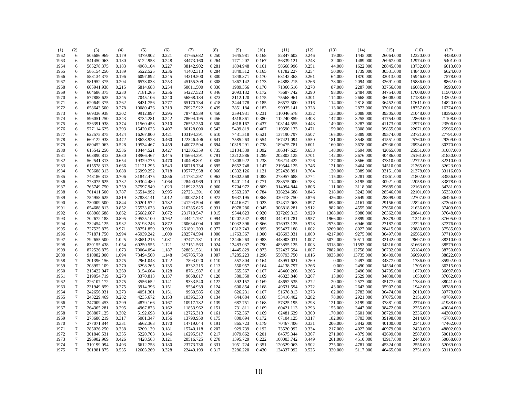| (1)  | (2)              | (3)        | (4)   | (5)       | (6)   | (7)        | (8)   | (9)       | (10)  | (11)       | (12)  | (13)     | (14)      | (15)      | (16)      | (17)      |
|------|------------------|------------|-------|-----------|-------|------------|-------|-----------|-------|------------|-------|----------|-----------|-----------|-----------|-----------|
| 1962 | 6                | 505686.969 | 0.179 | 4379.902  | 0.221 | 31765.682  | 0.250 | 1645.981  | 0.168 | 52847.602  | 0.246 | 19.000   | 1445.000  | 26064.000 | 12320.000 | 4458.000  |
| 1963 | 6                | 541450.063 | 0.180 | 5122.958  | 0.248 | 34473.160  | 0.264 | 1771.207  | 0.167 | 56339.121  | 0.248 | 32.000   | 1489.000  | 26967.000 | 12974.000 | 5401.000  |
| 1964 | 6                | 565278.375 | 0.183 | 4968.104  | 0.227 | 38142.902  | 0.281 | 1804.948  | 0.161 | 58668.996  | 0.251 | 44.000   | 1622.000  | 28845.000 | 13732.000 | 6013.000  |
| 1965 | 6                | 586154.250 | 0.189 | 5522.525  | 0.236 | 41402.313  | 0.284 | 1840.512  | 0.165 | 61782.227  | 0.254 | 50.000   | 1739.000  | 30531.000 | 14840.000 | 6624.000  |
| 1966 | 6                | 588134.375 | 0.196 | 6097.892  | 0.245 | 44319.500  | 0.300 | 1848.371  | 0.170 | 63142.363  | 0.261 | 64.000   | 1870.000  | 32013.000 | 15946.000 | 7578.000  |
| 1967 | 6                | 581952.375 | 0.204 | 6573.033  | 0.253 | 45155.309  | 0.308 | 1867.142  | 0.173 | 64888.215  | 0.266 | 78.000   | 2094.000  | 32691.000 | 15886.000 | 8862.000  |
| 1968 | 6                | 605941.938 | 0.215 | 6814.688  | 0.254 | 50011.500  | 0.336 | 1989.356  | 0.170 | 71360.516  | 0.278 | 87.000   | 2287.000  | 33756.000 | 16086.000 | 9993.000  |
| 1969 | 6                | 604686.375 | 0.230 | 7181.265  | 0.256 | 54227.523  | 0.346 | 2093.132  | 0.172 | 75687.742  | 0.290 | 98.000   | 2484.000  | 34754.000 | 17008.000 | 11504.000 |
| 1970 | 6                | 577888.625 | 0.245 | 7045.106  | 0.240 | 56868.184  | 0.373 | 2112.120  | 0.175 | 75568.961  | 0.301 | 114.000  | 2668,000  | 36008,000 | 17188.000 | 13202.000 |
| 1971 | 6                | 620649.375 | 0.262 | 8431.756  | 0.277 | 65170.734  | 0.418 | 2444.778  | 0.185 | 86572.500  | 0.316 | 114.000  | 2818.000  | 36452.000 | 17611.000 | 14820.000 |
| 1972 | 6                | 658643.500 | 0.278 | 10080.476 | 0.319 | 70927.922  | 0.439 | 2851.184  | 0.183 | 99035.141  | 0.328 | 113.000  | 2873.000  | 37016.000 | 18757.000 | 16374.000 |
| 1973 | 6                | 669336.938 | 0.302 | 9912.897  | 0.295 | 78748.539  | 0.450 | 3594.931  | 0.231 | 110046.578 | 0.352 | 133.000  | 3088.000  | 39305.000 | 21048.000 | 18396.000 |
| 1974 | 6                | 596051.250 | 0.343 | 8734.281  | 0.242 | 78694.195  | 0.456 | 4518.861  | 0.380 | 112240.859 | 0.403 | 147.000  | 3255.000  | 41754.000 | 22869.000 | 21108.000 |
| 1975 | 6                | 536391.938 | 0.374 | 11560.453 | 0.310 | 76552.250  | 0.500 | 4618.167  | 0.437 | 108144.555 | 0.443 | 149.000  | 3287.000  | 41173.000 | 22973.000 | 23506.000 |
| 1976 | 6                | 577114.625 | 0.393 | 15420.625 | 0.407 | 86128.000  | 0.542 | 5499.819  | 0.467 | 119590.133 | 0.471 | 159.000  | 3308.000  | 39855.000 | 22671.000 | 25966.000 |
| 1977 | 6                | 622575.875 | 0.424 | 16267.800 | 0.421 | 103194.391 | 0.610 | 7431.518  | 0.521 | 137190.797 | 0.507 | 165.000  | 3389.000  | 39574.000 | 23721.000 | 27791.000 |
| 1978 | 6                | 669122.938 | 0.472 | 18628.928 | 0.460 | 122346.406 | 0.641 | 7585.263  | 0.554 | 167421.094 | 0.550 | 181.000  | 3548.000  | 41551.000 | 25760.000 | 29209.000 |
| 1979 | 6                | 680452.063 | 0.528 | 19534.467 | 0.459 | 140072.594 | 0.694 | 10319.291 | 0.738 | 189475.781 | 0.601 | 160.000  | 3678.000  | 42936.000 | 26934.000 | 30370.000 |
| 1980 | 6                | 615542.250 | 0.586 | 18444.521 | 0.427 | 142305.359 | 0.735 | 13134.539 | 1.092 | 186847.625 | 0.653 | 148.000  | 3694.000  | 42065.000 | 25951.000 | 31087.000 |
| 1981 | 6                | 603890.813 | 0.630 | 18966.467 | 0.445 | 145664.391 | 0.791 | 13212.886 | 1.289 | 202803.125 | 0.701 | 142.000  | 3676.000  | 40486.000 | 25161.000 | 31850.000 |
| 1982 | 6                | 562541.313 | 0.654 | 19329.775 | 0.470 | 140408.891 | 0.805 | 11808.922 | 1.238 | 196214.422 | 0.726 | 127.000  | 3566.000  | 37310.000 | 22772.000 | 32310.000 |
| 1983 | 6                | 615578.313 | 0.666 | 21121.295 | 0.543 | 160718.734 | 0.895 | 8652.748  | 1.147 | 219544.125 | 0.746 | 121.000  | 3464.000  | 34510.000 | 21365.000 | 32623.000 |
| 1984 | 6                | 705688.313 | 0.688 | 26999.252 | 0.718 | 195777.938 | 0.966 | 10332.126 | 1.121 | 252428.891 | 0.764 | 120.000  | 3389.000  | 33151.000 | 21378.000 | 33116.000 |
| 1985 | 6                | 748186.313 | 0.706 | 31842.475 | 0.856 | 211781.297 | 0.963 | 10602.568 | 1.083 | 273957.688 | 0.774 | 115.000  | 3281.000  | 31861.000 | 21802.000 | 33556.000 |
| 1986 | 6                | 773075.625 | 0.732 | 39304.480 | 1.064 | 228400.969 | 1.011 | 9401.214  | 0.771 | 288575.000 | 0.783 | 114.000  | 3195.000  | 30921.000 | 22058.000 | 33878.000 |
| 1987 | 6                | 765749.750 | 0.759 | 37597.949 | 1.023 | 218922.359 | 0.960 | 9704.972  | 0.809 | 314994.844 | 0.806 | 111.000  | 3118.000  | 29685.000 | 22163.000 | 34381.000 |
| 1988 | 6                | 761411.500 | 0.787 | 36514.992 | 0.995 | 227231.391 | 0.938 | 9563.287  | 0.784 | 326224.688 | 0.845 | 218.000  | 3242.000  | 28546.000 | 22101.000 | 35330.000 |
| 1989 | 6                | 754958.625 | 0.819 | 37838.141 | 1.012 | 240087.813 | 0.972 | 9637.195  | 0.868 | 330418.750 | 0.876 | 426.000  | 3649.000  | 28899.000 | 22707.000 | 36426.000 |
| 1990 | 6                | 730009.500 | 0.844 | 30201.572 | 0.782 | 241293.594 | 0.969 | 10416.671 | 1.023 | 334312.063 | 0.897 | 698.000  | 4161.000  | 29156.000 | 22824.000 | 37304.000 |
| 1991 | 6                | 654688.813 | 0.852 | 25533.633 | 0.660 | 216385.625 | 0.931 | 8978.286  | 0.945 | 306818.281 | 0.912 | 982.000  | 4555.000  | 27650.000 | 21636.000 | 37409.000 |
| 1992 | 6                | 688968.688 | 0.862 | 25682.607 | 0.672 | 231719.547 | 1.015 | 9544.623  | 0.920 | 327269.313 | 0.929 | 1368.000 | 5080.000  | 26362.000 | 20841.000 | 37648.000 |
| 1993 | 6                | 702672.188 | 0.895 | 29525.100 | 0.762 | 244421.797 | 0.994 | 10207.547 | 0.894 | 344911.781 | 0.957 | 1966.000 | 5899.000  | 26379.000 | 21241.000 | 37605.000 |
| 1994 | 6                | 732454.125 | 0.932 | 35193.246 | 0.872 | 260634.094 | 1.005 | 10032.396 | 0.866 | 376933.125 | 0.978 | 2573.000 | 6946.000  | 27187.000 | 22229.000 | 37376.000 |
| 1995 | 6                | 727525.875 | 0.971 | 38751.859 | 0.909 | 261891.203 | 0.977 | 10312.743 | 0.895 | 395427.188 | 1.002 | 3269.000 | 8027.000  | 28415.000 | 23883.000 | 37585.000 |
| 1996 | 6                | 771871.750 | 0.994 | 45939.242 | 1.000 | 282574.594 | 1.000 | 11763.367 | 1.000 | 426693.031 | 1.000 | 4217.000 | 9275.000  | 30497.000 | 26566.000 | 37719.000 |
| 1997 | 6                | 792655.500 | 1.025 | 53651.215 | 1.081 | 297471.781 | 1.014 | 12446.263 | 0.983 | 448903.031 | 1.007 | 5072.000 | 10511.000 | 32142.000 | 28697.000 | 38210.000 |
| 1998 | 6                | 830155.438 | 1.054 | 60250.555 | 1.121 | 317151.563 | 1.024 | 13483.037 | 0.790 | 483855.125 | 1.003 | 6318.000 | 11593.000 | 34316.000 | 31663.000 | 38579.000 |
| 1999 | 6                | 872526.875 | 1.073 | 70064.094 | 1.187 | 328851.531 | 1.001 | 14445.829 | 0.873 | 522427.594 | 1.007 | 7882.000 | 12758.000 | 36732.000 | 35184.000 | 38750.000 |
| 2000 | 6                | 910082.000 | 1.094 | 73494.500 | 1.148 | 345705.750 | 1.007 | 17285.223 | 1.296 | 558793.750 | 1.016 | 8935.000 | 13735.000 | 38409.000 | 36699.000 | 38822.000 |
| 1958 | $7\phantom{.0}$  | 201396.156 | 0.275 | 2961.048  | 0.122 | 7893.020   | 0.110 | 557.804   | 0.164 | 43951.621  | 0.269 | 0.000    | 2497.000  | 34377.000 | 1736.000  | 35992.000 |
| 1959 | $7\phantom{.0}$  | 208952.109 | 0.270 | 3298.265  | 0.135 | 8332.215   | 0.113 | 550.957   | 0.164 | 44138.797  | 0.266 | 0.000    | 2490.000  | 34534.000 | 1705.000  | 36215.000 |
| 1960 | $\tau$           | 215422.047 | 0.269 | 3154.664  | 0.128 | 8761.987   | 0.118 | 565.567   | 0.167 | 45460.266  | 0.266 | 7.000    | 2490.000  | 34705.000 | 1670.000  | 36697.000 |
| 1961 | $\boldsymbol{7}$ | 219054.719 | 0.273 | 3370.813  | 0.137 | 9068.817   | 0.120 | 580.350   | 0.169 | 46823.848  | 0.267 | 13.000   | 2529.000  | 34830.000 | 1650.000  | 37062.000 |
| 1962 | $\tau$           | 226107.172 | 0.275 | 3556.652  | 0.141 | 9333.540   | 0.122 | 592.157   | 0.169 | 48652.535  | 0.272 | 20.000   | 2577.000  | 35177.000 | 1784.000  | 38041.000 |
| 1963 | $\boldsymbol{7}$ | 231949.859 | 0.275 | 3914.396  | 0.151 | 9534.939   | 0.124 | 600.854   | 0.168 | 49631.594  | 0.272 | 43.000   | 2643.000  | 35907.000 | 1942.000  | 38788.000 |
| 1964 | $\boldsymbol{7}$ | 242656.031 | 0.273 | 4051.301  | 0.151 | 9960.585   | 0.128 | 626.231   | 0.167 | 51678.813  | 0.273 | 62.000   | 2783.000  | 36474.000 | 2013.000  | 39778.000 |
| 1965 | $\tau$           | 243229.469 | 0.282 | 4235.672  | 0.153 | 10395.353  | 0.134 | 644.684   | 0.168 | 53416.402  | 0.282 | 78.000   | 2921.000  | 37075.000 | 2151.000  | 40789.000 |
| 1966 | $\tau$           | 247009.453 | 0.299 | 4879.166  | 0.167 | 10917.782  | 0.139 | 687.751   | 0.168 | 57325.195  | 0.298 | 121.000  | 3199.000  | 37881.000 | 2274.000  | 41988.000 |
| 1967 | $\boldsymbol{7}$ | 264365.281 | 0.295 | 4967.873  | 0.162 | 11853.962  | 0.151 | 731.811   | 0.169 | 60421.113  | 0.293 | 155.000  | 3447.000  | 38472.000 | 2255.000  | 43084.000 |
| 1968 | $\overline{7}$   | 268807.125 | 0.302 | 5192.698  | 0.164 | 12725.313  | 0.161 | 752.367   | 0.169 | 62481.629  | 0.300 | 170.000  | 3601.000  | 38729.000 | 2336.000  | 44309.000 |
| 1969 | $\boldsymbol{7}$ | 273680.219 | 0.317 | 5081.347  | 0.156 | 13790.950  | 0.175 | 800.694   | 0.172 | 67104.125  | 0.317 | 182.000  | 3703.000  | 39198.000 | 2414.000  | 45783.000 |
| 1970 | $\tau$           | 277071.844 | 0.331 | 5662.363  | 0.170 | 14719.044  | 0.191 | 865.723   | 0.179 | 70467.406  | 0.331 | 206.000  | 3842.000  | 40100.000 | 2341.000  | 47462.000 |
| 1971 | $\boldsymbol{7}$ | 285026.250 | 0.338 | 6209.139  | 0.181 | 15740.118  | 0.207 | 929.739   | 0.192 | 73520.992  | 0.334 | 217.000  | 4027.000  | 40979.000 | 2433.000  | 48802.000 |
| 1972 | $\tau$           | 301840.531 | 0.355 | 5220.703  | 0.146 | 16295.517  | 0.217 | 1079.662  | 0.201 | 84575.344  | 0.367 | 271.000  | 4379.000  | 42699.000 | 2587.000  | 50010.000 |
| 1973 | $\overline{7}$   | 296902.969 | 0.426 | 4428.563  | 0.121 | 20516.725  | 0.278 | 1395.729  | 0.222 | 100003.742 | 0.449 | 261.000  | 4510.000  | 43917.000 | 2443.000  | 50868.000 |
| 1974 | $\tau$           | 310199.094 | 0.493 | 6612.758  | 0.180 | 23773.736  | 0.331 | 1951.724  | 0.351 | 120529.063 | 0.502 | 275.000  | 4781.000  | 45324.000 | 2556.000  | 52069.000 |
| 1975 | $\tau$           | 301981.875 | 0.535 | 12603.269 | 0.328 | 22449.199  | 0.317 | 2286.220  | 0.430 | 124337.992 | 0.525 | 320.000  | 5117.000  | 46465.000 | 2751.000  | 53119.000 |
|      |                  |            |       |           |       |            |       |           |       |            |       |          |           |           |           |           |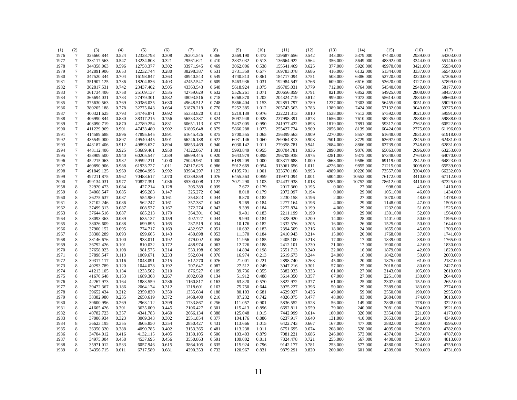| (1)  | (2)              | (3)        | (4)   | (5)       | (6)   | (7)       | (8)   | (9)      | (10)  | (11)       | (12)  | (13)     | (14)      | (15)      | (16)     | (17)      |
|------|------------------|------------|-------|-----------|-------|-----------|-------|----------|-------|------------|-------|----------|-----------|-----------|----------|-----------|
| 1976 | $\tau$           | 325660.844 | 0.524 | 12328.798 | 0.308 | 26201.545 | 0.366 | 2569.190 | 0.472 | 129687.656 | 0.542 | 343.000  | 5379.000  | 47430.000 | 2939.000 | 54303.000 |
| 1977 | $\boldsymbol{7}$ | 333117.563 | 0.547 | 13234.803 | 0.321 | 29561.621 | 0.410 | 2837.032 | 0.513 | 136664.922 | 0.564 | 356.000  | 5649.000  | 48392.000 | 3344.000 | 55146.000 |
| 1978 | $\overline{7}$   | 344358.063 | 0.596 | 12758.377 | 0.302 | 33971.945 | 0.469 | 3062.006 | 0.538 | 155541.469 | 0.625 | 377.000  | 5926.000  | 49970.000 | 3421.000 | 55934.000 |
| 1979 | $\overline{7}$   | 342891.906 | 0.653 | 12232.744 | 0.280 | 38298.387 | 0.531 | 3731.359 | 0.677 | 169783.078 | 0.686 | 416.000  | 6132.000  | 51344.000 | 3337.000 | 56540.000 |
| 1980 | $\overline{7}$   | 347520.344 | 0.704 | 16198.847 | 0.363 | 38940.543 | 0.549 | 4740.813 | 0.861 | 184717.094 | 0.751 | 508.000  | 6386.000  | 52720.000 | 3220.000 | 57306.000 |
| 1981 | $\overline{7}$   | 351907.125 | 0.736 | 18204.836 | 0.403 | 42452.547 | 0.609 | 5463.936 | 1.031 | 192984.547 | 0.766 | 609.000  | 6616.000  | 53620.000 | 3127.000 | 57899.000 |
| 1982 | $7\phantom{.0}$  | 362817.531 | 0.742 | 23437.402 | 0.505 | 43363.543 | 0.648 | 5618.924 | 1.075 | 196705.031 | 0.779 | 712.000  | 6764.000  | 54540.000 | 2948.000 | 58177.000 |
| 1983 | $\boldsymbol{7}$ | 361734.406 | 0.758 | 25109.137 | 0.535 | 42759.629 | 0.632 | 5526.261 | 1.071 | 200656.859 | 0.791 | 821.000  | 6852.000  | 54925.000 | 2808.000 | 58437.000 |
| 1984 | $\tau$           | 365694.031 | 0.783 | 27479.301 | 0.582 | 48093.516 | 0.718 | 6268.870 | 1.202 | 204324.719 | 0.812 | 999.000  | 7073.000  | 55614.000 | 2834.000 | 58660.000 |
| 1985 | $\overline{7}$   | 375630.563 | 0.769 | 30386.035 | 0.630 | 49648.512 | 0.748 | 5866.404 | 1.153 | 202851.797 | 0.789 | 1237.000 | 7303.000  | 56455.000 | 3051.000 | 59029.000 |
| 1986 | $\overline{7}$   | 380205.188 | 0.778 | 32775.043 | 0.664 | 51878.219 | 0.770 | 5252.385 | 1.012 | 205743.563 | 0.783 | 1389.000 | 7424.000  | 57132.000 | 3049.000 | 59375.000 |
| 1987 | $\overline{7}$   | 400321.625 | 0.793 | 34746.871 | 0.692 | 55333.820 | 0.811 | 5219.139 | 0.976 | 222221.313 | 0.810 | 1538.000 | 7513.000  | 57592.000 | 3021.000 | 59591.000 |
| 1988 | $\overline{7}$   | 406990.844 | 0.830 | 38317.215 | 0.756 | 56533.387 | 0.824 | 5097.948 | 0.928 | 237998.391 | 0.873 | 1656.000 | 7610.000  | 58235.000 | 2888.000 | 59888.000 |
| 1989 | $\overline{7}$   | 403090.719 | 0.870 | 42789.254 | 0.831 | 60651.113 | 0.877 | 5437.005 | 0.990 | 241977.422 | 0.893 | 1819.000 | 7891.000  | 59317.000 | 2762.000 | 60522.000 |
| 1990 | $\tau$           | 411229.969 | 0.901 | 47433.480 | 0.902 | 61805.648 | 0.879 | 5866.288 | 1.073 | 255427.734 | 0.909 | 2056.000 | 8139.000  | 60424.000 | 2775.000 | 61196.000 |
| 1991 | $\boldsymbol{7}$ | 414589.688 | 0.896 | 47895.645 | 0.891 | 61645.426 | 0.875 | 5700.555 | 1.065 | 256399.563 | 0.909 | 2270.000 | 8557.000  | 61648.000 | 2831.000 | 61918.000 |
| 1992 | $\overline{7}$   | 435549.000 | 0.897 | 49540.445 | 0.901 | 66246.188 | 0.922 | 6031.146 | 1.060 | 269064.813 | 0.908 | 2501.000 | 8729.000  | 62697.000 | 2845.000 | 62481.000 |
| 1993 | $\tau$           | 443187.406 | 0.912 | 49893.637 | 0.894 | 68853.469 | 0.940 | 6030.142 | 1.011 | 279358.781 | 0.941 | 2684.000 | 8866.000  | 63739.000 | 2748.000 | 62831.000 |
| 1994 | $\overline{7}$   | 448112.406 | 0.925 | 53689.461 | 0.950 | 74322.867 | 1.001 | 5993.849 | 0.955 | 280704.781 | 0.936 | 2890.000 | 9076.000  | 65063.000 | 2696.000 | 63253.000 |
| 1995 | $\overline{7}$   | 458909.500 | 0.940 | 60205.547 | 1.039 | 68699.445 | 0.920 | 5643.979 | 0.898 | 296708.938 | 0.975 | 3281.000 | 9375.000  | 67348.000 | 2764.000 | 64070.000 |
| 1996 | $\overline{7}$   | 452215.063 | 0.982 | 59592.211 | 1.000 | 75049.961 | 1.000 | 6189.209 | 1.000 | 303317.688 | 1.000 | 3668.000 | 9586.000  | 69119.000 | 2842.000 | 64823.000 |
| 1997 | $7\phantom{.0}$  | 460890.906 | 0.988 | 61933.727 | 1.011 | 74317.625 | 0.986 | 5912.669 | 0.954 | 313061.656 | 1.011 | 4226.000 | 9855.000  | 71215.000 | 3008.000 | 65539.000 |
| 1998 | $\tau$           | 491849.125 | 0.969 | 62864.996 | 0.992 | 83984.297 | 1.122 | 6195.701 | 1.001 | 323670.188 | 0.993 | 4989.000 | 10220.000 | 73557.000 | 3204.000 | 66232.000 |
| 1999 | $\overline{7}$   | 497211.875 | 0.962 | 70483.617 | 1.070 | 81339.859 | 1.076 | 6455.563 | 0.959 | 319971.094 | 1.001 | 5804.000 | 10552.000 | 76172.000 | 3410.000 | 67112.000 |
| 2000 | $\overline{7}$   | 499134.031 | 0.977 | 70827.391 | 1.036 | 85300.008 | 1.122 | 7021.290 | 1.103 | 324437.938 | 1.018 | 6285.000 | 10752.000 | 78612.000 | 3410.000 | 67325.000 |
| 1958 | $\,$ 8 $\,$      | 32920.473  | 0.084 | 427.214   | 0.128 | 305.389   | 0.039 | 7.672    | 0.179 | 2017.360   | 0.195 | 0.000    | 27.000    | 998.000   | 45.000   | 1410.000  |
| 1959 | 8                | 34068.547  | 0.085 | 496.283   | 0.147 | 325.272   | 0.040 | 8.018    | 0.179 | 2072.097   | 0.194 | 0.000    | 29.000    | 1051.000  | 46.000   | 1434.000  |
| 1960 | 8                | 36275.637  | 0.087 | 554.980   | 0.161 | 354.823   | 0.044 | 8.870    | 0.182 | 2230.158   | 0.196 | 2.000    | 27.000    | 1070.000  | 48.000   | 1478.000  |
| 1961 | 8                | 37102.246  | 0.086 | 562.247   | 0.161 | 357.387   | 0.043 | 9.269    | 0.184 | 2277.164   | 0.196 | 4.000    | 29.000    | 1148.000  | 47.000   | 1505.000  |
| 1962 | $\,$ 8 $\,$      | 37499.313  | 0.087 | 608.537   | 0.167 | 372.274   | 0.043 | 9.399    | 0.184 | 2272.834   | 0.199 | 4.000    | 29.000    | 1232.000  | 51.000   | 1525.000  |
| 1963 | $\,$ 8 $\,$      | 37644.516  | 0.087 | 685.213   | 0.179 | 364.301   | 0.042 | 9.401    | 0.183 | 2211.199   | 0.199 | 9.000    | 29.000    | 1301.000  | 52.000   | 1564.000  |
| 1964 | 8                | 38093.363  | 0.089 | 635.137   | 0.159 | 402.727   | 0.044 | 9.993    | 0.184 | 2328.920   | 0.200 | 14.000   | 28.000    | 1401.000  | 50.000   | 1595.000  |
| 1965 | $\,$ 8 $\,$      | 38026.609  | 0.088 | 699.895   | 0.165 | 287.519   | 0.034 | 10.176   | 0.182 | 2332.576   | 0.205 | 16.000   | 26.000    | 1525.000  | 50.000   | 1644.000  |
| 1966 | $\,$ 8 $\,$      | 37900.152  | 0.095 | 774.717   | 0.169 | 432.967   | 0.051 | 10.692   | 0.183 | 2394.509   | 0.216 | 18.000   | 24.000    | 1655.000  | 45.000   | 1703.000  |
| 1967 | $\,$ 8 $\,$      | 38308.289  | 0.093 | 699.665   | 0.143 | 450.898   | 0.053 | 11.370   | 0.184 | 2410.943   | 0.214 | 15.000   | 20,000    | 1768.000  | 37.000   | 1741.000  |
| 1968 | 8                | 38146.676  | 0.100 | 933.011   | 0.192 | 479.002   | 0.058 | 11.956   | 0.185 | 2405.100   | 0.218 | 17.000   | 17.000    | 1839.000  | 38.000   | 1765.000  |
| 1969 | 8                | 36792.426  | 0.101 | 810.032   | 0.172 | 488.974   | 0.063 | 12.726   | 0.188 | 2412.101   | 0.230 | 21.000   | 17.000    | 1900.000  | 42.000   | 1830.000  |
| 1970 | $\,$ 8 $\,$      | 37658.023  | 0.108 | 981.575   | 0.214 | 533.198   | 0.069 | 14.894   | 0.198 | 2551.713   | 0.240 | 22.000   | 16.000    | 1879.000  | 42.000   | 1829.000  |
| 1971 | $\,$ 8 $\,$      | 37898.547  | 0.113 | 1069.671  | 0.233 | 562.604   | 0.076 | 16.974   | 0.213 | 2619.673   | 0.244 | 24.000   | 16.000    | 1842.000  | 50.000   | 2003.000  |
| 1972 | $\,$ 8 $\,$      | 39317.117  | 0.116 | 1048.091  | 0.215 | 612.270   | 0.076 | 21.001   | 0.221 | 2898.740   | 0.263 | 45.000   | 20.000    | 1875.000  | 61.000   | 2187.000  |
| 1973 | $\,$ 8 $\,$      | 40293.789  | 0.120 | 1044.078  | 0.192 | 707.647   | 0.087 | 27.512   | 0.249 | 3047.216   | 0.301 | 57.000   | 25.000    | 2018.000  | 80.000   | 2427.000  |
| 1974 | $\,$ 8 $\,$      | 41213.105  | 0.134 | 1233.502  | 0.210 | 876.527   | 0.109 | 39.736   | 0.355 | 3382.933   | 0.333 | 61.000   | 27.000    | 2143.000  | 105.000  | 2610.000  |
| 1975 | 8                | 41670.648  | 0.153 | 1689.308  | 0.267 | 1002.060  | 0.134 | 51.912   | 0.488 | 3614.350   | 0.357 | 67.000   | 27.000    | 2251.000  | 130.000  | 2644.000  |
| 1976 | 8                | 42267.973  | 0.164 | 1883.559  | 0.286 | 1160.817  | 0.163 | 63.820   | 0.570 | 3822.972   | 0.377 | 61.000   | 25.000    | 2307.000  | 152.000  | 2652.000  |
| 1977 | $\,$ 8 $\,$      | 39472.367  | 0.186 | 2064.174  | 0.312 | 1218.601  | 0.163 | 75.750   | 0.644 | 3975.227   | 0.396 | 50.000   | 29.000    | 2389.000  | 183.000  | 2774.000  |
| 1978 | $\,$ 8 $\,$      | 39652.434  | 0.212 | 2359.830  | 0.350 | 1335.684  | 0.188 | 80.103   | 0.681 | 4629.927   | 0.436 | 49.000   | 59.000    | 2550.000  | 190.000  | 2955.000  |
| 1979 | $\,$ 8 $\,$      | 38382.980  | 0.235 | 2650.619  | 0.372 | 1468.400  | 0.216 | 87.232   | 0.742 | 4826.075   | 0.477 | 48.000   | 93.000    | 2684.000  | 174.000  | 3013.000  |
| 1980 | $\,$ 8 $\,$      | 39600.996  | 0.269 | 2963.112  | 0.399 | 1733.867  | 0.256 | 111.057  | 0.901 | 5836.552   | 0.528 | 56.000   | 149.000   | 2838.000  | 178.000  | 3222.000  |
| 1981 | $\,$ 8 $\,$      | 41665.426  | 0.301 | 3635.009  | 0.445 | 2106.427  | 0.301 | 115.413  | 0.896 | 6692.811   | 0.559 | 79.000   | 240.000   | 3081.000  | 204.000  | 3921.000  |
| 1982 | $\,$ 8 $\,$      | 40782.723  | 0.357 | 4341.783  | 0.460 | 2666.134  | 0.388 | 125.048  | 1.015 | 7442.999   | 0.614 | 100.000  | 326.000   | 3354.000  | 221.000  | 4173.000  |
| 1983 | 8                | 37006.934  | 0.323 | 3069.343  | 0.302 | 2551.854  | 0.377 | 104.176  | 0.886 | 6237.917   | 0.640 | 131.000  | 410.000   | 3653.000  | 241.000  | 4349.000  |
| 1984 | $\,$ 8 $\,$      | 36623.195  | 0.355 | 3605.850  | 0.354 | 2850.427  | 0.431 | 113.666  | 1.015 | 6422.743   | 0.667 | 167.000  | 477.000   | 3882.000  | 258.000  | 4595.000  |
| 1985 | $\,$ 8 $\,$      | 36350.320  | 0.388 | 4090.785  | 0.402 | 3153.365  | 0.481 | 113.238  | 1.011 | 6751.695   | 0.674 | 208.000  | 528.000   | 4095.000  | 297.000  | 4782.000  |
| 1986 | $\,$ 8 $\,$      | 34704.012  | 0.416 | 4132.115  | 0.405 | 3130.105  | 0.506 | 103.403  | 0.879 | 7081.221   | 0.686 | 246.000  | 573.000   | 4374.000  | 347.000  | 4787.000  |
| 1987 | 8                | 34975.004  | 0.458 | 4537.695  | 0.456 | 3550.863  | 0.591 | 109.002  | 0.811 | 7824.478   | 0.721 | 255.000  | 567.000   | 4400.000  | 339.000  | 4813.000  |
| 1988 | 8                | 35971.012  | 0.533 | 6057.946  | 0.615 | 3864.105  | 0.635 | 115.924  | 0.796 | 9142.177   | 0.781 | 253.000  | 577.000   | 4380.000  | 324.000  | 4759.000  |
| 1989 | 8                | 34356.715  | 0.611 | 6717.589  | 0.681 | 4290.353  | 0.732 | 120.967  | 0.831 | 9879.291   | 0.820 | 260.000  | 601.000   | 4309.000  | 300.000  | 4731.000  |
|      |                  |            |       |           |       |           |       |          |       |            |       |          |           |           |          |           |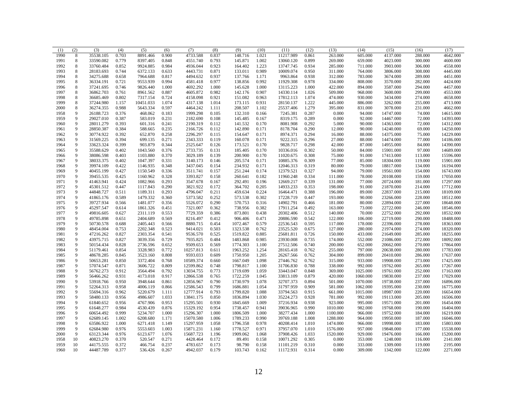| (1)          | (2)            | (3)                    | (4)            | (5)                  | (6)            | (7)                    | (8)            | (9)                  | (10)           | (11)                   | (12)           | (13)               | (14)               | (15)                   | (16)               | (17)                   |
|--------------|----------------|------------------------|----------------|----------------------|----------------|------------------------|----------------|----------------------|----------------|------------------------|----------------|--------------------|--------------------|------------------------|--------------------|------------------------|
| 1990         | 8              | 35538.105              | 0.703          | 8891.466             | 0.900          | 4733.588               | 0.837          | 148.716              | 1.021          | 11217.989              | 0.861          | 263.000            | 605.000            | 4137.000               | 288.000            | 4642.000               |
| 1991         | 8              | 33590.082              | 0.779          | 8397.405             | 0.848          | 4551.740               | 0.793          | 145.871              | 1.002          | 13060.120              | 0.899          | 269.000            | 659.000            | 4023.000               | 300.000            | 4600.000               |
| 1992         | 8              | 33760.484              | 0.852          | 9924.885             | 0.984          | 4936.044               | 0.923          | 164.402              | 1.223          | 13747.745              | 0.934          | 285.000            | 711.000            | 3903.000               | 306.000            | 4558.000               |
| 1993         | 8              | 28183.693              | 0.744          | 6372.133             | 0.633          | 4443.731               | 0.871          | 133.011              | 0.989          | 10009.074              | 0.950          | 311.000            | 764.000            | 3806.000               | 308.000            | 4445.000               |
| 1994         | $\,$ 8 $\,$    | 34275.688              | 0.658          | 7964.688             | 0.817          | 4494.632               | 0.937          | 137.766              | 1.171          | 9963.864               | 0.938          | 312.000            | 783.000            | 3674.000               | 289.000            | 4451.000               |
| 1995         | $\,$ 8 $\,$    | 36334.191              | 0.721          | 9553.939             | 0.994          | 4581.418               | 0.977          | 138.856              | 0.992          | 11929.308              | 0.978          | 334.000            | 808.000            | 3570.000               | 282.000            | 4424.000               |
| 1996         | 8              | 37241.695              | 0.746          | 9826.440             | 1.000          | 4692.292               | 1.000          | 145.628              | 1.000          | 13115.223              | 1.000          | 422.000            | 894.000            | 3587.000               | 294.000            | 4457.000               |
| 1997         | 8              | 36862.703              | 0.761          | 8961.562             | 0.887          | 4605.872               | 0.982          | 142.176              | 0.907          | 14330.114              | 1.026          | 509.000            | 968.000            | 3600.000               | 299.000            | 4553.000               |
| 1998         | $\,$ 8 $\,$    | 36685.469              | 0.802          | 7317.154             | 0.724          | 4158.098               | 0.921          | 151.082              | 0.963          | 17812.113              | 1.074          | 474.000            | 930.000            | 3434.000               | 274.000            | 4658.000               |
| 1999         | 8              | 37244.980              | 1.157          | 10451.033            | 1.074          | 4317.138               | 1.014          | 173.115              | 0.931          | 28150.137              | 1.222          | 445.000            | 886.000            | 3262.000               | 255.000            | 4713.000               |
| 2000         | $\,$ 8 $\,$    | 36274.355              | 0.988          | 5643.334             | 0.597          | 4464.242               | 1.111          | 208.507              | 1.102          | 25537.406              | 1.279          | 395.000            | 831.000            | 3078.000               | 231.000            | 4662.000               |
| 1958         | 9              | 26188.723              | 0.376          | 468.062              | 0.183          | 1999.298               | 0.105          | 132.310              | 0.166          | 7245.381               | 0.287          | 0.000              | 94.000             | 14747.000              | 74.000             | 14615.000              |
| 1959         | 9              | 29027.010              | 0.387          | 583.019              | 0.231          | 2182.690               | 0.108          | 145.485              | 0.167          | 8319.175               | 0.289          | 0.000              | 92.000             | 14467.000              | 72.000             | 14393.000              |
| 1960         | 9              | 28011.279              | 0.393          | 601.316              | 0.241          | 2190.319               | 0.112          | 141.532              | 0.170          | 8081.908               | 0.292          | 5.000              | 90.000             | 14363.000              | 72.000             | 14312.000              |
| 1961         | 9              | 28850.387              | 0.384          | 588.665              | 0.235          | 2166.726               | 0.112          | 142.890              | 0.171          | 8178.704               | 0.290          | 12.000             | 90.000             | 14240.000              | 69.000             | 14250.000              |
| 1962         | $\overline{9}$ | 30774.922              | 0.392          | 652.870              | 0.258          | 2296.297               | 0.115          | 154.647              | 0.171          | 8974.371               | 0.294          | 16.000             | 88.000             | 14375.000              | 75.000             | 14229.000              |
| 1963         | $\overline{9}$ | 31569.225              | 0.394          | 699.135              | 0.271          | 2343.333               | 0.119          | 160.078              | 0.171          | 9222.315               | 0.296          | 27.000             | 88.000             | 14474.000              | 77.000             | 14186.000              |
| 1964         | 9              | 33623.324              | 0.399          | 903.879              | 0.344          | 2525.647               | 0.126          | 173.521              | 0.170          | 9828.717               | 0.298          | 42.000             | 87.000             | 14955.000              | 84.000             | 14390.000              |
| 1965         | 9              | 35588.629              | 0.402          | 1043.560             | 0.376          | 2733.735               | 0.131          | 185.405              | 0.170          | 10336.016              | 0.302          | 50.000             | 84.000             | 15901.000              | 97.000             | 14689.000              |
| 1966         | 9              | 38086.598              | 0.403          | 1103.880             | 0.370          | 3029.189               | 0.139          | 200.900              | 0.170          | 11020.675              | 0.308          | 75.000             | 91.000             | 17413.000              | 113.000            | 15596.000              |
| 1967         | 9              | 38033.375              | 0.402          | 1047.397             | 0.331          | 3140.173               | 0.146          | 205.574              | 0.171          | 10885.376              | 0.309          | 77.000             | 85.000             | 18304.000              | 119.000            | 15901.000              |
| 1968         | 9              | 39974.109              | 0.422          | 1146.935             | 0.348          | 3437.045               | 0.154          | 234.932              | 0.171          | 12046.313              | 0.319          | 80,000             | 79,000             | 18817.000              | 134.000            | 16194.000              |
| 1969         | 9              | 40455.199              | 0.427          | 1150.549             | 0.336          | 3511.741               | 0.157          | 251.244              | 0.174          | 12379.521              | 0.327          | 94.000             | 79.000             | 19561.000              | 154.000            | 16743.000              |
| 1970         | $\overline{9}$ | 39455.535              | 0.425          | 1160.962             | 0.328          | 3393.827               | 0.158          | 260.641              | 0.182          | 11960.248              | 0.334          | 111.000            | 78.000             | 20108.000              | 159.000            | 17050.000              |
| 1971         | 9              | 41463.941              | 0.424          | 1082.966             | 0.293          | 3547.678               | 0.167          | 292.491              | 0.196          | 12669.217              | 0.339          | 131.000            | 77.000             | 20724.000              | 181.000            | 17297.000              |
| 1972         | 9              | 45301.512              | 0.447          | 1117.843             | 0.290          | 3821.922               | 0.172          | 364.702              | 0.205          | 14933.233              | 0.353          | 198.000            | 91.000             | 21870.000              | 214.000            | 17712.000              |
| 1973         | 9              | 44848.727              | 0.511          | 1189.311             | 0.293          | 4796.047               | 0.211          | 459.634              | 0.224          | 16464.471              | 0.388          | 196.000            | 89.000             | 22837.000              | 215.000            | 18109.000              |
| 1974         | 9              | 41865.176              | 0.589          | 1479.332             | 0.360          | 5373.582               | 0.252          | 573.538              | 0.302          | 17228.719              | 0.447          | 193.000            | 90.000             | 23266.000              | 228.000            | 18512.000              |
| 1975         | 9              | 39727.934              | 0.566          | 1481.077             | 0.356          | 5526.072               | 0.290          | 570.753              | 0.316          | 14902.791              | 0.466          | 181.000            | 80.000             | 22894.000              | 227.000            | 18648.000              |
| 1976         | 9              | 45297.547              | 0.614          | 1861.326             | 0.451          | 7321.007               | 0.362          | 738.956              | 0.382          | 17911.254              | 0.492          | 163.000            | 73.000             | 22722.000              | 246.000            | 18546.000              |
| 1977         | $\overline{9}$ | 49816.605              | 0.627          | 2311.119             | 0.553          | 7729.359               | 0.386          | 873.801              | 0.438          | 20302.406              | 0.512          | 140.000            | 70.000             | 22752.000              | 292.000            | 18532.000              |
| 1978         | 9              | 49785.898              | 0.651          | 2404.689             | 0.569          | 8216.497               | 0.412          | 906.406              | 0.471          | 20886.590              | 0.542          | 122.000            | 106.000            | 22719.000              | 290.000            | 18488.000              |
| 1979         | 9              | 50730.578              | 0.688          | 2405.443             | 0.566          | 8880.715               | 0.454          | 1072.467             | 0.579          | 22536.543              | 0.595          | 117.000            | 178.000            | 22396.000              | 278.000            | 18363.000              |
| 1980         | 9              | 48454.004              | 0.753          | 2202.348             | 0.523          | 9414.021               | 0.503          | 1323.538             | 0.762          | 23525.520              | 0.675          | 127.000            | 280.000            | 21974.000              | 274.000            | 18320.000              |
| 1981         | 9              | 47216.262              | 0.827          | 2303.354             | 0.541          | 9536.570               | 0.525          | 1519.822             | 0.885          | 25681.811              | 0.726          | 150.000            | 433.000            | 21649.000              | 285.000            | 18255.000              |
| 1982         | 9              | 43975.715              | 0.827          | 3039.356             | 0.729          | 7935.825               | 0.484          | 1483.868             | 0.985          | 23930.008              | 0.735          | 174.000            | 552.000            | 21086.000              | 272.000            | 18092.000              |
| 1983         | 9              | 50154.434              | 0.828          |                      |                |                        | 0.569          |                      | 1.100          |                        | 0.740          | 200,000            | 652.000            |                        |                    |                        |
| 1984         | $\overline{9}$ | 51179.461              | 0.854          | 2736.596<br>3328.983 | 0.652<br>0.772 | 9509.653<br>10257.813  | 0.611          | 1774.303<br>1963.252 | 1.254          | 27512.506<br>28165.418 | 0.762          | 255.000            | 797.000            | 20662.000<br>20638.000 | 270.000<br>280.000 | 17864.000<br>17783.000 |
|              | 9              |                        | 0.845          | 3523.160             | 0.808          |                        | 0.609          |                      | 1.205          |                        | 0.762          | 304.000            | 899.000            | 20410.000              |                    |                        |
| 1985         | 9              | 48678.285              |                |                      | 0.768          | 9593.033               |                | 1750.950             | 1.098          | 26267.566              |                |                    |                    |                        | 286.000            | 17637.000              |
| 1986         | 9              | 50653.281              | 0.850          | 3372.404             |                | 10589.374<br>12599.862 | 0.660          | 1667.049<br>1798.817 |                | 27446.762              | 0.762<br>0.788 | 315.000            | 933.000<br>992.000 | 19908.000              | 273.000<br>265.000 | 17425.000              |
| 1987<br>1988 | 9              | 57074.547<br>56762.273 | 0.871<br>0.912 | 3606.722<br>3564.494 | 0.809<br>0.792 | 13034.755              | 0.748<br>0.773 | 1719.699             | 1.100<br>1.059 | 31706.830              | 0.848          | 338.000<br>369.000 | 1025.000           | 19762.000<br>19761.000 | 252.000            | 17267.000<br>17163.000 |
|              | 9              |                        |                |                      |                |                        |                |                      |                | 33443.047              |                |                    |                    |                        |                    |                        |
| 1989         | 9              | 56466.262              | 0.931          | 4173.018             | 0.917          | 12866.538              | 0.765          | 1722.259             | 1.045          | 33813.109              | 0.879          | 420.000            | 1060.000           | 19830.000              | 237.000            | 17029.000              |
| 1990         |                | 53918.766              | 0.950          | 3948.644             | 0.861          | 12856.967              | 0.790          | 1730.979             | 1.078          | 32707.373              | 0.894          | 501.000            | 1070.000           | 19738.000              | 237.000            | 16896.000              |
| 1991         | 9              | 52264.313              | 0.958          | 4006.119             | 0.866          | 12586.543              | 0.799          | 1686.881             | 1.054          | 31797.959              | 0.909          | 581.000            | 1062.000           | 19395.000              | 230.000            | 16775.000              |
| 1992         | $\overline{9}$ | 55694.316              | 0.962          | 5220.679             | 1.111          | 12777.914              | 0.793          | 1799.820             | 1.088          | 33794.563              | 0.915          | 661.000            | 1015.000           | 18987.000              | 220.000            | 16654.000              |
| 1993         | $\overline{9}$ | 58480.133              | 0.956          | 4986.607             | 1.033          | 13841.175              | 0.850          | 1836.894             | 1.030          | 35224.273              | 0.928          | 781.000            | 992.000            | 19113.000              | 205.000            | 16506.000              |
| 1994         | 9              | 61840.652              | 0.956          | 4767.906             | 0.953          | 15295.501              | 0.930          | 1845.669             | 1.009          | 37216.934              | 0.938          | 923.000            | 995.000            | 19571.000              | 201.000            | 16454.000              |
| 1995         | 9              | 61648.277              | 0.984          | 4530.439             | 0.876          | 15329.192              | 0.954          | 1738.457             | 0.941          | 39036.965              | 0.990          | 1010.000           | 982.000            | 19768.000              | 190.000            | 16404.000              |
| 1996         | 9              | 60654.492              | 0.999          | 5234.707             | 1.000          | 15296.307              | 1.000          | 1806.509             | 1.000          | 38277.434              | 1.000          | 1100.000           | 966.000            | 19752.000              | 184.000            | 16219.000              |
| 1997         | 9              | 62689.145              | 1.002          | 6208.680             | 1.171          | 15070.580              | 1.006          | 1789.233             | 0.990          | 39769.188              | 1.008          | 1288.000           | 964.000            | 19950.000              | 187.000            | 16046.000              |
| 1998         | 9              | 63586.922              | 1.000          | 6271.418             | 1.149          | 15297.959              | 1.058          | 1796.358             | 0.978          | 40208.414              | 1.010          | 1474.000           | 966.000            | 19998.000              | 183.000            | 15803.000              |
| 1999         | 9              | 62684.980              | 0.976          | 5553.603             | 1.003          | 15871.231              | 1.160          | 1778.527             | 0.971          | 37957.070              | 1.010          | 1576.000           | 957.000            | 19848.000              | 177.000            | 15538.000              |
| 2000         | 9              | 63123.344              | 0.976          | 6123.677             | 1.076          | 15687.723              | 1.196          | 1909.062             | 1.068          | 37908.426              | 1.033          | 1520.000           | 929.000            | 19476.000              | 166.000            | 15200.000              |
| 1958         | 10             | 40823.270              | 0.370          | 520.547              | 0.271          | 4428.464               | 0.172          | 89.491               | 0.158          | 10071.292              | 0.305          | 0.000              | 353.000            | 1248.000               | 116.000            | 2141.000               |
| 1959         | 10             | 44175.555              | 0.372          | 466.754              | 0.237          | 4783.657               | 0.173          | 98.790               | 0.158          | 11101.219              | 0.310          | 0.000              | 333.000            | 1309.000               | 119.000            | 2195.000               |
| 1960         | 10             | 44487.789              | 0.377          | 536.426              | 0.267          | 4942.037               | 0.179          | 103.743              | 0.162          | 11172.931              | 0.314          | 0.000              | 309.000            | 1342.000               | 122.000            | 2271.000               |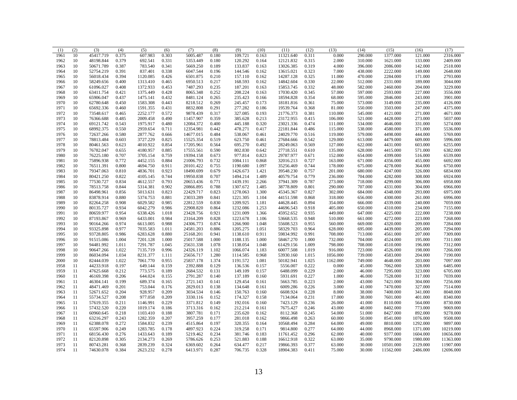| (1)  | (2) | (3)       | (4)   | (5)      | (6)   | (7)       | (8)   | (9)      | (10)  | (11)      | (12)           | (13)     | (14)    | (15)      | (16)     | (17)      |
|------|-----|-----------|-------|----------|-------|-----------|-------|----------|-------|-----------|----------------|----------|---------|-----------|----------|-----------|
| 1961 | 10  | 45417.719 | 0.375 | 607.983  | 0.303 | 5005.487  | 0.180 | 109.721  | 0.163 | 11321.640 | 0.311          | 0.000    | 290.000 | 1377.000  | 121.000  | 2316.000  |
| 1962 | 10  | 48198.844 | 0.379 | 692.541  | 0.331 | 5353.449  | 0.180 | 120.292  | 0.164 | 12121.832 | 0.315          | 2.000    | 310.000 | 1621.000  | 133.000  | 2409.000  |
| 1963 | 10  | 50671.789 | 0.387 | 783.540  | 0.341 | 5669.250  | 0.189 | 133.837  | 0.163 | 13026.385 | 0.319          | 4.000    | 396.000 | 2086.000  | 142.000  | 2518.000  |
| 1964 | 10  | 52754.219 | 0.391 | 837.401  | 0.338 | 6047.544  | 0.196 | 144.546  | 0.162 | 13615.021 | 0.323          | 7.000    | 438.000 | 2222.000  | 149.000  | 2648.000  |
| 1965 | 10  | 56018.434 | 0.394 | 1120.085 | 0.426 | 6501.875  | 0.210 | 157.110  | 0.162 | 14287.128 | 0.325          | 11.000   | 470.000 | 2284.000  | 171.000  | 2793.000  |
| 1966 | 10  | 58249.656 | 0.400 | 1313.410 | 0.465 | 6950.513  | 0.217 | 168.593  | 0.162 | 14842.604 | 0.330          | 22.000   | 512.000 | 2331.000  | 189.000  | 3044.000  |
| 1967 | 10  | 61096.027 | 0.408 | 1372.933 | 0.453 | 7487.293  | 0.235 | 187.201  | 0.163 | 15853.745 | 0.332          | 48.000   | 582.000 | 2460.000  | 204.000  | 3229.000  |
| 1968 | 10  | 63411.754 | 0.421 | 1375.449 | 0.428 | 8065.348  | 0.252 | 208.224  | 0.163 | 17030.420 | 0.345          | 57.000   | 597.000 | 2593.000  | 227.000  | 3556.000  |
| 1969 | 10  | 65906.047 | 0.437 | 1475.141 | 0.432 | 8481.124  | 0.265 | 235.423  | 0.166 | 18594.828 | 0.354          | 68.000   | 595.000 | 2846.000  | 243.000  | 3901.000  |
| 1970 | 10  | 62780.648 | 0.450 | 1583.308 | 0.443 | 8218.512  | 0.269 | 245.457  | 0.173 | 18181.816 | 0.361          | 75.000   | 573.000 | 3149.000  | 235.000  | 4126.000  |
| 1971 | 10  | 65692.336 | 0.460 | 1591.355 | 0.431 | 8832.808  | 0.291 | 277.282  | 0.186 | 19539.764 | 0.368          | 81.000   | 550.000 | 3503.000  | 247.000  | 4375.000  |
| 1972 | 10  | 73548.617 | 0.465 | 2252.177 | 0.572 | 9878.439  | 0.317 | 327.085  | 0.193 | 21776.373 | 0.381          | 110.000  | 545.000 | 4121.000  | 271.000  | 4671.000  |
| 1973 | 10  | 76366.688 | 0.485 | 2009.458 | 0.490 | 11457.907 | 0.359 | 385.628  | 0.213 | 23172.955 | 0.415          | 106.000  | 521.000 | 4428.000  | 273.000  | 5037.000  |
| 1974 | 10  | 69121.742 | 0.543 | 1975.917 | 0.480 | 12084.372 | 0.400 | 445.188  | 0.320 | 23021.336 | 0.474          | 111.000  | 534.000 | 4646.000  | 331.000  | 5274.000  |
| 1975 | 10  | 68992.375 | 0.550 | 2959.654 | 0.711 | 12354.981 | 0.442 | 478.271  | 0.417 | 22181.844 | 0.486          | 115.000  | 538.000 | 4580.000  | 371.000  | 5536.000  |
| 1976 | 10  | 72637.266 | 0.580 | 2877.762 | 0.666 | 14677.015 | 0.484 | 538.067  | 0.461 | 24029.770 | 0.516          | 119.000  | 579.000 | 4498.000  | 444.000  | 5769.000  |
| 1977 | 10  | 78813.484 | 0.603 | 3727.229 | 0.825 | 15525.354 | 0.519 | 623.750  | 0.461 | 27684.666 | 0.542          | 129.000  | 613.000 | 4479.000  | 609.000  | 5996.000  |
| 1978 | 10  | 80461.563 | 0.623 | 4010.922 | 0.854 | 17205.961 | 0.564 | 695.270  | 0.492 | 28249.063 | 0.569          | 127.000  | 622.000 | 4431.000  | 603.000  | 6255.000  |
| 1979 | 10  | 76782.047 | 0.655 | 4180.957 | 0.885 | 17555.561 | 0.590 | 802.830  | 0.642 | 27718.551 | 0.610          | 135.000  | 628.000 | 4415.000  | 571.000  | 6382.000  |
| 1980 | 10  | 76225.180 | 0.707 | 3705.154 | 0.759 | 19394.158 | 0.673 | 977.814  | 0.823 | 29787.977 | 0.671          | 152.000  | 654.000 | 4399.000  | 516.000  | 6539.000  |
| 1981 | 10  | 75896.938 | 0.772 | 4452.155 | 0.884 | 21006.793 | 0.732 | 1084.111 | 0.868 | 32016.213 | 0.727          | 163.000  | 671.000 | 4356.000  | 455.000  | 6692.000  |
| 1982 | 10  | 76511.391 | 0.800 | 4694.750 | 0.911 | 20101.422 | 0.755 | 1190.680 | 1.097 | 35256.469 | 0.744          | 178.000  | 675.000 | 4278.000  | 364.000  | 6750.000  |
| 1983 | 10  | 79347.063 | 0.810 | 4836.701 | 0.923 | 18490.699 | 0.679 | 1426.673 | 1.421 | 39548.230 | 0.757          | 201.000  | 680.000 | 4247.000  | 326.000  | 6834.000  |
| 1984 | 10  | 80421.250 | 0.822 | 4105.145 | 0.744 | 19950.838 | 0.707 | 1494.214 | 1.489 | 40579.754 | 0.779          | 236.000  | 704.000 | 4282.000  | 308.000  | 6924.000  |
| 1985 | 10  | 77530.727 | 0.834 | 4612.557 | 0.793 | 20653.436 | 0.771 | 1439.191 | 2.266 | 37941.309 | 0.787          | 273.000  | 718.000 | 4299.000  | 306.000  | 6958.000  |
| 1986 | 10  | 78513.758 | 0.844 | 5314.381 | 0.902 | 20866.895 | 0.788 | 1307.672 | 1.485 | 38778.809 | 0.801          | 290.000  | 707.000 | 4331.000  | 304.000  | 6966.000  |
| 1987 | 10  | 86498.961 | 0.856 | 5013.631 | 0.823 | 22429.717 | 0.823 | 1278.063 | 1.300 | 45345.367 | 0.827          | 302.000  | 684.000 | 4348.000  | 293.000  | 6975.000  |
| 1988 | 10  | 83878.914 | 0.880 | 5374.753 | 0.881 | 23033.289 | 0.841 | 1221.305 | 1.104 | 44151.598 | 0.868          | 318.000  | 656.000 | 4300.000  | 261.000  | 6996.000  |
| 1989 | 10  | 82264.258 | 0.908 | 6029.582 | 0.985 | 22812.559 | 0.830 | 1209.925 | 1.181 | 44628.445 | 0.894          | 354.000  | 666.000 | 4339.000  | 240.000  | 7059.000  |
| 1990 | 10  | 80135.727 | 0.934 | 6042.279 | 0.986 | 22908.820 | 0.864 | 1232.086 | 1.253 | 44696.543 | 0.918          | 405.000  | 650.000 | 4310.000  | 234.000  | 7155.000  |
| 1991 | 10  | 80659.977 | 0.954 | 6338.426 | 1.018 | 23428.756 | 0.921 | 1231.009 | 1.366 | 45952.652 | 0.935          | 449.000  | 647.000 | 4225.000  | 222.000  | 7238.000  |
| 1992 | 10  | 87193.867 | 0.969 | 6433.001 | 0.984 | 23164.209 | 0.828 | 1223.678 | 1.106 | 53668.535 | 0.948          | 510.000  | 661.000 | 4272.000  | 223.000  | 7268.000  |
| 1993 | 10  | 90164.266 | 0.974 | 6613.005 | 0.988 | 24306.773 | 0.874 | 1266.900 | 1.048 | 55608.523 | 0.955          | 560.000  | 669.000 | 4320.000  | 209.000  | 7284.000  |
| 1994 | 10  | 93325.898 | 0.977 | 7035.583 | 1.011 | 24581.203 | 0.886 | 1205.275 | 1.051 | 58329.703 | 0.964          | 628.000  | 695.000 | 4439.000  | 205.000  | 7294.000  |
| 1995 | 10  | 93728.805 | 0.986 | 6283.628 | 0.880 | 25168.201 | 0.941 | 1138.610 | 0.911 | 59834.992 | 0.991          | 708.000  | 713.000 | 4561.000  | 207.000  | 7309.000  |
| 1996 | 10  | 91515.086 | 1.004 | 7201.128 | 1.000 | 25017.588 | 1.000 | 1188.135 | 1.000 | 58467.270 | 1.000          | 732.000  | 704.000 | 4524.000  | 195.000  | 7311.000  |
| 1997 | 10  | 94481.992 | 1.011 | 7291.787 | 1.045 | 25631.338 | 1.078 | 1138.054 | 1.048 | 61429.156 | 1.009          | 798.000  | 708.000 | 4510.000  | 196.000  | 7312.000  |
| 1998 | 10  | 90647.266 | 1.022 | 7135.719 | 0.996 | 24326.119 | 1.102 | 1066.074 | 1.183 | 60077.508 | 1.019          | 916.000  | 723.000 | 4526.000  | 198.000  | 7266.000  |
| 1999 | 10  | 86034.094 | 1.034 | 8231.377 | 1.111 | 25656.717 | 1.280 | 1114.585 | 0.968 | 53930.160 | 1.015          | 1056.000 | 739.000 | 4583.000  | 204.000  | 7190.000  |
| 2000 | 10  | 82444.039 | 1.022 | 7061.770 | 0.955 | 25837.178 | 1.374 | 1191.572 | 1.081 | 50182.941 | 1.025          | 1162.000 | 749.000 | 4648.000  | 203.000  | 7097.000  |
| 1958 | 11  | 44233.918 | 0.197 | 649.144  | 0.159 | 2392.888  | 0.129 | 136.536  | 0.157 | 5556.007  | 0.222          | 0.000    | 45.000  | 7062.000  | 328.000  | 6485.000  |
| 1959 | 11  | 47625.668 | 0.212 | 773.575  | 0.189 | 2684.532  | 0.131 | 149.109  | 0.157 | 6488.099  | 0.229          | 2.000    | 46.000  | 7295.000  | 323.000  | 6705.000  |
| 1960 | 11  | 46169.398 | 0.206 | 644.024  | 0.155 | 2791.287  | 0.140 | 137.189  | 0.160 | 5931.691  | 0.227          | 1.000    | 46.000  | 7528.000  | 317.000  | 7039.000  |
|      | 11  | 46304.141 | 0.199 | 689.374  | 0.165 | 2721.143  | 0.141 | 129.454  | 0.161 | 5663.785  | 0.223          | 2.000    | 43.000  | 7421.000  | 304.000  | 7256.000  |
| 1961 |     |           |       |          |       |           |       |          |       |           |                |          |         |           |          |           |
| 1962 | 11  | 48471.469 | 0.201 | 753.044  | 0.176 | 2829.013  | 0.138 | 134.648  | 0.161 | 6009.286  | 0.226<br>0.228 | 3.000    | 41.000  | 7470.000  | 327.000  | 7514.000  |
| 1963 | 11  | 52671.652 | 0.204 | 928.957  | 0.209 | 3034.534  | 0.146 | 150.763  | 0.160 | 6608.924  |                | 8.000    | 38.000  | 7400.000  | 341.000  | 8048.000  |
| 1964 | 11  | 55734.527 | 0.208 | 977.058  | 0.209 | 3330.116  | 0.152 | 174.327  | 0.158 | 7134.064  | 0.231          | 17.000   | 38.000  | 7601.000  | 401.000  | 8340.000  |
| 1965 | 11  | 57619.355 | 0.211 | 1146.991 | 0.229 | 3371.812  | 0.149 | 192.016  | 0.160 | 7423.129  | 0.236          | 26.000   | 41.000  | 8110.000  | 564.000  | 8730.000  |
| 1966 | 11  | 57432.520 | 0.220 | 1019.174 | 0.186 | 3713.316  | 0.162 | 212.214  | 0.161 | 7675.427  | 0.246          | 43.000   | 48.000  | 8402.000  | 773.000  | 9069.000  |
| 1967 | 11  | 60960.645 | 0.218 | 1103.410 | 0.188 | 3807.781  | 0.171 | 235.620  | 0.162 | 8112.368  | 0.245          | 54.000   | 51.000  | 8427.000  | 892.000  | 9278.000  |
| 1968 | 11  | 63216.297 | 0.243 | 1282.359 | 0.207 | 3957.259  | 0.177 | 281.018  | 0.162 | 9866.498  | 0.263          | 60.000   | 50.000  | 8541.000  | 1076.000 | 9508.000  |
| 1969 | 11  | 62388.078 | 0.272 | 1584.832 | 0.239 | 4515.864  | 0.197 | 320.355  | 0.164 | 10568.494 | 0.284          | 64.000   | 49.000  | 8810.000  | 1292.000 | 9897.000  |
| 1970 | 11  | 65597.906 | 0.249 | 1283.785 | 0.178 | 4897.923  | 0.224 | 319.258  | 0.171 | 9814.800  | 0.277          | 64.000   | 44.000  | 8968.000  | 1371.000 | 10219.000 |
| 1971 | 11  | 68156.430 | 0.276 | 1433.643 | 0.189 | 5219.462  | 0.234 | 381.746  | 0.183 | 11761.452 | 0.296          | 62.000   | 40.000  | 9377.000  | 1604.000 | 10656.000 |
| 1972 | 11  | 82120.898 | 0.305 | 2134.273 | 0.269 | 5786.626  | 0.253 | 521.883  | 0.188 | 16612.918 | 0.322          | 63.000   | 35.000  | 9790.000  | 1980.000 | 11363.000 |
| 1973 | 11  | 80743.281 | 0.368 | 2839.239 | 0.324 | 6369.602  | 0.264 | 634.477  | 0.217 | 19866.393 | 0.377          | 63.000   | 30.000  | 10501.000 | 2129.000 | 11907.000 |
| 1974 | 11  | 74630.078 | 0.384 | 2623.232 | 0.278 | 6413.971  | 0.287 | 706.735  | 0.328 | 18904.383 | 0.411          | 75.000   | 30.000  | 11562.000 | 2486.000 | 12696.000 |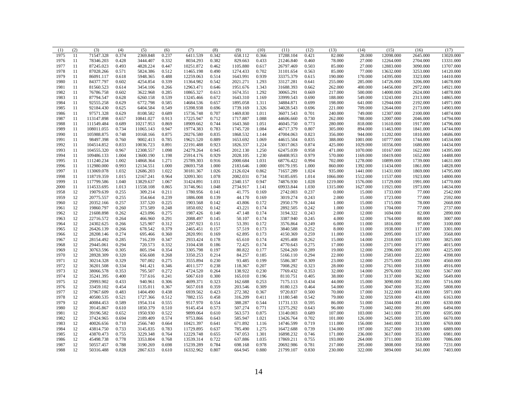| (1)  | (2) | (3)                    | (4)            | (5)                | (6)            | (7)                  | (8)            | (9)              | (10)           | (11)      | (12)           | (13)             | (14)             | (15)                 | (16)               | (17)      |
|------|-----|------------------------|----------------|--------------------|----------------|----------------------|----------------|------------------|----------------|-----------|----------------|------------------|------------------|----------------------|--------------------|-----------|
| 1975 | 11  | 71547.328              | 0.374          | 2369.848           | 0.237          | 6411.539             | 0.342          | 658.112          | 0.366          | 17288.104 | 0.421          | 82.000           | 28.000           | 12098.000            | 2645.000           | 13020.000 |
| 1976 | 11  | 78346.203              | 0.428          | 3444.407           | 0.332          | 8034.293             | 0.382          | 829.663          | 0.433          | 21246.840 | 0.460          | 78.000           | 27.000           | 12264.000            | 2704.000           | 13331.000 |
| 1977 | 11  | 87245.023              | 0.493          | 4828.224           | 0.447          | 10251.872            | 0.462          | 1105.880         | 0.617          | 26797.469 | 0.503          | 85.000           | 27.000           | 12883.000            | 3090.000           | 13707.000 |
| 1978 | 11  | 87028.266              | 0.571          | 5824.386           | 0.512          | 11465.198            | 0.490          | 1274.433         | 0.702          | 31101.654 | 0.563          | 85.000           | 77.000           | 13632.000            | 3253.000           | 14120.000 |
| 1979 | 11  | 86091.117              | 0.618          | 5948.365           | 0.488          | 12259.063            | 0.514          | 1643.991         | 0.939          | 33375.379 | 0.615          | 190.000          | 170,000          | 14395.000            | 3323,000           | 14410.000 |
| 1980 | 11  | 84377.797              | 0.602          | 4254.854           | 0.339          | 11364.982            | 0.542          | 2021.271         | 1.293          | 33127.281 | 0.641          | 255.000          | 285.000          | 14726.000            | 3206.000           | 14678.000 |
| 1981 | 11  | 81560.523              | 0.614          | 3454.106           | 0.266          | 12963.471            | 0.646          | 1951.676         | 1.343          | 31688.393 | 0.662          | 262.000          | 400.000          | 14456.000            | 2972.000           | 14921.000 |
| 1982 | 11  | 76786.758              | 0.602          | 3622.968           | 0.285          | 10865.327            | 0.613          | 1674.351         | 1.292          | 30065.291 | 0.669          | 217.000          | 500.000          | 14000.000            | 2624.000           | 14878.000 |
| 1983 | 11  | 87794.547              | 0.628          | 6260.158           | 0.539          | 13245.466            | 0.672          | 1643.310         | 1.169          | 33999.543 | 0.690          | 188.000          | 549.000          | 13243.000            | 2313.000           | 14865.000 |
| 1984 | 11  | 92555.258              | 0.629          | 6772.798           | 0.585          | 14684.536            | 0.657          | 1895.058         | 1.311          | 34884.871 | 0.699          | 198.000          | 641.000          | 12944.000            | 2192.000           | 14971.000 |
| 1985 | 11  | 92184.430              | 0.625          | 6404.584           | 0.549          | 15398.938            | 0.696          | 1739.169         | 1.326          | 34028.543 | 0.696          | 221.000          | 709.000          | 12644.000            | 2173.000           | 14903.000 |
| 1986 | 11  | 97571.328              | 0.629          | 8108.582           | 0.689          | 15736.748            | 0.707          | 1469.830         | 1.011          | 36071.543 | 0.701          | 240.000          | 749.000          | 12307.000            | 2100.000           | 14874.000 |
| 1987 | 11  | 113147.898             | 0.657          | 10841.027          | 0.913          | 17225.947            | 0.712          | 1717.887         | 1.088          | 44606.660 | 0.730          | 262.000          | 788.000          | 12007.000            | 2046.000           | 14794.000 |
| 1988 | 11  | 111549.484             | 0.689          | 10217.953          | 0.869          | 18909.662            | 0.744          | 1643.360         | 1.051          | 46045.750 | 0.773          | 280.000          | 818.000          | 11610.000            | 1917.000           | 14796.000 |
| 1989 | 11  | 108011.055             | 0.734          | 11065.143          | 0.947          | 19774.383            | 0.783          | 1745.720         | 1.084          | 46717.379 | 0.807          | 305.000          | 894.000          | 11463.000            | 1841.000           | 14744.000 |
| 1990 | 11  | 105988.875             | 0.748          | 10168.166          | 0.875          | 20276.580            | 0.835          | 1868.532         | 1.144          | 47004.063 | 0.823          | 356.000          | 944.000          | 11202.000            | 1810.000           | 14686.000 |
| 1991 | 11  | 98497.398              | 0.760          | 9002.413           | 0.785          | 19621.520            | 0.889          | 1653.692         | 1.069          | 44615.504 | 0.835          | 388.000          | 1001.000         | 10777.000            | 1744.000           | 14534.000 |
| 1992 | 11  | 104514.852             | 0.833          | 10036.723          | 0.891          | 22191.488            | 0.923          | 1826.337         | 1.224          | 53017.063 | 0.874          | 425.000          | 1029.000         | 10356.000            | 1680.000           | 14434.000 |
| 1993 | 11  | 104555.320             | 0.967          | 12308.557          | 1.098          | 24279.264            | 0.945          | 2012.130         | 1.250          | 62475.039 | 0.958          | 471.000          | 1070.000         | 10167.000            | 1622.000           | 14395.000 |
| 1994 | 11  | 109486.133             | 1.004          | 13600.190          | 1.198          | 25914.176            | 0.929          | 2028.105         | 1.230          | 68408.953 | 0.979          | 570.000          | 1169.000         | 10419.000            | 1652.000           | 14488.000 |
| 1995 | 11  | 111240.234             | 1.002          | 14868.364          | 1.271          | 25789.303            | 0.916          | 2000.684         | 1.031          | 68776.422 | 0.994          | 702.000          | 1278.000         | 10899.000            | 1739.000           | 14631.000 |
| 1996 | 11  | 112980.000             | 0.993          | 12134.551          | 1.000          | 28693.758            | 1.000          | 2183.646         | 1.000          | 69179.195 | 1.000          | 860.000          | 1392.000         | 11434.000            | 1861.000           | 14828.000 |
| 1997 | 11  | 113069.078             | 1.032          | 12686.203          | 1.022          | 30181.367            | 1.026          | 2126.024         | 0.862          | 71657.289 | 1.024          | 935.000          | 1441.000         | 11431.000            | 1869.000           | 14795.000 |
| 1998 | 11  | 118719.359             | 1.015          | 12167.241          | 0.964          | 32093.301            | 1.078          | 2082.031         | 0.734          | 74185.695 | 1.014          | 1066.000         | 1512.000         | 11537.000            | 1923.000           | 14800.000 |
| 1999 | 11  | 117799.586             | 1.040          | 13829.637          | 1.067          | 31424.891            | 1.031          | 2340.157         | 0.947          | 74876.930 | 1.028          | 1219.000         | 1576.000         | 11729.000            | 1991.000           | 14770.000 |
| 2000 | 11  | 114533.695             | 1.013          | 11558.108          | 0.865          | 31746.961            | 1.048          | 2734.917         | 1.141          | 69933.844 | 1.030          | 1315.000         | 1627.000         | 11921.000            | 1973.000           | 14634.000 |
| 1958 | 12  | 19079.639              | 0.255          | 309.214            | 0.211          | 1780.956             | 0.141          | 41.775           | 0.169          | 2742.003  | 0.237          | 0.000            | 15.000           | 1733.000             | 77.000             | 2542.000  |
| 1959 | 12  | 20775.557              | 0.255          | 354.664            | 0.239          | 1886.008             | 0.139          | 44.170           | 0.169          | 3019.274  | 0.243          | 2.000            | 15.000           | 1723.000             | 77.000             | 2592.000  |
| 1960 | 12  | 20352.166              | 0.257          | 337.520            | 0.225          | 1903.568             | 0.142          | 43.806           | 0.172          | 2950.179  | 0.244          | 1.000            | 15.000           | 1715.000             | 78.000             | 2668.000  |
| 1961 | 12  | 19860.797              | 0.260          | 373.589            | 0.248          | 1850.692             | 0.142          | 43.221           | 0.174          | 2892.505  | 0.242          | 1.000            | 13.000           | 1704.000             | 77.000             | 2737.000  |
| 1962 | 12  | 21608.898              | 0.262          | 423.096            | 0.275          | 1987.426             | 0.140          | 47.148           | 0.174          | 3194.322  | 0.243          | 2.000            | 12.000           | 1694.000             | 82.000             | 2890.000  |
| 1963 | 12  | 22716.572              | 0.264          | 466.960            | 0.291          | 2088.497             | 0.145          | 50.107           | 0.174          | 3387.940  | 0.245          | 4.000            | 12.000           | 1764.000             | 88.000             | 3007.000  |
| 1964 | 12  | 24302.625              | 0.266          | 525.907            | 0.312          | 2297.923             | 0.151          | 53.391           | 0.172          | 3576.864  | 0.249          | 6.000            | 11.000           | 1816.000             | 97.000             | 3100.000  |
| 1965 | 12  | 26426.139              | 0.266          | 678.542            | 0.379          | 2465.451             | 0.157          | 57.519           | 0.173          | 3840.588  | 0.252          | 8.000            | 11.000           | 1938.000             | 117.000            | 3301.000  |
| 1966 | 12  | 28208.146              | 0.274          | 695.466            | 0.360          | 2820.991             | 0.169          | 62.895           | 0.173          | 4150.369  | 0.259          | 11.000           | 13.000           | 2095.000             | 137.000            | 3568.000  |
|      | 12  |                        | 0.285          |                    |                |                      |                |                  |                | 4295.408  | 0.262          |                  | 14.000           |                      |                    |           |
| 1967 | 12  | 28154.492              | 0.294          | 716.239<br>720.573 | 0.347          | 2933.424             | 0.178          | 65.610<br>72.425 | 0.174<br>0.174 |           |                | 15.000<br>17.000 |                  | 2318.000             | 153.000            | 3825.000  |
| 1968 | 12  | 29445.061              |                | 805.194            | 0.332          | 3104.438             | 0.186          | 80.822           | 0.177          | 4770.643  | 0.275          |                  | 13.000           | 2371.000             | 177.000            | 4015.000  |
| 1969 | 12  | 30763.596<br>28928.309 | 0.305<br>0.320 |                    | 0.354          | 3305.798<br>3350.253 | 0.197<br>0.214 | 84.257           |                | 5204.269  | 0.289<br>0.294 | 19.000<br>22.000 | 12.000<br>13.000 | 2396.000<br>2583.000 | 203.000<br>222.000 | 4225.000  |
| 1970 | 12  | 30214.328              | 0.329          | 656.608<br>707.002 | 0.268<br>0.275 | 3555.894             | 0.230          | 93.485           | 0.185          | 5166.110  | 0.309          |                  | 12.000           | 2575.000             | 253.000            | 4398.000  |
| 1971 |     |                        |                |                    |                |                      |                |                  | 0.199          | 5586.387  |                | 23.000           |                  |                      |                    | 4560.000  |
| 1972 | 12  | 36201.508              | 0.334          | 941.421            | 0.346          | 4011.577             | 0.238          | 118.367          | 0.207          | 7008.292  | 0.323          | 28.000           | 12.000           | 2761.000             | 318.000            | 4916.000  |
| 1973 | 12  | 38066.578              | 0.353          | 795.507            | 0.272          | 4724.520             | 0.264          | 138.922          | 0.230          | 7769.432  | 0.353          | 32.000           | 14.000           | 2976.000             | 332.000            | 5367.000  |
| 1974 | 12  | 35241.395              | 0.400          | 737.616            | 0.241          | 5067.610             | 0.300          | 165.010          | 0.196          | 8110.751  | 0.405          | 38.000           | 17.000           | 3137.000             | 362.000            | 5649.000  |
| 1975 | 12  | 29993.902              | 0.433          | 940.961            | 0.306          | 4699.371             | 0.323          | 162.688          | 0.253          | 7175.113  | 0.434          | 44.000           | 15.000           | 3090.000             | 351.000            | 5716.000  |
| 1976 | 12  | 33459.102              | 0.454          | 1135.011           | 0.367          | 5657.018             | 0.359          | 203.546          | 0.309          | 8180.123  | 0.464          | 54.000           | 15.000           | 3047.000             | 352.000            | 5808.000  |
| 1977 | 12  | 37967.609              | 0.483          | 1404.490           | 0.438          | 6939.562             | 0.423          | 272.382          | 0.367          | 9720.837  | 0.500          | 70.000           | 17.000           | 3122.000             | 418.000            | 5971.000  |
| 1978 | 12  | 40500.535              | 0.521          | 1727.366           | 0.512          | 7882.155             | 0.458          | 316.209          | 0.411          | 11180.548 | 0.542          | 79.000           | 32.000           | 3259.000             | 431.000            | 6163.000  |
| 1979 | 12  | 40084.453              | 0.589          | 1954.314           | 0.555          | 9517.970             | 0.554          | 388.287          | 0.544          | 11731.133 | 0.595          | 86.000           | 51.000           | 3344.000             | 411.000            | 6330.000  |
| 1980 | 12  | 39145.867              | 0.610          | 1850.379           | 0.510          | 9145.454             | 0.573          | 507.274          | 0.771          | 12375.292 | 0.643          | 96.000           | 73.000           | 3402.000             | 391.000            | 6494.000  |
| 1981 | 12  | 39196.582              | 0.652          | 1950.930           | 0.522          | 9899.064             | 0.610          | 563.573          | 0.875          | 13140.003 | 0.689          | 107.000          | 103.000          | 3411.000             | 371.000            | 6595.000  |
| 1982 | 12  | 37424.965              | 0.694          | 2189.409           | 0.574          | 9753.866             | 0.643          | 585.947          | 1.021          | 13426.764 | 0.702          | 101.000          | 126.000          | 3425.000             | 335.000            | 6670.000  |
| 1983 | 12  | 40026.656              | 0.710          | 2566.740           | 0.664          | 10421.397            | 0.641          | 671.892          | 1.116          | 14746.599 | 0.719          | 111.000          | 156.000          | 3441.000             | 313.000            | 6769.000  |
| 1984 | 12  | 43814.750              | 0.733          | 3145.835           | 0.783          | 11729.895            | 0.637          | 785.490          | 1.275          | 16472.688 | 0.739          | 134.000          | 197.000          | 3527.000             | 319.000            | 6889.000  |
| 1985 | 12  | 43870.473              | 0.755          | 3229.348           | 0.764          | 12229.748            | 0.655          | 747.053          | 1.301          | 16898.232 | 0.746          | 171.000          | 236.000          | 3617.000             | 353.000            | 6981.000  |
| 1986 | 12  | 45498.738              | 0.778          | 3353.804           | 0.768          | 13539.314            | 0.722          | 637.886          | 1.035          | 17869.211 | 0.755          | 193.000          | 264.000          | 3711.000             | 353.000            | 7086.000  |
| 1987 | 12  | 50557.457              | 0.788          | 3190.269           | 0.698          | 15239.289            | 0.784          | 698.168          | 0.978          | 20692.986 | 0.781          | 217.000          | 295.000          | 3808.000             | 358.000            | 7231.000  |
| 1988 | 12  | 50316.488              | 0.828          | 2867.633           | 0.610          | 16332.962            | 0.807          | 664.945          | 0.880          | 21799.107 | 0.830          | 230.000          | 322.000          | 3894.000             | 341.000            | 7403.000  |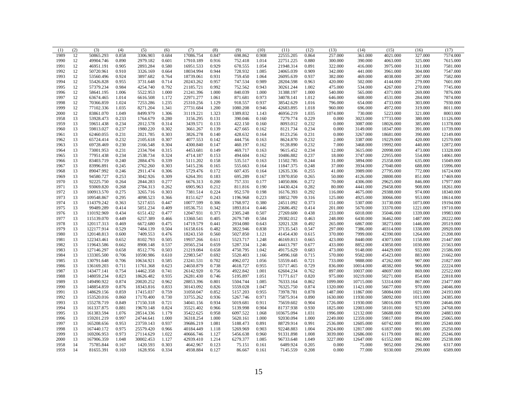| (1)  | (2) | (3)        | (4)   | (5)       | (6)   | (7)       | (8)   | (9)      | (10)  | (11)       | (12)  | (13)     | (14)      | (15)      | (16)     | (17)      |
|------|-----|------------|-------|-----------|-------|-----------|-------|----------|-------|------------|-------|----------|-----------|-----------|----------|-----------|
| 1989 | 12  | 50865.293  | 0.858 | 3306.903  | 0.684 | 17086.754 | 0.847 | 698.862  | 0.908 | 22555.205  | 0.864 | 257.000  | 361.000   | 4021.000  | 327.000  | 7574.000  |
| 1990 | 12  | 49904.746  | 0.890 | 2979.182  | 0.601 | 17910.189 | 0.916 | 752.418  | 1.014 | 22751.225  | 0.880 | 300.000  | 390.000   | 4063.000  | 325.000  | 7615.000  |
| 1991 | 12  | 46951.191  | 0.905 | 2893.284  | 0.580 | 16951.533 | 0.929 | 678.555  | 1.054 | 21948.314  | 0.891 | 322.000  | 416.000   | 3975.000  | 311.000  | 7581.000  |
| 1992 | 12  | 50720.961  | 0.910 | 3326.169  | 0.664 | 18034.994 | 0.944 | 728.932  | 1.085 | 24065.039  | 0.909 | 342.000  | 441.000   | 3961.000  | 304.000  | 7547.000  |
| 1993 | 12  | 53560.496  | 0.924 | 3897.682  | 0.764 | 18739.061 | 0.931 | 759.450  | 1.064 | 26095.639  | 0.937 | 382.000  | 469.000   | 4038.000  | 287.000  | 7582.000  |
| 1994 | 12  | 55426.828  | 0.955 | 3731.648  | 0.714 | 20243.262 | 0.957 | 747.534  | 0.989 | 28204.598  | 0.963 | 420.000  | 502.000   | 4144.000  | 279.000  | 7601.000  |
| 1995 | 12  | 57379.234  | 0.984 | 4254.740  | 0.792 | 21185.721 | 0.992 | 752.562  | 0.943 | 30261.244  | 1.002 | 475.000  | 534.000   | 4267.000  | 270.000  | 7745.000  |
| 1996 | 12  | 58641.195  | 1.006 | 5522.953  | 1.000 | 21241.396 | 1.000 | 840.039  | 1.000 | 31388.197  | 1.000 | 540.000  | 565.000   | 4371.000  | 269.000  | 7876.000  |
| 1997 | 12  | 63674.465  | 1.014 | 6616.508  | 1.172 | 22971.277 | 1.061 | 871.681  | 0.973 | 34078.141  | 1.012 | 646.000  | 608.000   | 4531.000  | 284.000  | 7874.000  |
| 1998 | 12  | 70366.859  | 1.024 | 7253.286  | 1.235 | 25310.256 | 1.129 | 918.557  | 0.937 | 38542.629  | 1.016 | 796.000  | 654.000   | 4733.000  | 303.000  | 7930.000  |
| 1999 | 12  | 77102.336  | 1.035 | 8271.204  | 1.341 | 27731.684 | 1.200 | 1080.208 | 0.946 | 42683.895  | 1.018 | 960.000  | 696.000   | 4972.000  | 319.000  | 8011.000  |
| 2000 | 12  | 83861.070  | 1.049 | 8499.979  | 1.306 | 31119.221 | 1.323 | 1389.832 | 1.143 | 46956.219  | 1.035 | 1074.000 | 730.000   | 5223.000  | 321.000  | 8003.000  |
| 1958 | 13  | 53928.473  | 0.233 | 1764.679  | 0.280 | 3156.295  | 0.131 | 390.046  | 0.160 | 7279.774   | 0.229 | 0.000    | 3023.000  | 17733.000 | 380.000  | 11126.000 |
| 1959 | 13  | 59651.438  | 0.234 | 2012.578  | 0.314 | 3439.571  | 0.133 | 422.150  | 0.160 | 8093.012   | 0.232 | 0.000    | 3087.000  | 18026.000 | 385.000  | 11378.000 |
| 1960 | 13  | 59813.027  | 0.237 | 1980.220  | 0.302 | 3661.267  | 0.139 | 427.665  | 0.162 | 8121.734   | 0.234 | 0.000    | 3149.000  | 18347.000 | 391.000  | 11739.000 |
| 1961 | 13  | 62460.055  | 0.231 | 2021.785  | 0.303 | 3826.278  | 0.140 | 428.632  | 0.164 | 8123.256   | 0.231 | 0.000    | 3267.000  | 18681.000 | 390.000  | 12149.000 |
| 1962 | 13  | 65724.414  | 0.232 | 2105.618  | 0.307 | 4077.553  | 0.142 | 444.756  | 0.163 | 8624.870   | 0.232 | 2.000    | 3387.000  | 19229.000 | 420.000  | 12570.000 |
| 1963 | 13  | 69728.469  | 0.230 | 2166.548  | 0.304 | 4300.840  | 0.147 | 460.197  | 0.162 | 9128.890   | 0.232 | 7.000    | 3468.000  | 19992.000 | 440.000  | 12872.000 |
| 1964 | 13  | 73001.953  | 0.231 | 2334.704  | 0.315 | 4453.681  | 0.149 | 469.717  | 0.163 | 9615.452   | 0.234 | 12.000   | 3615.000  | 20998.000 | 473.000  | 13328.000 |
| 1965 | 13  | 77951.438  | 0.234 | 2538.734  | 0.324 | 4714.187  | 0.153 | 494.604  | 0.162 | 10486.882  | 0.237 | 18.000   | 3747.000  | 22955.000 | 554.000  | 14061.000 |
| 1966 | 13  | 83403.719  | 0.240 | 2884.476  | 0.339 | 5111.202  | 0.158 | 535.517  | 0.163 | 11502.785  | 0.244 | 31.000   | 3894.000  | 25358.000 | 635.000  | 15049.000 |
| 1967 | 13  | 83996.891  | 0.245 | 2762.260  | 0.303 | 5415.236  | 0.165 | 555.663  | 0.164 | 11847.375  | 0.248 | 37.000   | 3934.000  | 27040.000 | 688.000  | 15996.000 |
| 1968 | 13  | 89047.992  | 0.246 | 2911.474  | 0.306 | 5729.476  | 0.172 | 607.435  | 0.164 | 12635.336  | 0.255 | 41.000   | 3989.000  | 27795.000 | 772.000  | 16724.000 |
| 1969 | 13  | 94580.727  | 0.253 | 3042.926  | 0.309 | 6264.391  | 0.183 | 695.289  | 0.167 | 13970.850  | 0.265 | 50.000   | 4126.000  | 28800.000 | 851.000  | 17469.000 |
| 1970 | 13  | 92225.750  | 0.264 | 2844.283  | 0.277 | 6676.313  | 0.200 | 757.331  | 0.177 | 14050.806  | 0.272 | 70.000   | 4306.000  | 29625.000 | 846.000  | 17977.000 |
| 1971 | 13  | 93069.820  | 0.268 | 2784.313  | 0.262 | 6905.963  | 0.212 | 811.816  | 0.190 | 14430.424  | 0.282 | 80.000   | 4441.000  | 29458.000 | 908.000  | 18261.000 |
| 1972 | 13  | 100913.570 | 0.275 | 3265.716  | 0.303 | 7381.514  | 0.224 | 952.570  | 0.198 | 16176.393  | 0.292 | 116.000  | 4675.000  | 29388.000 | 974.000  | 18340.000 |
| 1973 | 13  | 109548.867 | 0.295 | 4098.523  | 0.366 | 8151.627  | 0.243 | 1196.968 | 0.223 | 18852.709  | 0.316 | 125.000  | 4925.000  | 30066.000 | 953.000  | 18614.000 |
| 1974 | 13  | 114379.242 | 0.363 | 5217.655  | 0.447 | 10077.599 | 0.306 | 1768.972 | 0.380 | 24511.092  | 0.373 | 151.000  | 5307.000  | 31730.000 | 1073.000 | 19194.000 |
| 1975 | 13  | 99489.289  | 0.414 | 5051.234  | 0.409 | 10536.751 | 0.342 | 1893.814 | 0.446 | 23686.492  | 0.414 | 201.000  | 5670.000  | 33370.000 | 1221.000 | 19710.000 |
| 1976 | 13  | 110192.969 | 0.434 | 6151.432  | 0.477 | 12047.931 | 0.373 | 2305.248 | 0.507 | 27269.600  | 0.438 | 233.000  | 6018.000  | 35046.000 | 1339.000 | 19983.000 |
| 1977 | 13  | 115139.070 | 0.449 | 6257.389  | 0.466 | 13360.541 | 0.405 | 2679.749 | 0.584 | 29382.012  | 0.463 | 248.000  | 6430.000  | 36462.000 | 1487.000 | 20222.000 |
| 1978 | 13  | 120117.313 | 0.469 | 6672.680  | 0.475 | 14719.579 | 0.441 | 2934.080 | 0.643 | 32021.328  | 0.492 | 265.000  | 6867.000  | 38273.000 | 1446.000 | 20519.000 |
| 1979 | 13  | 122177.914 | 0.529 | 7484.139  | 0.504 | 16158.616 | 0.482 | 3822.946 | 0.838 | 37135.543  | 0.547 | 297.000  | 7386.000  | 40314.000 | 1338.000 | 20920.000 |
| 1980 | 13  | 120148.813 | 0.600 | 7409.553  | 0.476 | 18243.150 | 0.560 | 5027.850 | 1.121 | 41454.430  | 0.615 | 370.000  | 7999.000  | 42390.000 | 1264.000 | 21208.000 |
| 1981 | 13  | 122343.461 | 0.652 | 8102.793  | 0.505 | 19937.266 | 0.611 | 5523.717 | 1.248 | 46169.813  | 0.665 | 423.000  | 8440.000  | 43073.000 | 1158.000 | 21447.000 |
| 1982 | 13  | 119643.586 | 0.662 | 8908.148  | 0.537 | 20565.234 | 0.659 | 5287.334 | 1.246 | 44413.797  | 0.677 | 433.000  | 8852.000  | 43850.000 | 1030.000 | 21563.000 |
| 1983 | 13  | 127146.297 | 0.658 | 8512.776  | 0.503 | 21219.084 | 0.658 | 4750.795 | 1.042 | 49175.629  | 0.683 | 473.000  | 9148.000  | 44429.000 | 932.000  | 21586.000 |
| 1984 | 13  | 133305.500 | 0.706 | 10590.986 | 0.610 | 22983.547 | 0.692 | 5520.403 | 1.166 | 54996.168  | 0.715 | 570.000  | 9502.000  | 45423.000 | 883.000  | 21662.000 |
| 1985 | 13  | 130791.648 | 0.706 | 10634.921 | 0.585 | 23241.531 | 0.702 | 4962.072 | 1.056 | 53559.445  | 0.721 | 733.000  | 9888.000  | 47262.000 | 907.000  | 21827.000 |
| 1986 | 13  | 136169.203 | 0.711 | 11761.368 | 0.623 | 24650.879 | 0.738 | 4618.727 | 0.955 | 55717.465  | 0.729 | 836.000  | 10014.000 | 48382.000 | 906.000  | 22224.000 |
| 1987 | 13  | 143477.141 | 0.754 | 14462.358 | 0.741 | 26142.920 | 0.756 | 4922.842 | 1.001 | 62604.234  | 0.762 | 897.000  | 10037.000 | 48697.000 | 869,000  | 22522.000 |
| 1988 | 13  | 148059.234 | 0.823 | 18626.482 | 0.935 | 26281.430 | 0.746 | 5195.897 | 1.051 | 71771.617  | 0.820 | 975.000  | 10219.000 | 50271.000 | 854.000  | 22818.000 |
| 1989 | 13  | 149490.922 | 0.874 | 20020.252 | 0.962 | 28853.396 | 0.801 | 5504.744 | 1.085 | 76333.164  | 0.862 | 1099.000 | 10715.000 | 53314.000 | 867.000  | 23477.000 |
| 1990 | 13  | 148854.859 | 0.876 | 18343.816 | 0.833 | 30143.092 | 0.826 | 5559.028 | 1.047 | 76325.750  | 0.874 | 1320.000 | 11421.000 | 56677.000 | 970.000  | 24046.000 |
| 1991 | 13  | 148629.156 | 0.859 | 17415.037 | 0.759 | 31050.047 | 0.852 | 5157.203 | 0.955 | 73978.781  | 0.878 | 1487.000 | 11867.000 | 58084.000 | 1021.000 | 24193.000 |
| 1992 | 13  | 153520.016 | 0.860 | 17170.400 | 0.730 | 33755.262 | 0.936 | 5267.746 | 0.971 | 75875.914  | 0.890 | 1630.000 | 11930.000 | 58092.000 | 1013.000 | 24385.000 |
| 1993 | 13  | 155278.719 | 0.849 | 17150.318 | 0.721 | 34041.156 | 0.934 | 5019.681 | 0.911 | 75659.602  | 0.904 | 1726.000 | 11930.000 | 58016.000 | 970.000  | 24646.000 |
| 1994 | 13  | 161337.875 | 0.881 | 19670.148 | 0.824 | 35521.402 | 0.966 |          | 0.904 | 81737.938  | 0.930 | 1825.000 |           | 58101.000 | 923.000  | 24768.000 |
|      |     |            | 1.076 |           | 1.179 |           | 0.958 | 5139.998 | 1.068 | 103675.094 | 1.031 |          | 12003.000 |           | 900.000  | 24883.000 |
| 1995 | 13  | 161383.594 |       | 28514.336 |       | 35422.625 |       | 6097.522 |       |            |       | 1996.000 | 12132.000 | 58688.000 |          |           |
| 1996 | 13  | 159201.219 | 0.997 | 24744.641 | 1.000 | 36318.254 | 1.000 | 5620.161 | 1.000 | 92030.094  | 1.000 | 2249.000 | 12359.000 | 59817.000 | 894.000  | 25065.000 |
| 1997 | 13  | 165208.656 | 0.953 | 23759.143 | 0.937 | 39686.219 | 1.081 | 5188.473 | 0.891 | 88729.914  | 0.991 | 2536.000 | 12605.000 | 60742.000 | 893.000  | 25240.000 |
| 1998 | 13  | 167440.172 | 0.975 | 25579.420 | 0.966 | 40184.449 | 1.118 | 5269.969 | 0.903 | 92248.883  | 1.004 | 2924.000 | 12817.000 | 61837.000 | 901.000  | 25250.000 |
| 1999 | 13  | 169206.953 | 0.973 | 27114.629 | 1.022 | 40666.746 | 1.127 | 5456.638 | 0.960 | 91331.898  | 1.008 | 3039.000 | 12686.000 | 61179.000 | 881.000  | 25246.000 |
| 2000 | 13  | 167906.359 | 1.048 | 30002.453 | 1.127 | 42939.410 | 1.214 | 6279.377 | 1.085 | 96733.648  | 1.049 | 3227.000 | 12647.000 | 61552.000 | 862.000  | 25238.000 |
| 1958 | 14  | 75785.844  | 0.167 | 1420.593  | 0.303 | 4642.967  | 0.123 | 75.151   | 0.161 | 6489.924   | 0.205 | 0.000    | 75.000    | 9052.000  | 296.000  | 6317.000  |
| 1959 | 14  | 81655.391  | 0.169 | 1628.956  | 0.334 | 4938.884  | 0.127 | 86.667   | 0.161 | 7145.559   | 0.208 | 0.000    | 77.000    | 9330.000  | 299.000  | 6589.000  |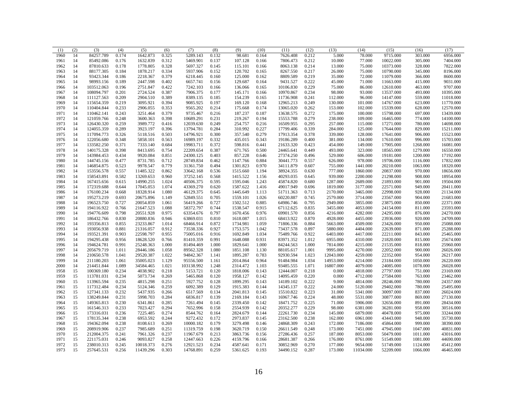| (1)  | (2) | (3)        | (4)   | (5)       | (6)   | (7)        | (8)   | (9)      | (10)  | (11)      | (12)  | (13)      | (14)      | (15)      | (16)     | (17)      |
|------|-----|------------|-------|-----------|-------|------------|-------|----------|-------|-----------|-------|-----------|-----------|-----------|----------|-----------|
| 1960 | 14  | 84257.789  | 0.174 | 1642.873  | 0.325 | 5289.143   | 0.132 | 98.681   | 0.164 | 7626.408  | 0.212 | 5.000     | 78.000    | 9715.000  | 303.000  | 6956.000  |
| 1961 | 14  | 85492.086  | 0.176 | 1632.839  | 0.312 | 5469.901   | 0.137 | 107.128  | 0.166 | 7806.473  | 0.212 | 10.000    | 77.000    | 10022.000 | 305.000  | 7404.000  |
| 1962 | 14  | 87810.633  | 0.178 | 1778.805  | 0.328 | 5697.327   | 0.145 | 115.101  | 0.166 | 8063.138  | 0.214 | 13.000    | 75.000    | 10373.000 | 328.000  | 7822.000  |
| 1963 | 14  | 88177.305  | 0.184 | 1878.217  | 0.334 | 5937.906   | 0.152 | 120.702  | 0.165 | 8267.550  | 0.217 | 26.000    | 75.000    | 10790.000 | 345.000  | 8196.000  |
| 1964 | 14  | 93423.344  | 0.186 | 2218.367  | 0.379 | 6218.445   | 0.160 | 125.000  | 0.162 | 8809.589  | 0.219 | 35.000    | 72.000    | 11079.000 | 366.000  | 8600.000  |
| 1965 | 14  | 98993.156  | 0.189 | 2447.598  | 0.402 | 6657.741   | 0.156 | 129.687  | 0.164 | 9431.527  | 0.222 | 45.000    | 71.000    | 11663.000 | 415.000  | 9031.000  |
| 1966 | 14  | 103512.063 | 0.196 | 2751.847  | 0.422 | 7242.103   | 0.166 | 136.066  | 0.165 | 10106.830 | 0.229 | 75.000    | 86.000    | 12610.000 | 463.000  | 9707.000  |
| 1967 | 14  | 108094.797 | 0.201 | 2724.524  | 0.387 | 7906.375   | 0.177 | 145.171  | 0.166 | 10970.867 | 0.234 | 98.000    | 93.000    | 13537.000 | 493.000  | 10395.000 |
| 1968 | 14  | 111127.563 | 0.209 | 2904.510  | 0.389 | 8389.135   | 0.185 | 154.239  | 0.165 | 11736.908 | 0.241 | 112.000   | 96.000    | 14147.000 | 559.000  | 11018.000 |
| 1969 | 14  | 115654.359 | 0.219 | 3095.921  | 0.394 | 9085.925   | 0.197 | 169.120  | 0.168 | 12965.213 | 0.249 | 130.000   | 101.000   | 14767.000 | 623.000  | 11770.000 |
| 1970 | 14  | 110404.844 | 0.233 | 2906.055  | 0.353 | 9565.202   | 0.214 | 175.668  | 0.174 | 13065.020 | 0.262 | 153.000   | 102.000   | 15339.000 | 628.000  | 12570.000 |
| 1971 | 14  | 110462.141 | 0.243 | 3251.464  | 0.379 | 9735.467   | 0.216 | 187.237  | 0.187 | 13638.575 | 0.272 | 175.000   | 100.000   | 15798.000 | 697.000  | 13439.000 |
| 1972 | 14  | 121059.766 | 0.248 | 3600.363  | 0.398 | 10689.291  | 0.231 | 219.267  | 0.194 | 15553.788 | 0.279 | 238.000   | 109.000   | 16465.000 | 774.000  | 14100.000 |
| 1973 | 14  | 126430.320 | 0.259 | 3989.772  | 0.416 | 12039.630  | 0.249 | 254.757  | 0.216 | 16509.955 | 0.295 | 257.000   | 115.000   | 17271.000 | 780.000  | 14698.000 |
| 1974 | 14  | 124055.359 | 0.289 | 3923.197  | 0.396 | 13794.781  | 0.284 | 310.992  | 0.227 | 17799.406 | 0.339 | 284.000   | 125.000   | 17644.000 | 829.000  | 15211.000 |
| 1975 | 14  | 117094.773 | 0.326 | 5118.516  | 0.503 | 14796.921  | 0.300 | 357.540  | 0.279 | 17913.354 | 0.378 | 339.000   | 128.000   | 17641.000 | 906.000  | 15523.000 |
| 1976 | 14  | 122056.680 | 0.348 | 5858.101  | 0.563 | 16989.197  | 0.332 | 435.015  | 0.343 | 19186.289 | 0.400 | 381.000   | 134.000   | 17610.000 | 996.000  | 15703.000 |
| 1977 | 14  | 133582.250 | 0.371 | 7333.140  | 0.684 | 19983.711  | 0.372 | 598.816  | 0.441 | 21633.320 | 0.423 | 454.000   | 149.000   | 17905.000 | 1268.000 | 16081.000 |
| 1978 | 14  | 140175.328 | 0.398 | 8413.695  | 0.754 | 22209.654  | 0.387 | 671.765  | 0.500 | 24465.641 | 0.449 | 493.000   | 323.000   | 18565.000 | 1279.000 | 16550.000 |
| 1979 | 14  | 143984.453 | 0.434 | 9920.084  | 0.851 | 24300.125  | 0.403 | 857.228  | 0.646 | 27374.250 | 0.496 | 529.000   | 606.000   | 19181.000 | 1200.000 | 17192.000 |
| 1980 | 14  | 144745.156 | 0.477 | 8731.785  | 0.712 | 28749.834  | 0.462 | 1147.766 | 0.884 | 30441.773 | 0.557 | 626.000   | 978.000   | 19706.000 | 1116.000 | 17832.000 |
| 1981 | 14  | 146854.875 | 0.523 | 9978.547  | 0.779 | 31361.750  | 0.494 | 1301.823 | 0.970 | 34111.879 | 0.607 | 755.000   | 1441.000  | 20210.000 | 1063.000 | 18320.000 |
| 1982 | 14  | 153556.578 | 0.557 | 11485.322 | 0.862 | 33642.168  | 0.536 | 1515.660 | 1.194 | 38924.355 | 0.630 | 777.000   | 1860.000  | 20837.000 | 970.000  | 18656.000 |
| 1983 | 14  | 158543.891 | 0.582 | 13269.653 | 0.960 | 37252.145  | 0.568 | 1415.522 | 1.156 | 40293.035 | 0.645 | 939.000   | 2200.000  | 21298.000 | 908.000  | 18954.000 |
| 1984 | 14  | 167415.656 | 0.615 | 14990.255 | 1.024 | 40506.375  | 0.595 | 1595.046 | 1.243 | 45874.820 | 0.680 | 1287.000  | 2689.000  | 21893.000 | 901.000  | 19504.000 |
| 1985 | 14  | 172319.688 | 0.644 | 17045.053 | 1.074 | 43369.270  | 0.620 | 1587.622 | 1.416 | 49017.949 | 0.696 | 1819.000  | 3177.000  | 22571.000 | 949.000  | 20411.000 |
| 1986 | 14  | 176100.234 | 0.668 | 18328.914 | 1.080 | 46129.375  | 0.645 | 1445.649 | 1.113 | 51711.363 | 0.713 | 2170.000  | 3465.000  | 22998.000 | 928.000  | 21134.000 |
| 1987 | 14  | 195273.219 | 0.693 | 20675.896 | 1.149 | 52849.551  | 0.705 | 1559.101 | 1.026 | 60220.887 | 0.745 | 2579.000  | 3714.000  | 23567.000 | 904.000  | 21683.000 |
| 1988 | 14  | 196523.750 | 0.727 | 20054.859 | 1.061 | 56419.266  | 0.727 | 1502.512 | 0.885 | 64986.746 | 0.795 | 2949.000  | 3855.000  | 23875.000 | 850.000  | 22371.000 |
| 1989 | 14  | 194116.922 | 0.766 | 21647.523 | 1.088 | 58372.797  | 0.744 | 1538.547 | 0.915 | 67112.625 | 0.835 | 3455.000  | 4053.000  | 24154.000 | 811.000  | 23593.000 |
| 1990 | 14  | 194776.609 | 0.798 | 20551.928 | 0.975 | 63354.676  | 0.797 | 1670.456 | 0.976 | 69901.570 | 0.856 | 4216.000  | 4282.000  | 24295.000 | 876.000  | 24270.000 |
| 1991 | 14  | 186432.766 | 0.830 | 20880.836 | 0.946 | 63869.031  | 0.810 | 1618.087 | 1.015 | 68413.922 | 0.870 | 4928.000  | 4455.000  | 23936.000 | 920.000  | 24709.000 |
| 1992 | 14  | 193356.813 | 0.855 | 23233.867 | 1.014 | 68466.914  | 0.872 | 1734.981 | 1.059 | 71806.336 | 0.884 | 5663.000  | 4509.000  | 23426.000 | 950.000  | 25088.000 |
| 1993 | 14  | 193056.938 | 0.881 | 21316.057 | 0.912 | 73538.336  | 0.927 | 1753.575 | 1.042 | 73437.578 | 0.897 | 5880.000  | 4404.000  | 22639.000 | 871.000  | 25288.000 |
| 1994 | 14  | 193521.391 | 0.903 | 22598.797 | 0.955 | 75005.016  | 0.916 | 1692.849 | 1.034 | 75489.766 | 0.922 | 6403.000  | 4417.000  | 22211.000 | 843.000  | 25465.000 |
| 1995 | 14  | 194295.438 | 0.956 | 18628.520 | 0.766 | 81410.359  | 0.991 | 1648.088 | 0.931 | 83971.352 | 1.012 | 6955.000  | 4310.000  | 21820.000 | 815.000  | 25674.000 |
| 1996 | 14  | 194624.781 | 0.991 | 25248.363 | 1.000 | 81494.469  | 1.000 | 1829.641 | 1.000 | 84244.563 | 1.000 | 7814.000  | 4215.000  | 21535.000 | 818.000  | 25960.000 |
| 1997 | 14  | 205679.719 | 1.011 | 28446.186 | 1.058 | 89562.328  | 1.080 | 1851.108 | 1.130 | 88105.617 | 1.001 | 9995.000  | 4270.000  | 22052.000 | 900.000  | 26026.000 |
| 1998 | 14  | 210650.578 | 1.041 | 29520.387 | 1.022 | 94842.367  | 1.141 | 1895.287 | 0.783 | 92930.594 | 1.023 | 12043.000 | 4259.000  | 22352.000 | 954.000  | 26217.000 |
| 1999 | 14  | 211180.203 | 1.061 | 35005.023 | 1.129 | 95556.500  | 1.161 | 2014.864 | 0.964 | 91484.984 | 1.034 | 14953.000 | 4214.000  | 23184.000 | 1050.000 | 26220.000 |
| 2000 | 14  | 214451.844 | 1.089 | 34584.465 | 1.021 | 103138.992 | 1.248 | 2314.472 | 1.103 | 93485.555 | 1.071 | 16807.000 | 4079.000  | 24085.000 | 1078.000 | 26028.000 |
| 1958 | 15  | 100369.180 | 0.234 | 4038.902  | 0.218 | 5153.721   | 0.120 | 1818.006 | 0.143 | 12444.007 | 0.218 | 0.000     | 4818.000  | 27797.000 | 751.000  | 23169.000 |
| 1959 | 15  | 113781.031 | 0.234 | 5073.734  | 0.269 | 5465.868   | 0.120 | 1958.127 | 0.142 | 14095.459 | 0.220 | 0.000     | 4712.000  | 27584.000 | 763.000  | 23462.000 |
| 1960 | 15  | 113965.594 | 0.235 | 4815.298  | 0.251 | 5927.752   | 0.128 | 1899.295 | 0.143 | 14189.102 | 0.222 | 9.000     | 4814.000  | 28246.000 | 780.000  | 24357.000 |
| 1961 | 15  | 117312.484 | 0.234 | 5124.346  | 0.259 | 6092.389   | 0.129 | 1915.383 | 0.144 | 14345.137 | 0.222 | 24.000    | 5120.000  | 29402.000 | 780.000  | 25495.000 |
| 1962 | 15  | 127341.133 | 0.232 | 5437.935  | 0.266 | 6517.569   | 0.134 | 2041.813 | 0.145 | 15510.822 | 0.223 | 31.000    | 5341.000  | 30097.000 | 837.000  | 26024.000 |
| 1963 | 15  | 138249.844 | 0.231 | 5998.703  | 0.284 | 6836.817   | 0.139 | 2169.184 | 0.143 | 16967.746 | 0.224 | 48.000    | 5531.000  | 30877.000 | 869.000  | 27130.000 |
| 1964 | 15  | 149365.813 | 0.230 | 6341.861  | 0.285 | 7261.494   | 0.145 | 2339.450 | 0.142 | 18471.752 | 0.225 | 71.000    | 5906.000  | 32656.000 | 891.000  | 28434.000 |
| 1965 | 15  | 161546.313 | 0.233 | 7023.427  | 0.294 | 7652.996   | 0.158 | 2554.939 | 0.142 | 20352.277 | 0.229 | 98.000    | 6381.000  | 36281.000 | 958.000  | 30516.000 |
| 1966 | 15  | 173316.031 | 0.236 | 7225.485  | 0.274 | 8544.762   | 0.164 | 2824.679 | 0.144 | 22261.730 | 0.234 | 145.000   | 6879.000  | 40478.000 | 975.000  | 33244.000 |
| 1967 | 15  | 178135.344 | 0.238 | 6953.592  | 0.244 | 9272.432   | 0.172 | 2973.837 | 0.145 | 23162.500 | 0.238 | 162.000   | 6961.000  | 43443.000 | 948.000  | 35730.000 |
| 1968 | 15  | 194362.094 | 0.238 | 8108.613  | 0.269 | 10000.182  | 0.179 | 3279.498 | 0.146 | 24868.309 | 0.243 | 172.000   | 7186.000  | 45864.000 | 999.000  | 38390.000 |
| 1969 | 15  | 208919.906 | 0.237 | 7985.689  | 0.251 | 11319.759  | 0.198 | 3620.719 | 0.150 | 26611.549 | 0.248 | 173.000   | 7451.000  | 47945.000 | 1047.000 | 40831.000 |
| 1970 | 15  | 212004.375 | 0.241 | 7961.326  | 0.237 | 11967.679  | 0.213 | 3863.736 | 0.156 | 27286.436 | 0.257 | 187.000   | 8053.000  | 50479.000 | 1011.000 | 43016.000 |
| 1971 | 15  | 221175.031 | 0.246 | 9093.827  | 0.258 | 12447.663  | 0.226 | 4159.796 | 0.166 | 28681.387 | 0.266 | 176.000   | 8761.000  | 51549.000 | 1081.000 | 44690.000 |
| 1972 | 15  | 238010.313 | 0.245 | 10018.373 | 0.276 | 12921.523  | 0.234 | 4587.641 | 0.171 | 30852.969 | 0.270 | 177.000   | 9654.000  | 51749.000 | 1124.000 | 45412.000 |
| 1973 | 15  | 257645.531 | 0.256 | 11439.296 | 0.303 | 14768.891  | 0.259 | 5361.625 | 0.193 | 34490.152 | 0.287 | 173.000   | 11034.000 | 52209.000 | 1066.000 | 46465.000 |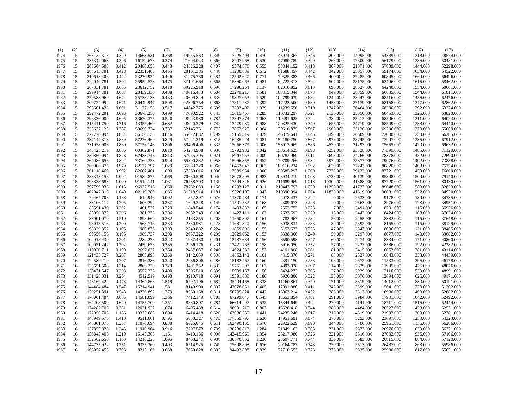| 1974<br>15<br>268137.313<br>0.329<br>14663.531<br>0.368<br>19955.563<br>0.349<br>7725.494<br>0.470<br>45974.367<br>0.346<br>205.000<br>14095.000<br>54389.000<br>1218.000<br>48574.000<br>1975<br>15<br>235342.063<br>0.396<br>0.374<br>21604.043<br>0.366<br>8247.968<br>0.530<br>47080.789<br>0.399<br>263.000<br>17600.000<br>56179.000<br>1336.000<br>50481.000<br>16159.673<br>1976<br>15<br>263664.500<br>0.412<br>20486.658<br>0.443<br>24826.328<br>0.407<br>9374.876<br>0.555<br>53844.152<br>0.418<br>307.000<br>21071.000<br>57839.000<br>1444.000<br>52298.000<br>15<br>0.428<br>22351.465<br>0.455<br>0.448<br>0.672<br>61688.457<br>0.442<br>342.000<br>54522.000<br>1977<br>288615.781<br>28161.385<br>11200.839<br>25057.000<br>59174.000<br>1634.000<br>0.771<br>1978<br>15<br>310613.406<br>0.442<br>23270.924<br>31275.730<br>0.484<br>12542.620<br>70325.383<br>400.000<br>27285.000<br>0.446<br>0.466<br>60895.000<br>1669.000<br>56496.000<br>15<br>0.502<br>25959.523<br>0.981<br>82722.313<br>1979<br>322040.781<br>0.475<br>37101.664<br>0.565<br>15860.063<br>0.524<br>507.000<br>28175.000<br>1615.000<br>58462.000<br>62446.000<br>15<br>0.605<br>23612.752<br>39225.918<br>0.596<br>17296.264<br>690.000<br>28627.000<br>1554.000<br>60661.000<br>1980<br>267831.781<br>0.418<br>1.137<br>82016.852<br>0.613<br>64240.000<br>15<br>28439.330<br>40016.473<br>1981<br>299914.781<br>0.667<br>0.488<br>0.604<br>23279.217<br>1.581<br>108315.344<br>0.673<br>949.000<br>28859.000<br>66685.000<br>1544.000<br>61811.000<br>15<br>279583.969<br>25738.133<br>0.433<br>40609.844<br>19327.053<br>1.529<br>102799.039<br>0.684<br>1242.000<br>28247.000<br>62476.000<br>1982<br>0.674<br>0.636<br>68416.000<br>1456.000<br>15<br>309722.094<br>30440.947<br>0.508<br>42396.754<br>1.392<br>117222.500<br>0.689<br>27179.000<br>1347.000<br>62862.000<br>1983<br>0.671<br>0.668<br>17811.787<br>1453.000<br>68158.000<br>15<br>0.517<br>44642.375<br>0.699<br>1.339<br>111239.656<br>1747.000<br>1292.000<br>63274.000<br>1984<br>295601.438<br>0.691<br>31177.158<br>17203.492<br>0.710<br>26464.000<br>68200.000<br>15<br>292472.281<br>30673.250<br>47090.922<br>0.745<br>1.285<br>110732.297<br>0.721<br>63820.000<br>1985<br>0.698<br>0.499<br>15615.457<br>2136.000<br>25850.000<br>68453.000<br>1325.000<br>15<br>0.540<br>0.784<br>296336.000<br>0.695<br>33620.375<br>48923.980<br>12897.874<br>1.063<br>110491.625<br>0.724<br>2382.000<br>25212.000<br>1311.000<br>64023.000<br>1986<br>68506.000<br>48020.379<br>0.742<br>0.988<br>2655.000<br>1987<br>15<br>315411.750<br>0.716<br>43357.469<br>0.682<br>13479.980<br>120825.430<br>0.749<br>24719.000<br>68549.000<br>1288.000<br>64440.000<br>15<br>1988<br>0.787<br>50699.734<br>0.787<br>52145.781<br>0.772<br>0.964<br>139616.875<br>0.807<br>2965.000<br>25120.000<br>1270.000<br>65069.000<br>325637.125<br>13862.925<br>69796.000<br>55022.832<br>1989<br>15<br>327778.094<br>0.834<br>56150.133<br>0.846<br>0.799<br>15155.319<br>1.029<br>146879.641<br>0.846<br>3390.000<br>26609.000<br>72000.000<br>1258.000<br>66285.000<br>15<br>0.839<br>0.829<br>57241.219<br>3978.000<br>67912.000<br>1990<br>337144.313<br>57226.469<br>0.815<br>16235.924<br>1.081<br>152180.750<br>0.867<br>28745.000<br>73997.000<br>1335.000<br>15<br>59496.496<br>0.835<br>1991<br>331958.906<br>0.860<br>57756.148<br>0.806<br>15056.379<br>1.006<br>153013.969<br>0.886<br>4529.000<br>31293.000<br>75655.000<br>1420.000<br>69632.000<br>15<br>64234.938<br>0.936<br>15792.982<br>1.042<br>5252.000<br>71120.000<br>1992<br>345425.219<br>0.866<br>60362.871<br>0.810<br>158614.625<br>0.898<br>33328.000<br>77399.000<br>1485.000<br>15<br>0.971<br>1.009<br>350860.094<br>0.873<br>0.813<br>67055.305<br>15947.953<br>160782.969<br>0.911<br>5693.000<br>1452.000<br>1993<br>62453.746<br>34766.000<br>78378.000<br>72690.000<br>65300.832<br>0.953<br>0.952<br>0.932<br>1402.000<br>1994<br>15<br>364986.656<br>0.892<br>73760.328<br>0.944<br>15966.855<br>170709.266<br>5972.000<br>35877.000<br>79076.000<br>73888.000<br>0.992<br>15<br>0.979<br>1.029<br>65683.320<br>0.966<br>0.963<br>189116.234<br>6639.000<br>37247.000<br>1408.000<br>75254.000<br>1995<br>360906.375<br>82177.797<br>16453.047<br>80820.000<br>15<br>0.992<br>82667.461<br>1.000<br>67269.016<br>1.000<br>17689.934<br>1.000<br>190585.297<br>1.000<br>7738.000<br>39122.000<br>76860.000<br>1996<br>361118.469<br>83721.000<br>1459.000<br>1997<br>15<br>383343.156<br>1.002<br>91582.875<br>1.069<br>70660.508<br>1.040<br>18078.895<br>0.983<br>203934.219<br>1.008<br>8733.000<br>40139.000<br>85398.000<br>1509.000<br>79140.000<br>1998<br>15<br>393838.688<br>1.009<br>91519.141<br>76738.703<br>1.139<br>0.926<br>211689.969<br>1.018<br>10302.000<br>41388.000<br>87720.000<br>1561.000<br>80430.000<br>1.031<br>17594.346<br>78762.039<br>1999<br>15<br>397799.938<br>1.013<br>96937.516<br>1.060<br>1.150<br>16733.127<br>0.911<br>210443.797<br>1.029<br>11355.000<br>41737.000<br>89048.000<br>1583.000<br>82853.000<br>15<br>402947.813<br>1.049<br>102119.289<br>1.085<br>81318.914<br>1.181<br>19326.100<br>1.047<br>219890.094<br>1.064<br>11873.000<br>1552.000<br>84920.000<br>2000<br>41619.000<br>90081.000<br>852.897<br>0.076<br>0.222<br>79467.703<br>0.188<br>619.946<br>0.092<br>11370.484<br>0.174<br>2078.437<br>0.000<br>2633.000<br>9178.000<br>130.000<br>34735.000<br>1958<br>16<br>0.205<br>0.237<br>1649.348<br>0.149<br>0.226<br>0.000<br>1959<br>16<br>83106.117<br>1606.292<br>11501.532<br>0.168<br>2309.673<br>2563.000<br>8976.000<br>123.000<br>34951.000<br>85591.430<br>0.202<br>1461.532<br>0.220<br>1848.544<br>0.174<br>2552.752<br>0.228<br>7.000<br>1960<br>16<br>11403.883<br>0.165<br>2491.000<br>8701.000<br>115.000<br>35956.000<br>2052.249<br>2633.692<br>108.000<br>16<br>85050.875<br>0.206<br>1381.273<br>0.206<br>0.196<br>11427.111<br>0.163<br>0.229<br>15.000<br>2442.000<br>8424.000<br>37034.000<br>1961<br>88001.070<br>0.210<br>1893.669<br>0.282<br>2163.855<br>0.208<br>2782.967<br>0.232<br>26.000<br>2455.000<br>8382.000<br>115.000<br>37648.000<br>1962<br>16<br>11650.807<br>0.161<br>93013.516<br>0.200<br>1568.716<br>0.233<br>2330.981<br>0.228<br>3038.834<br>0.233<br>39.000<br>2392.000<br>38129.000<br>1963<br>16<br>11681.320<br>0.156<br>8155.000<br>115.000<br>16<br>98829.352<br>1986.876<br>0.293<br>2249.882<br>0.224<br>3153.673<br>0.235<br>2347.000<br>1964<br>0.195<br>11869.806<br>0.155<br>47.000<br>8036.000<br>121.000<br>38465.000<br>99550.156<br>0.195<br>1989.737<br>0.290<br>2037.222<br>0.209<br>12029.062<br>3338.360<br>0.240<br>50.000<br>2297.000<br>8077.000<br>143.000<br>39682.000<br>1965<br>16<br>0.153<br>0.201<br>2289.278<br>0.323<br>1987.430<br>0.201<br>0.247<br>40800.000<br>16<br>102918.430<br>12787.684<br>0.156<br>3590.598<br>60.000<br>2274.000<br>8334.000<br>171.000<br>1966<br>0.202<br>2450.653<br>0.335<br>2266.176<br>0.231<br>13421.763<br>3916.050<br>0.252<br>2227.000<br>192.000<br>42282.000<br>16<br>109071.242<br>0.158<br>57.000<br>8586.000<br>1967<br>16<br>116920.711<br>0.199<br>2697.022<br>0.354<br>2487.637<br>0.246<br>4101.808<br>0.261<br>81.000<br>2415.000<br>281.000<br>43114.000<br>1968<br>14024.586<br>0.157<br>10063.000<br>3142.059<br>44439.000<br>1969<br>16<br>121435.727<br>0.207<br>2865.898<br>0.360<br>0.308<br>14862.142<br>0.161<br>4315.376<br>0.271<br>88.000<br>2527.000<br>10843.000<br>353.000<br>1970<br>16<br>122589.219<br>0.207<br>2816.386<br>0.340<br>2936.806<br>0.286<br>15182.467<br>0.160<br>4391.150<br>0.283<br>108.000<br>2672.000<br>11533.000<br>396.000<br>46178.000<br>0.214<br>2863.229<br>0.329<br>3401.252<br>0.333<br>4893.028<br>0.297<br>2829.000<br>1971<br>16<br>125651.508<br>15751.307<br>0.162<br>114.000<br>11995.000<br>476.000<br>48076.000<br>3396.510<br>5424.272<br>1972<br>16<br>136471.547<br>0.208<br>3557.236<br>0.400<br>0.339<br>15999.167<br>0.156<br>0.306<br>127.000<br>2939.000<br>12110.000<br>539.000<br>48991.000<br>0.264<br>0.391<br>0.322<br>1973<br>16<br>131423.031<br>4512.519<br>0.493<br>3910.718<br>19391.689<br>0.180<br>6920.800<br>135.000<br>3070.000<br>626.000<br>49171.000<br>12694.000<br>6792.196<br>1974<br>16<br>143169.422<br>0.473<br>14364.868<br>1.519<br>0.682<br>35404.168<br>0.338<br>11160.861<br>0.370<br>171.000<br>3319.000<br>880.000<br>50191.000<br>14012.000<br>16<br>144484.484<br>0.547<br>15714.941<br>1.581<br>8149.900<br>0.807<br>43078.051<br>0.405<br>0.411<br>245.000<br>3599.000<br>1975<br>12091.880<br>15641.000<br>1220.000<br>51302.000<br>16<br>159251.391<br>0.548<br>14270.892<br>1.370<br>8369.168<br>0.811<br>50705.824<br>0.442<br>13963.214<br>0.432<br>286.000<br>3813.000<br>1463.000<br>52682.000<br>1976<br>16980.000<br>16<br>1.356<br>7412.149<br>0.703<br>0.545<br>0.461<br>3984.000<br>52492.000<br>1977<br>170061.484<br>0.605<br>14581.099<br>67299.047<br>13653.854<br>291.000<br>17901.000<br>1642.000<br>1978<br>16<br>164208.500<br>0.640<br>14755.709<br>1.351<br>8330.807<br>0.784<br>66614.297<br>0.535<br>15344.649<br>0.494<br>270.000<br>4141.000<br>18711.000<br>1516.000<br>52444.000<br>1979<br>16<br>174282.703<br>0.781<br>12021.922<br>1.074<br>6495.488<br>0.614<br>98991.719<br>0.807<br>18528.418<br>0.544<br>288.000<br>4484.000<br>20527.000<br>1428.000<br>52531.000<br>1980<br>16<br>172050.703<br>1.186<br>10335.683<br>0.894<br>6414.418<br>0.626<br>163086.359<br>1.441<br>24235.246<br>0.617<br>316.000<br>4819.000<br>21992.000<br>1309.000<br>52781.000<br>5058.327<br>148949.578<br>1.410<br>0.795<br>0.473<br>177559.797<br>1.636<br>17951.691<br>370.000<br>5253.000<br>23697.000<br>1230.000<br>54323.000<br>1981<br>16<br>9511.661<br>0.674<br>1.357<br>6025.045<br>0.611<br>22322.629<br>0.690<br>1982<br>16<br>148801.078<br>11076.694<br>0.880<br>162490.156<br>1.570<br>344.000<br>5706.000<br>25961.000<br>1136.000<br>56286.000<br>1.243<br>7297.573<br>0.739<br>1.284<br>21349.162<br>0.703<br>331.000<br>5873.000<br>26970.000<br>1039.000<br>56771.000<br>1983<br>16<br>137855.828<br>11910.964<br>0.916<br>130730.813<br>1.219<br>0.996<br>1984<br>16<br>156845.406<br>15145.365<br>1.161<br>9410.186<br>143415.969<br>1.354<br>23217.980<br>0.726<br>321.000<br>5816.000<br>27002.000<br>936.000<br>57106.000<br>8463.347<br>0.938<br>1985<br>16<br>152502.656<br>1.160<br>14216.228<br>1.095<br>130570.852<br>1.230<br>23607.771<br>0.744<br>336.000<br>5683.000<br>26815.000<br>884.000<br>57120.000<br>16<br>144735.922<br>0.751<br>0.493<br>6514.925<br>0.749<br>0.676<br>0.748<br>350.000<br>863.000<br>1986<br>6355.360<br>75698.898<br>20164.787<br>5513.000<br>26487.000<br>55986.000<br>0.793<br>7039.828<br>0.805<br>0.839<br>1987<br>16<br>166957.453<br>8213.100<br>0.638<br>94483.898<br>22710.553<br>0.773<br>376.000<br>5335.000<br>25900.000<br>817.000<br>55051.000 | (1) | (2) | (3) | (4) | (5) | (6) | (7) | (8) | (9) | (10) | (11) | (12) | (13) | (14) | (15) | (16) | (17) |
|----------------------------------------------------------------------------------------------------------------------------------------------------------------------------------------------------------------------------------------------------------------------------------------------------------------------------------------------------------------------------------------------------------------------------------------------------------------------------------------------------------------------------------------------------------------------------------------------------------------------------------------------------------------------------------------------------------------------------------------------------------------------------------------------------------------------------------------------------------------------------------------------------------------------------------------------------------------------------------------------------------------------------------------------------------------------------------------------------------------------------------------------------------------------------------------------------------------------------------------------------------------------------------------------------------------------------------------------------------------------------------------------------------------------------------------------------------------------------------------------------------------------------------------------------------------------------------------------------------------------------------------------------------------------------------------------------------------------------------------------------------------------------------------------------------------------------------------------------------------------------------------------------------------------------------------------------------------------------------------------------------------------------------------------------------------------------------------------------------------------------------------------------------------------------------------------------------------------------------------------------------------------------------------------------------------------------------------------------------------------------------------------------------------------------------------------------------------------------------------------------------------------------------------------------------------------------------------------------------------------------------------------------------------------------------------------------------------------------------------------------------------------------------------------------------------------------------------------------------------------------------------------------------------------------------------------------------------------------------------------------------------------------------------------------------------------------------------------------------------------------------------------------------------------------------------------------------------------------------------------------------------------------------------------------------------------------------------------------------------------------------------------------------------------------------------------------------------------------------------------------------------------------------------------------------------------------------------------------------------------------------------------------------------------------------------------------------------------------------------------------------------------------------------------------------------------------------------------------------------------------------------------------------------------------------------------------------------------------------------------------------------------------------------------------------------------------------------------------------------------------------------------------------------------------------------------------------------------------------------------------------------------------------------------------------------------------------------------------------------------------------------------------------------------------------------------------------------------------------------------------------------------------------------------------------------------------------------------------------------------------------------------------------------------------------------------------------------------------------------------------------------------------------------------------------------------------------------------------------------------------------------------------------------------------------------------------------------------------------------------------------------------------------------------------------------------------------------------------------------------------------------------------------------------------------------------------------------------------------------------------------------------------------------------------------------------------------------------------------------------------------------------------------------------------------------------------------------------------------------------------------------------------------------------------------------------------------------------------------------------------------------------------------------------------------------------------------------------------------------------------------------------------------------------------------------------------------------------------------------------------------------------------------------------------------------------------------------------------------------------------------------------------------------------------------------------------------------------------------------------------------------------------------------------------------------------------------------------------------------------------------------------------------------------------------------------------------------------------------------------------------------------------------------------------------------------------------------------------------------------------------------------------------------------------------------------------------------------------------------------------------------------------------------------------------------------------------------------------------------------------------------------------------------------------------------------------------------------------------------------------------------------------------------------------------------------------------------------------------------------------------------------------------------------------------------------------------------------------------------------------------------------------------------------------------------------------------------------------------------------------------------------------------------------------------------------------------------------------------------------------------------------------------------------------------------------------------------------------------------------------------------------------------------------------------------------------------------------------------------------------------------------------------------------------------------------------------------------------------------------------------------------------------------------------------------------------------------------------------------------------------------------------------------------------------------------------------------------------------------------------------------------------------------------------------------------------------------------------------------------------------------------------------------------------------------------------------------------------------------------------------------------------------------------------------------------------------------------------------------------------------------------------------------------------------------------------------------------------------------------------------------------------------------------------------------------------------------------------------------------------------------------------------------------------------------------------------------------------------------------------------------------------------------------------------------------------------------------------------------------------------------------------------------------------------------------------------------------------------------------------------------------------------------------------------------------------------------------------------------------------------------------------------------------------------------------------------------------------------------------------------------------------------------------------------------------------------------------------------------------------------------------------------------------------------------------------------------------------------------------------------------------------------------------------------------------------------------------------------------------------------------------------------------------------------------------------------------------------------------------------------------------------------------------------------------------------------------------------------------------------------------------------------------------------------------------------------------------------------------------------------------------------------------------------------------------------------------------------------------------------------------------------------------------------------------------------------------------------------------------------------------------------------------------------------------------------------------------------------------------------------------------------------------------------------------------------------------------------------------------------------------------------------------------------------------------------------------------------------------------------------------------------------------------------------------------------------------------------------------------------------------------------------------------------------------------------------------------------------------------------------------------------------------------------------------------------------------------------------------|-----|-----|-----|-----|-----|-----|-----|-----|-----|------|------|------|------|------|------|------|------|
|                                                                                                                                                                                                                                                                                                                                                                                                                                                                                                                                                                                                                                                                                                                                                                                                                                                                                                                                                                                                                                                                                                                                                                                                                                                                                                                                                                                                                                                                                                                                                                                                                                                                                                                                                                                                                                                                                                                                                                                                                                                                                                                                                                                                                                                                                                                                                                                                                                                                                                                                                                                                                                                                                                                                                                                                                                                                                                                                                                                                                                                                                                                                                                                                                                                                                                                                                                                                                                                                                                                                                                                                                                                                                                                                                                                                                                                                                                                                                                                                                                                                                                                                                                                                                                                                                                                                                                                                                                                                                                                                                                                                                                                                                                                                                                                                                                                                                                                                                                                                                                                                                                                                                                                                                                                                                                                                                                                                                                                                                                                                                                                                                                                                                                                                                                                                                                                                                                                                                                                                                                                                                                                                                                                                                                                                                                                                                                                                                                                                                                                                                                                                                                                                                                                                                                                                                                                                                                                                                                                                                                                                                                                                                                                                                                                                                                                                                                                                                                                                                                                                                                                                                                                                                                                                                                                                                                                                                                                                                                                                                                                                                                                                                                                                                                                                                                                                                                                                                                                                                                                                                                                                                                                                                                                                                                                                                                                                                                                                                                                                                                                                                                                                                                                                                                                                                                                                                                                                                                                                                                                                                                                                                                                                                                                                                                                                                                                                                                                                                                                                                                                                                                                                                                                                                                                                                                                                                                                                                                                                                                                                                                                                                                                                                                                                                                                                                                                                                                                                                                                        |     |     |     |     |     |     |     |     |     |      |      |      |      |      |      |      |      |
|                                                                                                                                                                                                                                                                                                                                                                                                                                                                                                                                                                                                                                                                                                                                                                                                                                                                                                                                                                                                                                                                                                                                                                                                                                                                                                                                                                                                                                                                                                                                                                                                                                                                                                                                                                                                                                                                                                                                                                                                                                                                                                                                                                                                                                                                                                                                                                                                                                                                                                                                                                                                                                                                                                                                                                                                                                                                                                                                                                                                                                                                                                                                                                                                                                                                                                                                                                                                                                                                                                                                                                                                                                                                                                                                                                                                                                                                                                                                                                                                                                                                                                                                                                                                                                                                                                                                                                                                                                                                                                                                                                                                                                                                                                                                                                                                                                                                                                                                                                                                                                                                                                                                                                                                                                                                                                                                                                                                                                                                                                                                                                                                                                                                                                                                                                                                                                                                                                                                                                                                                                                                                                                                                                                                                                                                                                                                                                                                                                                                                                                                                                                                                                                                                                                                                                                                                                                                                                                                                                                                                                                                                                                                                                                                                                                                                                                                                                                                                                                                                                                                                                                                                                                                                                                                                                                                                                                                                                                                                                                                                                                                                                                                                                                                                                                                                                                                                                                                                                                                                                                                                                                                                                                                                                                                                                                                                                                                                                                                                                                                                                                                                                                                                                                                                                                                                                                                                                                                                                                                                                                                                                                                                                                                                                                                                                                                                                                                                                                                                                                                                                                                                                                                                                                                                                                                                                                                                                                                                                                                                                                                                                                                                                                                                                                                                                                                                                                                                                                                                                                        |     |     |     |     |     |     |     |     |     |      |      |      |      |      |      |      |      |
|                                                                                                                                                                                                                                                                                                                                                                                                                                                                                                                                                                                                                                                                                                                                                                                                                                                                                                                                                                                                                                                                                                                                                                                                                                                                                                                                                                                                                                                                                                                                                                                                                                                                                                                                                                                                                                                                                                                                                                                                                                                                                                                                                                                                                                                                                                                                                                                                                                                                                                                                                                                                                                                                                                                                                                                                                                                                                                                                                                                                                                                                                                                                                                                                                                                                                                                                                                                                                                                                                                                                                                                                                                                                                                                                                                                                                                                                                                                                                                                                                                                                                                                                                                                                                                                                                                                                                                                                                                                                                                                                                                                                                                                                                                                                                                                                                                                                                                                                                                                                                                                                                                                                                                                                                                                                                                                                                                                                                                                                                                                                                                                                                                                                                                                                                                                                                                                                                                                                                                                                                                                                                                                                                                                                                                                                                                                                                                                                                                                                                                                                                                                                                                                                                                                                                                                                                                                                                                                                                                                                                                                                                                                                                                                                                                                                                                                                                                                                                                                                                                                                                                                                                                                                                                                                                                                                                                                                                                                                                                                                                                                                                                                                                                                                                                                                                                                                                                                                                                                                                                                                                                                                                                                                                                                                                                                                                                                                                                                                                                                                                                                                                                                                                                                                                                                                                                                                                                                                                                                                                                                                                                                                                                                                                                                                                                                                                                                                                                                                                                                                                                                                                                                                                                                                                                                                                                                                                                                                                                                                                                                                                                                                                                                                                                                                                                                                                                                                                                                                                                                        |     |     |     |     |     |     |     |     |     |      |      |      |      |      |      |      |      |
|                                                                                                                                                                                                                                                                                                                                                                                                                                                                                                                                                                                                                                                                                                                                                                                                                                                                                                                                                                                                                                                                                                                                                                                                                                                                                                                                                                                                                                                                                                                                                                                                                                                                                                                                                                                                                                                                                                                                                                                                                                                                                                                                                                                                                                                                                                                                                                                                                                                                                                                                                                                                                                                                                                                                                                                                                                                                                                                                                                                                                                                                                                                                                                                                                                                                                                                                                                                                                                                                                                                                                                                                                                                                                                                                                                                                                                                                                                                                                                                                                                                                                                                                                                                                                                                                                                                                                                                                                                                                                                                                                                                                                                                                                                                                                                                                                                                                                                                                                                                                                                                                                                                                                                                                                                                                                                                                                                                                                                                                                                                                                                                                                                                                                                                                                                                                                                                                                                                                                                                                                                                                                                                                                                                                                                                                                                                                                                                                                                                                                                                                                                                                                                                                                                                                                                                                                                                                                                                                                                                                                                                                                                                                                                                                                                                                                                                                                                                                                                                                                                                                                                                                                                                                                                                                                                                                                                                                                                                                                                                                                                                                                                                                                                                                                                                                                                                                                                                                                                                                                                                                                                                                                                                                                                                                                                                                                                                                                                                                                                                                                                                                                                                                                                                                                                                                                                                                                                                                                                                                                                                                                                                                                                                                                                                                                                                                                                                                                                                                                                                                                                                                                                                                                                                                                                                                                                                                                                                                                                                                                                                                                                                                                                                                                                                                                                                                                                                                                                                                                                                        |     |     |     |     |     |     |     |     |     |      |      |      |      |      |      |      |      |
|                                                                                                                                                                                                                                                                                                                                                                                                                                                                                                                                                                                                                                                                                                                                                                                                                                                                                                                                                                                                                                                                                                                                                                                                                                                                                                                                                                                                                                                                                                                                                                                                                                                                                                                                                                                                                                                                                                                                                                                                                                                                                                                                                                                                                                                                                                                                                                                                                                                                                                                                                                                                                                                                                                                                                                                                                                                                                                                                                                                                                                                                                                                                                                                                                                                                                                                                                                                                                                                                                                                                                                                                                                                                                                                                                                                                                                                                                                                                                                                                                                                                                                                                                                                                                                                                                                                                                                                                                                                                                                                                                                                                                                                                                                                                                                                                                                                                                                                                                                                                                                                                                                                                                                                                                                                                                                                                                                                                                                                                                                                                                                                                                                                                                                                                                                                                                                                                                                                                                                                                                                                                                                                                                                                                                                                                                                                                                                                                                                                                                                                                                                                                                                                                                                                                                                                                                                                                                                                                                                                                                                                                                                                                                                                                                                                                                                                                                                                                                                                                                                                                                                                                                                                                                                                                                                                                                                                                                                                                                                                                                                                                                                                                                                                                                                                                                                                                                                                                                                                                                                                                                                                                                                                                                                                                                                                                                                                                                                                                                                                                                                                                                                                                                                                                                                                                                                                                                                                                                                                                                                                                                                                                                                                                                                                                                                                                                                                                                                                                                                                                                                                                                                                                                                                                                                                                                                                                                                                                                                                                                                                                                                                                                                                                                                                                                                                                                                                                                                                                                                                        |     |     |     |     |     |     |     |     |     |      |      |      |      |      |      |      |      |
|                                                                                                                                                                                                                                                                                                                                                                                                                                                                                                                                                                                                                                                                                                                                                                                                                                                                                                                                                                                                                                                                                                                                                                                                                                                                                                                                                                                                                                                                                                                                                                                                                                                                                                                                                                                                                                                                                                                                                                                                                                                                                                                                                                                                                                                                                                                                                                                                                                                                                                                                                                                                                                                                                                                                                                                                                                                                                                                                                                                                                                                                                                                                                                                                                                                                                                                                                                                                                                                                                                                                                                                                                                                                                                                                                                                                                                                                                                                                                                                                                                                                                                                                                                                                                                                                                                                                                                                                                                                                                                                                                                                                                                                                                                                                                                                                                                                                                                                                                                                                                                                                                                                                                                                                                                                                                                                                                                                                                                                                                                                                                                                                                                                                                                                                                                                                                                                                                                                                                                                                                                                                                                                                                                                                                                                                                                                                                                                                                                                                                                                                                                                                                                                                                                                                                                                                                                                                                                                                                                                                                                                                                                                                                                                                                                                                                                                                                                                                                                                                                                                                                                                                                                                                                                                                                                                                                                                                                                                                                                                                                                                                                                                                                                                                                                                                                                                                                                                                                                                                                                                                                                                                                                                                                                                                                                                                                                                                                                                                                                                                                                                                                                                                                                                                                                                                                                                                                                                                                                                                                                                                                                                                                                                                                                                                                                                                                                                                                                                                                                                                                                                                                                                                                                                                                                                                                                                                                                                                                                                                                                                                                                                                                                                                                                                                                                                                                                                                                                                                                                                        |     |     |     |     |     |     |     |     |     |      |      |      |      |      |      |      |      |
|                                                                                                                                                                                                                                                                                                                                                                                                                                                                                                                                                                                                                                                                                                                                                                                                                                                                                                                                                                                                                                                                                                                                                                                                                                                                                                                                                                                                                                                                                                                                                                                                                                                                                                                                                                                                                                                                                                                                                                                                                                                                                                                                                                                                                                                                                                                                                                                                                                                                                                                                                                                                                                                                                                                                                                                                                                                                                                                                                                                                                                                                                                                                                                                                                                                                                                                                                                                                                                                                                                                                                                                                                                                                                                                                                                                                                                                                                                                                                                                                                                                                                                                                                                                                                                                                                                                                                                                                                                                                                                                                                                                                                                                                                                                                                                                                                                                                                                                                                                                                                                                                                                                                                                                                                                                                                                                                                                                                                                                                                                                                                                                                                                                                                                                                                                                                                                                                                                                                                                                                                                                                                                                                                                                                                                                                                                                                                                                                                                                                                                                                                                                                                                                                                                                                                                                                                                                                                                                                                                                                                                                                                                                                                                                                                                                                                                                                                                                                                                                                                                                                                                                                                                                                                                                                                                                                                                                                                                                                                                                                                                                                                                                                                                                                                                                                                                                                                                                                                                                                                                                                                                                                                                                                                                                                                                                                                                                                                                                                                                                                                                                                                                                                                                                                                                                                                                                                                                                                                                                                                                                                                                                                                                                                                                                                                                                                                                                                                                                                                                                                                                                                                                                                                                                                                                                                                                                                                                                                                                                                                                                                                                                                                                                                                                                                                                                                                                                                                                                                                                                        |     |     |     |     |     |     |     |     |     |      |      |      |      |      |      |      |      |
|                                                                                                                                                                                                                                                                                                                                                                                                                                                                                                                                                                                                                                                                                                                                                                                                                                                                                                                                                                                                                                                                                                                                                                                                                                                                                                                                                                                                                                                                                                                                                                                                                                                                                                                                                                                                                                                                                                                                                                                                                                                                                                                                                                                                                                                                                                                                                                                                                                                                                                                                                                                                                                                                                                                                                                                                                                                                                                                                                                                                                                                                                                                                                                                                                                                                                                                                                                                                                                                                                                                                                                                                                                                                                                                                                                                                                                                                                                                                                                                                                                                                                                                                                                                                                                                                                                                                                                                                                                                                                                                                                                                                                                                                                                                                                                                                                                                                                                                                                                                                                                                                                                                                                                                                                                                                                                                                                                                                                                                                                                                                                                                                                                                                                                                                                                                                                                                                                                                                                                                                                                                                                                                                                                                                                                                                                                                                                                                                                                                                                                                                                                                                                                                                                                                                                                                                                                                                                                                                                                                                                                                                                                                                                                                                                                                                                                                                                                                                                                                                                                                                                                                                                                                                                                                                                                                                                                                                                                                                                                                                                                                                                                                                                                                                                                                                                                                                                                                                                                                                                                                                                                                                                                                                                                                                                                                                                                                                                                                                                                                                                                                                                                                                                                                                                                                                                                                                                                                                                                                                                                                                                                                                                                                                                                                                                                                                                                                                                                                                                                                                                                                                                                                                                                                                                                                                                                                                                                                                                                                                                                                                                                                                                                                                                                                                                                                                                                                                                                                                                                                        |     |     |     |     |     |     |     |     |     |      |      |      |      |      |      |      |      |
|                                                                                                                                                                                                                                                                                                                                                                                                                                                                                                                                                                                                                                                                                                                                                                                                                                                                                                                                                                                                                                                                                                                                                                                                                                                                                                                                                                                                                                                                                                                                                                                                                                                                                                                                                                                                                                                                                                                                                                                                                                                                                                                                                                                                                                                                                                                                                                                                                                                                                                                                                                                                                                                                                                                                                                                                                                                                                                                                                                                                                                                                                                                                                                                                                                                                                                                                                                                                                                                                                                                                                                                                                                                                                                                                                                                                                                                                                                                                                                                                                                                                                                                                                                                                                                                                                                                                                                                                                                                                                                                                                                                                                                                                                                                                                                                                                                                                                                                                                                                                                                                                                                                                                                                                                                                                                                                                                                                                                                                                                                                                                                                                                                                                                                                                                                                                                                                                                                                                                                                                                                                                                                                                                                                                                                                                                                                                                                                                                                                                                                                                                                                                                                                                                                                                                                                                                                                                                                                                                                                                                                                                                                                                                                                                                                                                                                                                                                                                                                                                                                                                                                                                                                                                                                                                                                                                                                                                                                                                                                                                                                                                                                                                                                                                                                                                                                                                                                                                                                                                                                                                                                                                                                                                                                                                                                                                                                                                                                                                                                                                                                                                                                                                                                                                                                                                                                                                                                                                                                                                                                                                                                                                                                                                                                                                                                                                                                                                                                                                                                                                                                                                                                                                                                                                                                                                                                                                                                                                                                                                                                                                                                                                                                                                                                                                                                                                                                                                                                                                                                                        |     |     |     |     |     |     |     |     |     |      |      |      |      |      |      |      |      |
|                                                                                                                                                                                                                                                                                                                                                                                                                                                                                                                                                                                                                                                                                                                                                                                                                                                                                                                                                                                                                                                                                                                                                                                                                                                                                                                                                                                                                                                                                                                                                                                                                                                                                                                                                                                                                                                                                                                                                                                                                                                                                                                                                                                                                                                                                                                                                                                                                                                                                                                                                                                                                                                                                                                                                                                                                                                                                                                                                                                                                                                                                                                                                                                                                                                                                                                                                                                                                                                                                                                                                                                                                                                                                                                                                                                                                                                                                                                                                                                                                                                                                                                                                                                                                                                                                                                                                                                                                                                                                                                                                                                                                                                                                                                                                                                                                                                                                                                                                                                                                                                                                                                                                                                                                                                                                                                                                                                                                                                                                                                                                                                                                                                                                                                                                                                                                                                                                                                                                                                                                                                                                                                                                                                                                                                                                                                                                                                                                                                                                                                                                                                                                                                                                                                                                                                                                                                                                                                                                                                                                                                                                                                                                                                                                                                                                                                                                                                                                                                                                                                                                                                                                                                                                                                                                                                                                                                                                                                                                                                                                                                                                                                                                                                                                                                                                                                                                                                                                                                                                                                                                                                                                                                                                                                                                                                                                                                                                                                                                                                                                                                                                                                                                                                                                                                                                                                                                                                                                                                                                                                                                                                                                                                                                                                                                                                                                                                                                                                                                                                                                                                                                                                                                                                                                                                                                                                                                                                                                                                                                                                                                                                                                                                                                                                                                                                                                                                                                                                                                                                        |     |     |     |     |     |     |     |     |     |      |      |      |      |      |      |      |      |
|                                                                                                                                                                                                                                                                                                                                                                                                                                                                                                                                                                                                                                                                                                                                                                                                                                                                                                                                                                                                                                                                                                                                                                                                                                                                                                                                                                                                                                                                                                                                                                                                                                                                                                                                                                                                                                                                                                                                                                                                                                                                                                                                                                                                                                                                                                                                                                                                                                                                                                                                                                                                                                                                                                                                                                                                                                                                                                                                                                                                                                                                                                                                                                                                                                                                                                                                                                                                                                                                                                                                                                                                                                                                                                                                                                                                                                                                                                                                                                                                                                                                                                                                                                                                                                                                                                                                                                                                                                                                                                                                                                                                                                                                                                                                                                                                                                                                                                                                                                                                                                                                                                                                                                                                                                                                                                                                                                                                                                                                                                                                                                                                                                                                                                                                                                                                                                                                                                                                                                                                                                                                                                                                                                                                                                                                                                                                                                                                                                                                                                                                                                                                                                                                                                                                                                                                                                                                                                                                                                                                                                                                                                                                                                                                                                                                                                                                                                                                                                                                                                                                                                                                                                                                                                                                                                                                                                                                                                                                                                                                                                                                                                                                                                                                                                                                                                                                                                                                                                                                                                                                                                                                                                                                                                                                                                                                                                                                                                                                                                                                                                                                                                                                                                                                                                                                                                                                                                                                                                                                                                                                                                                                                                                                                                                                                                                                                                                                                                                                                                                                                                                                                                                                                                                                                                                                                                                                                                                                                                                                                                                                                                                                                                                                                                                                                                                                                                                                                                                                                                                        |     |     |     |     |     |     |     |     |     |      |      |      |      |      |      |      |      |
|                                                                                                                                                                                                                                                                                                                                                                                                                                                                                                                                                                                                                                                                                                                                                                                                                                                                                                                                                                                                                                                                                                                                                                                                                                                                                                                                                                                                                                                                                                                                                                                                                                                                                                                                                                                                                                                                                                                                                                                                                                                                                                                                                                                                                                                                                                                                                                                                                                                                                                                                                                                                                                                                                                                                                                                                                                                                                                                                                                                                                                                                                                                                                                                                                                                                                                                                                                                                                                                                                                                                                                                                                                                                                                                                                                                                                                                                                                                                                                                                                                                                                                                                                                                                                                                                                                                                                                                                                                                                                                                                                                                                                                                                                                                                                                                                                                                                                                                                                                                                                                                                                                                                                                                                                                                                                                                                                                                                                                                                                                                                                                                                                                                                                                                                                                                                                                                                                                                                                                                                                                                                                                                                                                                                                                                                                                                                                                                                                                                                                                                                                                                                                                                                                                                                                                                                                                                                                                                                                                                                                                                                                                                                                                                                                                                                                                                                                                                                                                                                                                                                                                                                                                                                                                                                                                                                                                                                                                                                                                                                                                                                                                                                                                                                                                                                                                                                                                                                                                                                                                                                                                                                                                                                                                                                                                                                                                                                                                                                                                                                                                                                                                                                                                                                                                                                                                                                                                                                                                                                                                                                                                                                                                                                                                                                                                                                                                                                                                                                                                                                                                                                                                                                                                                                                                                                                                                                                                                                                                                                                                                                                                                                                                                                                                                                                                                                                                                                                                                                                                                        |     |     |     |     |     |     |     |     |     |      |      |      |      |      |      |      |      |
|                                                                                                                                                                                                                                                                                                                                                                                                                                                                                                                                                                                                                                                                                                                                                                                                                                                                                                                                                                                                                                                                                                                                                                                                                                                                                                                                                                                                                                                                                                                                                                                                                                                                                                                                                                                                                                                                                                                                                                                                                                                                                                                                                                                                                                                                                                                                                                                                                                                                                                                                                                                                                                                                                                                                                                                                                                                                                                                                                                                                                                                                                                                                                                                                                                                                                                                                                                                                                                                                                                                                                                                                                                                                                                                                                                                                                                                                                                                                                                                                                                                                                                                                                                                                                                                                                                                                                                                                                                                                                                                                                                                                                                                                                                                                                                                                                                                                                                                                                                                                                                                                                                                                                                                                                                                                                                                                                                                                                                                                                                                                                                                                                                                                                                                                                                                                                                                                                                                                                                                                                                                                                                                                                                                                                                                                                                                                                                                                                                                                                                                                                                                                                                                                                                                                                                                                                                                                                                                                                                                                                                                                                                                                                                                                                                                                                                                                                                                                                                                                                                                                                                                                                                                                                                                                                                                                                                                                                                                                                                                                                                                                                                                                                                                                                                                                                                                                                                                                                                                                                                                                                                                                                                                                                                                                                                                                                                                                                                                                                                                                                                                                                                                                                                                                                                                                                                                                                                                                                                                                                                                                                                                                                                                                                                                                                                                                                                                                                                                                                                                                                                                                                                                                                                                                                                                                                                                                                                                                                                                                                                                                                                                                                                                                                                                                                                                                                                                                                                                                                                                        |     |     |     |     |     |     |     |     |     |      |      |      |      |      |      |      |      |
|                                                                                                                                                                                                                                                                                                                                                                                                                                                                                                                                                                                                                                                                                                                                                                                                                                                                                                                                                                                                                                                                                                                                                                                                                                                                                                                                                                                                                                                                                                                                                                                                                                                                                                                                                                                                                                                                                                                                                                                                                                                                                                                                                                                                                                                                                                                                                                                                                                                                                                                                                                                                                                                                                                                                                                                                                                                                                                                                                                                                                                                                                                                                                                                                                                                                                                                                                                                                                                                                                                                                                                                                                                                                                                                                                                                                                                                                                                                                                                                                                                                                                                                                                                                                                                                                                                                                                                                                                                                                                                                                                                                                                                                                                                                                                                                                                                                                                                                                                                                                                                                                                                                                                                                                                                                                                                                                                                                                                                                                                                                                                                                                                                                                                                                                                                                                                                                                                                                                                                                                                                                                                                                                                                                                                                                                                                                                                                                                                                                                                                                                                                                                                                                                                                                                                                                                                                                                                                                                                                                                                                                                                                                                                                                                                                                                                                                                                                                                                                                                                                                                                                                                                                                                                                                                                                                                                                                                                                                                                                                                                                                                                                                                                                                                                                                                                                                                                                                                                                                                                                                                                                                                                                                                                                                                                                                                                                                                                                                                                                                                                                                                                                                                                                                                                                                                                                                                                                                                                                                                                                                                                                                                                                                                                                                                                                                                                                                                                                                                                                                                                                                                                                                                                                                                                                                                                                                                                                                                                                                                                                                                                                                                                                                                                                                                                                                                                                                                                                                                                                                        |     |     |     |     |     |     |     |     |     |      |      |      |      |      |      |      |      |
|                                                                                                                                                                                                                                                                                                                                                                                                                                                                                                                                                                                                                                                                                                                                                                                                                                                                                                                                                                                                                                                                                                                                                                                                                                                                                                                                                                                                                                                                                                                                                                                                                                                                                                                                                                                                                                                                                                                                                                                                                                                                                                                                                                                                                                                                                                                                                                                                                                                                                                                                                                                                                                                                                                                                                                                                                                                                                                                                                                                                                                                                                                                                                                                                                                                                                                                                                                                                                                                                                                                                                                                                                                                                                                                                                                                                                                                                                                                                                                                                                                                                                                                                                                                                                                                                                                                                                                                                                                                                                                                                                                                                                                                                                                                                                                                                                                                                                                                                                                                                                                                                                                                                                                                                                                                                                                                                                                                                                                                                                                                                                                                                                                                                                                                                                                                                                                                                                                                                                                                                                                                                                                                                                                                                                                                                                                                                                                                                                                                                                                                                                                                                                                                                                                                                                                                                                                                                                                                                                                                                                                                                                                                                                                                                                                                                                                                                                                                                                                                                                                                                                                                                                                                                                                                                                                                                                                                                                                                                                                                                                                                                                                                                                                                                                                                                                                                                                                                                                                                                                                                                                                                                                                                                                                                                                                                                                                                                                                                                                                                                                                                                                                                                                                                                                                                                                                                                                                                                                                                                                                                                                                                                                                                                                                                                                                                                                                                                                                                                                                                                                                                                                                                                                                                                                                                                                                                                                                                                                                                                                                                                                                                                                                                                                                                                                                                                                                                                                                                                                                                        |     |     |     |     |     |     |     |     |     |      |      |      |      |      |      |      |      |
|                                                                                                                                                                                                                                                                                                                                                                                                                                                                                                                                                                                                                                                                                                                                                                                                                                                                                                                                                                                                                                                                                                                                                                                                                                                                                                                                                                                                                                                                                                                                                                                                                                                                                                                                                                                                                                                                                                                                                                                                                                                                                                                                                                                                                                                                                                                                                                                                                                                                                                                                                                                                                                                                                                                                                                                                                                                                                                                                                                                                                                                                                                                                                                                                                                                                                                                                                                                                                                                                                                                                                                                                                                                                                                                                                                                                                                                                                                                                                                                                                                                                                                                                                                                                                                                                                                                                                                                                                                                                                                                                                                                                                                                                                                                                                                                                                                                                                                                                                                                                                                                                                                                                                                                                                                                                                                                                                                                                                                                                                                                                                                                                                                                                                                                                                                                                                                                                                                                                                                                                                                                                                                                                                                                                                                                                                                                                                                                                                                                                                                                                                                                                                                                                                                                                                                                                                                                                                                                                                                                                                                                                                                                                                                                                                                                                                                                                                                                                                                                                                                                                                                                                                                                                                                                                                                                                                                                                                                                                                                                                                                                                                                                                                                                                                                                                                                                                                                                                                                                                                                                                                                                                                                                                                                                                                                                                                                                                                                                                                                                                                                                                                                                                                                                                                                                                                                                                                                                                                                                                                                                                                                                                                                                                                                                                                                                                                                                                                                                                                                                                                                                                                                                                                                                                                                                                                                                                                                                                                                                                                                                                                                                                                                                                                                                                                                                                                                                                                                                                                                                        |     |     |     |     |     |     |     |     |     |      |      |      |      |      |      |      |      |
|                                                                                                                                                                                                                                                                                                                                                                                                                                                                                                                                                                                                                                                                                                                                                                                                                                                                                                                                                                                                                                                                                                                                                                                                                                                                                                                                                                                                                                                                                                                                                                                                                                                                                                                                                                                                                                                                                                                                                                                                                                                                                                                                                                                                                                                                                                                                                                                                                                                                                                                                                                                                                                                                                                                                                                                                                                                                                                                                                                                                                                                                                                                                                                                                                                                                                                                                                                                                                                                                                                                                                                                                                                                                                                                                                                                                                                                                                                                                                                                                                                                                                                                                                                                                                                                                                                                                                                                                                                                                                                                                                                                                                                                                                                                                                                                                                                                                                                                                                                                                                                                                                                                                                                                                                                                                                                                                                                                                                                                                                                                                                                                                                                                                                                                                                                                                                                                                                                                                                                                                                                                                                                                                                                                                                                                                                                                                                                                                                                                                                                                                                                                                                                                                                                                                                                                                                                                                                                                                                                                                                                                                                                                                                                                                                                                                                                                                                                                                                                                                                                                                                                                                                                                                                                                                                                                                                                                                                                                                                                                                                                                                                                                                                                                                                                                                                                                                                                                                                                                                                                                                                                                                                                                                                                                                                                                                                                                                                                                                                                                                                                                                                                                                                                                                                                                                                                                                                                                                                                                                                                                                                                                                                                                                                                                                                                                                                                                                                                                                                                                                                                                                                                                                                                                                                                                                                                                                                                                                                                                                                                                                                                                                                                                                                                                                                                                                                                                                                                                                                                                        |     |     |     |     |     |     |     |     |     |      |      |      |      |      |      |      |      |
|                                                                                                                                                                                                                                                                                                                                                                                                                                                                                                                                                                                                                                                                                                                                                                                                                                                                                                                                                                                                                                                                                                                                                                                                                                                                                                                                                                                                                                                                                                                                                                                                                                                                                                                                                                                                                                                                                                                                                                                                                                                                                                                                                                                                                                                                                                                                                                                                                                                                                                                                                                                                                                                                                                                                                                                                                                                                                                                                                                                                                                                                                                                                                                                                                                                                                                                                                                                                                                                                                                                                                                                                                                                                                                                                                                                                                                                                                                                                                                                                                                                                                                                                                                                                                                                                                                                                                                                                                                                                                                                                                                                                                                                                                                                                                                                                                                                                                                                                                                                                                                                                                                                                                                                                                                                                                                                                                                                                                                                                                                                                                                                                                                                                                                                                                                                                                                                                                                                                                                                                                                                                                                                                                                                                                                                                                                                                                                                                                                                                                                                                                                                                                                                                                                                                                                                                                                                                                                                                                                                                                                                                                                                                                                                                                                                                                                                                                                                                                                                                                                                                                                                                                                                                                                                                                                                                                                                                                                                                                                                                                                                                                                                                                                                                                                                                                                                                                                                                                                                                                                                                                                                                                                                                                                                                                                                                                                                                                                                                                                                                                                                                                                                                                                                                                                                                                                                                                                                                                                                                                                                                                                                                                                                                                                                                                                                                                                                                                                                                                                                                                                                                                                                                                                                                                                                                                                                                                                                                                                                                                                                                                                                                                                                                                                                                                                                                                                                                                                                                                                                        |     |     |     |     |     |     |     |     |     |      |      |      |      |      |      |      |      |
|                                                                                                                                                                                                                                                                                                                                                                                                                                                                                                                                                                                                                                                                                                                                                                                                                                                                                                                                                                                                                                                                                                                                                                                                                                                                                                                                                                                                                                                                                                                                                                                                                                                                                                                                                                                                                                                                                                                                                                                                                                                                                                                                                                                                                                                                                                                                                                                                                                                                                                                                                                                                                                                                                                                                                                                                                                                                                                                                                                                                                                                                                                                                                                                                                                                                                                                                                                                                                                                                                                                                                                                                                                                                                                                                                                                                                                                                                                                                                                                                                                                                                                                                                                                                                                                                                                                                                                                                                                                                                                                                                                                                                                                                                                                                                                                                                                                                                                                                                                                                                                                                                                                                                                                                                                                                                                                                                                                                                                                                                                                                                                                                                                                                                                                                                                                                                                                                                                                                                                                                                                                                                                                                                                                                                                                                                                                                                                                                                                                                                                                                                                                                                                                                                                                                                                                                                                                                                                                                                                                                                                                                                                                                                                                                                                                                                                                                                                                                                                                                                                                                                                                                                                                                                                                                                                                                                                                                                                                                                                                                                                                                                                                                                                                                                                                                                                                                                                                                                                                                                                                                                                                                                                                                                                                                                                                                                                                                                                                                                                                                                                                                                                                                                                                                                                                                                                                                                                                                                                                                                                                                                                                                                                                                                                                                                                                                                                                                                                                                                                                                                                                                                                                                                                                                                                                                                                                                                                                                                                                                                                                                                                                                                                                                                                                                                                                                                                                                                                                                                                                        |     |     |     |     |     |     |     |     |     |      |      |      |      |      |      |      |      |
|                                                                                                                                                                                                                                                                                                                                                                                                                                                                                                                                                                                                                                                                                                                                                                                                                                                                                                                                                                                                                                                                                                                                                                                                                                                                                                                                                                                                                                                                                                                                                                                                                                                                                                                                                                                                                                                                                                                                                                                                                                                                                                                                                                                                                                                                                                                                                                                                                                                                                                                                                                                                                                                                                                                                                                                                                                                                                                                                                                                                                                                                                                                                                                                                                                                                                                                                                                                                                                                                                                                                                                                                                                                                                                                                                                                                                                                                                                                                                                                                                                                                                                                                                                                                                                                                                                                                                                                                                                                                                                                                                                                                                                                                                                                                                                                                                                                                                                                                                                                                                                                                                                                                                                                                                                                                                                                                                                                                                                                                                                                                                                                                                                                                                                                                                                                                                                                                                                                                                                                                                                                                                                                                                                                                                                                                                                                                                                                                                                                                                                                                                                                                                                                                                                                                                                                                                                                                                                                                                                                                                                                                                                                                                                                                                                                                                                                                                                                                                                                                                                                                                                                                                                                                                                                                                                                                                                                                                                                                                                                                                                                                                                                                                                                                                                                                                                                                                                                                                                                                                                                                                                                                                                                                                                                                                                                                                                                                                                                                                                                                                                                                                                                                                                                                                                                                                                                                                                                                                                                                                                                                                                                                                                                                                                                                                                                                                                                                                                                                                                                                                                                                                                                                                                                                                                                                                                                                                                                                                                                                                                                                                                                                                                                                                                                                                                                                                                                                                                                                                                                        |     |     |     |     |     |     |     |     |     |      |      |      |      |      |      |      |      |
|                                                                                                                                                                                                                                                                                                                                                                                                                                                                                                                                                                                                                                                                                                                                                                                                                                                                                                                                                                                                                                                                                                                                                                                                                                                                                                                                                                                                                                                                                                                                                                                                                                                                                                                                                                                                                                                                                                                                                                                                                                                                                                                                                                                                                                                                                                                                                                                                                                                                                                                                                                                                                                                                                                                                                                                                                                                                                                                                                                                                                                                                                                                                                                                                                                                                                                                                                                                                                                                                                                                                                                                                                                                                                                                                                                                                                                                                                                                                                                                                                                                                                                                                                                                                                                                                                                                                                                                                                                                                                                                                                                                                                                                                                                                                                                                                                                                                                                                                                                                                                                                                                                                                                                                                                                                                                                                                                                                                                                                                                                                                                                                                                                                                                                                                                                                                                                                                                                                                                                                                                                                                                                                                                                                                                                                                                                                                                                                                                                                                                                                                                                                                                                                                                                                                                                                                                                                                                                                                                                                                                                                                                                                                                                                                                                                                                                                                                                                                                                                                                                                                                                                                                                                                                                                                                                                                                                                                                                                                                                                                                                                                                                                                                                                                                                                                                                                                                                                                                                                                                                                                                                                                                                                                                                                                                                                                                                                                                                                                                                                                                                                                                                                                                                                                                                                                                                                                                                                                                                                                                                                                                                                                                                                                                                                                                                                                                                                                                                                                                                                                                                                                                                                                                                                                                                                                                                                                                                                                                                                                                                                                                                                                                                                                                                                                                                                                                                                                                                                                                                                        |     |     |     |     |     |     |     |     |     |      |      |      |      |      |      |      |      |
|                                                                                                                                                                                                                                                                                                                                                                                                                                                                                                                                                                                                                                                                                                                                                                                                                                                                                                                                                                                                                                                                                                                                                                                                                                                                                                                                                                                                                                                                                                                                                                                                                                                                                                                                                                                                                                                                                                                                                                                                                                                                                                                                                                                                                                                                                                                                                                                                                                                                                                                                                                                                                                                                                                                                                                                                                                                                                                                                                                                                                                                                                                                                                                                                                                                                                                                                                                                                                                                                                                                                                                                                                                                                                                                                                                                                                                                                                                                                                                                                                                                                                                                                                                                                                                                                                                                                                                                                                                                                                                                                                                                                                                                                                                                                                                                                                                                                                                                                                                                                                                                                                                                                                                                                                                                                                                                                                                                                                                                                                                                                                                                                                                                                                                                                                                                                                                                                                                                                                                                                                                                                                                                                                                                                                                                                                                                                                                                                                                                                                                                                                                                                                                                                                                                                                                                                                                                                                                                                                                                                                                                                                                                                                                                                                                                                                                                                                                                                                                                                                                                                                                                                                                                                                                                                                                                                                                                                                                                                                                                                                                                                                                                                                                                                                                                                                                                                                                                                                                                                                                                                                                                                                                                                                                                                                                                                                                                                                                                                                                                                                                                                                                                                                                                                                                                                                                                                                                                                                                                                                                                                                                                                                                                                                                                                                                                                                                                                                                                                                                                                                                                                                                                                                                                                                                                                                                                                                                                                                                                                                                                                                                                                                                                                                                                                                                                                                                                                                                                                                                                        |     |     |     |     |     |     |     |     |     |      |      |      |      |      |      |      |      |
|                                                                                                                                                                                                                                                                                                                                                                                                                                                                                                                                                                                                                                                                                                                                                                                                                                                                                                                                                                                                                                                                                                                                                                                                                                                                                                                                                                                                                                                                                                                                                                                                                                                                                                                                                                                                                                                                                                                                                                                                                                                                                                                                                                                                                                                                                                                                                                                                                                                                                                                                                                                                                                                                                                                                                                                                                                                                                                                                                                                                                                                                                                                                                                                                                                                                                                                                                                                                                                                                                                                                                                                                                                                                                                                                                                                                                                                                                                                                                                                                                                                                                                                                                                                                                                                                                                                                                                                                                                                                                                                                                                                                                                                                                                                                                                                                                                                                                                                                                                                                                                                                                                                                                                                                                                                                                                                                                                                                                                                                                                                                                                                                                                                                                                                                                                                                                                                                                                                                                                                                                                                                                                                                                                                                                                                                                                                                                                                                                                                                                                                                                                                                                                                                                                                                                                                                                                                                                                                                                                                                                                                                                                                                                                                                                                                                                                                                                                                                                                                                                                                                                                                                                                                                                                                                                                                                                                                                                                                                                                                                                                                                                                                                                                                                                                                                                                                                                                                                                                                                                                                                                                                                                                                                                                                                                                                                                                                                                                                                                                                                                                                                                                                                                                                                                                                                                                                                                                                                                                                                                                                                                                                                                                                                                                                                                                                                                                                                                                                                                                                                                                                                                                                                                                                                                                                                                                                                                                                                                                                                                                                                                                                                                                                                                                                                                                                                                                                                                                                                                                                        |     |     |     |     |     |     |     |     |     |      |      |      |      |      |      |      |      |
|                                                                                                                                                                                                                                                                                                                                                                                                                                                                                                                                                                                                                                                                                                                                                                                                                                                                                                                                                                                                                                                                                                                                                                                                                                                                                                                                                                                                                                                                                                                                                                                                                                                                                                                                                                                                                                                                                                                                                                                                                                                                                                                                                                                                                                                                                                                                                                                                                                                                                                                                                                                                                                                                                                                                                                                                                                                                                                                                                                                                                                                                                                                                                                                                                                                                                                                                                                                                                                                                                                                                                                                                                                                                                                                                                                                                                                                                                                                                                                                                                                                                                                                                                                                                                                                                                                                                                                                                                                                                                                                                                                                                                                                                                                                                                                                                                                                                                                                                                                                                                                                                                                                                                                                                                                                                                                                                                                                                                                                                                                                                                                                                                                                                                                                                                                                                                                                                                                                                                                                                                                                                                                                                                                                                                                                                                                                                                                                                                                                                                                                                                                                                                                                                                                                                                                                                                                                                                                                                                                                                                                                                                                                                                                                                                                                                                                                                                                                                                                                                                                                                                                                                                                                                                                                                                                                                                                                                                                                                                                                                                                                                                                                                                                                                                                                                                                                                                                                                                                                                                                                                                                                                                                                                                                                                                                                                                                                                                                                                                                                                                                                                                                                                                                                                                                                                                                                                                                                                                                                                                                                                                                                                                                                                                                                                                                                                                                                                                                                                                                                                                                                                                                                                                                                                                                                                                                                                                                                                                                                                                                                                                                                                                                                                                                                                                                                                                                                                                                                                                                                        |     |     |     |     |     |     |     |     |     |      |      |      |      |      |      |      |      |
|                                                                                                                                                                                                                                                                                                                                                                                                                                                                                                                                                                                                                                                                                                                                                                                                                                                                                                                                                                                                                                                                                                                                                                                                                                                                                                                                                                                                                                                                                                                                                                                                                                                                                                                                                                                                                                                                                                                                                                                                                                                                                                                                                                                                                                                                                                                                                                                                                                                                                                                                                                                                                                                                                                                                                                                                                                                                                                                                                                                                                                                                                                                                                                                                                                                                                                                                                                                                                                                                                                                                                                                                                                                                                                                                                                                                                                                                                                                                                                                                                                                                                                                                                                                                                                                                                                                                                                                                                                                                                                                                                                                                                                                                                                                                                                                                                                                                                                                                                                                                                                                                                                                                                                                                                                                                                                                                                                                                                                                                                                                                                                                                                                                                                                                                                                                                                                                                                                                                                                                                                                                                                                                                                                                                                                                                                                                                                                                                                                                                                                                                                                                                                                                                                                                                                                                                                                                                                                                                                                                                                                                                                                                                                                                                                                                                                                                                                                                                                                                                                                                                                                                                                                                                                                                                                                                                                                                                                                                                                                                                                                                                                                                                                                                                                                                                                                                                                                                                                                                                                                                                                                                                                                                                                                                                                                                                                                                                                                                                                                                                                                                                                                                                                                                                                                                                                                                                                                                                                                                                                                                                                                                                                                                                                                                                                                                                                                                                                                                                                                                                                                                                                                                                                                                                                                                                                                                                                                                                                                                                                                                                                                                                                                                                                                                                                                                                                                                                                                                                                                                        |     |     |     |     |     |     |     |     |     |      |      |      |      |      |      |      |      |
|                                                                                                                                                                                                                                                                                                                                                                                                                                                                                                                                                                                                                                                                                                                                                                                                                                                                                                                                                                                                                                                                                                                                                                                                                                                                                                                                                                                                                                                                                                                                                                                                                                                                                                                                                                                                                                                                                                                                                                                                                                                                                                                                                                                                                                                                                                                                                                                                                                                                                                                                                                                                                                                                                                                                                                                                                                                                                                                                                                                                                                                                                                                                                                                                                                                                                                                                                                                                                                                                                                                                                                                                                                                                                                                                                                                                                                                                                                                                                                                                                                                                                                                                                                                                                                                                                                                                                                                                                                                                                                                                                                                                                                                                                                                                                                                                                                                                                                                                                                                                                                                                                                                                                                                                                                                                                                                                                                                                                                                                                                                                                                                                                                                                                                                                                                                                                                                                                                                                                                                                                                                                                                                                                                                                                                                                                                                                                                                                                                                                                                                                                                                                                                                                                                                                                                                                                                                                                                                                                                                                                                                                                                                                                                                                                                                                                                                                                                                                                                                                                                                                                                                                                                                                                                                                                                                                                                                                                                                                                                                                                                                                                                                                                                                                                                                                                                                                                                                                                                                                                                                                                                                                                                                                                                                                                                                                                                                                                                                                                                                                                                                                                                                                                                                                                                                                                                                                                                                                                                                                                                                                                                                                                                                                                                                                                                                                                                                                                                                                                                                                                                                                                                                                                                                                                                                                                                                                                                                                                                                                                                                                                                                                                                                                                                                                                                                                                                                                                                                                                                                        |     |     |     |     |     |     |     |     |     |      |      |      |      |      |      |      |      |
|                                                                                                                                                                                                                                                                                                                                                                                                                                                                                                                                                                                                                                                                                                                                                                                                                                                                                                                                                                                                                                                                                                                                                                                                                                                                                                                                                                                                                                                                                                                                                                                                                                                                                                                                                                                                                                                                                                                                                                                                                                                                                                                                                                                                                                                                                                                                                                                                                                                                                                                                                                                                                                                                                                                                                                                                                                                                                                                                                                                                                                                                                                                                                                                                                                                                                                                                                                                                                                                                                                                                                                                                                                                                                                                                                                                                                                                                                                                                                                                                                                                                                                                                                                                                                                                                                                                                                                                                                                                                                                                                                                                                                                                                                                                                                                                                                                                                                                                                                                                                                                                                                                                                                                                                                                                                                                                                                                                                                                                                                                                                                                                                                                                                                                                                                                                                                                                                                                                                                                                                                                                                                                                                                                                                                                                                                                                                                                                                                                                                                                                                                                                                                                                                                                                                                                                                                                                                                                                                                                                                                                                                                                                                                                                                                                                                                                                                                                                                                                                                                                                                                                                                                                                                                                                                                                                                                                                                                                                                                                                                                                                                                                                                                                                                                                                                                                                                                                                                                                                                                                                                                                                                                                                                                                                                                                                                                                                                                                                                                                                                                                                                                                                                                                                                                                                                                                                                                                                                                                                                                                                                                                                                                                                                                                                                                                                                                                                                                                                                                                                                                                                                                                                                                                                                                                                                                                                                                                                                                                                                                                                                                                                                                                                                                                                                                                                                                                                                                                                                                                                        |     |     |     |     |     |     |     |     |     |      |      |      |      |      |      |      |      |
|                                                                                                                                                                                                                                                                                                                                                                                                                                                                                                                                                                                                                                                                                                                                                                                                                                                                                                                                                                                                                                                                                                                                                                                                                                                                                                                                                                                                                                                                                                                                                                                                                                                                                                                                                                                                                                                                                                                                                                                                                                                                                                                                                                                                                                                                                                                                                                                                                                                                                                                                                                                                                                                                                                                                                                                                                                                                                                                                                                                                                                                                                                                                                                                                                                                                                                                                                                                                                                                                                                                                                                                                                                                                                                                                                                                                                                                                                                                                                                                                                                                                                                                                                                                                                                                                                                                                                                                                                                                                                                                                                                                                                                                                                                                                                                                                                                                                                                                                                                                                                                                                                                                                                                                                                                                                                                                                                                                                                                                                                                                                                                                                                                                                                                                                                                                                                                                                                                                                                                                                                                                                                                                                                                                                                                                                                                                                                                                                                                                                                                                                                                                                                                                                                                                                                                                                                                                                                                                                                                                                                                                                                                                                                                                                                                                                                                                                                                                                                                                                                                                                                                                                                                                                                                                                                                                                                                                                                                                                                                                                                                                                                                                                                                                                                                                                                                                                                                                                                                                                                                                                                                                                                                                                                                                                                                                                                                                                                                                                                                                                                                                                                                                                                                                                                                                                                                                                                                                                                                                                                                                                                                                                                                                                                                                                                                                                                                                                                                                                                                                                                                                                                                                                                                                                                                                                                                                                                                                                                                                                                                                                                                                                                                                                                                                                                                                                                                                                                                                                                                                        |     |     |     |     |     |     |     |     |     |      |      |      |      |      |      |      |      |
|                                                                                                                                                                                                                                                                                                                                                                                                                                                                                                                                                                                                                                                                                                                                                                                                                                                                                                                                                                                                                                                                                                                                                                                                                                                                                                                                                                                                                                                                                                                                                                                                                                                                                                                                                                                                                                                                                                                                                                                                                                                                                                                                                                                                                                                                                                                                                                                                                                                                                                                                                                                                                                                                                                                                                                                                                                                                                                                                                                                                                                                                                                                                                                                                                                                                                                                                                                                                                                                                                                                                                                                                                                                                                                                                                                                                                                                                                                                                                                                                                                                                                                                                                                                                                                                                                                                                                                                                                                                                                                                                                                                                                                                                                                                                                                                                                                                                                                                                                                                                                                                                                                                                                                                                                                                                                                                                                                                                                                                                                                                                                                                                                                                                                                                                                                                                                                                                                                                                                                                                                                                                                                                                                                                                                                                                                                                                                                                                                                                                                                                                                                                                                                                                                                                                                                                                                                                                                                                                                                                                                                                                                                                                                                                                                                                                                                                                                                                                                                                                                                                                                                                                                                                                                                                                                                                                                                                                                                                                                                                                                                                                                                                                                                                                                                                                                                                                                                                                                                                                                                                                                                                                                                                                                                                                                                                                                                                                                                                                                                                                                                                                                                                                                                                                                                                                                                                                                                                                                                                                                                                                                                                                                                                                                                                                                                                                                                                                                                                                                                                                                                                                                                                                                                                                                                                                                                                                                                                                                                                                                                                                                                                                                                                                                                                                                                                                                                                                                                                                                                                        |     |     |     |     |     |     |     |     |     |      |      |      |      |      |      |      |      |
|                                                                                                                                                                                                                                                                                                                                                                                                                                                                                                                                                                                                                                                                                                                                                                                                                                                                                                                                                                                                                                                                                                                                                                                                                                                                                                                                                                                                                                                                                                                                                                                                                                                                                                                                                                                                                                                                                                                                                                                                                                                                                                                                                                                                                                                                                                                                                                                                                                                                                                                                                                                                                                                                                                                                                                                                                                                                                                                                                                                                                                                                                                                                                                                                                                                                                                                                                                                                                                                                                                                                                                                                                                                                                                                                                                                                                                                                                                                                                                                                                                                                                                                                                                                                                                                                                                                                                                                                                                                                                                                                                                                                                                                                                                                                                                                                                                                                                                                                                                                                                                                                                                                                                                                                                                                                                                                                                                                                                                                                                                                                                                                                                                                                                                                                                                                                                                                                                                                                                                                                                                                                                                                                                                                                                                                                                                                                                                                                                                                                                                                                                                                                                                                                                                                                                                                                                                                                                                                                                                                                                                                                                                                                                                                                                                                                                                                                                                                                                                                                                                                                                                                                                                                                                                                                                                                                                                                                                                                                                                                                                                                                                                                                                                                                                                                                                                                                                                                                                                                                                                                                                                                                                                                                                                                                                                                                                                                                                                                                                                                                                                                                                                                                                                                                                                                                                                                                                                                                                                                                                                                                                                                                                                                                                                                                                                                                                                                                                                                                                                                                                                                                                                                                                                                                                                                                                                                                                                                                                                                                                                                                                                                                                                                                                                                                                                                                                                                                                                                                                                                        |     |     |     |     |     |     |     |     |     |      |      |      |      |      |      |      |      |
|                                                                                                                                                                                                                                                                                                                                                                                                                                                                                                                                                                                                                                                                                                                                                                                                                                                                                                                                                                                                                                                                                                                                                                                                                                                                                                                                                                                                                                                                                                                                                                                                                                                                                                                                                                                                                                                                                                                                                                                                                                                                                                                                                                                                                                                                                                                                                                                                                                                                                                                                                                                                                                                                                                                                                                                                                                                                                                                                                                                                                                                                                                                                                                                                                                                                                                                                                                                                                                                                                                                                                                                                                                                                                                                                                                                                                                                                                                                                                                                                                                                                                                                                                                                                                                                                                                                                                                                                                                                                                                                                                                                                                                                                                                                                                                                                                                                                                                                                                                                                                                                                                                                                                                                                                                                                                                                                                                                                                                                                                                                                                                                                                                                                                                                                                                                                                                                                                                                                                                                                                                                                                                                                                                                                                                                                                                                                                                                                                                                                                                                                                                                                                                                                                                                                                                                                                                                                                                                                                                                                                                                                                                                                                                                                                                                                                                                                                                                                                                                                                                                                                                                                                                                                                                                                                                                                                                                                                                                                                                                                                                                                                                                                                                                                                                                                                                                                                                                                                                                                                                                                                                                                                                                                                                                                                                                                                                                                                                                                                                                                                                                                                                                                                                                                                                                                                                                                                                                                                                                                                                                                                                                                                                                                                                                                                                                                                                                                                                                                                                                                                                                                                                                                                                                                                                                                                                                                                                                                                                                                                                                                                                                                                                                                                                                                                                                                                                                                                                                                                                                        |     |     |     |     |     |     |     |     |     |      |      |      |      |      |      |      |      |
|                                                                                                                                                                                                                                                                                                                                                                                                                                                                                                                                                                                                                                                                                                                                                                                                                                                                                                                                                                                                                                                                                                                                                                                                                                                                                                                                                                                                                                                                                                                                                                                                                                                                                                                                                                                                                                                                                                                                                                                                                                                                                                                                                                                                                                                                                                                                                                                                                                                                                                                                                                                                                                                                                                                                                                                                                                                                                                                                                                                                                                                                                                                                                                                                                                                                                                                                                                                                                                                                                                                                                                                                                                                                                                                                                                                                                                                                                                                                                                                                                                                                                                                                                                                                                                                                                                                                                                                                                                                                                                                                                                                                                                                                                                                                                                                                                                                                                                                                                                                                                                                                                                                                                                                                                                                                                                                                                                                                                                                                                                                                                                                                                                                                                                                                                                                                                                                                                                                                                                                                                                                                                                                                                                                                                                                                                                                                                                                                                                                                                                                                                                                                                                                                                                                                                                                                                                                                                                                                                                                                                                                                                                                                                                                                                                                                                                                                                                                                                                                                                                                                                                                                                                                                                                                                                                                                                                                                                                                                                                                                                                                                                                                                                                                                                                                                                                                                                                                                                                                                                                                                                                                                                                                                                                                                                                                                                                                                                                                                                                                                                                                                                                                                                                                                                                                                                                                                                                                                                                                                                                                                                                                                                                                                                                                                                                                                                                                                                                                                                                                                                                                                                                                                                                                                                                                                                                                                                                                                                                                                                                                                                                                                                                                                                                                                                                                                                                                                                                                                                                                        |     |     |     |     |     |     |     |     |     |      |      |      |      |      |      |      |      |
|                                                                                                                                                                                                                                                                                                                                                                                                                                                                                                                                                                                                                                                                                                                                                                                                                                                                                                                                                                                                                                                                                                                                                                                                                                                                                                                                                                                                                                                                                                                                                                                                                                                                                                                                                                                                                                                                                                                                                                                                                                                                                                                                                                                                                                                                                                                                                                                                                                                                                                                                                                                                                                                                                                                                                                                                                                                                                                                                                                                                                                                                                                                                                                                                                                                                                                                                                                                                                                                                                                                                                                                                                                                                                                                                                                                                                                                                                                                                                                                                                                                                                                                                                                                                                                                                                                                                                                                                                                                                                                                                                                                                                                                                                                                                                                                                                                                                                                                                                                                                                                                                                                                                                                                                                                                                                                                                                                                                                                                                                                                                                                                                                                                                                                                                                                                                                                                                                                                                                                                                                                                                                                                                                                                                                                                                                                                                                                                                                                                                                                                                                                                                                                                                                                                                                                                                                                                                                                                                                                                                                                                                                                                                                                                                                                                                                                                                                                                                                                                                                                                                                                                                                                                                                                                                                                                                                                                                                                                                                                                                                                                                                                                                                                                                                                                                                                                                                                                                                                                                                                                                                                                                                                                                                                                                                                                                                                                                                                                                                                                                                                                                                                                                                                                                                                                                                                                                                                                                                                                                                                                                                                                                                                                                                                                                                                                                                                                                                                                                                                                                                                                                                                                                                                                                                                                                                                                                                                                                                                                                                                                                                                                                                                                                                                                                                                                                                                                                                                                                                                                        |     |     |     |     |     |     |     |     |     |      |      |      |      |      |      |      |      |
|                                                                                                                                                                                                                                                                                                                                                                                                                                                                                                                                                                                                                                                                                                                                                                                                                                                                                                                                                                                                                                                                                                                                                                                                                                                                                                                                                                                                                                                                                                                                                                                                                                                                                                                                                                                                                                                                                                                                                                                                                                                                                                                                                                                                                                                                                                                                                                                                                                                                                                                                                                                                                                                                                                                                                                                                                                                                                                                                                                                                                                                                                                                                                                                                                                                                                                                                                                                                                                                                                                                                                                                                                                                                                                                                                                                                                                                                                                                                                                                                                                                                                                                                                                                                                                                                                                                                                                                                                                                                                                                                                                                                                                                                                                                                                                                                                                                                                                                                                                                                                                                                                                                                                                                                                                                                                                                                                                                                                                                                                                                                                                                                                                                                                                                                                                                                                                                                                                                                                                                                                                                                                                                                                                                                                                                                                                                                                                                                                                                                                                                                                                                                                                                                                                                                                                                                                                                                                                                                                                                                                                                                                                                                                                                                                                                                                                                                                                                                                                                                                                                                                                                                                                                                                                                                                                                                                                                                                                                                                                                                                                                                                                                                                                                                                                                                                                                                                                                                                                                                                                                                                                                                                                                                                                                                                                                                                                                                                                                                                                                                                                                                                                                                                                                                                                                                                                                                                                                                                                                                                                                                                                                                                                                                                                                                                                                                                                                                                                                                                                                                                                                                                                                                                                                                                                                                                                                                                                                                                                                                                                                                                                                                                                                                                                                                                                                                                                                                                                                                                                                        |     |     |     |     |     |     |     |     |     |      |      |      |      |      |      |      |      |
|                                                                                                                                                                                                                                                                                                                                                                                                                                                                                                                                                                                                                                                                                                                                                                                                                                                                                                                                                                                                                                                                                                                                                                                                                                                                                                                                                                                                                                                                                                                                                                                                                                                                                                                                                                                                                                                                                                                                                                                                                                                                                                                                                                                                                                                                                                                                                                                                                                                                                                                                                                                                                                                                                                                                                                                                                                                                                                                                                                                                                                                                                                                                                                                                                                                                                                                                                                                                                                                                                                                                                                                                                                                                                                                                                                                                                                                                                                                                                                                                                                                                                                                                                                                                                                                                                                                                                                                                                                                                                                                                                                                                                                                                                                                                                                                                                                                                                                                                                                                                                                                                                                                                                                                                                                                                                                                                                                                                                                                                                                                                                                                                                                                                                                                                                                                                                                                                                                                                                                                                                                                                                                                                                                                                                                                                                                                                                                                                                                                                                                                                                                                                                                                                                                                                                                                                                                                                                                                                                                                                                                                                                                                                                                                                                                                                                                                                                                                                                                                                                                                                                                                                                                                                                                                                                                                                                                                                                                                                                                                                                                                                                                                                                                                                                                                                                                                                                                                                                                                                                                                                                                                                                                                                                                                                                                                                                                                                                                                                                                                                                                                                                                                                                                                                                                                                                                                                                                                                                                                                                                                                                                                                                                                                                                                                                                                                                                                                                                                                                                                                                                                                                                                                                                                                                                                                                                                                                                                                                                                                                                                                                                                                                                                                                                                                                                                                                                                                                                                                                                                        |     |     |     |     |     |     |     |     |     |      |      |      |      |      |      |      |      |
|                                                                                                                                                                                                                                                                                                                                                                                                                                                                                                                                                                                                                                                                                                                                                                                                                                                                                                                                                                                                                                                                                                                                                                                                                                                                                                                                                                                                                                                                                                                                                                                                                                                                                                                                                                                                                                                                                                                                                                                                                                                                                                                                                                                                                                                                                                                                                                                                                                                                                                                                                                                                                                                                                                                                                                                                                                                                                                                                                                                                                                                                                                                                                                                                                                                                                                                                                                                                                                                                                                                                                                                                                                                                                                                                                                                                                                                                                                                                                                                                                                                                                                                                                                                                                                                                                                                                                                                                                                                                                                                                                                                                                                                                                                                                                                                                                                                                                                                                                                                                                                                                                                                                                                                                                                                                                                                                                                                                                                                                                                                                                                                                                                                                                                                                                                                                                                                                                                                                                                                                                                                                                                                                                                                                                                                                                                                                                                                                                                                                                                                                                                                                                                                                                                                                                                                                                                                                                                                                                                                                                                                                                                                                                                                                                                                                                                                                                                                                                                                                                                                                                                                                                                                                                                                                                                                                                                                                                                                                                                                                                                                                                                                                                                                                                                                                                                                                                                                                                                                                                                                                                                                                                                                                                                                                                                                                                                                                                                                                                                                                                                                                                                                                                                                                                                                                                                                                                                                                                                                                                                                                                                                                                                                                                                                                                                                                                                                                                                                                                                                                                                                                                                                                                                                                                                                                                                                                                                                                                                                                                                                                                                                                                                                                                                                                                                                                                                                                                                                                                                                        |     |     |     |     |     |     |     |     |     |      |      |      |      |      |      |      |      |
|                                                                                                                                                                                                                                                                                                                                                                                                                                                                                                                                                                                                                                                                                                                                                                                                                                                                                                                                                                                                                                                                                                                                                                                                                                                                                                                                                                                                                                                                                                                                                                                                                                                                                                                                                                                                                                                                                                                                                                                                                                                                                                                                                                                                                                                                                                                                                                                                                                                                                                                                                                                                                                                                                                                                                                                                                                                                                                                                                                                                                                                                                                                                                                                                                                                                                                                                                                                                                                                                                                                                                                                                                                                                                                                                                                                                                                                                                                                                                                                                                                                                                                                                                                                                                                                                                                                                                                                                                                                                                                                                                                                                                                                                                                                                                                                                                                                                                                                                                                                                                                                                                                                                                                                                                                                                                                                                                                                                                                                                                                                                                                                                                                                                                                                                                                                                                                                                                                                                                                                                                                                                                                                                                                                                                                                                                                                                                                                                                                                                                                                                                                                                                                                                                                                                                                                                                                                                                                                                                                                                                                                                                                                                                                                                                                                                                                                                                                                                                                                                                                                                                                                                                                                                                                                                                                                                                                                                                                                                                                                                                                                                                                                                                                                                                                                                                                                                                                                                                                                                                                                                                                                                                                                                                                                                                                                                                                                                                                                                                                                                                                                                                                                                                                                                                                                                                                                                                                                                                                                                                                                                                                                                                                                                                                                                                                                                                                                                                                                                                                                                                                                                                                                                                                                                                                                                                                                                                                                                                                                                                                                                                                                                                                                                                                                                                                                                                                                                                                                                                                                        |     |     |     |     |     |     |     |     |     |      |      |      |      |      |      |      |      |
|                                                                                                                                                                                                                                                                                                                                                                                                                                                                                                                                                                                                                                                                                                                                                                                                                                                                                                                                                                                                                                                                                                                                                                                                                                                                                                                                                                                                                                                                                                                                                                                                                                                                                                                                                                                                                                                                                                                                                                                                                                                                                                                                                                                                                                                                                                                                                                                                                                                                                                                                                                                                                                                                                                                                                                                                                                                                                                                                                                                                                                                                                                                                                                                                                                                                                                                                                                                                                                                                                                                                                                                                                                                                                                                                                                                                                                                                                                                                                                                                                                                                                                                                                                                                                                                                                                                                                                                                                                                                                                                                                                                                                                                                                                                                                                                                                                                                                                                                                                                                                                                                                                                                                                                                                                                                                                                                                                                                                                                                                                                                                                                                                                                                                                                                                                                                                                                                                                                                                                                                                                                                                                                                                                                                                                                                                                                                                                                                                                                                                                                                                                                                                                                                                                                                                                                                                                                                                                                                                                                                                                                                                                                                                                                                                                                                                                                                                                                                                                                                                                                                                                                                                                                                                                                                                                                                                                                                                                                                                                                                                                                                                                                                                                                                                                                                                                                                                                                                                                                                                                                                                                                                                                                                                                                                                                                                                                                                                                                                                                                                                                                                                                                                                                                                                                                                                                                                                                                                                                                                                                                                                                                                                                                                                                                                                                                                                                                                                                                                                                                                                                                                                                                                                                                                                                                                                                                                                                                                                                                                                                                                                                                                                                                                                                                                                                                                                                                                                                                                                                                        |     |     |     |     |     |     |     |     |     |      |      |      |      |      |      |      |      |
|                                                                                                                                                                                                                                                                                                                                                                                                                                                                                                                                                                                                                                                                                                                                                                                                                                                                                                                                                                                                                                                                                                                                                                                                                                                                                                                                                                                                                                                                                                                                                                                                                                                                                                                                                                                                                                                                                                                                                                                                                                                                                                                                                                                                                                                                                                                                                                                                                                                                                                                                                                                                                                                                                                                                                                                                                                                                                                                                                                                                                                                                                                                                                                                                                                                                                                                                                                                                                                                                                                                                                                                                                                                                                                                                                                                                                                                                                                                                                                                                                                                                                                                                                                                                                                                                                                                                                                                                                                                                                                                                                                                                                                                                                                                                                                                                                                                                                                                                                                                                                                                                                                                                                                                                                                                                                                                                                                                                                                                                                                                                                                                                                                                                                                                                                                                                                                                                                                                                                                                                                                                                                                                                                                                                                                                                                                                                                                                                                                                                                                                                                                                                                                                                                                                                                                                                                                                                                                                                                                                                                                                                                                                                                                                                                                                                                                                                                                                                                                                                                                                                                                                                                                                                                                                                                                                                                                                                                                                                                                                                                                                                                                                                                                                                                                                                                                                                                                                                                                                                                                                                                                                                                                                                                                                                                                                                                                                                                                                                                                                                                                                                                                                                                                                                                                                                                                                                                                                                                                                                                                                                                                                                                                                                                                                                                                                                                                                                                                                                                                                                                                                                                                                                                                                                                                                                                                                                                                                                                                                                                                                                                                                                                                                                                                                                                                                                                                                                                                                                                                                        |     |     |     |     |     |     |     |     |     |      |      |      |      |      |      |      |      |
|                                                                                                                                                                                                                                                                                                                                                                                                                                                                                                                                                                                                                                                                                                                                                                                                                                                                                                                                                                                                                                                                                                                                                                                                                                                                                                                                                                                                                                                                                                                                                                                                                                                                                                                                                                                                                                                                                                                                                                                                                                                                                                                                                                                                                                                                                                                                                                                                                                                                                                                                                                                                                                                                                                                                                                                                                                                                                                                                                                                                                                                                                                                                                                                                                                                                                                                                                                                                                                                                                                                                                                                                                                                                                                                                                                                                                                                                                                                                                                                                                                                                                                                                                                                                                                                                                                                                                                                                                                                                                                                                                                                                                                                                                                                                                                                                                                                                                                                                                                                                                                                                                                                                                                                                                                                                                                                                                                                                                                                                                                                                                                                                                                                                                                                                                                                                                                                                                                                                                                                                                                                                                                                                                                                                                                                                                                                                                                                                                                                                                                                                                                                                                                                                                                                                                                                                                                                                                                                                                                                                                                                                                                                                                                                                                                                                                                                                                                                                                                                                                                                                                                                                                                                                                                                                                                                                                                                                                                                                                                                                                                                                                                                                                                                                                                                                                                                                                                                                                                                                                                                                                                                                                                                                                                                                                                                                                                                                                                                                                                                                                                                                                                                                                                                                                                                                                                                                                                                                                                                                                                                                                                                                                                                                                                                                                                                                                                                                                                                                                                                                                                                                                                                                                                                                                                                                                                                                                                                                                                                                                                                                                                                                                                                                                                                                                                                                                                                                                                                                                                                        |     |     |     |     |     |     |     |     |     |      |      |      |      |      |      |      |      |
|                                                                                                                                                                                                                                                                                                                                                                                                                                                                                                                                                                                                                                                                                                                                                                                                                                                                                                                                                                                                                                                                                                                                                                                                                                                                                                                                                                                                                                                                                                                                                                                                                                                                                                                                                                                                                                                                                                                                                                                                                                                                                                                                                                                                                                                                                                                                                                                                                                                                                                                                                                                                                                                                                                                                                                                                                                                                                                                                                                                                                                                                                                                                                                                                                                                                                                                                                                                                                                                                                                                                                                                                                                                                                                                                                                                                                                                                                                                                                                                                                                                                                                                                                                                                                                                                                                                                                                                                                                                                                                                                                                                                                                                                                                                                                                                                                                                                                                                                                                                                                                                                                                                                                                                                                                                                                                                                                                                                                                                                                                                                                                                                                                                                                                                                                                                                                                                                                                                                                                                                                                                                                                                                                                                                                                                                                                                                                                                                                                                                                                                                                                                                                                                                                                                                                                                                                                                                                                                                                                                                                                                                                                                                                                                                                                                                                                                                                                                                                                                                                                                                                                                                                                                                                                                                                                                                                                                                                                                                                                                                                                                                                                                                                                                                                                                                                                                                                                                                                                                                                                                                                                                                                                                                                                                                                                                                                                                                                                                                                                                                                                                                                                                                                                                                                                                                                                                                                                                                                                                                                                                                                                                                                                                                                                                                                                                                                                                                                                                                                                                                                                                                                                                                                                                                                                                                                                                                                                                                                                                                                                                                                                                                                                                                                                                                                                                                                                                                                                                                                                                        |     |     |     |     |     |     |     |     |     |      |      |      |      |      |      |      |      |
|                                                                                                                                                                                                                                                                                                                                                                                                                                                                                                                                                                                                                                                                                                                                                                                                                                                                                                                                                                                                                                                                                                                                                                                                                                                                                                                                                                                                                                                                                                                                                                                                                                                                                                                                                                                                                                                                                                                                                                                                                                                                                                                                                                                                                                                                                                                                                                                                                                                                                                                                                                                                                                                                                                                                                                                                                                                                                                                                                                                                                                                                                                                                                                                                                                                                                                                                                                                                                                                                                                                                                                                                                                                                                                                                                                                                                                                                                                                                                                                                                                                                                                                                                                                                                                                                                                                                                                                                                                                                                                                                                                                                                                                                                                                                                                                                                                                                                                                                                                                                                                                                                                                                                                                                                                                                                                                                                                                                                                                                                                                                                                                                                                                                                                                                                                                                                                                                                                                                                                                                                                                                                                                                                                                                                                                                                                                                                                                                                                                                                                                                                                                                                                                                                                                                                                                                                                                                                                                                                                                                                                                                                                                                                                                                                                                                                                                                                                                                                                                                                                                                                                                                                                                                                                                                                                                                                                                                                                                                                                                                                                                                                                                                                                                                                                                                                                                                                                                                                                                                                                                                                                                                                                                                                                                                                                                                                                                                                                                                                                                                                                                                                                                                                                                                                                                                                                                                                                                                                                                                                                                                                                                                                                                                                                                                                                                                                                                                                                                                                                                                                                                                                                                                                                                                                                                                                                                                                                                                                                                                                                                                                                                                                                                                                                                                                                                                                                                                                                                                                                                        |     |     |     |     |     |     |     |     |     |      |      |      |      |      |      |      |      |
|                                                                                                                                                                                                                                                                                                                                                                                                                                                                                                                                                                                                                                                                                                                                                                                                                                                                                                                                                                                                                                                                                                                                                                                                                                                                                                                                                                                                                                                                                                                                                                                                                                                                                                                                                                                                                                                                                                                                                                                                                                                                                                                                                                                                                                                                                                                                                                                                                                                                                                                                                                                                                                                                                                                                                                                                                                                                                                                                                                                                                                                                                                                                                                                                                                                                                                                                                                                                                                                                                                                                                                                                                                                                                                                                                                                                                                                                                                                                                                                                                                                                                                                                                                                                                                                                                                                                                                                                                                                                                                                                                                                                                                                                                                                                                                                                                                                                                                                                                                                                                                                                                                                                                                                                                                                                                                                                                                                                                                                                                                                                                                                                                                                                                                                                                                                                                                                                                                                                                                                                                                                                                                                                                                                                                                                                                                                                                                                                                                                                                                                                                                                                                                                                                                                                                                                                                                                                                                                                                                                                                                                                                                                                                                                                                                                                                                                                                                                                                                                                                                                                                                                                                                                                                                                                                                                                                                                                                                                                                                                                                                                                                                                                                                                                                                                                                                                                                                                                                                                                                                                                                                                                                                                                                                                                                                                                                                                                                                                                                                                                                                                                                                                                                                                                                                                                                                                                                                                                                                                                                                                                                                                                                                                                                                                                                                                                                                                                                                                                                                                                                                                                                                                                                                                                                                                                                                                                                                                                                                                                                                                                                                                                                                                                                                                                                                                                                                                                                                                                                                                        |     |     |     |     |     |     |     |     |     |      |      |      |      |      |      |      |      |
|                                                                                                                                                                                                                                                                                                                                                                                                                                                                                                                                                                                                                                                                                                                                                                                                                                                                                                                                                                                                                                                                                                                                                                                                                                                                                                                                                                                                                                                                                                                                                                                                                                                                                                                                                                                                                                                                                                                                                                                                                                                                                                                                                                                                                                                                                                                                                                                                                                                                                                                                                                                                                                                                                                                                                                                                                                                                                                                                                                                                                                                                                                                                                                                                                                                                                                                                                                                                                                                                                                                                                                                                                                                                                                                                                                                                                                                                                                                                                                                                                                                                                                                                                                                                                                                                                                                                                                                                                                                                                                                                                                                                                                                                                                                                                                                                                                                                                                                                                                                                                                                                                                                                                                                                                                                                                                                                                                                                                                                                                                                                                                                                                                                                                                                                                                                                                                                                                                                                                                                                                                                                                                                                                                                                                                                                                                                                                                                                                                                                                                                                                                                                                                                                                                                                                                                                                                                                                                                                                                                                                                                                                                                                                                                                                                                                                                                                                                                                                                                                                                                                                                                                                                                                                                                                                                                                                                                                                                                                                                                                                                                                                                                                                                                                                                                                                                                                                                                                                                                                                                                                                                                                                                                                                                                                                                                                                                                                                                                                                                                                                                                                                                                                                                                                                                                                                                                                                                                                                                                                                                                                                                                                                                                                                                                                                                                                                                                                                                                                                                                                                                                                                                                                                                                                                                                                                                                                                                                                                                                                                                                                                                                                                                                                                                                                                                                                                                                                                                                                                                                        |     |     |     |     |     |     |     |     |     |      |      |      |      |      |      |      |      |
|                                                                                                                                                                                                                                                                                                                                                                                                                                                                                                                                                                                                                                                                                                                                                                                                                                                                                                                                                                                                                                                                                                                                                                                                                                                                                                                                                                                                                                                                                                                                                                                                                                                                                                                                                                                                                                                                                                                                                                                                                                                                                                                                                                                                                                                                                                                                                                                                                                                                                                                                                                                                                                                                                                                                                                                                                                                                                                                                                                                                                                                                                                                                                                                                                                                                                                                                                                                                                                                                                                                                                                                                                                                                                                                                                                                                                                                                                                                                                                                                                                                                                                                                                                                                                                                                                                                                                                                                                                                                                                                                                                                                                                                                                                                                                                                                                                                                                                                                                                                                                                                                                                                                                                                                                                                                                                                                                                                                                                                                                                                                                                                                                                                                                                                                                                                                                                                                                                                                                                                                                                                                                                                                                                                                                                                                                                                                                                                                                                                                                                                                                                                                                                                                                                                                                                                                                                                                                                                                                                                                                                                                                                                                                                                                                                                                                                                                                                                                                                                                                                                                                                                                                                                                                                                                                                                                                                                                                                                                                                                                                                                                                                                                                                                                                                                                                                                                                                                                                                                                                                                                                                                                                                                                                                                                                                                                                                                                                                                                                                                                                                                                                                                                                                                                                                                                                                                                                                                                                                                                                                                                                                                                                                                                                                                                                                                                                                                                                                                                                                                                                                                                                                                                                                                                                                                                                                                                                                                                                                                                                                                                                                                                                                                                                                                                                                                                                                                                                                                                                                                        |     |     |     |     |     |     |     |     |     |      |      |      |      |      |      |      |      |
|                                                                                                                                                                                                                                                                                                                                                                                                                                                                                                                                                                                                                                                                                                                                                                                                                                                                                                                                                                                                                                                                                                                                                                                                                                                                                                                                                                                                                                                                                                                                                                                                                                                                                                                                                                                                                                                                                                                                                                                                                                                                                                                                                                                                                                                                                                                                                                                                                                                                                                                                                                                                                                                                                                                                                                                                                                                                                                                                                                                                                                                                                                                                                                                                                                                                                                                                                                                                                                                                                                                                                                                                                                                                                                                                                                                                                                                                                                                                                                                                                                                                                                                                                                                                                                                                                                                                                                                                                                                                                                                                                                                                                                                                                                                                                                                                                                                                                                                                                                                                                                                                                                                                                                                                                                                                                                                                                                                                                                                                                                                                                                                                                                                                                                                                                                                                                                                                                                                                                                                                                                                                                                                                                                                                                                                                                                                                                                                                                                                                                                                                                                                                                                                                                                                                                                                                                                                                                                                                                                                                                                                                                                                                                                                                                                                                                                                                                                                                                                                                                                                                                                                                                                                                                                                                                                                                                                                                                                                                                                                                                                                                                                                                                                                                                                                                                                                                                                                                                                                                                                                                                                                                                                                                                                                                                                                                                                                                                                                                                                                                                                                                                                                                                                                                                                                                                                                                                                                                                                                                                                                                                                                                                                                                                                                                                                                                                                                                                                                                                                                                                                                                                                                                                                                                                                                                                                                                                                                                                                                                                                                                                                                                                                                                                                                                                                                                                                                                                                                                                                                        |     |     |     |     |     |     |     |     |     |      |      |      |      |      |      |      |      |
|                                                                                                                                                                                                                                                                                                                                                                                                                                                                                                                                                                                                                                                                                                                                                                                                                                                                                                                                                                                                                                                                                                                                                                                                                                                                                                                                                                                                                                                                                                                                                                                                                                                                                                                                                                                                                                                                                                                                                                                                                                                                                                                                                                                                                                                                                                                                                                                                                                                                                                                                                                                                                                                                                                                                                                                                                                                                                                                                                                                                                                                                                                                                                                                                                                                                                                                                                                                                                                                                                                                                                                                                                                                                                                                                                                                                                                                                                                                                                                                                                                                                                                                                                                                                                                                                                                                                                                                                                                                                                                                                                                                                                                                                                                                                                                                                                                                                                                                                                                                                                                                                                                                                                                                                                                                                                                                                                                                                                                                                                                                                                                                                                                                                                                                                                                                                                                                                                                                                                                                                                                                                                                                                                                                                                                                                                                                                                                                                                                                                                                                                                                                                                                                                                                                                                                                                                                                                                                                                                                                                                                                                                                                                                                                                                                                                                                                                                                                                                                                                                                                                                                                                                                                                                                                                                                                                                                                                                                                                                                                                                                                                                                                                                                                                                                                                                                                                                                                                                                                                                                                                                                                                                                                                                                                                                                                                                                                                                                                                                                                                                                                                                                                                                                                                                                                                                                                                                                                                                                                                                                                                                                                                                                                                                                                                                                                                                                                                                                                                                                                                                                                                                                                                                                                                                                                                                                                                                                                                                                                                                                                                                                                                                                                                                                                                                                                                                                                                                                                                                                                        |     |     |     |     |     |     |     |     |     |      |      |      |      |      |      |      |      |
|                                                                                                                                                                                                                                                                                                                                                                                                                                                                                                                                                                                                                                                                                                                                                                                                                                                                                                                                                                                                                                                                                                                                                                                                                                                                                                                                                                                                                                                                                                                                                                                                                                                                                                                                                                                                                                                                                                                                                                                                                                                                                                                                                                                                                                                                                                                                                                                                                                                                                                                                                                                                                                                                                                                                                                                                                                                                                                                                                                                                                                                                                                                                                                                                                                                                                                                                                                                                                                                                                                                                                                                                                                                                                                                                                                                                                                                                                                                                                                                                                                                                                                                                                                                                                                                                                                                                                                                                                                                                                                                                                                                                                                                                                                                                                                                                                                                                                                                                                                                                                                                                                                                                                                                                                                                                                                                                                                                                                                                                                                                                                                                                                                                                                                                                                                                                                                                                                                                                                                                                                                                                                                                                                                                                                                                                                                                                                                                                                                                                                                                                                                                                                                                                                                                                                                                                                                                                                                                                                                                                                                                                                                                                                                                                                                                                                                                                                                                                                                                                                                                                                                                                                                                                                                                                                                                                                                                                                                                                                                                                                                                                                                                                                                                                                                                                                                                                                                                                                                                                                                                                                                                                                                                                                                                                                                                                                                                                                                                                                                                                                                                                                                                                                                                                                                                                                                                                                                                                                                                                                                                                                                                                                                                                                                                                                                                                                                                                                                                                                                                                                                                                                                                                                                                                                                                                                                                                                                                                                                                                                                                                                                                                                                                                                                                                                                                                                                                                                                                                                                                        |     |     |     |     |     |     |     |     |     |      |      |      |      |      |      |      |      |
|                                                                                                                                                                                                                                                                                                                                                                                                                                                                                                                                                                                                                                                                                                                                                                                                                                                                                                                                                                                                                                                                                                                                                                                                                                                                                                                                                                                                                                                                                                                                                                                                                                                                                                                                                                                                                                                                                                                                                                                                                                                                                                                                                                                                                                                                                                                                                                                                                                                                                                                                                                                                                                                                                                                                                                                                                                                                                                                                                                                                                                                                                                                                                                                                                                                                                                                                                                                                                                                                                                                                                                                                                                                                                                                                                                                                                                                                                                                                                                                                                                                                                                                                                                                                                                                                                                                                                                                                                                                                                                                                                                                                                                                                                                                                                                                                                                                                                                                                                                                                                                                                                                                                                                                                                                                                                                                                                                                                                                                                                                                                                                                                                                                                                                                                                                                                                                                                                                                                                                                                                                                                                                                                                                                                                                                                                                                                                                                                                                                                                                                                                                                                                                                                                                                                                                                                                                                                                                                                                                                                                                                                                                                                                                                                                                                                                                                                                                                                                                                                                                                                                                                                                                                                                                                                                                                                                                                                                                                                                                                                                                                                                                                                                                                                                                                                                                                                                                                                                                                                                                                                                                                                                                                                                                                                                                                                                                                                                                                                                                                                                                                                                                                                                                                                                                                                                                                                                                                                                                                                                                                                                                                                                                                                                                                                                                                                                                                                                                                                                                                                                                                                                                                                                                                                                                                                                                                                                                                                                                                                                                                                                                                                                                                                                                                                                                                                                                                                                                                                                                                        |     |     |     |     |     |     |     |     |     |      |      |      |      |      |      |      |      |
|                                                                                                                                                                                                                                                                                                                                                                                                                                                                                                                                                                                                                                                                                                                                                                                                                                                                                                                                                                                                                                                                                                                                                                                                                                                                                                                                                                                                                                                                                                                                                                                                                                                                                                                                                                                                                                                                                                                                                                                                                                                                                                                                                                                                                                                                                                                                                                                                                                                                                                                                                                                                                                                                                                                                                                                                                                                                                                                                                                                                                                                                                                                                                                                                                                                                                                                                                                                                                                                                                                                                                                                                                                                                                                                                                                                                                                                                                                                                                                                                                                                                                                                                                                                                                                                                                                                                                                                                                                                                                                                                                                                                                                                                                                                                                                                                                                                                                                                                                                                                                                                                                                                                                                                                                                                                                                                                                                                                                                                                                                                                                                                                                                                                                                                                                                                                                                                                                                                                                                                                                                                                                                                                                                                                                                                                                                                                                                                                                                                                                                                                                                                                                                                                                                                                                                                                                                                                                                                                                                                                                                                                                                                                                                                                                                                                                                                                                                                                                                                                                                                                                                                                                                                                                                                                                                                                                                                                                                                                                                                                                                                                                                                                                                                                                                                                                                                                                                                                                                                                                                                                                                                                                                                                                                                                                                                                                                                                                                                                                                                                                                                                                                                                                                                                                                                                                                                                                                                                                                                                                                                                                                                                                                                                                                                                                                                                                                                                                                                                                                                                                                                                                                                                                                                                                                                                                                                                                                                                                                                                                                                                                                                                                                                                                                                                                                                                                                                                                                                                                                                        |     |     |     |     |     |     |     |     |     |      |      |      |      |      |      |      |      |
|                                                                                                                                                                                                                                                                                                                                                                                                                                                                                                                                                                                                                                                                                                                                                                                                                                                                                                                                                                                                                                                                                                                                                                                                                                                                                                                                                                                                                                                                                                                                                                                                                                                                                                                                                                                                                                                                                                                                                                                                                                                                                                                                                                                                                                                                                                                                                                                                                                                                                                                                                                                                                                                                                                                                                                                                                                                                                                                                                                                                                                                                                                                                                                                                                                                                                                                                                                                                                                                                                                                                                                                                                                                                                                                                                                                                                                                                                                                                                                                                                                                                                                                                                                                                                                                                                                                                                                                                                                                                                                                                                                                                                                                                                                                                                                                                                                                                                                                                                                                                                                                                                                                                                                                                                                                                                                                                                                                                                                                                                                                                                                                                                                                                                                                                                                                                                                                                                                                                                                                                                                                                                                                                                                                                                                                                                                                                                                                                                                                                                                                                                                                                                                                                                                                                                                                                                                                                                                                                                                                                                                                                                                                                                                                                                                                                                                                                                                                                                                                                                                                                                                                                                                                                                                                                                                                                                                                                                                                                                                                                                                                                                                                                                                                                                                                                                                                                                                                                                                                                                                                                                                                                                                                                                                                                                                                                                                                                                                                                                                                                                                                                                                                                                                                                                                                                                                                                                                                                                                                                                                                                                                                                                                                                                                                                                                                                                                                                                                                                                                                                                                                                                                                                                                                                                                                                                                                                                                                                                                                                                                                                                                                                                                                                                                                                                                                                                                                                                                                                                                                        |     |     |     |     |     |     |     |     |     |      |      |      |      |      |      |      |      |
|                                                                                                                                                                                                                                                                                                                                                                                                                                                                                                                                                                                                                                                                                                                                                                                                                                                                                                                                                                                                                                                                                                                                                                                                                                                                                                                                                                                                                                                                                                                                                                                                                                                                                                                                                                                                                                                                                                                                                                                                                                                                                                                                                                                                                                                                                                                                                                                                                                                                                                                                                                                                                                                                                                                                                                                                                                                                                                                                                                                                                                                                                                                                                                                                                                                                                                                                                                                                                                                                                                                                                                                                                                                                                                                                                                                                                                                                                                                                                                                                                                                                                                                                                                                                                                                                                                                                                                                                                                                                                                                                                                                                                                                                                                                                                                                                                                                                                                                                                                                                                                                                                                                                                                                                                                                                                                                                                                                                                                                                                                                                                                                                                                                                                                                                                                                                                                                                                                                                                                                                                                                                                                                                                                                                                                                                                                                                                                                                                                                                                                                                                                                                                                                                                                                                                                                                                                                                                                                                                                                                                                                                                                                                                                                                                                                                                                                                                                                                                                                                                                                                                                                                                                                                                                                                                                                                                                                                                                                                                                                                                                                                                                                                                                                                                                                                                                                                                                                                                                                                                                                                                                                                                                                                                                                                                                                                                                                                                                                                                                                                                                                                                                                                                                                                                                                                                                                                                                                                                                                                                                                                                                                                                                                                                                                                                                                                                                                                                                                                                                                                                                                                                                                                                                                                                                                                                                                                                                                                                                                                                                                                                                                                                                                                                                                                                                                                                                                                                                                                                                                        |     |     |     |     |     |     |     |     |     |      |      |      |      |      |      |      |      |
|                                                                                                                                                                                                                                                                                                                                                                                                                                                                                                                                                                                                                                                                                                                                                                                                                                                                                                                                                                                                                                                                                                                                                                                                                                                                                                                                                                                                                                                                                                                                                                                                                                                                                                                                                                                                                                                                                                                                                                                                                                                                                                                                                                                                                                                                                                                                                                                                                                                                                                                                                                                                                                                                                                                                                                                                                                                                                                                                                                                                                                                                                                                                                                                                                                                                                                                                                                                                                                                                                                                                                                                                                                                                                                                                                                                                                                                                                                                                                                                                                                                                                                                                                                                                                                                                                                                                                                                                                                                                                                                                                                                                                                                                                                                                                                                                                                                                                                                                                                                                                                                                                                                                                                                                                                                                                                                                                                                                                                                                                                                                                                                                                                                                                                                                                                                                                                                                                                                                                                                                                                                                                                                                                                                                                                                                                                                                                                                                                                                                                                                                                                                                                                                                                                                                                                                                                                                                                                                                                                                                                                                                                                                                                                                                                                                                                                                                                                                                                                                                                                                                                                                                                                                                                                                                                                                                                                                                                                                                                                                                                                                                                                                                                                                                                                                                                                                                                                                                                                                                                                                                                                                                                                                                                                                                                                                                                                                                                                                                                                                                                                                                                                                                                                                                                                                                                                                                                                                                                                                                                                                                                                                                                                                                                                                                                                                                                                                                                                                                                                                                                                                                                                                                                                                                                                                                                                                                                                                                                                                                                                                                                                                                                                                                                                                                                                                                                                                                                                                                                                                        |     |     |     |     |     |     |     |     |     |      |      |      |      |      |      |      |      |
|                                                                                                                                                                                                                                                                                                                                                                                                                                                                                                                                                                                                                                                                                                                                                                                                                                                                                                                                                                                                                                                                                                                                                                                                                                                                                                                                                                                                                                                                                                                                                                                                                                                                                                                                                                                                                                                                                                                                                                                                                                                                                                                                                                                                                                                                                                                                                                                                                                                                                                                                                                                                                                                                                                                                                                                                                                                                                                                                                                                                                                                                                                                                                                                                                                                                                                                                                                                                                                                                                                                                                                                                                                                                                                                                                                                                                                                                                                                                                                                                                                                                                                                                                                                                                                                                                                                                                                                                                                                                                                                                                                                                                                                                                                                                                                                                                                                                                                                                                                                                                                                                                                                                                                                                                                                                                                                                                                                                                                                                                                                                                                                                                                                                                                                                                                                                                                                                                                                                                                                                                                                                                                                                                                                                                                                                                                                                                                                                                                                                                                                                                                                                                                                                                                                                                                                                                                                                                                                                                                                                                                                                                                                                                                                                                                                                                                                                                                                                                                                                                                                                                                                                                                                                                                                                                                                                                                                                                                                                                                                                                                                                                                                                                                                                                                                                                                                                                                                                                                                                                                                                                                                                                                                                                                                                                                                                                                                                                                                                                                                                                                                                                                                                                                                                                                                                                                                                                                                                                                                                                                                                                                                                                                                                                                                                                                                                                                                                                                                                                                                                                                                                                                                                                                                                                                                                                                                                                                                                                                                                                                                                                                                                                                                                                                                                                                                                                                                                                                                                                                                        |     |     |     |     |     |     |     |     |     |      |      |      |      |      |      |      |      |
|                                                                                                                                                                                                                                                                                                                                                                                                                                                                                                                                                                                                                                                                                                                                                                                                                                                                                                                                                                                                                                                                                                                                                                                                                                                                                                                                                                                                                                                                                                                                                                                                                                                                                                                                                                                                                                                                                                                                                                                                                                                                                                                                                                                                                                                                                                                                                                                                                                                                                                                                                                                                                                                                                                                                                                                                                                                                                                                                                                                                                                                                                                                                                                                                                                                                                                                                                                                                                                                                                                                                                                                                                                                                                                                                                                                                                                                                                                                                                                                                                                                                                                                                                                                                                                                                                                                                                                                                                                                                                                                                                                                                                                                                                                                                                                                                                                                                                                                                                                                                                                                                                                                                                                                                                                                                                                                                                                                                                                                                                                                                                                                                                                                                                                                                                                                                                                                                                                                                                                                                                                                                                                                                                                                                                                                                                                                                                                                                                                                                                                                                                                                                                                                                                                                                                                                                                                                                                                                                                                                                                                                                                                                                                                                                                                                                                                                                                                                                                                                                                                                                                                                                                                                                                                                                                                                                                                                                                                                                                                                                                                                                                                                                                                                                                                                                                                                                                                                                                                                                                                                                                                                                                                                                                                                                                                                                                                                                                                                                                                                                                                                                                                                                                                                                                                                                                                                                                                                                                                                                                                                                                                                                                                                                                                                                                                                                                                                                                                                                                                                                                                                                                                                                                                                                                                                                                                                                                                                                                                                                                                                                                                                                                                                                                                                                                                                                                                                                                                                                                                                        |     |     |     |     |     |     |     |     |     |      |      |      |      |      |      |      |      |
|                                                                                                                                                                                                                                                                                                                                                                                                                                                                                                                                                                                                                                                                                                                                                                                                                                                                                                                                                                                                                                                                                                                                                                                                                                                                                                                                                                                                                                                                                                                                                                                                                                                                                                                                                                                                                                                                                                                                                                                                                                                                                                                                                                                                                                                                                                                                                                                                                                                                                                                                                                                                                                                                                                                                                                                                                                                                                                                                                                                                                                                                                                                                                                                                                                                                                                                                                                                                                                                                                                                                                                                                                                                                                                                                                                                                                                                                                                                                                                                                                                                                                                                                                                                                                                                                                                                                                                                                                                                                                                                                                                                                                                                                                                                                                                                                                                                                                                                                                                                                                                                                                                                                                                                                                                                                                                                                                                                                                                                                                                                                                                                                                                                                                                                                                                                                                                                                                                                                                                                                                                                                                                                                                                                                                                                                                                                                                                                                                                                                                                                                                                                                                                                                                                                                                                                                                                                                                                                                                                                                                                                                                                                                                                                                                                                                                                                                                                                                                                                                                                                                                                                                                                                                                                                                                                                                                                                                                                                                                                                                                                                                                                                                                                                                                                                                                                                                                                                                                                                                                                                                                                                                                                                                                                                                                                                                                                                                                                                                                                                                                                                                                                                                                                                                                                                                                                                                                                                                                                                                                                                                                                                                                                                                                                                                                                                                                                                                                                                                                                                                                                                                                                                                                                                                                                                                                                                                                                                                                                                                                                                                                                                                                                                                                                                                                                                                                                                                                                                                                                                        |     |     |     |     |     |     |     |     |     |      |      |      |      |      |      |      |      |
|                                                                                                                                                                                                                                                                                                                                                                                                                                                                                                                                                                                                                                                                                                                                                                                                                                                                                                                                                                                                                                                                                                                                                                                                                                                                                                                                                                                                                                                                                                                                                                                                                                                                                                                                                                                                                                                                                                                                                                                                                                                                                                                                                                                                                                                                                                                                                                                                                                                                                                                                                                                                                                                                                                                                                                                                                                                                                                                                                                                                                                                                                                                                                                                                                                                                                                                                                                                                                                                                                                                                                                                                                                                                                                                                                                                                                                                                                                                                                                                                                                                                                                                                                                                                                                                                                                                                                                                                                                                                                                                                                                                                                                                                                                                                                                                                                                                                                                                                                                                                                                                                                                                                                                                                                                                                                                                                                                                                                                                                                                                                                                                                                                                                                                                                                                                                                                                                                                                                                                                                                                                                                                                                                                                                                                                                                                                                                                                                                                                                                                                                                                                                                                                                                                                                                                                                                                                                                                                                                                                                                                                                                                                                                                                                                                                                                                                                                                                                                                                                                                                                                                                                                                                                                                                                                                                                                                                                                                                                                                                                                                                                                                                                                                                                                                                                                                                                                                                                                                                                                                                                                                                                                                                                                                                                                                                                                                                                                                                                                                                                                                                                                                                                                                                                                                                                                                                                                                                                                                                                                                                                                                                                                                                                                                                                                                                                                                                                                                                                                                                                                                                                                                                                                                                                                                                                                                                                                                                                                                                                                                                                                                                                                                                                                                                                                                                                                                                                                                                                                                                        |     |     |     |     |     |     |     |     |     |      |      |      |      |      |      |      |      |
|                                                                                                                                                                                                                                                                                                                                                                                                                                                                                                                                                                                                                                                                                                                                                                                                                                                                                                                                                                                                                                                                                                                                                                                                                                                                                                                                                                                                                                                                                                                                                                                                                                                                                                                                                                                                                                                                                                                                                                                                                                                                                                                                                                                                                                                                                                                                                                                                                                                                                                                                                                                                                                                                                                                                                                                                                                                                                                                                                                                                                                                                                                                                                                                                                                                                                                                                                                                                                                                                                                                                                                                                                                                                                                                                                                                                                                                                                                                                                                                                                                                                                                                                                                                                                                                                                                                                                                                                                                                                                                                                                                                                                                                                                                                                                                                                                                                                                                                                                                                                                                                                                                                                                                                                                                                                                                                                                                                                                                                                                                                                                                                                                                                                                                                                                                                                                                                                                                                                                                                                                                                                                                                                                                                                                                                                                                                                                                                                                                                                                                                                                                                                                                                                                                                                                                                                                                                                                                                                                                                                                                                                                                                                                                                                                                                                                                                                                                                                                                                                                                                                                                                                                                                                                                                                                                                                                                                                                                                                                                                                                                                                                                                                                                                                                                                                                                                                                                                                                                                                                                                                                                                                                                                                                                                                                                                                                                                                                                                                                                                                                                                                                                                                                                                                                                                                                                                                                                                                                                                                                                                                                                                                                                                                                                                                                                                                                                                                                                                                                                                                                                                                                                                                                                                                                                                                                                                                                                                                                                                                                                                                                                                                                                                                                                                                                                                                                                                                                                                                                                                        |     |     |     |     |     |     |     |     |     |      |      |      |      |      |      |      |      |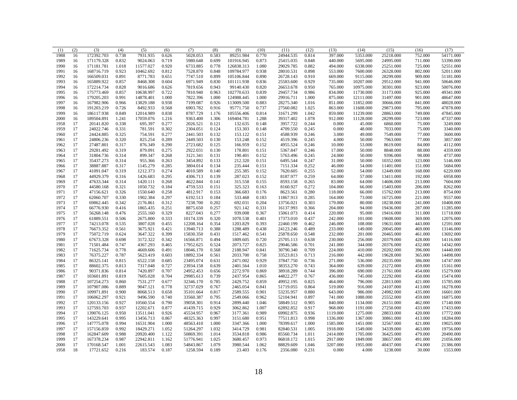| (1)  | (2) | (3)        | (4)   | (5)       | (6)   | (7)       | (8)   | (9)        | (10)  | (11)      | (12)  | (13)     | (14)      | (15)      | (16)    | (17)      |
|------|-----|------------|-------|-----------|-------|-----------|-------|------------|-------|-----------|-------|----------|-----------|-----------|---------|-----------|
| 1988 | 16  | 172392.703 | 0.738 | 7931.935  | 0.626 | 5028.053  | 0.583 | 89251.984  | 0.770 | 24944.535 | 0.814 | 397.000  | 5353.000  | 25218.000 | 752.000 | 54171.000 |
| 1989 | 16  | 171179.328 | 0.832 | 9024.063  | 0.719 | 5980.648  | 0.699 | 101916.945 | 0.873 | 25415.035 | 0.848 | 440.000  | 5695.000  | 24995.000 | 711.000 | 53390.000 |
| 1990 | 16  | 171181.781 | 1.018 | 11577.027 | 0.920 | 6733.885  | 0.778 | 126838.313 | 1.080 | 29029.785 | 0.882 | 494.000  | 6338.000  | 25251.000 | 725.000 | 52551.000 |
| 1991 | 16  | 168716.719 | 0.923 | 10462.692 | 0.812 | 7528.870  | 0.848 | 109784.977 | 0.938 | 28010.531 | 0.898 | 553.000  | 7600.000  | 26328.000 | 802.000 | 52011.000 |
| 1992 | 16  | 166509.031 | 0.891 | 8771.783  | 0.651 | 7747.510  | 0.899 | 105106.844 | 0.890 | 26728.143 | 0.910 | 669.000  | 9115.000  | 28299.000 | 909.000 | 51181.000 |
| 1993 | 16  | 165889.922 | 0.857 | 8468.308  | 0.604 | 6971.949  | 0.830 | 101111.938 | 0.836 | 25583.600 | 0.929 | 735.000  | 10207.000 | 29512.000 | 941.000 | 50646.000 |
| 1994 | 16  | 172214.734 | 0.828 | 9016.686  | 0.626 | 7819.656  | 0.943 | 99140.430  | 0.820 | 26653.678 | 0.950 | 765.000  | 10975.000 | 30301.000 | 923.000 | 50076.000 |
| 1995 | 16  | 175773.469 | 0.857 | 10638.997 | 0.722 | 7810.940  | 0.963 | 102770.633 | 0.839 | 29457.734 | 0.986 | 834.000  | 11730.000 | 31173.000 | 925.000 | 49341.000 |
| 1996 | 16  | 179205.203 | 0.991 | 14878.401 | 1.000 | 7822.396  | 1.000 | 124988.445 | 1.000 | 29916.711 | 1.000 | 875.000  | 12111.000 | 31497.000 | 901.000 | 48647.000 |
| 1997 | 16  | 167982.906 | 0.966 | 13829.188 | 0.938 | 7199.087  | 0.926 | 113009.500 | 0.883 | 28275.340 | 1.016 | 851.000  | 11852.000 | 30666.000 | 841.000 | 48028.000 |
| 1998 | 16  | 191203.219 | 0.726 | 8492.933  | 0.568 | 6903.782  | 0.916 | 95771.750  | 0.737 | 27560.082 | 1.025 | 863.000  | 11608.000 | 29873.000 | 795.000 | 47878.000 |
| 1999 | 16  | 186117.938 | 0.849 | 12014.989 | 0.838 | 8787.729  | 1.176 | 105556.406 | 0.814 | 31671.299 | 1.042 | 859.000  | 11239.000 | 28863.000 | 749.000 | 47845.000 |
| 2000 | 16  | 189504.891 | 1.241 | 17059.076 | 1.216 | 9363.400  | 1.306 | 169404.781 | 1.288 | 39317.402 | 1.078 | 912.000  | 11128.000 | 28299.000 | 723.000 | 47337.000 |
| 1958 | 17  | 20141.820  | 0.338 | 695.397   | 0.277 | 2026.521  | 0.121 | 132.635    | 0.148 | 3957.722  | 0.244 | 0.000    | 45.000    | 6860.000  | 75.000  | 3249.000  |
| 1959 | 17  | 24022.746  | 0.331 | 781.591   | 0.302 | 2304.051  | 0.124 | 153.303    | 0.148 | 4709.550  | 0.245 | 0.000    | 48.000    | 7033.000  | 75.000  | 3340.000  |
| 1960 | 17  | 24424.885  | 0.325 | 754.591   | 0.277 | 2441.503  | 0.132 | 153.122    | 0.151 | 4588.939  | 0.246 | 3.000    | 49.000    | 7549.000  | 77.000  | 3600.000  |
| 1961 | 17  | 24806.236  | 0.320 | 825.254   | 0.289 | 2449.503  | 0.130 | 153.248    | 0.152 | 4519.396  | 0.245 | 4.000    | 50.000    | 7963.000  | 77.000  | 3857.000  |
| 1962 | 17  | 27487.801  | 0.317 | 876.349   | 0.290 | 2723.682  | 0.125 | 166.959    | 0.152 | 4955.524  | 0.246 | 10.000   | 53.000    | 8619.000  | 84.000  | 4112.000  |
| 1963 | 17  | 29281.492  | 0.319 | 879.091   | 0.275 | 2922.031  | 0.130 | 178.801    | 0.151 | 5367.847  | 0.246 | 17.000   | 50.000    | 8848.000  | 88.000  | 4359.000  |
| 1964 | 17  | 31804.736  | 0.314 | 899.347   | 0.268 | 3121.341  | 0.131 | 190.401    | 0.152 | 5763.496  | 0.245 | 24.000   | 50.000    | 9396.000  | 98.000  | 4737.000  |
| 1965 | 17  | 35437.273  | 0.314 | 955.366   | 0.263 | 3454.892  | 0.133 | 212.320    | 0.151 | 6495.544  | 0.247 | 31.000   | 50.000    | 10352.000 | 123.000 | 5146.000  |
| 1966 | 17  | 38887.887  | 0.317 | 1145.279  | 0.285 | 3804.014  | 0.134 | 235.444    | 0.151 | 7151.334  | 0.252 | 46.000   | 54.000    | 11401.000 | 151.000 | 5684.000  |
| 1967 | 17  | 41091.047  | 0.319 | 1212.373  | 0.274 | 4010.589  | 0.140 | 255.385    | 0.152 | 7620.605  | 0.255 | 52.000   | 54.000    | 12449.000 | 168.000 | 6220.000  |
| 1968 | 17  | 44929.379  | 0.316 | 1426.683  | 0.295 | 4306.713  | 0.139 | 287.023    | 0.152 | 8187.977  | 0.259 | 64.000   | 57.000    | 13411.000 | 192.000 | 6958.000  |
| 1969 | 17  | 47633.344  | 0.314 | 1420.111  | 0.268 | 4622.844  | 0.141 | 315.558    | 0.155 | 8593.158  | 0.265 | 83.000   | 64.000    | 14606.000 | 213.000 | 7604.000  |
| 1970 | 17  | 44580.168  | 0.321 | 1050.732  | 0.184 | 4759.533  | 0.151 | 325.323    | 0.163 | 8160.927  | 0.272 | 104.000  | 66.000    | 15403.000 | 206.000 | 8262.000  |
| 1971 | 17  | 47156.621  | 0.326 | 1550.640  | 0.258 | 4812.917  | 0.153 | 366.683    | 0.176 | 8623.561  | 0.280 | 118.000  | 66.000    | 15762.000 | 213.000 | 8754.000  |
| 1972 | 17  | 62060.707  | 0.330 | 1902.384  | 0.297 | 6192.513  | 0.184 | 533.468    | 0.183 | 11867.913 | 0.285 | 164.000  | 73.000    | 16725.000 | 221.000 | 9557.000  |
| 1973 | 17  | 69862.445  | 0.342 | 2176.861  | 0.312 | 7238.700  | 0.202 | 692.031    | 0.204 | 13756.021 | 0.303 | 179.000  | 80.000    | 18238.000 | 241.000 | 10408.000 |
| 1974 | 17  | 66776.930  | 0.416 | 1865.435  | 0.251 | 8875.650  | 0.257 | 921.142    | 0.331 | 16137.993 | 0.366 | 204.000  | 94.000    | 19436.000 | 287.000 | 11285.000 |
| 1975 | 17  | 56268.148  | 0.476 | 2555.160  | 0.329 | 8227.043  | 0.277 | 939.008    | 0.367 | 15061.073 | 0.414 | 220.000  | 95.000    | 19416.000 | 311.000 | 11718.000 |
| 1976 | 17  | 61889.551  | 0.506 | 2675.800  | 0.333 | 10174.339 | 0.320 | 1070.538   | 0.401 | 17373.010 | 0.437 | 242.000  | 101.000   | 19608.000 | 369.000 | 12076.000 |
| 1977 | 17  | 74213.078  | 0.535 | 3807.028  | 0.455 | 12208.164 | 0.354 | 1203.829   | 0.393 | 22460.199 | 0.462 | 246.000  | 108,000   | 19631.000 | 443.000 | 12591.000 |
| 1978 | 17  | 76673.352  | 0.561 | 3675.921  | 0.421 | 13940.713 | 0.388 | 1288.489   | 0.438 | 24123.246 | 0.489 | 233.000  | 149.000   | 20045.000 | 469.000 | 13146.000 |
|      | 17  |            |       |           | 0.399 |           |       |            |       |           | 0.548 |          |           |           |         | 13692.000 |
| 1979 | 17  | 75072.719  | 0.624 | 3647.322  | 0.342 | 15830.350 | 0.431 | 1517.462   | 0.541 | 25878.650 |       | 232.000  | 201.000   | 20465.000 | 461.000 |           |
| 1980 |     | 67673.328  | 0.698 | 3172.322  |       | 16566.871 | 0.494 | 1809.605   | 0.720 | 25705.113 | 0.638 | 230.000  | 256.000   | 20379.000 | 428.000 | 14116.000 |
| 1981 | 17  | 71501.484  | 0.747 | 4367.293  | 0.465 | 17952.625 | 0.524 | 2073.727   | 0.825 | 29046.586 | 0.701 | 241.000  | 344.000   | 20376.000 | 432.000 | 14342.000 |
| 1982 | 17  | 71625.734  | 0.778 | 4669.606  | 0.491 | 18046.170 | 0.568 | 2188.947   | 0.841 | 30790.340 | 0.709 | 224.000  | 410.000   | 20202.000 | 396.000 | 14440.000 |
| 1983 | 17  | 76375.227  | 0.787 | 5623.419  | 0.603 | 18892.334 | 0.561 | 2033.700   | 0.758 | 33523.813 | 0.713 | 216.000  | 442.000   | 19628.000 | 365.000 | 14498.000 |
| 1984 | 17  | 86325.141  | 0.815 | 6522.158  | 0.685 | 23495.074 | 0.631 | 2471.002   | 0.929 | 37847.750 | 0.736 | 271.000  | 536.000   | 20235.000 | 386.000 | 14747.000 |
| 1985 | 17  | 88602.375  | 0.813 | 7317.048  | 0.727 | 23934.158 | 0.639 | 2401.564   | 1.010 | 38353.270 | 0.743 | 364.000  | 639.000   | 21272.000 | 459.000 | 15161.000 |
| 1986 | 17  | 90371.836  | 0.814 | 7420.897  | 0.707 | 24952.453 | 0.656 | 2272.970   | 0.869 | 38918.289 | 0.744 | 396.000  | 690.000   | 21761.000 | 454.000 | 15279.000 |
| 1987 | 17  | 103601.891 | 0.819 | 7605.028  | 0.704 | 29985.613 | 0.739 | 2437.954   | 0.865 | 44822.277 | 0.767 | 436.000  | 745.000   | 22292.000 | 450.000 | 15474.000 |
| 1988 | 17  | 107254.273 | 0.860 | 7531.277  | 0.677 | 32346.170 | 0.785 | 2429.752   | 0.859 | 49952.195 | 0.825 | 464.000  | 796.000   | 22813.000 | 421.000 | 15785.000 |
| 1989 | 17  | 107907.086 | 0.889 | 9047.121  | 0.778 | 32737.029 | 0.767 | 2465.054   | 0.841 | 51719.055 | 0.864 | 519.000  | 916.000   | 24107.000 | 413.000 | 16278.000 |
| 1990 | 17  | 109971.891 | 0.900 | 8068.513  | 0.658 | 35101.664 | 0.817 | 2589.555   | 0.901 | 53235.957 | 0.880 | 643.000  | 986.000   | 24982.000 | 435.000 | 16601.000 |
| 1991 | 17  | 106062.297 | 0.921 | 9496.590  | 0.740 | 33560.387 | 0.795 | 2549.066   | 0.962 | 52104.941 | 0.897 | 741.000  | 1088.000  | 25552.000 | 459.000 | 16875.000 |
| 1992 | 17  | 120133.156 | 0.927 | 10560.554 | 0.790 | 39058.301 | 0.914 | 2899.440   | 1.046 | 58849.512 | 0.905 | 840.000  | 1134.000  | 26151.000 | 462.000 | 17140.000 |
| 1993 | 17  | 127593.703 | 0.937 | 12202.671 | 0.877 | 41439.715 | 0.929 | 3062.862   | 1.007 | 62892.852 | 0.917 | 968.000  | 1191.000  | 27250.000 | 433.000 | 17433.000 |
| 1994 | 17  | 139076.125 | 0.950 | 13511.041 | 0.926 | 45534.957 | 0.967 | 3177.361   | 0.989 | 69902.875 | 0.936 | 1119.000 | 1275.000  | 28833.000 | 420.000 | 17772.000 |
| 1995 | 17  | 143229.641 | 0.995 | 13456.713 | 0.867 | 48325.363 | 0.997 | 3151.680   | 0.951 | 77511.813 | 0.998 | 1336.000 | 1367.000  | 30861.000 | 413.000 | 18284.000 |
| 1996 | 17  | 147775.078 | 0.994 | 16531.904 | 1.000 | 48563.410 | 1.000 | 3347.366   | 1.000 | 78399.617 | 1.000 | 1585.000 | 1451.000  | 32567.000 | 421.000 | 19025.000 |
| 1997 | 17  | 157156.859 | 0.992 | 18429.271 | 1.052 | 51264.297 | 1.032 | 3414.729   | 0.981 | 82840.531 | 1.005 | 1918.000 | 1549.000  | 34339.000 | 463.000 | 19756.000 |
| 1998 | 17  | 162847.609 | 0.988 | 20920.400 | 1.122 | 50869.391 | 1.014 | 3534.818   | 0.986 | 85560.734 | 1.011 | 2414.000 | 1705.000  | 36425.000 | 479.000 | 20490.000 |
| 1999 | 17  | 167378.234 | 0.987 | 22942.811 | 1.162 | 51776.941 | 1.025 | 3680.457   | 0.973 | 86818.172 | 1.015 | 2917.000 | 1849.000  | 38657.000 | 491.000 | 21056.000 |
| 2000 | 17  | 170168.547 | 1.001 | 22615.543 | 1.083 | 54843.867 | 1.079 | 3980.544   | 1.062 | 88829.609 | 1.046 | 3207.000 | 1955.000  | 40437.000 | 474.000 | 21386.000 |
| 1958 | 18  | 17721.652  | 0.216 | 183.574   | 0.187 | 1258.594  | 0.189 | 23.403     | 0.176 | 2356.080  | 0.231 | 0.000    | 4.000     | 1238.000  | 30.000  | 1553.000  |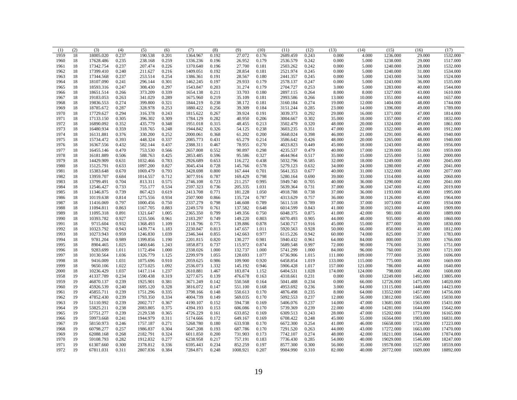| (1)  | (2) | (3)       | (4)   | (5)      | (6)   | (7)      | (8)   | (9)      | (10)  | (11)     | (12)  | (13)    | (14)    | (15)      | (16)     | (17)      |
|------|-----|-----------|-------|----------|-------|----------|-------|----------|-------|----------|-------|---------|---------|-----------|----------|-----------|
| 1959 | 18  | 18005.020 | 0.237 | 190.538  | 0.201 | 1364.967 | 0.192 | 27.072   | 0.176 | 2689.459 | 0.243 | 0.000   | 4.000   | 1236.000  | 29.000   | 1532.000  |
| 1960 | 18  | 17628.486 | 0.235 | 238.168  | 0.259 | 1336.236 | 0.196 | 26.952   | 0.179 | 2536.579 | 0.242 | 0.000   | 5.000   | 1238.000  | 29.000   | 1517.000  |
| 1961 | 18  | 17342.754 | 0.237 | 207.474  | 0.226 | 1370.640 | 0.196 | 27.700   | 0.181 | 2503.262 | 0.242 | 0.000   | 5.000   | 1240.000  | 28.000   | 1532.000  |
| 1962 | 18  | 17399.410 | 0.240 | 211.627  | 0.216 | 1409.051 | 0.192 | 28.854   | 0.181 | 2521.974 | 0.245 | 0.000   | 5.000   | 1240.000  | 31,000   | 1534.000  |
| 1963 | 18  | 17344.568 | 0.237 | 253.514  | 0.254 | 1386.361 | 0.191 | 28.567   | 0.180 | 2441.357 | 0.245 | 0.000   | 5.000   | 1243.000  | 34.000   | 1524.000  |
| 1964 | 18  | 18107.090 | 0.241 | 296.144  | 0.301 | 1462.245 | 0.197 | 29.933   | 0.179 | 2578.137 | 0.247 | 0.000   | 5.000   | 1243.000  | 36.000   | 1535.000  |
| 1965 | 18  | 18593.316 | 0.247 | 308.430  | 0.297 | 1543.847 | 0.203 | 31.274   | 0.179 | 2704.727 | 0.253 | 3.000   | 5.000   | 1283.000  | 40.000   | 1544.000  |
| 1966 | 18  | 18651.514 | 0.266 | 373.209  | 0.339 | 1654.138 | 0.211 | 33.703   | 0.180 | 2897.115 | 0.264 | 8.000   | 8.000   | 1327.000  | 43.000   | 1610.000  |
| 1967 | 18  | 19183.053 | 0.263 | 341.029  | 0.289 | 1675.960 | 0.219 | 35.109   | 0.181 | 2993.586 | 0.266 | 13.000  | 10.000  | 1351.000  | 44.000   | 1657.000  |
| 1968 | 18  | 19836.553 | 0.274 | 399.800  | 0.321 | 1844.219 | 0.238 | 38.172   | 0.181 | 3160.184 | 0.274 | 19.000  | 12.000  | 1404.000  | 48.000   | 1744.000  |
| 1969 | 18  | 18785.672 | 0.287 | 328.978  | 0.253 | 1880.422 | 0.256 | 39.309   | 0.184 | 3151.244 | 0.285 | 23.000  | 14.000  | 1396.000  | 49.000   | 1789.000  |
| 1970 | 18  | 17729.627 | 0.294 | 316.378  | 0.243 | 1815.622 | 0.267 | 39.924   | 0.191 | 3039.373 | 0.292 | 29.000  | 16.000  | 1371.000  | 47.000   | 1814.000  |
| 1971 | 18  | 17133.150 | 0.305 | 396.302  | 0.309 | 1784.129 | 0.282 | 40.950   | 0.206 | 3004.667 | 0.302 | 35.000  | 18.000  | 1357.000  | 47.000   | 1832.000  |
| 1972 | 18  | 16890.092 | 0.352 | 435.779  | 0.348 | 1951.018 | 0.315 | 48.455   | 0.213 | 3502.479 | 0.320 | 48.000  | 20.000  | 1324.000  | 49.000   | 1861.000  |
| 1973 | 18  | 16480.934 | 0.359 | 318.765  | 0.248 | 1944.842 | 0.326 | 54.125   | 0.238 | 3603.235 | 0.351 | 47.000  | 22.000  | 1322.000  | 48.000   | 1912.000  |
| 1974 | 18  | 16131.881 | 0.376 | 330.200  | 0.252 | 2000.061 | 0.368 | 61.202   | 0.200 | 3668.024 | 0.398 | 46.000  | 21.000  | 1291.000  | 46.000   | 1940.000  |
| 1975 | 18  | 15734.472 | 0.393 | 448.324  | 0.337 | 2085.773 | 0.431 | 65.279   | 0.214 | 3586.642 | 0.426 | 48.000  | 20.000  |           | 48.000   | 1940.000  |
|      | 18  |           |       | 582.144  | 0.437 |          |       | 78.955   | 0.270 | 4023.823 | 0.449 | 45.000  | 18.000  | 1265.000  |          |           |
| 1976 |     | 16367.556 | 0.432 |          |       | 2388.311 | 0.467 |          |       |          |       |         |         | 1243.000  | 48.000   | 1956.000  |
| 1977 | 18  | 16455.146 | 0.470 | 753.530  | 0.566 | 2657.808 | 0.552 | 90.897   | 0.298 | 4235.537 | 0.479 | 40.000  | 17.000  | 1239.000  | 51.000   | 1959.000  |
| 1978 | 18  | 16181.889 | 0.506 | 588.763  | 0.425 | 2853.485 | 0.596 | 95.586   | 0.327 | 4644.964 | 0.517 | 35.000  | 15.000  | 1255.000  | 51.000   | 2000.000  |
| 1979 | 18  | 14429.909 | 0.631 | 1032.466 | 0.783 | 2926.689 | 0.653 | 116.272  | 0.438 | 5032.796 | 0.585 | 32.000  | 18.000  | 1249.000  | 49.000   | 2045.000  |
| 1980 | 18  | 15125.791 | 0.633 | 1097.200 | 0.827 | 3045.434 | 0.728 | 145.766  | 0.578 | 5279.123 | 0.632 | 34.000  | 24.000  | 1280.000  | 47.000   | 2041.000  |
| 1981 | 18  | 15383.648 | 0.670 | 1069.479 | 0.793 | 3428.698 | 0.800 | 167.444  | 0.701 | 5641.353 | 0.677 | 40.000  | 31.000  | 1322.000  | 49.000   | 2077.000  |
| 1982 | 18  | 13959.707 | 0.684 | 1014.557 | 0.712 | 3077.916 | 0.787 | 169.429  | 0.798 | 5280.164 | 0.690 | 39.000  | 33.000  | 1314.000  | 44.000   | 2060.000  |
| 1983 | 18  | 13799.491 | 0.704 | 813.311  | 0.575 | 2746.108 | 0.723 | 211.257  | 0.995 | 5949.740 | 0.705 | 40.000  | 36.000  | 1290.000  | 42.000   | 2041.000  |
| 1984 | 18  | 12546.427 | 0.733 | 755.177  | 0.534 | 2597.323 | 0.736 | 205.335  | 1.031 | 5639.364 | 0.731 | 37.000  | 36.000  | 1247.000  | 41.000   | 2019.000  |
| 1985 | 18  | 11346.875 | 0.739 | 867.423  | 0.619 | 2413.708 | 0.771 | 181.228  | 1.050 | 4918.788 | 0.738 | 37.000  | 36.000  | 1193.000  | 48.000   | 1995.000  |
| 1986 | 18  | 10119.638 | 0.814 | 1275.556 | 0.934 | 2507.900 | 0.866 | 135.724  | 0.787 | 4313.629 | 0.757 | 36.000  | 38.000  | 1126.000  | 45.000   | 1964.000  |
| 1987 | 18  | 11416.069 | 0.797 | 1000.456 | 0.750 | 2337.279 | 0.798 | 146.608  | 0.789 | 5611.518 | 0.789 | 37.000  | 37.000  | 1073.000  | 47.000   | 1934.000  |
| 1988 | 18  | 11094.811 | 0.863 | 1167.705 | 0.883 | 2249.570 | 0.761 | 137.582  | 0.648 | 6014.599 | 0.843 | 41.000  | 38.000  | 1023.000  | 44.000   | 1909.000  |
| 1989 | 18  | 11095.318 | 0.891 | 1321.647 | 1.005 | 2365.350 | 0.799 | 149.356  | 0.750 | 6048.375 | 0.875 | 41.000  | 42.000  | 981.000   | 40.000   | 1889.000  |
| 1990 | 18  | 10393.782 | 0.927 | 1235.506 | 0.961 | 2183.297 | 0.749 | 149.220  | 0.803 | 6070.493 | 0.905 | 44.000  | 48.000  | 935.000   | 40.000   | 1860.000  |
| 1991 | 18  | 9715.604  | 0.932 | 1368.493 | 1.109 | 2118.796 | 0.775 | 139.886  | 0.878 | 5430.717 | 0.916 | 45.000  | 55.000  | 877.000   | 39.000   | 1830.000  |
| 1992 | 18  | 10323.792 | 0.943 | 1439.774 | 1.183 | 2230.847 | 0.813 | 147.657  | 1.011 | 5920.563 | 0.928 | 50.000  | 66.000  | 850.000   | 41.000   | 1812.000  |
| 1993 | 18  | 10273.943 | 0.959 | 1246.830 | 1.039 | 2346.344 | 0.855 | 142.663  | 0.977 | 6115.226 | 0.942 | 60.000  | 74.000  | 825.000   | 37.000   | 1783.000  |
| 1994 | 18  | 9781.204  | 0.989 | 1399.856 | 1.190 | 2201.815 | 0.820 | 130.277  | 0.981 | 5940.432 | 0.961 | 64.000  | 84.000  | 800.000   | 33.000   | 1766.000  |
| 1995 | 18  | 8904.465  | 1.025 | 1460.646 | 1.243 | 1858.873 | 0.737 | 115.972  | 0.874 | 5689.548 | 0.997 | 72.000  | 90.000  | 776.000   | 31.000   | 1751.000  |
| 1996 | 18  | 9283.699  | 1.011 | 1172.494 | 1.000 | 2338.026 | 1.000 | 132.737  | 1.000 | 5741.299 | 1.000 | 84.000  | 96.000  | 760.000   | 29.000   | 1721.000  |
| 1997 | 18  | 10130.564 | 1.036 | 1326.779 | 1.125 | 2299.979 | 1.055 | 128.693  | 1.077 | 6736.906 | 1.015 | 111.000 | 109.000 | 777.000   | 35.000   | 1696.000  |
| 1998 | 18  | 9416.009  | 1.031 | 1075.696 | 0.910 | 2059.625 | 0.986 | 109.900  | 0.920 | 6458.854 | 1.019 | 133.000 | 115.000 | 775.000   | 40.000   | 1669.000  |
| 1999 | 18  | 9650.106  | 1.022 | 1273.025 | 1.092 | 2536.073 | 1.332 | 145.192  | 0.946 | 5906.428 | 1.017 | 157.000 | 121.000 | 786.000   | 44.000   | 1640.000  |
| 2000 | 18  | 10236.429 | 1.037 | 1417.114 | 1.237 | 2610.881 | 1.467 | 183.874  | 1.152 | 6404.531 | 1.028 | 174.000 | 124.000 | 798.000   | 45.000   | 1608.000  |
| 1958 | 19  | 41337.789 | 0.234 | 1590.438 | 0.319 | 3277.675 | 0.139 | 476.678  | 0.163 | 4318.661 | 0.231 | 0.000   | 69.000  | 12249.000 | 1492.000 | 13805.000 |
| 1959 | 19  | 46870.137 | 0.239 | 1925.901 | 0.381 | 3671.249 | 0.142 | 550.568  | 0.164 | 5041.488 | 0.234 | 0.000   | 66.000  | 12726.000 | 1475.000 | 14020.000 |
| 1960 | 19  | 45926.539 | 0.240 | 1695.120 | 0.328 | 3816.072 | 0.147 | 551.100  | 0.168 | 4953.692 | 0.236 | 3.000   | 64.000  | 13115.000 | 1440.000 | 14423.000 |
| 1961 | 19  | 45855.711 | 0.239 | 1751.296 | 0.335 | 3798.166 | 0.148 | 550.613  | 0.170 | 4876.498 | 0.235 | 8.000   | 64.000  | 13552.000 | 1457.000 | 14756.000 |
| 1962 | 19  | 47852.430 | 0.239 | 1793.350 | 0.334 | 4004.739 | 0.149 | 569.035  | 0.170 | 5092.553 | 0.237 | 12.000  | 56.000  | 13812.000 | 1565.000 | 15030.000 |
| 1963 | 19  | 51110.992 | 0.239 | 2002.717 | 0.367 | 4190.107 | 0.152 | 594.738  | 0.169 | 5406.076 | 0.237 | 14.000  | 47.000  | 13681.000 | 1563.000 | 15431.000 |
| 1964 | 19  | 53825.211 | 0.238 | 2083.805 | 0.375 | 4394.193 | 0.153 | 606.086  | 0.170 | 5739.369 | 0.239 | 22.000  | 48.000  | 14281.000 | 1644.000 | 15642.000 |
| 1965 | 19  | 57751.277 | 0.239 | 2129.538 | 0.365 | 4726.229 | 0.161 | 633.852  | 0.169 | 6309.513 | 0.243 | 28.000  | 47.000  | 15202.000 | 1773.000 | 16165.000 |
| 1966 | 19  | 59973.668 | 0.241 | 1944.979 | 0.311 | 5174.666 | 0.172 | 649.167  | 0.169 | 6708.422 | 0.248 | 45.000  | 55.000  | 16564.000 | 1903.000 | 16831.000 |
| 1967 | 19  | 58150.973 | 0.246 | 1757.187 | 0.271 | 5268.780 | 0.180 | 633.938  | 0.170 | 6672.300 | 0.254 | 41.000  | 46.000  | 16658.000 | 1724.000 | 17223.000 |
| 1968 | 19  | 60798.277 | 0.257 | 1986.837 | 0.304 | 5647.208 | 0.193 | 687.786  | 0.170 | 7291.520 | 0.263 | 44.000  | 43.000  | 17272.000 | 1663.000 | 17470.000 |
| 1969 | 19  | 62088.168 | 0.268 | 2182.791 | 0.324 | 6011.850 | 0.200 | 731.903  | 0.173 | 7742.107 | 0.274 | 48.000  | 42.000  | 18211.000 | 1644.000 | 17874.000 |
| 1970 | 19  | 59108.793 | 0.282 | 1912.832 | 0.277 | 6238.958 | 0.217 | 757.191  | 0.183 | 7736.430 | 0.285 | 54.000  | 40.000  | 19029.000 | 1546.000 | 18247.000 |
| 1971 | 19  | 61307.660 | 0.300 | 2378.812 | 0.336 | 6595.443 | 0.234 | 852.259  | 0.197 | 8577.300 | 0.300 | 56.000  | 35.000  | 19578.000 | 1527.000 | 18559.000 |
| 1972 | 19  | 67811.031 | 0.311 | 2807.836 | 0.384 | 7284.871 | 0.248 | 1008.921 | 0.207 | 9984.990 | 0.310 | 82.000  | 40.000  | 20772.000 | 1609.000 | 18892.000 |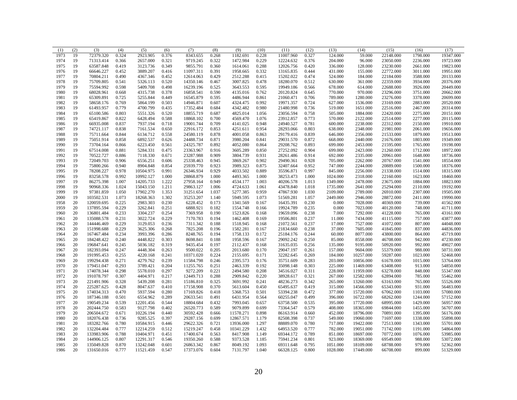| (1)  | (2)      | (3)                      | (4)            | (5)                  | (6)            | (7)       | (8)            | (9)       | (10)           | (11)                   | (12)           | (13)     | (14)      | (15)      | (16)     | (17)      |
|------|----------|--------------------------|----------------|----------------------|----------------|-----------|----------------|-----------|----------------|------------------------|----------------|----------|-----------|-----------|----------|-----------|
| 1973 | 19       | 72379.320                | 0.324          | 2923.905             | 0.376          | 8343.655  | 0.268          | 1182.691  | 0.228          | 11007.960              | 0.327          | 124.000  | 59.000    | 22148.000 | 1798.000 | 19347.000 |
| 1974 | 19       | 71313.414                | 0.366          | 2657.000             | 0.321          | 9719.245  | 0.322          | 1472.984  | 0.229          | 12224.632              | 0.376          | 204.000  | 96.000    | 23050.000 | 2236.000 | 19723.000 |
| 1975 | 19       | 63587.848                | 0.419          | 3123.736             | 0.349          | 9855.791  | 0.360          | 1614.061  | 0.288          | 12026.756              | 0.420          | 336.000  | 128.000   | 23230.000 | 2661.000 | 19823.000 |
| 1976 | 19       | 66646.227                | 0.452          | 3889.207             | 0.416          | 11097.311 | 0.391          | 1958.665  | 0.332          | 13165.835              | 0.444          | 431.000  | 155.000   | 22772.000 | 3011.000 | 19951.000 |
| 1977 | 19       | 70804.211                | 0.490          | 4367.346             | 0.452          | 12614.063 | 0.429          | 2512.288  | 0.415          | 15202.022              | 0.474          | 524.000  | 184.000   | 22184.000 | 3588.000 | 20133.000 |
| 1978 | 19       | 75709.805                | 0.541          | 5326.113             | 0.520          | 14350.146 | 0.467          | 3007.825  | 0.478          | 18280.070              | 0.512          | 630.000  | 361.000   | 22359.000 | 3934.000 | 20376.000 |
| 1979 | 19       | 75594.992                | 0.598          | 5409.708             | 0.498          | 16239.196 | 0.525          | 3643.553  | 0.595          | 19949.186              | 0.566          | 678.000  | 614.000   | 22688.000 | 3926.000 | 20449.000 |
| 1980 | 19       | 68028.961                | 0.668          | 4315.738             | 0.378          | 16858.541 | 0.590          | 4135.016  | 0.762          | 20120.824              | 0.645          | 770.000  | 970.000   | 23296.000 | 3751.000 | 20662.000 |
| 1981 | 19       | 65309.891                | 0.725          | 5255.844             | 0.449          | 16545.879 | 0.595          | 4486.944  | 0.861          | 21060.471              | 0.706          | 789.000  | 1280.000  | 23276.000 | 3378,000 | 20699.000 |
| 1982 | 19       | 58658.176                | 0.769          | 5864.199             | 0.503          | 14946.871 | 0.607          | 4324.475  | 0.992          | 19971.357              | 0.724          | 627.000  | 1536.000  | 23169.000 | 2883.000 | 20520.000 |
| 1983 | 19       | 61493.957                | 0.779          | 4700.799             | 0.435          | 17352.484 | 0.684          | 4342.482  | 0.980          | 21480.998              | 0.736          | 519.000  | 1651.000  | 22516.000 | 2467.000 | 20314.000 |
| 1984 | 19       | 65100.586                | 0.803          | 5551.326             | 0.520          | 18855.719 | 0.687          | 4825.014  | 1.056          | 23056.594              | 0.758          | 505.000  | 1884.000  | 22420.000 | 2275.000 | 20151.000 |
| 1985 | 19       | 65419.867                | 0.822          | 6428.494             | 0.588          | 18868.102 | 0.700          | 4569.470  | 1.076          | 23912.857              | 0.773          | 570.000  | 2122.000  | 22514.000 | 2277.000 | 20115.000 |
| 1986 | 19       | 66935.008                | 0.837          | 7937.194             | 0.718          | 19001.744 | 0.709          | 4141.025  | 0.948          | 24940.527              | 0.781          | 600.000  | 2238.000  | 22312.000 | 2150.000 | 19910.000 |
| 1987 | 19       | 74721.117                | 0.838          | 7161.534             | 0.650          | 22916.172 | 0.853          | 4251.611  | 0.954          | 28293.066              | 0.803          | 638.000  | 2348.000  | 21981.000 | 2061.000 | 19656.000 |
| 1988 | 19       | 75711.664                | 0.844          | 6134.712             | 0.558          | 24580.119 | 0.878          | 4001.058  | 0.863          | 29179.416              | 0.839          | 646.000  | 2356.000  | 21533.000 | 1879.000 | 19513.000 |
| 1989 | 19       | 75051.914                | 0.858          | 6892.537             | 0.626          | 24488.734 | 0.871          | 3980.204  | 0.841          | 29031.570              | 0.872          | 668.000  | 2440.000  | 21676.000 | 1803.000 | 19349.000 |
| 1990 | 19       | 73704.164                | 0.866          | 6223.450             | 0.561          | 24325.787 | 0.892          | 4052.080  | 0.864          | 29208.762              | 0.893          | 699.000  | 2453.000  | 21595.000 | 1765.000 | 19198.000 |
| 1991 | 19       | 67514.008                | 0.881          | 5284.331             | 0.475          | 23363.967 | 0.916          | 3605.289  | 0.850          | 27252.092              | 0.904          | 699.000  | 2423.000  | 21260.000 | 1712.000 | 18972.000 |
| 1992 | 19       | 70522.727                | 0.886          | 7118.330             | 0.671          | 23287.988 | 0.909          | 3804.739  | 0.931          | 28261.486              | 0.914          | 692.000  | 2335.000  | 20961.000 | 1648.000 | 18736.000 |
| 1993 | 19       | 72049.703                | 0.906          | 6556.251             | 0.606          | 25338.463 | 0.945          | 3869.267  | 0.902          | 29490.361              | 0.928          | 705.000  | 2262.000  | 20767.000 | 1541.000 | 18554.000 |
| 1994 | 19       | 75800.266                | 0.940          | 8904.848             | 0.854          | 25939.770 | 0.923          | 3989.323  | 0.875          | 32407.664              | 0.952          | 747.000  | 2244.000  | 20889.000 | 1500.000 | 18376.000 |
| 1995 | 19       | 78208.227                | 0.978          | 10504.975            | 0.991          | 26346.934 | 0.929          | 4033.502  | 0.889          | 35596.871              | 0.997          | 845.000  | 2256.000  | 21338.000 | 1514.000 | 18315.000 |
| 1996 | 19       | 83258.578                | 0.992          | 10992.127            | 1.000          | 28868.879 | 1.000          | 4493.365  | 1.000          | 38253.473              | 1.000          | 1024.000 | 2318.000  | 22160.000 | 1623.000 | 18460.000 |
| 1997 | 19       | 86275.398                | 1.007          | 14205.733            | 1.222          | 27958.164 | 0.949          | 4534.177  | 1.003          | 40206.578              | 1.013          | 1349.000 | 2478.000  | 23675.000 | 1884.000 | 18823.000 |
| 1998 | 19       | 90968.336                | 1.024          | 15043.150            | 1.211          | 29863.127 | 1.006          | 4724.633  | 1.061          | 43478.840              | 1.018          | 1735.000 | 2641.000  | 25294.000 | 2110.000 | 19192.000 |
| 1999 | 19       | 97381.859                | 1.050          | 17902.270            | 1.353          | 31251.654 | 1.037          | 5277.385  | 0.959          | 47867.930              | 1.030          | 2109.000 | 2789.000  | 26910.000 | 2307.000 | 19505.000 |
| 2000 | 19       | 103502.531               | 1.073          | 18268.363            | 1.302          | 35253.207 | 1.140          | 5949.595  | 1.073          | 51569.281              | 1.057          | 2449.000 | 2946.000  | 28872.000 | 2411.000 | 19990.000 |
| 1958 | 20       | 120059.695               | 0.225          | 2983.303             | 0.230          | 6228.452  | 0.173          | 1341.569  | 0.167          | 16435.391              | 0.230          | 0.000    | 7028.000  | 40369.000 | 739.000  | 41562.000 |
| 1959 | 20       | 137895.594               | 0.229          | 3262.841             | 0.251          | 6888.921  | 0.182          | 1554.748  | 0.166          | 19924.789              | 0.235          | 0.000    | 7023.000  | 40120.000 | 748.000  | 41711.000 |
| 1960 | 20       | 136801.484               | 0.233          | 3304.237             | 0.254          | 7369.958  | 0.190          | 1523.826  | 0.168          | 19659.096              | 0.238          | 7.000    | 7292.000  | 41228.000 | 765.000  | 43161.000 |
| 1961 | 20       | 135088.578               | 0.231          | 3022.724             | 0.229          | 7170.783  | 0.194          | 1462.408  | 0.169          | 19506.801              | 0.237          | 11.000   | 7434.000  | 41115.000 | 757.000  | 43877.000 |
| 1962 | 20       | 144446.469               | 0.229          | 3129.053             | 0.236          | 7311.342  | 0.188          | 1518.945  | 0.168          | 21072.561              | 0.237          | 17.000   | 7527.000  | 41072.000 | 807.000  | 44048.000 |
| 1963 | 20       | 151998.688               | 0.229          | 3625.306             | 0.268          | 7825.208  | 0.196          | 1582.281  | 0.167          | 21834.660              | 0.238          | 37.000   | 7605.000  | 41845.000 | 837.000  | 44836.000 |
| 1964 | 20       | 167467.484               | 0.234          | 3993.396             | 0.286          | 8248.765  | 0.194          | 1758.133  | 0.172          | 25184.176              | 0.244          | 60.000   | 8077.000  | 43800.000 | 864.000  | 45719.000 |
| 1965 | 20       | 184248.422               | 0.240          | 4448.822             | 0.303          | 8698.841  | 0.188          | 1958.596  | 0.167          | 29092.242              | 0.250          | 85.000   | 8558.000  | 46708.000 | 942.000  | 47230.000 |
|      |          |                          |                |                      |                |           |                |           |                |                        |                |          |           |           |          |           |
| 1966 | 20       | 196847.641               | 0.245          | 5036.182             | 0.319          | 9435.454  | 0.197<br>0.205 | 2112.437  | 0.168<br>0.170 | 31635.035              | 0.256          | 135.000  | 9195.000  | 50920.000 | 992.000  | 49027.000 |
| 1967 | 20       | 182393.094               | 0.247          | 4448.304             | 0.263          | 9500.022  |                | 2013.680  |                | 29047.197              | 0.261          | 157.000  | 9604.000  | 55379.000 | 988.000  | 50731.000 |
| 1968 | 20<br>20 | 191995.453<br>199294.438 | 0.255<br>0.271 | 4220.168<br>4279.762 | 0.241<br>0.239 | 10371.020 | 0.224          | 2155.695  | 0.171          | 32282.645<br>35751.609 | 0.269<br>0.283 | 184.000  | 10257.000 | 59287.000 | 1023.000 | 52468.000 |
| 1969 |          |                          |                |                      |                | 11584.798 | 0.246          | 2395.573  | 0.176          |                        |                | 203.000  | 10856.000 | 61678.000 | 1015.000 | 53764.000 |
| 1970 | 20       | 179451.047               | 0.293          | 3789.421             | 0.204          | 11255.765 | 0.251          | 2463.339  | 0.192          | 35098.148              | 0.303          | 225.000  | 11469.000 | 63408.000 | 913.000  | 54850.000 |
| 1971 | 20       | 174078.344               | 0.298          | 5578.010             | 0.297          | 9272.209  | 0.221          | 2494.580  | 0.208          | 34516.027              | 0.311          | 228.000  | 11959.000 | 63278.000 | 848.000  | 55347.000 |
| 1972 | 20       | 191078.797               | 0.307          | 4404.971             | 0.217          | 12449.713 | 0.288          | 2909.842  | 0.220          | 38928.617              | 0.321          | 267.000  | 12582.000 | 62894.000 | 785.000  | 55462.000 |
| 1973 | 20       | 221491.906               | 0.328          | 5439.208             | 0.281          | 15186.810 | 0.325          | 3691.992  | 0.241          | 48236.273              | 0.342          | 265.000  | 13260.000 | 63163.000 | 765.000  | 55526.000 |
| 1974 | 20       | 225287.625               | 0.428          | 8047.637             | 0.410          | 17158.908 | 0.370          | 5613.604  | 0.450          | 65495.637              | 0.419          | 315.000  | 14566.000 | 65343.000 | 931.000  | 56483.000 |
| 1975 | 20       | 174034.313               | 0.470          | 5937.594             | 0.280          | 17169.826 | 0.418          | 5368.753  | 0.501          | 53394.238              | 0.472          | 377.000  | 15720.000 | 67062.000 | 1103.000 | 57080.000 |
| 1976 | 20       | 187346.188               | 0.501          | 6554.962             | 0.289          | 20633.541 | 0.491          | 6431.954  | 0.564          | 60255.047              | 0.499          | 396.000  | 16722.000 | 68262.000 | 1244.000 | 57152.000 |
| 1977 | 20       | 190549.234               | 0.539          | 12201.456            | 0.544          | 18804.684 | 0.432          | 7993.045  | 0.657          | 63758.500              | 0.535          | 395.000  | 17720.000 | 68995.000 | 1429.000 | 56957.000 |
| 1978 | 20       | 202444.750               | 0.583          | 9127.798             | 0.402          | 26520.773 | 0.589          | 9079.899  | 0.699          | 73364.547              | 0.579          | 408.000  | 18365.000 | 69844.000 | 1455.000 | 56707.000 |
| 1979 | 20       | 206504.672               | 0.671          | 10226.194            | 0.440          | 30592.428 | 0.666          | 11578.271 | 0.898          | 86163.914              | 0.660          | 452.000  | 18796.000 | 70891.000 | 1395.000 | 56176.000 |
| 1980 | 20       | 182076.438               | 0.736          | 9285.525             | 0.397          | 29287.156 | 0.699          | 12867.571 | 1.179          | 82508.398              | 0.737          | 549.000  | 19060.000 | 71697.000 | 1338.000 | 55898.000 |
| 1981 | 20       | 183282.766               | 0.780          | 10584.915            | 0.446          | 29622.326 | 0.721          | 13936.000 | 1.297          | 88889.070              | 0.780          | 717.000  | 19422.000 | 72513.000 | 1343.000 | 55701.000 |
| 1982 | 20       | 132204.484               | 0.777          | 12214.259            | 0.512          | 15219.247 | 0.458          | 10341.229 | 1.432          | 64953.520              | 0.777          | 782.000  | 19051.000 | 71742.000 | 1191.000 | 54864.000 |
| 1983 | 20       | 133983.906               | 0.788          | 10404.971            | 0.451          | 17400.674 | 0.563          | 8417.908  | 1.149          | 69344.172              | 0.789          | 851.000  | 18697.000 | 70772.000 | 1076.000 | 53985.000 |
| 1984 | 20       | 144906.125               | 0.807          | 12291.317            | 0.546          | 19350.260 | 0.588          | 9373.528  | 1.185          | 75941.234              | 0.801          | 923.000  | 18369.000 | 69549.000 | 988.000  | 53072.000 |
| 1985 | 20       | 135049.828               | 0.870          | 13242.048            | 0.601          | 26863.342 | 0.867          | 8049.192  | 1.093          | 69311.648              | 0.795          | 1051.000 | 18109.000 | 68788.000 | 979.000  | 52362.000 |
| 1986 | 20       | 131650.016               | 0.777          | 11521.459            | 0.547          | 17373.076 | 0.604          | 7131.797  | 1.040          | 66328.125              | 0.800          | 1028.000 | 17449.000 | 66708.000 | 899.000  | 51329.000 |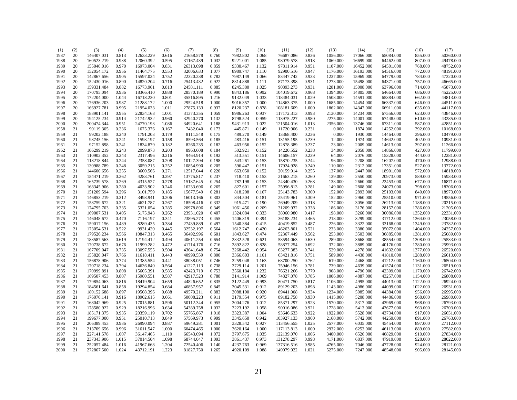| (1)          | (2) | (3)        | (4)   | (5)       | (6)   | (7)       | (8)   | (9)      | (10)  | (11)       | (12)  | (13)     | (14)      | (15)      | (16)     | (17)      |
|--------------|-----|------------|-------|-----------|-------|-----------|-------|----------|-------|------------|-------|----------|-----------|-----------|----------|-----------|
| 1987         | 20  | 146407.031 | 0.813 | 12633.229 | 0.616 | 21658.578 | 0.760 | 7982.802 | 1.068 | 76687.086  | 0.836 | 1056.000 | 17066.000 | 65084.000 | 855.000  | 50360.000 |
| 1988         | 20  | 160523.219 | 0.938 | 12060.392 | 0.595 | 31167.439 | 1.032 | 9221.001 | 1.085 | 98079.578  | 0.918 | 1069.000 | 16699.000 | 64462.000 | 807.000  | 49478.000 |
| 1989         | 20  | 155040.016 | 0.970 | 16973.004 | 0.831 | 26313.098 | 0.859 | 9330.467 | 1.132 | 97811.914  | 0.951 | 1107.000 | 16452.000 | 64501.000 | 768.000  | 48752.000 |
| 1990         | 20  | 152054.172 | 0.956 | 11464.775 | 0.553 | 32006.633 | 1.077 | 8989.747 | 1.110 | 92900.516  | 0.947 | 1176.000 | 16193.000 | 64516.000 | 772.000  | 48191.000 |
| 1991         | 20  | 142867.656 | 0.905 | 15597.024 | 0.752 | 22320.238 | 0.782 | 7987.149 | 1.066 | 83447.742  | 0.933 | 1237.000 | 15969.000 | 64779.000 | 784.000  | 47320.000 |
| 1992         | 20  | 152430.016 | 0.890 | 14820.204 | 0.716 | 25413.432 | 0.922 | 8314.888 | 1.111 | 87173.398  | 0.931 | 1273.000 | 15498.000 | 64371.000 | 757.000  | 46665.000 |
| 1993         | 20  | 159331.484 | 0.882 | 16773.961 | 0.813 | 24581.111 | 0.885 | 8245.380 | 1.025 | 90893.273  | 0.931 | 1281.000 | 15008.000 | 63796.000 | 714.000  | 45873.000 |
| 1994         | 20  | 170795.094 | 0.936 | 18366.410 | 0.888 | 28570.189 | 0.990 | 8843.186 | 0.992 | 104019.672 | 0.968 | 1394.000 | 14805.000 | 64664.000 | 686.000  | 45225.000 |
| 1995         | 20  | 172204.000 | 1.044 | 16718.230 | 0.801 | 35516.895 | 1.216 | 9132.049 | 1.033 | 118484.031 | 1.029 | 1508.000 | 14591.000 | 65384.000 | 662.000  | 44813.000 |
| 1996         | 20  | 176936.203 | 0.987 | 21288.172 | 1.000 | 29524.518 | 1.000 | 9016.357 | 1.000 | 114863.375 | 1.000 | 1685.000 | 14454.000 | 66337.000 | 646.000  | 44511.000 |
| 1997         | 20  | 166927.781 | 0.995 | 21954.033 | 1.011 | 27875.133 | 0.937 | 8120.237 | 0.878 | 108181.609 | 1.000 | 1862.000 | 14347.000 | 66911.000 | 635.000  | 44117.000 |
| 1998         | 20  | 188901.141 | 0.955 | 22834.168 | 1.001 | 31373.355 | 1.059 | 8986.263 | 0.937 | 117172.313 | 0.993 | 2130.000 | 14234.000 | 67556.000 | 623.000  | 43846.000 |
| 1999         | 20  | 194125.234 | 0.914 | 21742.932 | 0.960 | 32940.270 | 1.132 | 8798.524 | 0.959 | 113975.227 | 0.980 | 2275.000 | 14001.000 | 67448.000 | 610.000  | 43285.000 |
| 2000         | 20  | 200474.344 | 0.951 | 24770.193 | 1.086 | 34920.641 | 1.188 | 9431.913 | 1.022 | 121504.016 | 1.013 | 2356.000 | 13746.000 | 67311.000 | 587.000  | 42851.000 |
| 1958         | 21  | 90119.305  | 0.236 | 1675.376  | 0.167 | 7432.040  | 0.173 | 445.871  | 0.149 | 11720.906  | 0.231 | 0.000    | 1874.000  | 14252.000 | 392.000  | 10168.000 |
| 1959         | 21  | 99202.188  | 0.240 | 1791.203  | 0.179 | 8111.548  | 0.175 | 489.270  | 0.149 | 13368.400  | 0.236 | 0.000    | 1930.000  | 14464.000 | 396.000  | 10479.000 |
| 1960         | 21  | 98745.156  | 0.241 | 1593.197  | 0.158 | 8593.564  | 0.185 | 483.416  | 0.151 | 13155.195  | 0.239 | 12.000   | 1974.000  | 14642.000 | 402.000  | 10931.000 |
| 1961         | 21  | 97152.898  | 0.241 | 1834.879  | 0.182 | 8266.235  | 0.182 | 463.956  | 0.152 | 12878.389  | 0.237 | 23.000   | 2009.000  | 14613.000 | 397.000  | 11266.000 |
| 1962         | 21  | 106299.219 | 0.243 | 2099.873  | 0.203 | 8963.608  | 0.184 | 502.921  | 0.152 | 14220.552  | 0.238 | 34.000   | 2058.000  | 14866.000 | 427.000  | 11799.000 |
| 1963         | 21  | 110902.352 | 0.243 | 2317.496  | 0.216 | 9464.914  | 0.192 | 513.551  | 0.151 | 14606.157  | 0.239 | 64.000   | 2076.000  | 15328.000 | 444.000  | 12281.000 |
| 1964         | 21  | 118218.844 | 0.244 | 2358.087  | 0.208 | 10127.394 | 0.198 | 543.261  | 0.153 | 15870.235  | 0.244 | 96.000   | 2208.000  | 16207.000 | 470.000  | 12988.000 |
|              | 21  | 130988.789 | 0.248 | 3059.215  | 0.252 | 10854.990 | 0.205 | 596.447  | 0.151 | 17924.928  | 0.249 | 110.000  | 2312.000  | 17351.000 | 527.000  | 13772.000 |
| 1965<br>1966 | 21  | 144600.656 | 0.255 | 3600.566  | 0.271 | 12517.044 | 0.220 | 663.050  | 0.152 | 20159.914  | 0.255 | 137.000  | 2447.000  | 18901.000 | 572.000  | 14818.000 |
|              | 21  |            |       |           | 0.297 |           |       | 718.410  | 0.153 | 21663.215  | 0.260 |          | 2550.000  |           | 589.000  | 15933.000 |
| 1967         |     | 154471.219 | 0.262 | 4283.761  |       | 13775.817 | 0.237 |          |       |            |       | 139.000  |           | 20973.000 |          |           |
| 1968         | 21  | 165739.578 | 0.269 | 4315.527  | 0.278 | 15187.645 | 0.254 | 787.198  | 0.153 | 24340.430  | 0.268 | 138.000  | 2660.000  | 22453.000 | 677.000  | 16871.000 |
| 1969         | 21  | 168345.906 | 0.280 | 4033.902  | 0.246 | 16233.696 | 0.265 | 827.601  | 0.157 | 25996.813  | 0.281 | 149.000  | 2808.000  | 24073.000 | 798.000  | 18206.000 |
| 1970         | 21  | 151209.594 | 0.296 | 3101.759  | 0.185 | 15677.549 | 0.281 | 818.208  | 0.167 | 25143.783  | 0.300 | 152.000  | 2893.000  | 25103.000 | 840.000  | 18973.000 |
| 1971         | 21  | 146853.219 | 0.312 | 3493.941  | 0.206 | 16013.166 | 0.303 | 844.504  | 0.181 | 25419.961  | 0.309 | 152.000  | 2960.000  | 25510.000 | 971.000  | 19556.000 |
| 1972         | 21  | 158759.672 | 0.321 | 4621.787  | 0.267 | 18508.416 | 0.332 | 915.471  | 0.190 | 26949.209  | 0.318 | 177.000  | 3056.000  | 26213.000 | 1188.000 | 20215.000 |
| 1973         | 21  | 174795.703 | 0.335 | 5321.054  | 0.285 | 20978.896 | 0.349 | 1061.456 | 0.209 | 31209.932  | 0.338 | 186.000  | 3176.000  | 28157.000 | 1286.000 | 21205.000 |
| 1974         | 21  | 169007.531 | 0.405 | 5175.943  | 0.262 | 23931.020 | 0.407 | 1324.084 | 0.333 | 38060.980  | 0.417 | 198.000  | 3260.000  | 30086.000 | 1352.000 | 22331.000 |
| 1975         | 21  | 146048.672 | 0.470 | 7116.197  | 0.341 | 23895.273 | 0.455 | 1406.319 | 0.394 | 36188.234  | 0.465 | 218.000  | 3299.000  | 31712.000 | 1364.000 | 23058.000 |
| 1976         | 21  | 159017.156 | 0.489 | 8289.435  | 0.384 | 27439.889 | 0.497 | 1540.384 | 0.415 | 40419.852  | 0.487 | 226.000  | 3322.000  | 33168.000 | 1349.000 | 23782.000 |
| 1977         | 21  | 173054.531 | 0.522 | 9931.420  | 0.445 | 32532.197 | 0.564 | 1612.747 | 0.420 | 46263.801  | 0.521 | 233.000  | 3380.000  | 35072.000 | 1404.000 | 24257.000 |
| 1978         | 21  | 179526.234 | 0.566 | 10847.313 | 0.465 | 36492.996 | 0.601 | 1843.627 | 0.474 | 52367.449  | 0.562 | 253.000  | 3503.000  | 36885.000 | 1381.000 | 25089.000 |
| 1979         | 21  | 183587.563 | 0.619 | 12194.412 | 0.494 | 40611.254 | 0.654 | 2332.528 | 0.621 | 58594.063  | 0.630 | 289.000  | 3668.000  | 38554.000 | 1308.000 | 25533.000 |
| 1980         | 21  | 170738.672 | 0.676 | 11999.282 | 0.472 | 41714.176 | 0.716 | 2892.822 | 0.828 | 58877.254  | 0.692 | 372.000  | 3889.000  | 40176.000 | 1280.000 | 25993.000 |
| 1981         | 21  | 167709.047 | 0.735 | 13097.555 | 0.504 | 43641.648 | 0.754 | 3268.442 | 0.954 | 63277.383  | 0.741 | 529.000  | 4278.000  | 41632.000 | 1377.000 | 26520.000 |
| 1982         | 21  | 155820.047 | 0.766 | 11618.411 | 0.443 | 40999.559 | 0.800 | 3366.603 | 1.161 | 63421.816  | 0.751 | 589.000  | 4438.000  | 41810.000 | 1288.000 | 26613.000 |
| 1983         | 21  | 156878.906 | 0.774 | 11385.554 | 0.441 | 38038.051 | 0.746 | 3259.048 | 1.163 | 68700.250  | 0.762 | 619.000  | 4468.000  | 41212.000 | 1160.000 | 26504.000 |
| 1984         | 21  | 170718.234 | 0.794 | 14636.840 | 0.564 | 41227.113 | 0.738 | 3729.114 | 1.201 | 75946.156  | 0.781 | 739.000  | 4639.000  | 41574.000 | 1131.000 | 26519.000 |
| 1985         | 21  | 170999.891 | 0.808 | 15605.391 | 0.585 | 42423.719 | 0.753 | 3560.184 | 1.232 | 76621.266  | 0.779 | 908.000  | 4796.000  | 42309.000 | 1170.000 | 26742.000 |
| 1986         | 21  | 169507.453 | 0.807 | 15980.551 | 0.587 | 42917.523 | 0.788 | 3141.914 | 1.069 | 74827.078  | 0.785 | 1006.000 | 4887.000  | 43257.000 | 1154.000 | 26808.000 |
| 1987         | 21  | 179854.063 | 0.816 | 18419.904 | 0.659 | 44826.652 | 0.835 | 3122.449 | 0.993 | 80471.750  | 0.817 | 1106.000 | 4995.000  | 44013.000 | 1122.000 | 26924.000 |
| 1988         | 21  | 184561.641 | 0.858 | 19294.854 | 0.684 | 46857.957 | 0.845 | 3045.531 | 0.912 | 89129.203  | 0.898 | 1143.000 | 4986.000  | 44099.000 | 1022.000 | 26931.000 |
| 1989         | 21  | 180152.688 | 0.897 | 19508.396 | 0.688 | 49579.211 | 0.883 | 3088.190 | 0.920 | 89441.008  | 0.934 | 1234.000 | 5085.000  | 44384.000 | 956.000  | 26995.000 |
| 1990         | 21  | 176070.141 | 0.916 | 18902.615 | 0.661 | 50008.223 | 0.911 | 3179.554 | 0.975 | 89182.758  | 0.930 | 1415.000 | 5208.000  | 44486.000 | 968.000  | 26980.000 |
| 1991         | 21  | 168042.969 | 0.925 | 17015.881 | 0.596 | 50112.344 | 0.955 | 3004.276 | 1.012 | 85371.297  | 0.923 | 1570.000 | 5317.000  | 43969.000 | 968.000  | 26793.000 |
| 1992         | 21  | 178580.922 | 0.929 | 18216.996 | 0.634 | 54389.758 | 1.032 | 3223.192 | 1.058 | 90016.086  | 0.921 | 1728.000 | 5413.000  | 43677.000 | 963.000  | 26703.000 |
| 1993         | 21  | 185171.375 | 0.935 | 20359.119 | 0.702 | 55765.867 | 1.018 | 3323.387 | 1.004 | 93646.633  | 0.922 | 1922.000 | 5528.000  | 43734.000 | 917.000  | 26651.000 |
| 1994         | 21  | 199677.000 | 0.951 | 25010.713 | 0.849 | 57569.973 | 0.999 | 3345.650 | 0.942 | 103927.133 | 0.960 | 2160.000 | 5742.000  | 44259.000 | 891.000  | 26763.000 |
| 1995         | 21  | 206389.453 | 0.986 | 26990.094 | 0.887 | 59649.281 | 1.001 | 3328.542 | 0.927 | 113456.555 | 1.025 | 2577.000 | 6035.000  | 45454.000 | 897.000  | 27112.000 |
| 1996         | 21  | 213709.656 | 0.996 | 31611.547 | 1.000 | 60474.465 | 1.000 | 3620.164 | 1.000 | 117113.813 | 1.000 | 2932.000 | 6253.000  | 46113.000 | 889.000  | 27582.000 |
| 1997         | 21  | 227141.578 | 1.007 | 36147.465 | 1.110 | 66543.094 | 1.072 | 3797.675 | 1.035 | 122139.070 | 1.006 | 3400.000 | 6526.000  | 46829.000 | 910.000  | 27834.000 |
| 1998         | 21  | 237343.906 | 1.015 | 37014.504 | 1.098 | 68744.047 | 1.093 | 3861.437 | 0.973 | 131278.297 | 0.998 | 4171.000 | 6837.000  | 47919.000 | 928.000  | 28022.000 |
| 1999         | 21  | 252057.484 | 1.016 | 41967.668 | 1.204 | 72540.406 | 1.140 | 4237.763 | 0.969 | 137316.516 | 0.985 | 4765.000 | 7046.000  | 47728.000 | 924.000  | 28121.000 |
| 2000         | 21  | 272867.500 | 1.024 | 43712.191 | 1.223 | 81827.750 | 1.265 | 4920.109 | 1.088 | 149079.922 | 1.021 | 5275.000 | 7247.000  | 48548.000 | 905.000  | 28145.000 |
|              |     |            |       |           |       |           |       |          |       |            |       |          |           |           |          |           |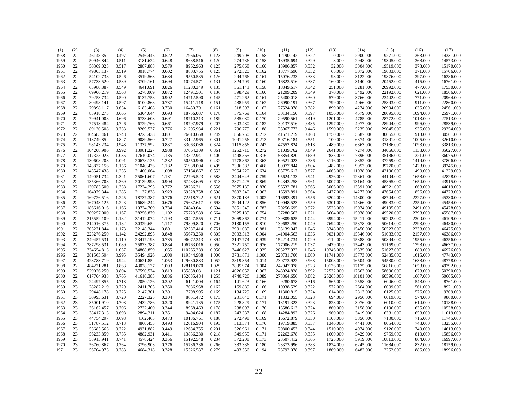| $22\,$<br>0.522<br>0.322<br>19271.000<br>14331.000<br>1958<br>46148.352<br>0.497<br>2546.445<br>7966.061<br>0.123<br>249.708<br>0.158<br>12190.142<br>0.000<br>2900.000<br>363.000<br>22<br>0.329<br>50946.844<br>0.511<br>274.736<br>13935.694<br>3.000<br>2948.000<br>19345.000<br>368.000<br>1959<br>3181.624<br>0.648<br>8638.516<br>0.120<br>0.158<br>14573.000<br>22<br>1960<br>50309.023<br>0.517<br>2887.888<br>0.579<br>8962.963<br>0.125<br>275.068<br>0.160<br>13906.857<br>0.332<br>32.000<br>3004.000<br>19519.000<br>373.000<br>15170.000<br>22<br>49805.137<br>0.519<br>3018.774<br>0.602<br>8803.755<br>0.125<br>272.520<br>13777.690<br>0.332<br>3072.000<br>19603.000<br>371.000<br>1961<br>0.162<br>65.000<br>15706.000<br>22<br>0.526<br>0.684<br>9550.535<br>0.126<br>294.766<br>15076.233<br>0.333<br>93.000<br>3122.000<br>397.000<br>1962<br>54102.738<br>3519.563<br>0.161<br>19876.000<br>16286.000<br>22<br>57733.520<br>0.539<br>0.694<br>10274.571<br>324.709<br>16823.516<br>0.337<br>3140.000<br>20452.000<br>415.000<br>1963<br>3709.161<br>0.131<br>0.160<br>160.000<br>16761.000<br>$22\,$<br>0.342<br>63980.887<br>0.549<br>4641.691<br>0.826<br>11280.349<br>0.135<br>361.141<br>0.158<br>18849.617<br>251.000<br>3281.000<br>20992.000<br>477.000<br>17530.000<br>1964<br>22<br>0.349<br>69906.219<br>0.563<br>5278.009<br>0.872<br>12491.501<br>0.136<br>398.429<br>0.160<br>21209.209<br>370.000<br>3492.000<br>22192.000<br>621.000<br>18566.000<br>1965<br>22<br>0.902<br>471.262<br>0.360<br>771.000<br>79253.734<br>0.590<br>6137.758<br>14712.590<br>0.145<br>0.161<br>25400.018<br>579.000<br>3766.000<br>23442.000<br>20964.000<br>1966<br>22<br>80498.141<br>0.597<br>15411.118<br>488.959<br>4066.000<br>911.000<br>22860.000<br>1967<br>6100.868<br>0.787<br>0.151<br>0.162<br>26090.191<br>0.367<br>799.000<br>25893.000<br>22<br>0.730<br>0.382<br>79898.117<br>0.634<br>6183.408<br>16450.791<br>0.161<br>518.593<br>0.162<br>27524.078<br>899.000<br>4274.000<br>26994.000<br>1035.000<br>24561.000<br>1968<br>22<br>83918.273<br>0.693<br>575.769<br>0.397<br>1056.000<br>4579.000<br>1094.000<br>25971.000<br>1969<br>0.665<br>6304.644<br>18756.037<br>0.178<br>0.164<br>30134.150<br>28095.000<br>22<br>585.080<br>0.419<br>4785.000<br>1013.000<br>1970<br>79941.008<br>0.696<br>6733.603<br>0.691<br>18710.213<br>0.189<br>0.170<br>29590.561<br>1201.000<br>28772.000<br>27513.000<br>22<br>77513.484<br>0.726<br>18797.979<br>0.207<br>603.480<br>30137.516<br>0.435<br>1297.000<br>4977.000<br>996.000<br>28539.000<br>1971<br>6729.766<br>0.661<br>0.182<br>28944.000<br>22<br>0.733<br>21295.934<br>35067.773<br>0.446<br>5235.000<br>936.000<br>29354.000<br>1972<br>89130.508<br>8269.537<br>0.776<br>0.221<br>706.775<br>0.188<br>1590.000<br>29045.000<br>22<br>1973<br>104683.461<br>0.748<br>9223.438<br>0.801<br>26610.658<br>0.249<br>856.750<br>0.212<br>41571.219<br>0.468<br>1750.000<br>5687.000<br>30065.000<br>913.000<br>30561.000<br>22<br>113749.852<br>0.827<br>9089.560<br>33122.965<br>0.301<br>1091.256<br>0.213<br>50716.184<br>0.551<br>6374.000<br>1005.000<br>1974<br>0.727<br>2100.000<br>31891.000<br>32610.000<br>22<br>1975<br>98143.234<br>0.948<br>11337.592<br>0.837<br>33063.086<br>0.324<br>1115.856<br>0.242<br>47552.824<br>0.618<br>1093.000<br>2489.000<br>6863.000<br>33186.000<br>33813.000<br>22<br>1976<br>104208.906<br>0.992<br>13981.227<br>0.988<br>37064.309<br>0.361<br>1252.716<br>0.272<br>51039.762<br>0.649<br>2641.000<br>7274.000<br>34066.000<br>1138.000<br>35027.000<br>$22\,$<br>117325.023<br>1.035<br>17610.074<br>1.185<br>43522.941<br>0.400<br>1498.565<br>0.316<br>58854.820<br>0.689<br>2835.000<br>7896.000<br>1321.000<br>36075.000<br>1977<br>35186.000<br>22<br>1978<br>130608.203<br>1.091<br>20678.125<br>1.282<br>50550.996<br>0.432<br>1778.867<br>0.363<br>69521.023<br>0.736<br>3116.000<br>8852.000<br>37259.000<br>1419.000<br>37806.000<br>22<br>0.804<br>143837.156<br>1.156<br>21040.436<br>1.182<br>61938.094<br>0.499<br>2306.583<br>0.468<br>80977.844<br>3482.000<br>9953.000<br>39770.000<br>1428.000<br>39345.000<br>1979<br>22<br>1.235<br>1.098<br>2954.220<br>0.877<br>4065.000<br>11038.000<br>42196.000<br>1490.000<br>41229.000<br>1980<br>143547.438<br>21400.064<br>67164.867<br>0.553<br>0.634<br>85775.617<br>22<br>3444.643<br>0.941<br>149051.734<br>1.321<br>25061.607<br>1.181<br>72795.523<br>0.588<br>0.759<br>95624.133<br>4926.000<br>12361.000<br>44104.000<br>1658.000<br>42828.000<br>1981<br>22<br>20139.998<br>0.904<br>67433.695<br>3371.425<br>94343.258<br>5007.000<br>43915.000<br>1982<br>135366.703<br>1.369<br>0.613<br>0.869<br>0.961<br>13164.000<br>45865.000<br>1654.000<br>22<br>1983<br>130783.500<br>1.338<br>17224.295<br>0.772<br>58286.211<br>0.556<br>2975.135<br>0.830<br>96532.781<br>0.965<br>5006.000<br>13591.000<br>46521.000<br>1663.000<br>44019.000<br>22<br>1.285<br>0.923<br>69528.758<br>0.598<br>3602.540<br>116593.891<br>0.964<br>5477.000<br>1856.000<br>44773.000<br>1984<br>164079.344<br>21137.838<br>0.963<br>14277.000<br>47654.000<br>22<br>1985<br>169726.516<br>1.245<br>18737.387<br>0.776<br>72518.742<br>0.621<br>3370.183<br>1.002<br>116693.391<br>0.956<br>6204.000<br>14800.000<br>48744.000<br>2227.000<br>45330.000<br>22<br>1986<br>167043.125<br>1.223<br>16689.244<br>0.676<br>75637.617<br>0.698<br>2904.122<br>0.856<br>109048.523<br>0.959<br>6301.000<br>14866.000<br>49083.000<br>2354.000<br>45454.000<br>22<br>19724.709<br>0.784<br>74840.641<br>2851.345<br>0.972<br>1987<br>186616.016<br>1.166<br>0.694<br>0.783<br>120256.695<br>6523.000<br>15074.000<br>49195.000<br>2491.000<br>45478.000<br>22<br>28256.879<br>1.102<br>2925.185<br>0.754<br>1.021<br>2398.000<br>1988<br>209257.000<br>1.167<br>75723.539<br>0.664<br>137280.563<br>6604.000<br>15038.000<br>49520.000<br>45587.000<br>22<br>80427.555<br>215552.109<br>1.182<br>31412.074<br>1.193<br>0.711<br>3069.367<br>0.774<br>139809.625<br>1.044<br>6994.000<br>15211.000<br>50202.000<br>2300.000<br>46109.000<br>1989<br>22<br>1.182<br>30329.652<br>1.117<br>79809.820<br>0.706<br>3130.155<br>0.810<br>139682.250<br>1.049<br>2293.000<br>46480.000<br>1990<br>214016.375<br>7694.000<br>15378.000<br>50614.000<br>22<br>1991<br>205271.844<br>1.173<br>22148.344<br>0.801<br>82587.414<br>0.751<br>2901.085<br>0.881<br>133139.047<br>1.046<br>8348.000<br>15450.000<br>50523.000<br>2238.000<br>46475.000<br>$22\,$<br>0.904<br>1.036<br>1992<br>223276.250<br>1.142<br>24292.895<br>0.848<br>85673.250<br>0.805<br>3003.513<br>141904.563<br>9031.000<br>15546.000<br>51083.000<br>2157.000<br>46386.000<br>22<br>249457.531<br>23417.193<br>0.785<br>96072.313<br>3197.774<br>0.939<br>154214.734<br>1.029<br>9112.000<br>1993<br>1.110<br>0.894<br>15388.000<br>50894.000<br>1955.000<br>46356.000<br>22<br>0.834<br>0.950<br>0.976<br>1.037<br>1994<br>287298.531<br>1.089<br>25873.387<br>106763.016<br>3321.750<br>177006.219<br>9479.000<br>15443.000<br>51159.000<br>1798.000<br>46637.000<br>22<br>110265.289<br>0.925<br>205277.922<br>1.046<br>10246.000<br>51627.000<br>1680.000<br>46976.000<br>1995<br>334654.813<br>1.057<br>34868.859<br>1.055<br>0.950<br>3446.623<br>15535.000<br>22<br>0.995<br>119544.938<br>1.000<br>3781.871<br>1.000<br>1.000<br>1996<br>381563.594<br>35494.926<br>1.000<br>220731.766<br>11741.000<br>15773.000<br>52435.000<br>1615.000<br>47743.000<br>22<br>0.944<br>40621.852<br>129630.883<br>1.052<br>3819.354<br>230773.922<br>48778.000<br>1997<br>428783.719<br>1.053<br>1.014<br>0.968<br>15008.000<br>16504.000<br>54530.000<br>1638.000<br>22<br>484271.281<br>0.863<br>43028.137<br>1.003<br>128118.070<br>1.029<br>3895.974<br>1.004<br>242947.078<br>0.923<br>19136.000<br>17175.000<br>1653.000<br>49792.000<br>1998<br>56816.000<br>22<br>1999<br>529026.250<br>0.804<br>37590.574<br>0.813<br>135838.031<br>1.121<br>4026.052<br>0.967<br>248024.828<br>0.892<br>22532.000<br>17663.000<br>58696.000<br>1673.000<br>50390.000<br>22<br>152035.484<br>1.255<br>4740.726<br>273864.656<br>0.882<br>25263.000<br>2000<br>617704.938<br>0.765<br>41610.383<br>0.836<br>1.089<br>18101.000<br>60596.000<br>1667.000<br>50605.000<br>23<br>24497.855<br>0.718<br>2050.126<br>0.302<br>6121.004<br>141.623<br>9280.678<br>0.316<br>1958<br>0.164<br>0.166<br>565.000<br>2558.000<br>6046.000<br>548.000<br>8761.000<br>0.322<br>23<br>28282.219<br>0.729<br>2411.705<br>0.350<br>7086.958<br>0.162<br>169.889<br>10938.529<br>572.000<br>2664.000<br>6009.000<br>561.000<br>8921.000<br>1959<br>0.166<br>0.324<br>23<br>29448.178<br>0.725<br>2147.301<br>0.301<br>7708.995<br>184.729<br>0.169<br>11300.815<br>614.000<br>2813.000<br>576.000<br>9309.000<br>1960<br>0.169<br>6125.000<br>0.323<br>23<br>30993.631<br>0.720<br>2227.325<br>0.304<br>8051.472<br>0.173<br>201.640<br>0.171<br>11832.055<br>694.000<br>2956.000<br>6019.000<br>574.000<br>9860.000<br>1961<br>23<br>0.708<br>0.323<br>2432.786<br>0.320<br>8941.135<br>0.175<br>228.829<br>0.171<br>13191.323<br>823.000<br>3076.000<br>614.000<br>10188.000<br>1962<br>35001.910<br>6010.000<br>23<br>0.706<br>0.324<br>3158.000<br>635.000<br>1963<br>36162.457<br>2722.400<br>0.344<br>8968.463<br>0.178<br>238.093<br>0.170<br>13586.613<br>860.000<br>6196.000<br>10538.000<br>23<br>0.326<br>3419.000<br>38417.313<br>0.698<br>2894.211<br>0.351<br>9404.624<br>0.187<br>243.337<br>0.168<br>14284.892<br>960.000<br>6381.000<br>653.000<br>11019.000<br>1964<br>23<br>44754.297<br>0.698<br>10136.761<br>272.498<br>16672.879<br>0.330<br>11745.000<br>1965<br>4162.463<br>0.473<br>0.188<br>0.169<br>1108.000<br>3856.000<br>7100.000<br>715.000<br>23<br>12016.904<br>0.337<br>1966<br>51787.512<br>0.713<br>4860.453<br>0.493<br>0.193<br>313.374<br>0.170<br>19719.885<br>1346.000<br>4441.000<br>8054.000<br>748.000<br>13255.000<br>23<br>0.722<br>0.344<br>1510.000<br>4974.000<br>9126.000<br>749.000<br>1967<br>53685.563<br>4931.882<br>0.449<br>12684.755<br>0.201<br>326.961<br>0.171<br>20800.453<br>14613.000<br>23<br>56233.859<br>0.735<br>4882.931<br>0.411<br>13836.280<br>0.218<br>349.955<br>0.171<br>22262.678<br>0.355<br>1600.000<br>5429.000<br>9759.000<br>810.000<br>15856.000<br>1968<br>23<br>58913.941<br>0.741<br>4578.424<br>0.356<br>15192.548<br>0.234<br>372.208<br>0.173<br>23507.412<br>0.365<br>1725.000<br>5919.000<br>864.000<br>16997.000<br>1969<br>10813.000<br>23<br>0.276<br>0.266<br>23373.996<br>0.383<br>832.000<br>1970<br>56760.867<br>0.764<br>3796.903<br>15786.236<br>383.336<br>0.180<br>1824.000<br>6245.000<br>11684.000<br>18159.000<br>23<br>0.783<br>0.328<br>23792.078<br>0.397<br>6482.000<br>12252.000<br>1971<br>56704.973<br>4684.318<br>15526.537<br>0.279<br>403.556<br>0.194<br>1869.000<br>885.000<br>18996.000 | (1) | (2) | (3) | (4) | (5) | (6) | (7) | (8) | (9) | (10) | (11) | (12) | (13) | (14) | (15) | (16) | (17) |
|--------------------------------------------------------------------------------------------------------------------------------------------------------------------------------------------------------------------------------------------------------------------------------------------------------------------------------------------------------------------------------------------------------------------------------------------------------------------------------------------------------------------------------------------------------------------------------------------------------------------------------------------------------------------------------------------------------------------------------------------------------------------------------------------------------------------------------------------------------------------------------------------------------------------------------------------------------------------------------------------------------------------------------------------------------------------------------------------------------------------------------------------------------------------------------------------------------------------------------------------------------------------------------------------------------------------------------------------------------------------------------------------------------------------------------------------------------------------------------------------------------------------------------------------------------------------------------------------------------------------------------------------------------------------------------------------------------------------------------------------------------------------------------------------------------------------------------------------------------------------------------------------------------------------------------------------------------------------------------------------------------------------------------------------------------------------------------------------------------------------------------------------------------------------------------------------------------------------------------------------------------------------------------------------------------------------------------------------------------------------------------------------------------------------------------------------------------------------------------------------------------------------------------------------------------------------------------------------------------------------------------------------------------------------------------------------------------------------------------------------------------------------------------------------------------------------------------------------------------------------------------------------------------------------------------------------------------------------------------------------------------------------------------------------------------------------------------------------------------------------------------------------------------------------------------------------------------------------------------------------------------------------------------------------------------------------------------------------------------------------------------------------------------------------------------------------------------------------------------------------------------------------------------------------------------------------------------------------------------------------------------------------------------------------------------------------------------------------------------------------------------------------------------------------------------------------------------------------------------------------------------------------------------------------------------------------------------------------------------------------------------------------------------------------------------------------------------------------------------------------------------------------------------------------------------------------------------------------------------------------------------------------------------------------------------------------------------------------------------------------------------------------------------------------------------------------------------------------------------------------------------------------------------------------------------------------------------------------------------------------------------------------------------------------------------------------------------------------------------------------------------------------------------------------------------------------------------------------------------------------------------------------------------------------------------------------------------------------------------------------------------------------------------------------------------------------------------------------------------------------------------------------------------------------------------------------------------------------------------------------------------------------------------------------------------------------------------------------------------------------------------------------------------------------------------------------------------------------------------------------------------------------------------------------------------------------------------------------------------------------------------------------------------------------------------------------------------------------------------------------------------------------------------------------------------------------------------------------------------------------------------------------------------------------------------------------------------------------------------------------------------------------------------------------------------------------------------------------------------------------------------------------------------------------------------------------------------------------------------------------------------------------------------------------------------------------------------------------------------------------------------------------------------------------------------------------------------------------------------------------------------------------------------------------------------------------------------------------------------------------------------------------------------------------------------------------------------------------------------------------------------------------------------------------------------------------------------------------------------------------------------------------------------------------------------------------------------------------------------------------------------------------------------------------------------------------------------------------------------------------------------------------------------------------------------------------------------------------------------------------------------------------------------------------------------------------------------------------------------------------------------------------------------------------------------------------------------------------------------------------------------------------------------------------------------------------------------------------------------------------------------------------------------------------------------------------------------------------------------------------------------------------------------------------------------------------------------------------------------------------------------------------------------------------------------------------------------------------------------------------------------------------------------------------------------------------------------------------------------------------------------------------------------------------------------------------------------------------------------------------------------------------------------------------------------------------------------------------------------------------------------------------------------------------------------------------------------------------------------------------------------------------------------------------------------------------------------------------------------------------------------------------------------------------------------------------------------------------------------------------------------------------------------------------------------------------------------------------------------------------------------------------------------------------------------------------------------------------------------------------------------------------------------------------------------------------------------------------------------------------------------------------------------------------------------------------------------------------------------------------------------------------------------------------------------------------------------------------------------------------------------------------------------------------------------------------------------------------------------------------------------------------------------------------------------------------------------------------------------------------------------------------------------------------------------------------------------------------------------------------------------------------------------------------------------------------------------------------------------------------------------------------------------------------------------------------------------------------------------------------------------------------------------------------------------------------------------------------------------------------------------------------------------------------------------------------------------------------------------------------------------------------------------------------------------------------------------------------------------------------------------------------------------------------------------------------------------------------------------------------------------------------------------------------------------------------------------------------------------------------------------------------------------------------------------------------------------------------------------------------------------------------------------------------------------------------------------------------------------------------------------------------------------------------------------|-----|-----|-----|-----|-----|-----|-----|-----|-----|------|------|------|------|------|------|------|------|
|                                                                                                                                                                                                                                                                                                                                                                                                                                                                                                                                                                                                                                                                                                                                                                                                                                                                                                                                                                                                                                                                                                                                                                                                                                                                                                                                                                                                                                                                                                                                                                                                                                                                                                                                                                                                                                                                                                                                                                                                                                                                                                                                                                                                                                                                                                                                                                                                                                                                                                                                                                                                                                                                                                                                                                                                                                                                                                                                                                                                                                                                                                                                                                                                                                                                                                                                                                                                                                                                                                                                                                                                                                                                                                                                                                                                                                                                                                                                                                                                                                                                                                                                                                                                                                                                                                                                                                                                                                                                                                                                                                                                                                                                                                                                                                                                                                                                                                                                                                                                                                                                                                                                                                                                                                                                                                                                                                                                                                                                                                                                                                                                                                                                                                                                                                                                                                                                                                                                                                                                                                                                                                                                                                                                                                                                                                                                                                                                                                                                                                                                                                                                                                                                                                                                                                                                                                                                                                                                                                                                                                                                                                                                                                                                                                                                                                                                                                                                                                                                                                                                                                                                                                                                                                                                                                                                                                                                                                                                                                                                                                                                                                                                                                                                                                                                                                                                                                                                                                                                                                                                                                                                                                                                                                                                                                                                                                                                                                                                                                                                                                                                                                                                                                                                                                                                                                                                                                                                                                                                                                                                                                                                                                                                                                                                                                                                                                                                                                                                                                                                                                                                                                                                                                                                                                                                                                                                                                                                                                                                                                                                                                                                                                                                                                                                                                                                                                                                                                                                |     |     |     |     |     |     |     |     |     |      |      |      |      |      |      |      |      |
|                                                                                                                                                                                                                                                                                                                                                                                                                                                                                                                                                                                                                                                                                                                                                                                                                                                                                                                                                                                                                                                                                                                                                                                                                                                                                                                                                                                                                                                                                                                                                                                                                                                                                                                                                                                                                                                                                                                                                                                                                                                                                                                                                                                                                                                                                                                                                                                                                                                                                                                                                                                                                                                                                                                                                                                                                                                                                                                                                                                                                                                                                                                                                                                                                                                                                                                                                                                                                                                                                                                                                                                                                                                                                                                                                                                                                                                                                                                                                                                                                                                                                                                                                                                                                                                                                                                                                                                                                                                                                                                                                                                                                                                                                                                                                                                                                                                                                                                                                                                                                                                                                                                                                                                                                                                                                                                                                                                                                                                                                                                                                                                                                                                                                                                                                                                                                                                                                                                                                                                                                                                                                                                                                                                                                                                                                                                                                                                                                                                                                                                                                                                                                                                                                                                                                                                                                                                                                                                                                                                                                                                                                                                                                                                                                                                                                                                                                                                                                                                                                                                                                                                                                                                                                                                                                                                                                                                                                                                                                                                                                                                                                                                                                                                                                                                                                                                                                                                                                                                                                                                                                                                                                                                                                                                                                                                                                                                                                                                                                                                                                                                                                                                                                                                                                                                                                                                                                                                                                                                                                                                                                                                                                                                                                                                                                                                                                                                                                                                                                                                                                                                                                                                                                                                                                                                                                                                                                                                                                                                                                                                                                                                                                                                                                                                                                                                                                                                                                                                                |     |     |     |     |     |     |     |     |     |      |      |      |      |      |      |      |      |
|                                                                                                                                                                                                                                                                                                                                                                                                                                                                                                                                                                                                                                                                                                                                                                                                                                                                                                                                                                                                                                                                                                                                                                                                                                                                                                                                                                                                                                                                                                                                                                                                                                                                                                                                                                                                                                                                                                                                                                                                                                                                                                                                                                                                                                                                                                                                                                                                                                                                                                                                                                                                                                                                                                                                                                                                                                                                                                                                                                                                                                                                                                                                                                                                                                                                                                                                                                                                                                                                                                                                                                                                                                                                                                                                                                                                                                                                                                                                                                                                                                                                                                                                                                                                                                                                                                                                                                                                                                                                                                                                                                                                                                                                                                                                                                                                                                                                                                                                                                                                                                                                                                                                                                                                                                                                                                                                                                                                                                                                                                                                                                                                                                                                                                                                                                                                                                                                                                                                                                                                                                                                                                                                                                                                                                                                                                                                                                                                                                                                                                                                                                                                                                                                                                                                                                                                                                                                                                                                                                                                                                                                                                                                                                                                                                                                                                                                                                                                                                                                                                                                                                                                                                                                                                                                                                                                                                                                                                                                                                                                                                                                                                                                                                                                                                                                                                                                                                                                                                                                                                                                                                                                                                                                                                                                                                                                                                                                                                                                                                                                                                                                                                                                                                                                                                                                                                                                                                                                                                                                                                                                                                                                                                                                                                                                                                                                                                                                                                                                                                                                                                                                                                                                                                                                                                                                                                                                                                                                                                                                                                                                                                                                                                                                                                                                                                                                                                                                                                                                |     |     |     |     |     |     |     |     |     |      |      |      |      |      |      |      |      |
|                                                                                                                                                                                                                                                                                                                                                                                                                                                                                                                                                                                                                                                                                                                                                                                                                                                                                                                                                                                                                                                                                                                                                                                                                                                                                                                                                                                                                                                                                                                                                                                                                                                                                                                                                                                                                                                                                                                                                                                                                                                                                                                                                                                                                                                                                                                                                                                                                                                                                                                                                                                                                                                                                                                                                                                                                                                                                                                                                                                                                                                                                                                                                                                                                                                                                                                                                                                                                                                                                                                                                                                                                                                                                                                                                                                                                                                                                                                                                                                                                                                                                                                                                                                                                                                                                                                                                                                                                                                                                                                                                                                                                                                                                                                                                                                                                                                                                                                                                                                                                                                                                                                                                                                                                                                                                                                                                                                                                                                                                                                                                                                                                                                                                                                                                                                                                                                                                                                                                                                                                                                                                                                                                                                                                                                                                                                                                                                                                                                                                                                                                                                                                                                                                                                                                                                                                                                                                                                                                                                                                                                                                                                                                                                                                                                                                                                                                                                                                                                                                                                                                                                                                                                                                                                                                                                                                                                                                                                                                                                                                                                                                                                                                                                                                                                                                                                                                                                                                                                                                                                                                                                                                                                                                                                                                                                                                                                                                                                                                                                                                                                                                                                                                                                                                                                                                                                                                                                                                                                                                                                                                                                                                                                                                                                                                                                                                                                                                                                                                                                                                                                                                                                                                                                                                                                                                                                                                                                                                                                                                                                                                                                                                                                                                                                                                                                                                                                                                                                                |     |     |     |     |     |     |     |     |     |      |      |      |      |      |      |      |      |
|                                                                                                                                                                                                                                                                                                                                                                                                                                                                                                                                                                                                                                                                                                                                                                                                                                                                                                                                                                                                                                                                                                                                                                                                                                                                                                                                                                                                                                                                                                                                                                                                                                                                                                                                                                                                                                                                                                                                                                                                                                                                                                                                                                                                                                                                                                                                                                                                                                                                                                                                                                                                                                                                                                                                                                                                                                                                                                                                                                                                                                                                                                                                                                                                                                                                                                                                                                                                                                                                                                                                                                                                                                                                                                                                                                                                                                                                                                                                                                                                                                                                                                                                                                                                                                                                                                                                                                                                                                                                                                                                                                                                                                                                                                                                                                                                                                                                                                                                                                                                                                                                                                                                                                                                                                                                                                                                                                                                                                                                                                                                                                                                                                                                                                                                                                                                                                                                                                                                                                                                                                                                                                                                                                                                                                                                                                                                                                                                                                                                                                                                                                                                                                                                                                                                                                                                                                                                                                                                                                                                                                                                                                                                                                                                                                                                                                                                                                                                                                                                                                                                                                                                                                                                                                                                                                                                                                                                                                                                                                                                                                                                                                                                                                                                                                                                                                                                                                                                                                                                                                                                                                                                                                                                                                                                                                                                                                                                                                                                                                                                                                                                                                                                                                                                                                                                                                                                                                                                                                                                                                                                                                                                                                                                                                                                                                                                                                                                                                                                                                                                                                                                                                                                                                                                                                                                                                                                                                                                                                                                                                                                                                                                                                                                                                                                                                                                                                                                                                                                |     |     |     |     |     |     |     |     |     |      |      |      |      |      |      |      |      |
|                                                                                                                                                                                                                                                                                                                                                                                                                                                                                                                                                                                                                                                                                                                                                                                                                                                                                                                                                                                                                                                                                                                                                                                                                                                                                                                                                                                                                                                                                                                                                                                                                                                                                                                                                                                                                                                                                                                                                                                                                                                                                                                                                                                                                                                                                                                                                                                                                                                                                                                                                                                                                                                                                                                                                                                                                                                                                                                                                                                                                                                                                                                                                                                                                                                                                                                                                                                                                                                                                                                                                                                                                                                                                                                                                                                                                                                                                                                                                                                                                                                                                                                                                                                                                                                                                                                                                                                                                                                                                                                                                                                                                                                                                                                                                                                                                                                                                                                                                                                                                                                                                                                                                                                                                                                                                                                                                                                                                                                                                                                                                                                                                                                                                                                                                                                                                                                                                                                                                                                                                                                                                                                                                                                                                                                                                                                                                                                                                                                                                                                                                                                                                                                                                                                                                                                                                                                                                                                                                                                                                                                                                                                                                                                                                                                                                                                                                                                                                                                                                                                                                                                                                                                                                                                                                                                                                                                                                                                                                                                                                                                                                                                                                                                                                                                                                                                                                                                                                                                                                                                                                                                                                                                                                                                                                                                                                                                                                                                                                                                                                                                                                                                                                                                                                                                                                                                                                                                                                                                                                                                                                                                                                                                                                                                                                                                                                                                                                                                                                                                                                                                                                                                                                                                                                                                                                                                                                                                                                                                                                                                                                                                                                                                                                                                                                                                                                                                                                                                                |     |     |     |     |     |     |     |     |     |      |      |      |      |      |      |      |      |
|                                                                                                                                                                                                                                                                                                                                                                                                                                                                                                                                                                                                                                                                                                                                                                                                                                                                                                                                                                                                                                                                                                                                                                                                                                                                                                                                                                                                                                                                                                                                                                                                                                                                                                                                                                                                                                                                                                                                                                                                                                                                                                                                                                                                                                                                                                                                                                                                                                                                                                                                                                                                                                                                                                                                                                                                                                                                                                                                                                                                                                                                                                                                                                                                                                                                                                                                                                                                                                                                                                                                                                                                                                                                                                                                                                                                                                                                                                                                                                                                                                                                                                                                                                                                                                                                                                                                                                                                                                                                                                                                                                                                                                                                                                                                                                                                                                                                                                                                                                                                                                                                                                                                                                                                                                                                                                                                                                                                                                                                                                                                                                                                                                                                                                                                                                                                                                                                                                                                                                                                                                                                                                                                                                                                                                                                                                                                                                                                                                                                                                                                                                                                                                                                                                                                                                                                                                                                                                                                                                                                                                                                                                                                                                                                                                                                                                                                                                                                                                                                                                                                                                                                                                                                                                                                                                                                                                                                                                                                                                                                                                                                                                                                                                                                                                                                                                                                                                                                                                                                                                                                                                                                                                                                                                                                                                                                                                                                                                                                                                                                                                                                                                                                                                                                                                                                                                                                                                                                                                                                                                                                                                                                                                                                                                                                                                                                                                                                                                                                                                                                                                                                                                                                                                                                                                                                                                                                                                                                                                                                                                                                                                                                                                                                                                                                                                                                                                                                                                                                |     |     |     |     |     |     |     |     |     |      |      |      |      |      |      |      |      |
|                                                                                                                                                                                                                                                                                                                                                                                                                                                                                                                                                                                                                                                                                                                                                                                                                                                                                                                                                                                                                                                                                                                                                                                                                                                                                                                                                                                                                                                                                                                                                                                                                                                                                                                                                                                                                                                                                                                                                                                                                                                                                                                                                                                                                                                                                                                                                                                                                                                                                                                                                                                                                                                                                                                                                                                                                                                                                                                                                                                                                                                                                                                                                                                                                                                                                                                                                                                                                                                                                                                                                                                                                                                                                                                                                                                                                                                                                                                                                                                                                                                                                                                                                                                                                                                                                                                                                                                                                                                                                                                                                                                                                                                                                                                                                                                                                                                                                                                                                                                                                                                                                                                                                                                                                                                                                                                                                                                                                                                                                                                                                                                                                                                                                                                                                                                                                                                                                                                                                                                                                                                                                                                                                                                                                                                                                                                                                                                                                                                                                                                                                                                                                                                                                                                                                                                                                                                                                                                                                                                                                                                                                                                                                                                                                                                                                                                                                                                                                                                                                                                                                                                                                                                                                                                                                                                                                                                                                                                                                                                                                                                                                                                                                                                                                                                                                                                                                                                                                                                                                                                                                                                                                                                                                                                                                                                                                                                                                                                                                                                                                                                                                                                                                                                                                                                                                                                                                                                                                                                                                                                                                                                                                                                                                                                                                                                                                                                                                                                                                                                                                                                                                                                                                                                                                                                                                                                                                                                                                                                                                                                                                                                                                                                                                                                                                                                                                                                                                                                                |     |     |     |     |     |     |     |     |     |      |      |      |      |      |      |      |      |
|                                                                                                                                                                                                                                                                                                                                                                                                                                                                                                                                                                                                                                                                                                                                                                                                                                                                                                                                                                                                                                                                                                                                                                                                                                                                                                                                                                                                                                                                                                                                                                                                                                                                                                                                                                                                                                                                                                                                                                                                                                                                                                                                                                                                                                                                                                                                                                                                                                                                                                                                                                                                                                                                                                                                                                                                                                                                                                                                                                                                                                                                                                                                                                                                                                                                                                                                                                                                                                                                                                                                                                                                                                                                                                                                                                                                                                                                                                                                                                                                                                                                                                                                                                                                                                                                                                                                                                                                                                                                                                                                                                                                                                                                                                                                                                                                                                                                                                                                                                                                                                                                                                                                                                                                                                                                                                                                                                                                                                                                                                                                                                                                                                                                                                                                                                                                                                                                                                                                                                                                                                                                                                                                                                                                                                                                                                                                                                                                                                                                                                                                                                                                                                                                                                                                                                                                                                                                                                                                                                                                                                                                                                                                                                                                                                                                                                                                                                                                                                                                                                                                                                                                                                                                                                                                                                                                                                                                                                                                                                                                                                                                                                                                                                                                                                                                                                                                                                                                                                                                                                                                                                                                                                                                                                                                                                                                                                                                                                                                                                                                                                                                                                                                                                                                                                                                                                                                                                                                                                                                                                                                                                                                                                                                                                                                                                                                                                                                                                                                                                                                                                                                                                                                                                                                                                                                                                                                                                                                                                                                                                                                                                                                                                                                                                                                                                                                                                                                                                                                |     |     |     |     |     |     |     |     |     |      |      |      |      |      |      |      |      |
|                                                                                                                                                                                                                                                                                                                                                                                                                                                                                                                                                                                                                                                                                                                                                                                                                                                                                                                                                                                                                                                                                                                                                                                                                                                                                                                                                                                                                                                                                                                                                                                                                                                                                                                                                                                                                                                                                                                                                                                                                                                                                                                                                                                                                                                                                                                                                                                                                                                                                                                                                                                                                                                                                                                                                                                                                                                                                                                                                                                                                                                                                                                                                                                                                                                                                                                                                                                                                                                                                                                                                                                                                                                                                                                                                                                                                                                                                                                                                                                                                                                                                                                                                                                                                                                                                                                                                                                                                                                                                                                                                                                                                                                                                                                                                                                                                                                                                                                                                                                                                                                                                                                                                                                                                                                                                                                                                                                                                                                                                                                                                                                                                                                                                                                                                                                                                                                                                                                                                                                                                                                                                                                                                                                                                                                                                                                                                                                                                                                                                                                                                                                                                                                                                                                                                                                                                                                                                                                                                                                                                                                                                                                                                                                                                                                                                                                                                                                                                                                                                                                                                                                                                                                                                                                                                                                                                                                                                                                                                                                                                                                                                                                                                                                                                                                                                                                                                                                                                                                                                                                                                                                                                                                                                                                                                                                                                                                                                                                                                                                                                                                                                                                                                                                                                                                                                                                                                                                                                                                                                                                                                                                                                                                                                                                                                                                                                                                                                                                                                                                                                                                                                                                                                                                                                                                                                                                                                                                                                                                                                                                                                                                                                                                                                                                                                                                                                                                                                                                                |     |     |     |     |     |     |     |     |     |      |      |      |      |      |      |      |      |
|                                                                                                                                                                                                                                                                                                                                                                                                                                                                                                                                                                                                                                                                                                                                                                                                                                                                                                                                                                                                                                                                                                                                                                                                                                                                                                                                                                                                                                                                                                                                                                                                                                                                                                                                                                                                                                                                                                                                                                                                                                                                                                                                                                                                                                                                                                                                                                                                                                                                                                                                                                                                                                                                                                                                                                                                                                                                                                                                                                                                                                                                                                                                                                                                                                                                                                                                                                                                                                                                                                                                                                                                                                                                                                                                                                                                                                                                                                                                                                                                                                                                                                                                                                                                                                                                                                                                                                                                                                                                                                                                                                                                                                                                                                                                                                                                                                                                                                                                                                                                                                                                                                                                                                                                                                                                                                                                                                                                                                                                                                                                                                                                                                                                                                                                                                                                                                                                                                                                                                                                                                                                                                                                                                                                                                                                                                                                                                                                                                                                                                                                                                                                                                                                                                                                                                                                                                                                                                                                                                                                                                                                                                                                                                                                                                                                                                                                                                                                                                                                                                                                                                                                                                                                                                                                                                                                                                                                                                                                                                                                                                                                                                                                                                                                                                                                                                                                                                                                                                                                                                                                                                                                                                                                                                                                                                                                                                                                                                                                                                                                                                                                                                                                                                                                                                                                                                                                                                                                                                                                                                                                                                                                                                                                                                                                                                                                                                                                                                                                                                                                                                                                                                                                                                                                                                                                                                                                                                                                                                                                                                                                                                                                                                                                                                                                                                                                                                                                                                                                |     |     |     |     |     |     |     |     |     |      |      |      |      |      |      |      |      |
|                                                                                                                                                                                                                                                                                                                                                                                                                                                                                                                                                                                                                                                                                                                                                                                                                                                                                                                                                                                                                                                                                                                                                                                                                                                                                                                                                                                                                                                                                                                                                                                                                                                                                                                                                                                                                                                                                                                                                                                                                                                                                                                                                                                                                                                                                                                                                                                                                                                                                                                                                                                                                                                                                                                                                                                                                                                                                                                                                                                                                                                                                                                                                                                                                                                                                                                                                                                                                                                                                                                                                                                                                                                                                                                                                                                                                                                                                                                                                                                                                                                                                                                                                                                                                                                                                                                                                                                                                                                                                                                                                                                                                                                                                                                                                                                                                                                                                                                                                                                                                                                                                                                                                                                                                                                                                                                                                                                                                                                                                                                                                                                                                                                                                                                                                                                                                                                                                                                                                                                                                                                                                                                                                                                                                                                                                                                                                                                                                                                                                                                                                                                                                                                                                                                                                                                                                                                                                                                                                                                                                                                                                                                                                                                                                                                                                                                                                                                                                                                                                                                                                                                                                                                                                                                                                                                                                                                                                                                                                                                                                                                                                                                                                                                                                                                                                                                                                                                                                                                                                                                                                                                                                                                                                                                                                                                                                                                                                                                                                                                                                                                                                                                                                                                                                                                                                                                                                                                                                                                                                                                                                                                                                                                                                                                                                                                                                                                                                                                                                                                                                                                                                                                                                                                                                                                                                                                                                                                                                                                                                                                                                                                                                                                                                                                                                                                                                                                                                                                                |     |     |     |     |     |     |     |     |     |      |      |      |      |      |      |      |      |
|                                                                                                                                                                                                                                                                                                                                                                                                                                                                                                                                                                                                                                                                                                                                                                                                                                                                                                                                                                                                                                                                                                                                                                                                                                                                                                                                                                                                                                                                                                                                                                                                                                                                                                                                                                                                                                                                                                                                                                                                                                                                                                                                                                                                                                                                                                                                                                                                                                                                                                                                                                                                                                                                                                                                                                                                                                                                                                                                                                                                                                                                                                                                                                                                                                                                                                                                                                                                                                                                                                                                                                                                                                                                                                                                                                                                                                                                                                                                                                                                                                                                                                                                                                                                                                                                                                                                                                                                                                                                                                                                                                                                                                                                                                                                                                                                                                                                                                                                                                                                                                                                                                                                                                                                                                                                                                                                                                                                                                                                                                                                                                                                                                                                                                                                                                                                                                                                                                                                                                                                                                                                                                                                                                                                                                                                                                                                                                                                                                                                                                                                                                                                                                                                                                                                                                                                                                                                                                                                                                                                                                                                                                                                                                                                                                                                                                                                                                                                                                                                                                                                                                                                                                                                                                                                                                                                                                                                                                                                                                                                                                                                                                                                                                                                                                                                                                                                                                                                                                                                                                                                                                                                                                                                                                                                                                                                                                                                                                                                                                                                                                                                                                                                                                                                                                                                                                                                                                                                                                                                                                                                                                                                                                                                                                                                                                                                                                                                                                                                                                                                                                                                                                                                                                                                                                                                                                                                                                                                                                                                                                                                                                                                                                                                                                                                                                                                                                                                                                                                |     |     |     |     |     |     |     |     |     |      |      |      |      |      |      |      |      |
|                                                                                                                                                                                                                                                                                                                                                                                                                                                                                                                                                                                                                                                                                                                                                                                                                                                                                                                                                                                                                                                                                                                                                                                                                                                                                                                                                                                                                                                                                                                                                                                                                                                                                                                                                                                                                                                                                                                                                                                                                                                                                                                                                                                                                                                                                                                                                                                                                                                                                                                                                                                                                                                                                                                                                                                                                                                                                                                                                                                                                                                                                                                                                                                                                                                                                                                                                                                                                                                                                                                                                                                                                                                                                                                                                                                                                                                                                                                                                                                                                                                                                                                                                                                                                                                                                                                                                                                                                                                                                                                                                                                                                                                                                                                                                                                                                                                                                                                                                                                                                                                                                                                                                                                                                                                                                                                                                                                                                                                                                                                                                                                                                                                                                                                                                                                                                                                                                                                                                                                                                                                                                                                                                                                                                                                                                                                                                                                                                                                                                                                                                                                                                                                                                                                                                                                                                                                                                                                                                                                                                                                                                                                                                                                                                                                                                                                                                                                                                                                                                                                                                                                                                                                                                                                                                                                                                                                                                                                                                                                                                                                                                                                                                                                                                                                                                                                                                                                                                                                                                                                                                                                                                                                                                                                                                                                                                                                                                                                                                                                                                                                                                                                                                                                                                                                                                                                                                                                                                                                                                                                                                                                                                                                                                                                                                                                                                                                                                                                                                                                                                                                                                                                                                                                                                                                                                                                                                                                                                                                                                                                                                                                                                                                                                                                                                                                                                                                                                                                                |     |     |     |     |     |     |     |     |     |      |      |      |      |      |      |      |      |
|                                                                                                                                                                                                                                                                                                                                                                                                                                                                                                                                                                                                                                                                                                                                                                                                                                                                                                                                                                                                                                                                                                                                                                                                                                                                                                                                                                                                                                                                                                                                                                                                                                                                                                                                                                                                                                                                                                                                                                                                                                                                                                                                                                                                                                                                                                                                                                                                                                                                                                                                                                                                                                                                                                                                                                                                                                                                                                                                                                                                                                                                                                                                                                                                                                                                                                                                                                                                                                                                                                                                                                                                                                                                                                                                                                                                                                                                                                                                                                                                                                                                                                                                                                                                                                                                                                                                                                                                                                                                                                                                                                                                                                                                                                                                                                                                                                                                                                                                                                                                                                                                                                                                                                                                                                                                                                                                                                                                                                                                                                                                                                                                                                                                                                                                                                                                                                                                                                                                                                                                                                                                                                                                                                                                                                                                                                                                                                                                                                                                                                                                                                                                                                                                                                                                                                                                                                                                                                                                                                                                                                                                                                                                                                                                                                                                                                                                                                                                                                                                                                                                                                                                                                                                                                                                                                                                                                                                                                                                                                                                                                                                                                                                                                                                                                                                                                                                                                                                                                                                                                                                                                                                                                                                                                                                                                                                                                                                                                                                                                                                                                                                                                                                                                                                                                                                                                                                                                                                                                                                                                                                                                                                                                                                                                                                                                                                                                                                                                                                                                                                                                                                                                                                                                                                                                                                                                                                                                                                                                                                                                                                                                                                                                                                                                                                                                                                                                                                                                                                |     |     |     |     |     |     |     |     |     |      |      |      |      |      |      |      |      |
|                                                                                                                                                                                                                                                                                                                                                                                                                                                                                                                                                                                                                                                                                                                                                                                                                                                                                                                                                                                                                                                                                                                                                                                                                                                                                                                                                                                                                                                                                                                                                                                                                                                                                                                                                                                                                                                                                                                                                                                                                                                                                                                                                                                                                                                                                                                                                                                                                                                                                                                                                                                                                                                                                                                                                                                                                                                                                                                                                                                                                                                                                                                                                                                                                                                                                                                                                                                                                                                                                                                                                                                                                                                                                                                                                                                                                                                                                                                                                                                                                                                                                                                                                                                                                                                                                                                                                                                                                                                                                                                                                                                                                                                                                                                                                                                                                                                                                                                                                                                                                                                                                                                                                                                                                                                                                                                                                                                                                                                                                                                                                                                                                                                                                                                                                                                                                                                                                                                                                                                                                                                                                                                                                                                                                                                                                                                                                                                                                                                                                                                                                                                                                                                                                                                                                                                                                                                                                                                                                                                                                                                                                                                                                                                                                                                                                                                                                                                                                                                                                                                                                                                                                                                                                                                                                                                                                                                                                                                                                                                                                                                                                                                                                                                                                                                                                                                                                                                                                                                                                                                                                                                                                                                                                                                                                                                                                                                                                                                                                                                                                                                                                                                                                                                                                                                                                                                                                                                                                                                                                                                                                                                                                                                                                                                                                                                                                                                                                                                                                                                                                                                                                                                                                                                                                                                                                                                                                                                                                                                                                                                                                                                                                                                                                                                                                                                                                                                                                                                                |     |     |     |     |     |     |     |     |     |      |      |      |      |      |      |      |      |
|                                                                                                                                                                                                                                                                                                                                                                                                                                                                                                                                                                                                                                                                                                                                                                                                                                                                                                                                                                                                                                                                                                                                                                                                                                                                                                                                                                                                                                                                                                                                                                                                                                                                                                                                                                                                                                                                                                                                                                                                                                                                                                                                                                                                                                                                                                                                                                                                                                                                                                                                                                                                                                                                                                                                                                                                                                                                                                                                                                                                                                                                                                                                                                                                                                                                                                                                                                                                                                                                                                                                                                                                                                                                                                                                                                                                                                                                                                                                                                                                                                                                                                                                                                                                                                                                                                                                                                                                                                                                                                                                                                                                                                                                                                                                                                                                                                                                                                                                                                                                                                                                                                                                                                                                                                                                                                                                                                                                                                                                                                                                                                                                                                                                                                                                                                                                                                                                                                                                                                                                                                                                                                                                                                                                                                                                                                                                                                                                                                                                                                                                                                                                                                                                                                                                                                                                                                                                                                                                                                                                                                                                                                                                                                                                                                                                                                                                                                                                                                                                                                                                                                                                                                                                                                                                                                                                                                                                                                                                                                                                                                                                                                                                                                                                                                                                                                                                                                                                                                                                                                                                                                                                                                                                                                                                                                                                                                                                                                                                                                                                                                                                                                                                                                                                                                                                                                                                                                                                                                                                                                                                                                                                                                                                                                                                                                                                                                                                                                                                                                                                                                                                                                                                                                                                                                                                                                                                                                                                                                                                                                                                                                                                                                                                                                                                                                                                                                                                                                                                |     |     |     |     |     |     |     |     |     |      |      |      |      |      |      |      |      |
|                                                                                                                                                                                                                                                                                                                                                                                                                                                                                                                                                                                                                                                                                                                                                                                                                                                                                                                                                                                                                                                                                                                                                                                                                                                                                                                                                                                                                                                                                                                                                                                                                                                                                                                                                                                                                                                                                                                                                                                                                                                                                                                                                                                                                                                                                                                                                                                                                                                                                                                                                                                                                                                                                                                                                                                                                                                                                                                                                                                                                                                                                                                                                                                                                                                                                                                                                                                                                                                                                                                                                                                                                                                                                                                                                                                                                                                                                                                                                                                                                                                                                                                                                                                                                                                                                                                                                                                                                                                                                                                                                                                                                                                                                                                                                                                                                                                                                                                                                                                                                                                                                                                                                                                                                                                                                                                                                                                                                                                                                                                                                                                                                                                                                                                                                                                                                                                                                                                                                                                                                                                                                                                                                                                                                                                                                                                                                                                                                                                                                                                                                                                                                                                                                                                                                                                                                                                                                                                                                                                                                                                                                                                                                                                                                                                                                                                                                                                                                                                                                                                                                                                                                                                                                                                                                                                                                                                                                                                                                                                                                                                                                                                                                                                                                                                                                                                                                                                                                                                                                                                                                                                                                                                                                                                                                                                                                                                                                                                                                                                                                                                                                                                                                                                                                                                                                                                                                                                                                                                                                                                                                                                                                                                                                                                                                                                                                                                                                                                                                                                                                                                                                                                                                                                                                                                                                                                                                                                                                                                                                                                                                                                                                                                                                                                                                                                                                                                                                                                                |     |     |     |     |     |     |     |     |     |      |      |      |      |      |      |      |      |
|                                                                                                                                                                                                                                                                                                                                                                                                                                                                                                                                                                                                                                                                                                                                                                                                                                                                                                                                                                                                                                                                                                                                                                                                                                                                                                                                                                                                                                                                                                                                                                                                                                                                                                                                                                                                                                                                                                                                                                                                                                                                                                                                                                                                                                                                                                                                                                                                                                                                                                                                                                                                                                                                                                                                                                                                                                                                                                                                                                                                                                                                                                                                                                                                                                                                                                                                                                                                                                                                                                                                                                                                                                                                                                                                                                                                                                                                                                                                                                                                                                                                                                                                                                                                                                                                                                                                                                                                                                                                                                                                                                                                                                                                                                                                                                                                                                                                                                                                                                                                                                                                                                                                                                                                                                                                                                                                                                                                                                                                                                                                                                                                                                                                                                                                                                                                                                                                                                                                                                                                                                                                                                                                                                                                                                                                                                                                                                                                                                                                                                                                                                                                                                                                                                                                                                                                                                                                                                                                                                                                                                                                                                                                                                                                                                                                                                                                                                                                                                                                                                                                                                                                                                                                                                                                                                                                                                                                                                                                                                                                                                                                                                                                                                                                                                                                                                                                                                                                                                                                                                                                                                                                                                                                                                                                                                                                                                                                                                                                                                                                                                                                                                                                                                                                                                                                                                                                                                                                                                                                                                                                                                                                                                                                                                                                                                                                                                                                                                                                                                                                                                                                                                                                                                                                                                                                                                                                                                                                                                                                                                                                                                                                                                                                                                                                                                                                                                                                                                                                |     |     |     |     |     |     |     |     |     |      |      |      |      |      |      |      |      |
|                                                                                                                                                                                                                                                                                                                                                                                                                                                                                                                                                                                                                                                                                                                                                                                                                                                                                                                                                                                                                                                                                                                                                                                                                                                                                                                                                                                                                                                                                                                                                                                                                                                                                                                                                                                                                                                                                                                                                                                                                                                                                                                                                                                                                                                                                                                                                                                                                                                                                                                                                                                                                                                                                                                                                                                                                                                                                                                                                                                                                                                                                                                                                                                                                                                                                                                                                                                                                                                                                                                                                                                                                                                                                                                                                                                                                                                                                                                                                                                                                                                                                                                                                                                                                                                                                                                                                                                                                                                                                                                                                                                                                                                                                                                                                                                                                                                                                                                                                                                                                                                                                                                                                                                                                                                                                                                                                                                                                                                                                                                                                                                                                                                                                                                                                                                                                                                                                                                                                                                                                                                                                                                                                                                                                                                                                                                                                                                                                                                                                                                                                                                                                                                                                                                                                                                                                                                                                                                                                                                                                                                                                                                                                                                                                                                                                                                                                                                                                                                                                                                                                                                                                                                                                                                                                                                                                                                                                                                                                                                                                                                                                                                                                                                                                                                                                                                                                                                                                                                                                                                                                                                                                                                                                                                                                                                                                                                                                                                                                                                                                                                                                                                                                                                                                                                                                                                                                                                                                                                                                                                                                                                                                                                                                                                                                                                                                                                                                                                                                                                                                                                                                                                                                                                                                                                                                                                                                                                                                                                                                                                                                                                                                                                                                                                                                                                                                                                                                                                                |     |     |     |     |     |     |     |     |     |      |      |      |      |      |      |      |      |
|                                                                                                                                                                                                                                                                                                                                                                                                                                                                                                                                                                                                                                                                                                                                                                                                                                                                                                                                                                                                                                                                                                                                                                                                                                                                                                                                                                                                                                                                                                                                                                                                                                                                                                                                                                                                                                                                                                                                                                                                                                                                                                                                                                                                                                                                                                                                                                                                                                                                                                                                                                                                                                                                                                                                                                                                                                                                                                                                                                                                                                                                                                                                                                                                                                                                                                                                                                                                                                                                                                                                                                                                                                                                                                                                                                                                                                                                                                                                                                                                                                                                                                                                                                                                                                                                                                                                                                                                                                                                                                                                                                                                                                                                                                                                                                                                                                                                                                                                                                                                                                                                                                                                                                                                                                                                                                                                                                                                                                                                                                                                                                                                                                                                                                                                                                                                                                                                                                                                                                                                                                                                                                                                                                                                                                                                                                                                                                                                                                                                                                                                                                                                                                                                                                                                                                                                                                                                                                                                                                                                                                                                                                                                                                                                                                                                                                                                                                                                                                                                                                                                                                                                                                                                                                                                                                                                                                                                                                                                                                                                                                                                                                                                                                                                                                                                                                                                                                                                                                                                                                                                                                                                                                                                                                                                                                                                                                                                                                                                                                                                                                                                                                                                                                                                                                                                                                                                                                                                                                                                                                                                                                                                                                                                                                                                                                                                                                                                                                                                                                                                                                                                                                                                                                                                                                                                                                                                                                                                                                                                                                                                                                                                                                                                                                                                                                                                                                                                                                                                |     |     |     |     |     |     |     |     |     |      |      |      |      |      |      |      |      |
|                                                                                                                                                                                                                                                                                                                                                                                                                                                                                                                                                                                                                                                                                                                                                                                                                                                                                                                                                                                                                                                                                                                                                                                                                                                                                                                                                                                                                                                                                                                                                                                                                                                                                                                                                                                                                                                                                                                                                                                                                                                                                                                                                                                                                                                                                                                                                                                                                                                                                                                                                                                                                                                                                                                                                                                                                                                                                                                                                                                                                                                                                                                                                                                                                                                                                                                                                                                                                                                                                                                                                                                                                                                                                                                                                                                                                                                                                                                                                                                                                                                                                                                                                                                                                                                                                                                                                                                                                                                                                                                                                                                                                                                                                                                                                                                                                                                                                                                                                                                                                                                                                                                                                                                                                                                                                                                                                                                                                                                                                                                                                                                                                                                                                                                                                                                                                                                                                                                                                                                                                                                                                                                                                                                                                                                                                                                                                                                                                                                                                                                                                                                                                                                                                                                                                                                                                                                                                                                                                                                                                                                                                                                                                                                                                                                                                                                                                                                                                                                                                                                                                                                                                                                                                                                                                                                                                                                                                                                                                                                                                                                                                                                                                                                                                                                                                                                                                                                                                                                                                                                                                                                                                                                                                                                                                                                                                                                                                                                                                                                                                                                                                                                                                                                                                                                                                                                                                                                                                                                                                                                                                                                                                                                                                                                                                                                                                                                                                                                                                                                                                                                                                                                                                                                                                                                                                                                                                                                                                                                                                                                                                                                                                                                                                                                                                                                                                                                                                                                                |     |     |     |     |     |     |     |     |     |      |      |      |      |      |      |      |      |
|                                                                                                                                                                                                                                                                                                                                                                                                                                                                                                                                                                                                                                                                                                                                                                                                                                                                                                                                                                                                                                                                                                                                                                                                                                                                                                                                                                                                                                                                                                                                                                                                                                                                                                                                                                                                                                                                                                                                                                                                                                                                                                                                                                                                                                                                                                                                                                                                                                                                                                                                                                                                                                                                                                                                                                                                                                                                                                                                                                                                                                                                                                                                                                                                                                                                                                                                                                                                                                                                                                                                                                                                                                                                                                                                                                                                                                                                                                                                                                                                                                                                                                                                                                                                                                                                                                                                                                                                                                                                                                                                                                                                                                                                                                                                                                                                                                                                                                                                                                                                                                                                                                                                                                                                                                                                                                                                                                                                                                                                                                                                                                                                                                                                                                                                                                                                                                                                                                                                                                                                                                                                                                                                                                                                                                                                                                                                                                                                                                                                                                                                                                                                                                                                                                                                                                                                                                                                                                                                                                                                                                                                                                                                                                                                                                                                                                                                                                                                                                                                                                                                                                                                                                                                                                                                                                                                                                                                                                                                                                                                                                                                                                                                                                                                                                                                                                                                                                                                                                                                                                                                                                                                                                                                                                                                                                                                                                                                                                                                                                                                                                                                                                                                                                                                                                                                                                                                                                                                                                                                                                                                                                                                                                                                                                                                                                                                                                                                                                                                                                                                                                                                                                                                                                                                                                                                                                                                                                                                                                                                                                                                                                                                                                                                                                                                                                                                                                                                                                                                |     |     |     |     |     |     |     |     |     |      |      |      |      |      |      |      |      |
|                                                                                                                                                                                                                                                                                                                                                                                                                                                                                                                                                                                                                                                                                                                                                                                                                                                                                                                                                                                                                                                                                                                                                                                                                                                                                                                                                                                                                                                                                                                                                                                                                                                                                                                                                                                                                                                                                                                                                                                                                                                                                                                                                                                                                                                                                                                                                                                                                                                                                                                                                                                                                                                                                                                                                                                                                                                                                                                                                                                                                                                                                                                                                                                                                                                                                                                                                                                                                                                                                                                                                                                                                                                                                                                                                                                                                                                                                                                                                                                                                                                                                                                                                                                                                                                                                                                                                                                                                                                                                                                                                                                                                                                                                                                                                                                                                                                                                                                                                                                                                                                                                                                                                                                                                                                                                                                                                                                                                                                                                                                                                                                                                                                                                                                                                                                                                                                                                                                                                                                                                                                                                                                                                                                                                                                                                                                                                                                                                                                                                                                                                                                                                                                                                                                                                                                                                                                                                                                                                                                                                                                                                                                                                                                                                                                                                                                                                                                                                                                                                                                                                                                                                                                                                                                                                                                                                                                                                                                                                                                                                                                                                                                                                                                                                                                                                                                                                                                                                                                                                                                                                                                                                                                                                                                                                                                                                                                                                                                                                                                                                                                                                                                                                                                                                                                                                                                                                                                                                                                                                                                                                                                                                                                                                                                                                                                                                                                                                                                                                                                                                                                                                                                                                                                                                                                                                                                                                                                                                                                                                                                                                                                                                                                                                                                                                                                                                                                                                                                                |     |     |     |     |     |     |     |     |     |      |      |      |      |      |      |      |      |
|                                                                                                                                                                                                                                                                                                                                                                                                                                                                                                                                                                                                                                                                                                                                                                                                                                                                                                                                                                                                                                                                                                                                                                                                                                                                                                                                                                                                                                                                                                                                                                                                                                                                                                                                                                                                                                                                                                                                                                                                                                                                                                                                                                                                                                                                                                                                                                                                                                                                                                                                                                                                                                                                                                                                                                                                                                                                                                                                                                                                                                                                                                                                                                                                                                                                                                                                                                                                                                                                                                                                                                                                                                                                                                                                                                                                                                                                                                                                                                                                                                                                                                                                                                                                                                                                                                                                                                                                                                                                                                                                                                                                                                                                                                                                                                                                                                                                                                                                                                                                                                                                                                                                                                                                                                                                                                                                                                                                                                                                                                                                                                                                                                                                                                                                                                                                                                                                                                                                                                                                                                                                                                                                                                                                                                                                                                                                                                                                                                                                                                                                                                                                                                                                                                                                                                                                                                                                                                                                                                                                                                                                                                                                                                                                                                                                                                                                                                                                                                                                                                                                                                                                                                                                                                                                                                                                                                                                                                                                                                                                                                                                                                                                                                                                                                                                                                                                                                                                                                                                                                                                                                                                                                                                                                                                                                                                                                                                                                                                                                                                                                                                                                                                                                                                                                                                                                                                                                                                                                                                                                                                                                                                                                                                                                                                                                                                                                                                                                                                                                                                                                                                                                                                                                                                                                                                                                                                                                                                                                                                                                                                                                                                                                                                                                                                                                                                                                                                                                                                |     |     |     |     |     |     |     |     |     |      |      |      |      |      |      |      |      |
|                                                                                                                                                                                                                                                                                                                                                                                                                                                                                                                                                                                                                                                                                                                                                                                                                                                                                                                                                                                                                                                                                                                                                                                                                                                                                                                                                                                                                                                                                                                                                                                                                                                                                                                                                                                                                                                                                                                                                                                                                                                                                                                                                                                                                                                                                                                                                                                                                                                                                                                                                                                                                                                                                                                                                                                                                                                                                                                                                                                                                                                                                                                                                                                                                                                                                                                                                                                                                                                                                                                                                                                                                                                                                                                                                                                                                                                                                                                                                                                                                                                                                                                                                                                                                                                                                                                                                                                                                                                                                                                                                                                                                                                                                                                                                                                                                                                                                                                                                                                                                                                                                                                                                                                                                                                                                                                                                                                                                                                                                                                                                                                                                                                                                                                                                                                                                                                                                                                                                                                                                                                                                                                                                                                                                                                                                                                                                                                                                                                                                                                                                                                                                                                                                                                                                                                                                                                                                                                                                                                                                                                                                                                                                                                                                                                                                                                                                                                                                                                                                                                                                                                                                                                                                                                                                                                                                                                                                                                                                                                                                                                                                                                                                                                                                                                                                                                                                                                                                                                                                                                                                                                                                                                                                                                                                                                                                                                                                                                                                                                                                                                                                                                                                                                                                                                                                                                                                                                                                                                                                                                                                                                                                                                                                                                                                                                                                                                                                                                                                                                                                                                                                                                                                                                                                                                                                                                                                                                                                                                                                                                                                                                                                                                                                                                                                                                                                                                                                                                                |     |     |     |     |     |     |     |     |     |      |      |      |      |      |      |      |      |
|                                                                                                                                                                                                                                                                                                                                                                                                                                                                                                                                                                                                                                                                                                                                                                                                                                                                                                                                                                                                                                                                                                                                                                                                                                                                                                                                                                                                                                                                                                                                                                                                                                                                                                                                                                                                                                                                                                                                                                                                                                                                                                                                                                                                                                                                                                                                                                                                                                                                                                                                                                                                                                                                                                                                                                                                                                                                                                                                                                                                                                                                                                                                                                                                                                                                                                                                                                                                                                                                                                                                                                                                                                                                                                                                                                                                                                                                                                                                                                                                                                                                                                                                                                                                                                                                                                                                                                                                                                                                                                                                                                                                                                                                                                                                                                                                                                                                                                                                                                                                                                                                                                                                                                                                                                                                                                                                                                                                                                                                                                                                                                                                                                                                                                                                                                                                                                                                                                                                                                                                                                                                                                                                                                                                                                                                                                                                                                                                                                                                                                                                                                                                                                                                                                                                                                                                                                                                                                                                                                                                                                                                                                                                                                                                                                                                                                                                                                                                                                                                                                                                                                                                                                                                                                                                                                                                                                                                                                                                                                                                                                                                                                                                                                                                                                                                                                                                                                                                                                                                                                                                                                                                                                                                                                                                                                                                                                                                                                                                                                                                                                                                                                                                                                                                                                                                                                                                                                                                                                                                                                                                                                                                                                                                                                                                                                                                                                                                                                                                                                                                                                                                                                                                                                                                                                                                                                                                                                                                                                                                                                                                                                                                                                                                                                                                                                                                                                                                                                                                |     |     |     |     |     |     |     |     |     |      |      |      |      |      |      |      |      |
|                                                                                                                                                                                                                                                                                                                                                                                                                                                                                                                                                                                                                                                                                                                                                                                                                                                                                                                                                                                                                                                                                                                                                                                                                                                                                                                                                                                                                                                                                                                                                                                                                                                                                                                                                                                                                                                                                                                                                                                                                                                                                                                                                                                                                                                                                                                                                                                                                                                                                                                                                                                                                                                                                                                                                                                                                                                                                                                                                                                                                                                                                                                                                                                                                                                                                                                                                                                                                                                                                                                                                                                                                                                                                                                                                                                                                                                                                                                                                                                                                                                                                                                                                                                                                                                                                                                                                                                                                                                                                                                                                                                                                                                                                                                                                                                                                                                                                                                                                                                                                                                                                                                                                                                                                                                                                                                                                                                                                                                                                                                                                                                                                                                                                                                                                                                                                                                                                                                                                                                                                                                                                                                                                                                                                                                                                                                                                                                                                                                                                                                                                                                                                                                                                                                                                                                                                                                                                                                                                                                                                                                                                                                                                                                                                                                                                                                                                                                                                                                                                                                                                                                                                                                                                                                                                                                                                                                                                                                                                                                                                                                                                                                                                                                                                                                                                                                                                                                                                                                                                                                                                                                                                                                                                                                                                                                                                                                                                                                                                                                                                                                                                                                                                                                                                                                                                                                                                                                                                                                                                                                                                                                                                                                                                                                                                                                                                                                                                                                                                                                                                                                                                                                                                                                                                                                                                                                                                                                                                                                                                                                                                                                                                                                                                                                                                                                                                                                                                                                                |     |     |     |     |     |     |     |     |     |      |      |      |      |      |      |      |      |
|                                                                                                                                                                                                                                                                                                                                                                                                                                                                                                                                                                                                                                                                                                                                                                                                                                                                                                                                                                                                                                                                                                                                                                                                                                                                                                                                                                                                                                                                                                                                                                                                                                                                                                                                                                                                                                                                                                                                                                                                                                                                                                                                                                                                                                                                                                                                                                                                                                                                                                                                                                                                                                                                                                                                                                                                                                                                                                                                                                                                                                                                                                                                                                                                                                                                                                                                                                                                                                                                                                                                                                                                                                                                                                                                                                                                                                                                                                                                                                                                                                                                                                                                                                                                                                                                                                                                                                                                                                                                                                                                                                                                                                                                                                                                                                                                                                                                                                                                                                                                                                                                                                                                                                                                                                                                                                                                                                                                                                                                                                                                                                                                                                                                                                                                                                                                                                                                                                                                                                                                                                                                                                                                                                                                                                                                                                                                                                                                                                                                                                                                                                                                                                                                                                                                                                                                                                                                                                                                                                                                                                                                                                                                                                                                                                                                                                                                                                                                                                                                                                                                                                                                                                                                                                                                                                                                                                                                                                                                                                                                                                                                                                                                                                                                                                                                                                                                                                                                                                                                                                                                                                                                                                                                                                                                                                                                                                                                                                                                                                                                                                                                                                                                                                                                                                                                                                                                                                                                                                                                                                                                                                                                                                                                                                                                                                                                                                                                                                                                                                                                                                                                                                                                                                                                                                                                                                                                                                                                                                                                                                                                                                                                                                                                                                                                                                                                                                                                                                                                |     |     |     |     |     |     |     |     |     |      |      |      |      |      |      |      |      |
|                                                                                                                                                                                                                                                                                                                                                                                                                                                                                                                                                                                                                                                                                                                                                                                                                                                                                                                                                                                                                                                                                                                                                                                                                                                                                                                                                                                                                                                                                                                                                                                                                                                                                                                                                                                                                                                                                                                                                                                                                                                                                                                                                                                                                                                                                                                                                                                                                                                                                                                                                                                                                                                                                                                                                                                                                                                                                                                                                                                                                                                                                                                                                                                                                                                                                                                                                                                                                                                                                                                                                                                                                                                                                                                                                                                                                                                                                                                                                                                                                                                                                                                                                                                                                                                                                                                                                                                                                                                                                                                                                                                                                                                                                                                                                                                                                                                                                                                                                                                                                                                                                                                                                                                                                                                                                                                                                                                                                                                                                                                                                                                                                                                                                                                                                                                                                                                                                                                                                                                                                                                                                                                                                                                                                                                                                                                                                                                                                                                                                                                                                                                                                                                                                                                                                                                                                                                                                                                                                                                                                                                                                                                                                                                                                                                                                                                                                                                                                                                                                                                                                                                                                                                                                                                                                                                                                                                                                                                                                                                                                                                                                                                                                                                                                                                                                                                                                                                                                                                                                                                                                                                                                                                                                                                                                                                                                                                                                                                                                                                                                                                                                                                                                                                                                                                                                                                                                                                                                                                                                                                                                                                                                                                                                                                                                                                                                                                                                                                                                                                                                                                                                                                                                                                                                                                                                                                                                                                                                                                                                                                                                                                                                                                                                                                                                                                                                                                                                                                                |     |     |     |     |     |     |     |     |     |      |      |      |      |      |      |      |      |
|                                                                                                                                                                                                                                                                                                                                                                                                                                                                                                                                                                                                                                                                                                                                                                                                                                                                                                                                                                                                                                                                                                                                                                                                                                                                                                                                                                                                                                                                                                                                                                                                                                                                                                                                                                                                                                                                                                                                                                                                                                                                                                                                                                                                                                                                                                                                                                                                                                                                                                                                                                                                                                                                                                                                                                                                                                                                                                                                                                                                                                                                                                                                                                                                                                                                                                                                                                                                                                                                                                                                                                                                                                                                                                                                                                                                                                                                                                                                                                                                                                                                                                                                                                                                                                                                                                                                                                                                                                                                                                                                                                                                                                                                                                                                                                                                                                                                                                                                                                                                                                                                                                                                                                                                                                                                                                                                                                                                                                                                                                                                                                                                                                                                                                                                                                                                                                                                                                                                                                                                                                                                                                                                                                                                                                                                                                                                                                                                                                                                                                                                                                                                                                                                                                                                                                                                                                                                                                                                                                                                                                                                                                                                                                                                                                                                                                                                                                                                                                                                                                                                                                                                                                                                                                                                                                                                                                                                                                                                                                                                                                                                                                                                                                                                                                                                                                                                                                                                                                                                                                                                                                                                                                                                                                                                                                                                                                                                                                                                                                                                                                                                                                                                                                                                                                                                                                                                                                                                                                                                                                                                                                                                                                                                                                                                                                                                                                                                                                                                                                                                                                                                                                                                                                                                                                                                                                                                                                                                                                                                                                                                                                                                                                                                                                                                                                                                                                                                                                                                |     |     |     |     |     |     |     |     |     |      |      |      |      |      |      |      |      |
|                                                                                                                                                                                                                                                                                                                                                                                                                                                                                                                                                                                                                                                                                                                                                                                                                                                                                                                                                                                                                                                                                                                                                                                                                                                                                                                                                                                                                                                                                                                                                                                                                                                                                                                                                                                                                                                                                                                                                                                                                                                                                                                                                                                                                                                                                                                                                                                                                                                                                                                                                                                                                                                                                                                                                                                                                                                                                                                                                                                                                                                                                                                                                                                                                                                                                                                                                                                                                                                                                                                                                                                                                                                                                                                                                                                                                                                                                                                                                                                                                                                                                                                                                                                                                                                                                                                                                                                                                                                                                                                                                                                                                                                                                                                                                                                                                                                                                                                                                                                                                                                                                                                                                                                                                                                                                                                                                                                                                                                                                                                                                                                                                                                                                                                                                                                                                                                                                                                                                                                                                                                                                                                                                                                                                                                                                                                                                                                                                                                                                                                                                                                                                                                                                                                                                                                                                                                                                                                                                                                                                                                                                                                                                                                                                                                                                                                                                                                                                                                                                                                                                                                                                                                                                                                                                                                                                                                                                                                                                                                                                                                                                                                                                                                                                                                                                                                                                                                                                                                                                                                                                                                                                                                                                                                                                                                                                                                                                                                                                                                                                                                                                                                                                                                                                                                                                                                                                                                                                                                                                                                                                                                                                                                                                                                                                                                                                                                                                                                                                                                                                                                                                                                                                                                                                                                                                                                                                                                                                                                                                                                                                                                                                                                                                                                                                                                                                                                                                                                                |     |     |     |     |     |     |     |     |     |      |      |      |      |      |      |      |      |
|                                                                                                                                                                                                                                                                                                                                                                                                                                                                                                                                                                                                                                                                                                                                                                                                                                                                                                                                                                                                                                                                                                                                                                                                                                                                                                                                                                                                                                                                                                                                                                                                                                                                                                                                                                                                                                                                                                                                                                                                                                                                                                                                                                                                                                                                                                                                                                                                                                                                                                                                                                                                                                                                                                                                                                                                                                                                                                                                                                                                                                                                                                                                                                                                                                                                                                                                                                                                                                                                                                                                                                                                                                                                                                                                                                                                                                                                                                                                                                                                                                                                                                                                                                                                                                                                                                                                                                                                                                                                                                                                                                                                                                                                                                                                                                                                                                                                                                                                                                                                                                                                                                                                                                                                                                                                                                                                                                                                                                                                                                                                                                                                                                                                                                                                                                                                                                                                                                                                                                                                                                                                                                                                                                                                                                                                                                                                                                                                                                                                                                                                                                                                                                                                                                                                                                                                                                                                                                                                                                                                                                                                                                                                                                                                                                                                                                                                                                                                                                                                                                                                                                                                                                                                                                                                                                                                                                                                                                                                                                                                                                                                                                                                                                                                                                                                                                                                                                                                                                                                                                                                                                                                                                                                                                                                                                                                                                                                                                                                                                                                                                                                                                                                                                                                                                                                                                                                                                                                                                                                                                                                                                                                                                                                                                                                                                                                                                                                                                                                                                                                                                                                                                                                                                                                                                                                                                                                                                                                                                                                                                                                                                                                                                                                                                                                                                                                                                                                                                                                |     |     |     |     |     |     |     |     |     |      |      |      |      |      |      |      |      |
|                                                                                                                                                                                                                                                                                                                                                                                                                                                                                                                                                                                                                                                                                                                                                                                                                                                                                                                                                                                                                                                                                                                                                                                                                                                                                                                                                                                                                                                                                                                                                                                                                                                                                                                                                                                                                                                                                                                                                                                                                                                                                                                                                                                                                                                                                                                                                                                                                                                                                                                                                                                                                                                                                                                                                                                                                                                                                                                                                                                                                                                                                                                                                                                                                                                                                                                                                                                                                                                                                                                                                                                                                                                                                                                                                                                                                                                                                                                                                                                                                                                                                                                                                                                                                                                                                                                                                                                                                                                                                                                                                                                                                                                                                                                                                                                                                                                                                                                                                                                                                                                                                                                                                                                                                                                                                                                                                                                                                                                                                                                                                                                                                                                                                                                                                                                                                                                                                                                                                                                                                                                                                                                                                                                                                                                                                                                                                                                                                                                                                                                                                                                                                                                                                                                                                                                                                                                                                                                                                                                                                                                                                                                                                                                                                                                                                                                                                                                                                                                                                                                                                                                                                                                                                                                                                                                                                                                                                                                                                                                                                                                                                                                                                                                                                                                                                                                                                                                                                                                                                                                                                                                                                                                                                                                                                                                                                                                                                                                                                                                                                                                                                                                                                                                                                                                                                                                                                                                                                                                                                                                                                                                                                                                                                                                                                                                                                                                                                                                                                                                                                                                                                                                                                                                                                                                                                                                                                                                                                                                                                                                                                                                                                                                                                                                                                                                                                                                                                                                                |     |     |     |     |     |     |     |     |     |      |      |      |      |      |      |      |      |
|                                                                                                                                                                                                                                                                                                                                                                                                                                                                                                                                                                                                                                                                                                                                                                                                                                                                                                                                                                                                                                                                                                                                                                                                                                                                                                                                                                                                                                                                                                                                                                                                                                                                                                                                                                                                                                                                                                                                                                                                                                                                                                                                                                                                                                                                                                                                                                                                                                                                                                                                                                                                                                                                                                                                                                                                                                                                                                                                                                                                                                                                                                                                                                                                                                                                                                                                                                                                                                                                                                                                                                                                                                                                                                                                                                                                                                                                                                                                                                                                                                                                                                                                                                                                                                                                                                                                                                                                                                                                                                                                                                                                                                                                                                                                                                                                                                                                                                                                                                                                                                                                                                                                                                                                                                                                                                                                                                                                                                                                                                                                                                                                                                                                                                                                                                                                                                                                                                                                                                                                                                                                                                                                                                                                                                                                                                                                                                                                                                                                                                                                                                                                                                                                                                                                                                                                                                                                                                                                                                                                                                                                                                                                                                                                                                                                                                                                                                                                                                                                                                                                                                                                                                                                                                                                                                                                                                                                                                                                                                                                                                                                                                                                                                                                                                                                                                                                                                                                                                                                                                                                                                                                                                                                                                                                                                                                                                                                                                                                                                                                                                                                                                                                                                                                                                                                                                                                                                                                                                                                                                                                                                                                                                                                                                                                                                                                                                                                                                                                                                                                                                                                                                                                                                                                                                                                                                                                                                                                                                                                                                                                                                                                                                                                                                                                                                                                                                                                                                                                |     |     |     |     |     |     |     |     |     |      |      |      |      |      |      |      |      |
|                                                                                                                                                                                                                                                                                                                                                                                                                                                                                                                                                                                                                                                                                                                                                                                                                                                                                                                                                                                                                                                                                                                                                                                                                                                                                                                                                                                                                                                                                                                                                                                                                                                                                                                                                                                                                                                                                                                                                                                                                                                                                                                                                                                                                                                                                                                                                                                                                                                                                                                                                                                                                                                                                                                                                                                                                                                                                                                                                                                                                                                                                                                                                                                                                                                                                                                                                                                                                                                                                                                                                                                                                                                                                                                                                                                                                                                                                                                                                                                                                                                                                                                                                                                                                                                                                                                                                                                                                                                                                                                                                                                                                                                                                                                                                                                                                                                                                                                                                                                                                                                                                                                                                                                                                                                                                                                                                                                                                                                                                                                                                                                                                                                                                                                                                                                                                                                                                                                                                                                                                                                                                                                                                                                                                                                                                                                                                                                                                                                                                                                                                                                                                                                                                                                                                                                                                                                                                                                                                                                                                                                                                                                                                                                                                                                                                                                                                                                                                                                                                                                                                                                                                                                                                                                                                                                                                                                                                                                                                                                                                                                                                                                                                                                                                                                                                                                                                                                                                                                                                                                                                                                                                                                                                                                                                                                                                                                                                                                                                                                                                                                                                                                                                                                                                                                                                                                                                                                                                                                                                                                                                                                                                                                                                                                                                                                                                                                                                                                                                                                                                                                                                                                                                                                                                                                                                                                                                                                                                                                                                                                                                                                                                                                                                                                                                                                                                                                                                                                                |     |     |     |     |     |     |     |     |     |      |      |      |      |      |      |      |      |
|                                                                                                                                                                                                                                                                                                                                                                                                                                                                                                                                                                                                                                                                                                                                                                                                                                                                                                                                                                                                                                                                                                                                                                                                                                                                                                                                                                                                                                                                                                                                                                                                                                                                                                                                                                                                                                                                                                                                                                                                                                                                                                                                                                                                                                                                                                                                                                                                                                                                                                                                                                                                                                                                                                                                                                                                                                                                                                                                                                                                                                                                                                                                                                                                                                                                                                                                                                                                                                                                                                                                                                                                                                                                                                                                                                                                                                                                                                                                                                                                                                                                                                                                                                                                                                                                                                                                                                                                                                                                                                                                                                                                                                                                                                                                                                                                                                                                                                                                                                                                                                                                                                                                                                                                                                                                                                                                                                                                                                                                                                                                                                                                                                                                                                                                                                                                                                                                                                                                                                                                                                                                                                                                                                                                                                                                                                                                                                                                                                                                                                                                                                                                                                                                                                                                                                                                                                                                                                                                                                                                                                                                                                                                                                                                                                                                                                                                                                                                                                                                                                                                                                                                                                                                                                                                                                                                                                                                                                                                                                                                                                                                                                                                                                                                                                                                                                                                                                                                                                                                                                                                                                                                                                                                                                                                                                                                                                                                                                                                                                                                                                                                                                                                                                                                                                                                                                                                                                                                                                                                                                                                                                                                                                                                                                                                                                                                                                                                                                                                                                                                                                                                                                                                                                                                                                                                                                                                                                                                                                                                                                                                                                                                                                                                                                                                                                                                                                                                                                                                |     |     |     |     |     |     |     |     |     |      |      |      |      |      |      |      |      |
|                                                                                                                                                                                                                                                                                                                                                                                                                                                                                                                                                                                                                                                                                                                                                                                                                                                                                                                                                                                                                                                                                                                                                                                                                                                                                                                                                                                                                                                                                                                                                                                                                                                                                                                                                                                                                                                                                                                                                                                                                                                                                                                                                                                                                                                                                                                                                                                                                                                                                                                                                                                                                                                                                                                                                                                                                                                                                                                                                                                                                                                                                                                                                                                                                                                                                                                                                                                                                                                                                                                                                                                                                                                                                                                                                                                                                                                                                                                                                                                                                                                                                                                                                                                                                                                                                                                                                                                                                                                                                                                                                                                                                                                                                                                                                                                                                                                                                                                                                                                                                                                                                                                                                                                                                                                                                                                                                                                                                                                                                                                                                                                                                                                                                                                                                                                                                                                                                                                                                                                                                                                                                                                                                                                                                                                                                                                                                                                                                                                                                                                                                                                                                                                                                                                                                                                                                                                                                                                                                                                                                                                                                                                                                                                                                                                                                                                                                                                                                                                                                                                                                                                                                                                                                                                                                                                                                                                                                                                                                                                                                                                                                                                                                                                                                                                                                                                                                                                                                                                                                                                                                                                                                                                                                                                                                                                                                                                                                                                                                                                                                                                                                                                                                                                                                                                                                                                                                                                                                                                                                                                                                                                                                                                                                                                                                                                                                                                                                                                                                                                                                                                                                                                                                                                                                                                                                                                                                                                                                                                                                                                                                                                                                                                                                                                                                                                                                                                                                                                                |     |     |     |     |     |     |     |     |     |      |      |      |      |      |      |      |      |
|                                                                                                                                                                                                                                                                                                                                                                                                                                                                                                                                                                                                                                                                                                                                                                                                                                                                                                                                                                                                                                                                                                                                                                                                                                                                                                                                                                                                                                                                                                                                                                                                                                                                                                                                                                                                                                                                                                                                                                                                                                                                                                                                                                                                                                                                                                                                                                                                                                                                                                                                                                                                                                                                                                                                                                                                                                                                                                                                                                                                                                                                                                                                                                                                                                                                                                                                                                                                                                                                                                                                                                                                                                                                                                                                                                                                                                                                                                                                                                                                                                                                                                                                                                                                                                                                                                                                                                                                                                                                                                                                                                                                                                                                                                                                                                                                                                                                                                                                                                                                                                                                                                                                                                                                                                                                                                                                                                                                                                                                                                                                                                                                                                                                                                                                                                                                                                                                                                                                                                                                                                                                                                                                                                                                                                                                                                                                                                                                                                                                                                                                                                                                                                                                                                                                                                                                                                                                                                                                                                                                                                                                                                                                                                                                                                                                                                                                                                                                                                                                                                                                                                                                                                                                                                                                                                                                                                                                                                                                                                                                                                                                                                                                                                                                                                                                                                                                                                                                                                                                                                                                                                                                                                                                                                                                                                                                                                                                                                                                                                                                                                                                                                                                                                                                                                                                                                                                                                                                                                                                                                                                                                                                                                                                                                                                                                                                                                                                                                                                                                                                                                                                                                                                                                                                                                                                                                                                                                                                                                                                                                                                                                                                                                                                                                                                                                                                                                                                                                                                |     |     |     |     |     |     |     |     |     |      |      |      |      |      |      |      |      |
|                                                                                                                                                                                                                                                                                                                                                                                                                                                                                                                                                                                                                                                                                                                                                                                                                                                                                                                                                                                                                                                                                                                                                                                                                                                                                                                                                                                                                                                                                                                                                                                                                                                                                                                                                                                                                                                                                                                                                                                                                                                                                                                                                                                                                                                                                                                                                                                                                                                                                                                                                                                                                                                                                                                                                                                                                                                                                                                                                                                                                                                                                                                                                                                                                                                                                                                                                                                                                                                                                                                                                                                                                                                                                                                                                                                                                                                                                                                                                                                                                                                                                                                                                                                                                                                                                                                                                                                                                                                                                                                                                                                                                                                                                                                                                                                                                                                                                                                                                                                                                                                                                                                                                                                                                                                                                                                                                                                                                                                                                                                                                                                                                                                                                                                                                                                                                                                                                                                                                                                                                                                                                                                                                                                                                                                                                                                                                                                                                                                                                                                                                                                                                                                                                                                                                                                                                                                                                                                                                                                                                                                                                                                                                                                                                                                                                                                                                                                                                                                                                                                                                                                                                                                                                                                                                                                                                                                                                                                                                                                                                                                                                                                                                                                                                                                                                                                                                                                                                                                                                                                                                                                                                                                                                                                                                                                                                                                                                                                                                                                                                                                                                                                                                                                                                                                                                                                                                                                                                                                                                                                                                                                                                                                                                                                                                                                                                                                                                                                                                                                                                                                                                                                                                                                                                                                                                                                                                                                                                                                                                                                                                                                                                                                                                                                                                                                                                                                                                                                                |     |     |     |     |     |     |     |     |     |      |      |      |      |      |      |      |      |
|                                                                                                                                                                                                                                                                                                                                                                                                                                                                                                                                                                                                                                                                                                                                                                                                                                                                                                                                                                                                                                                                                                                                                                                                                                                                                                                                                                                                                                                                                                                                                                                                                                                                                                                                                                                                                                                                                                                                                                                                                                                                                                                                                                                                                                                                                                                                                                                                                                                                                                                                                                                                                                                                                                                                                                                                                                                                                                                                                                                                                                                                                                                                                                                                                                                                                                                                                                                                                                                                                                                                                                                                                                                                                                                                                                                                                                                                                                                                                                                                                                                                                                                                                                                                                                                                                                                                                                                                                                                                                                                                                                                                                                                                                                                                                                                                                                                                                                                                                                                                                                                                                                                                                                                                                                                                                                                                                                                                                                                                                                                                                                                                                                                                                                                                                                                                                                                                                                                                                                                                                                                                                                                                                                                                                                                                                                                                                                                                                                                                                                                                                                                                                                                                                                                                                                                                                                                                                                                                                                                                                                                                                                                                                                                                                                                                                                                                                                                                                                                                                                                                                                                                                                                                                                                                                                                                                                                                                                                                                                                                                                                                                                                                                                                                                                                                                                                                                                                                                                                                                                                                                                                                                                                                                                                                                                                                                                                                                                                                                                                                                                                                                                                                                                                                                                                                                                                                                                                                                                                                                                                                                                                                                                                                                                                                                                                                                                                                                                                                                                                                                                                                                                                                                                                                                                                                                                                                                                                                                                                                                                                                                                                                                                                                                                                                                                                                                                                                                                                                |     |     |     |     |     |     |     |     |     |      |      |      |      |      |      |      |      |
|                                                                                                                                                                                                                                                                                                                                                                                                                                                                                                                                                                                                                                                                                                                                                                                                                                                                                                                                                                                                                                                                                                                                                                                                                                                                                                                                                                                                                                                                                                                                                                                                                                                                                                                                                                                                                                                                                                                                                                                                                                                                                                                                                                                                                                                                                                                                                                                                                                                                                                                                                                                                                                                                                                                                                                                                                                                                                                                                                                                                                                                                                                                                                                                                                                                                                                                                                                                                                                                                                                                                                                                                                                                                                                                                                                                                                                                                                                                                                                                                                                                                                                                                                                                                                                                                                                                                                                                                                                                                                                                                                                                                                                                                                                                                                                                                                                                                                                                                                                                                                                                                                                                                                                                                                                                                                                                                                                                                                                                                                                                                                                                                                                                                                                                                                                                                                                                                                                                                                                                                                                                                                                                                                                                                                                                                                                                                                                                                                                                                                                                                                                                                                                                                                                                                                                                                                                                                                                                                                                                                                                                                                                                                                                                                                                                                                                                                                                                                                                                                                                                                                                                                                                                                                                                                                                                                                                                                                                                                                                                                                                                                                                                                                                                                                                                                                                                                                                                                                                                                                                                                                                                                                                                                                                                                                                                                                                                                                                                                                                                                                                                                                                                                                                                                                                                                                                                                                                                                                                                                                                                                                                                                                                                                                                                                                                                                                                                                                                                                                                                                                                                                                                                                                                                                                                                                                                                                                                                                                                                                                                                                                                                                                                                                                                                                                                                                                                                                                                                                |     |     |     |     |     |     |     |     |     |      |      |      |      |      |      |      |      |
|                                                                                                                                                                                                                                                                                                                                                                                                                                                                                                                                                                                                                                                                                                                                                                                                                                                                                                                                                                                                                                                                                                                                                                                                                                                                                                                                                                                                                                                                                                                                                                                                                                                                                                                                                                                                                                                                                                                                                                                                                                                                                                                                                                                                                                                                                                                                                                                                                                                                                                                                                                                                                                                                                                                                                                                                                                                                                                                                                                                                                                                                                                                                                                                                                                                                                                                                                                                                                                                                                                                                                                                                                                                                                                                                                                                                                                                                                                                                                                                                                                                                                                                                                                                                                                                                                                                                                                                                                                                                                                                                                                                                                                                                                                                                                                                                                                                                                                                                                                                                                                                                                                                                                                                                                                                                                                                                                                                                                                                                                                                                                                                                                                                                                                                                                                                                                                                                                                                                                                                                                                                                                                                                                                                                                                                                                                                                                                                                                                                                                                                                                                                                                                                                                                                                                                                                                                                                                                                                                                                                                                                                                                                                                                                                                                                                                                                                                                                                                                                                                                                                                                                                                                                                                                                                                                                                                                                                                                                                                                                                                                                                                                                                                                                                                                                                                                                                                                                                                                                                                                                                                                                                                                                                                                                                                                                                                                                                                                                                                                                                                                                                                                                                                                                                                                                                                                                                                                                                                                                                                                                                                                                                                                                                                                                                                                                                                                                                                                                                                                                                                                                                                                                                                                                                                                                                                                                                                                                                                                                                                                                                                                                                                                                                                                                                                                                                                                                                                                                                |     |     |     |     |     |     |     |     |     |      |      |      |      |      |      |      |      |
|                                                                                                                                                                                                                                                                                                                                                                                                                                                                                                                                                                                                                                                                                                                                                                                                                                                                                                                                                                                                                                                                                                                                                                                                                                                                                                                                                                                                                                                                                                                                                                                                                                                                                                                                                                                                                                                                                                                                                                                                                                                                                                                                                                                                                                                                                                                                                                                                                                                                                                                                                                                                                                                                                                                                                                                                                                                                                                                                                                                                                                                                                                                                                                                                                                                                                                                                                                                                                                                                                                                                                                                                                                                                                                                                                                                                                                                                                                                                                                                                                                                                                                                                                                                                                                                                                                                                                                                                                                                                                                                                                                                                                                                                                                                                                                                                                                                                                                                                                                                                                                                                                                                                                                                                                                                                                                                                                                                                                                                                                                                                                                                                                                                                                                                                                                                                                                                                                                                                                                                                                                                                                                                                                                                                                                                                                                                                                                                                                                                                                                                                                                                                                                                                                                                                                                                                                                                                                                                                                                                                                                                                                                                                                                                                                                                                                                                                                                                                                                                                                                                                                                                                                                                                                                                                                                                                                                                                                                                                                                                                                                                                                                                                                                                                                                                                                                                                                                                                                                                                                                                                                                                                                                                                                                                                                                                                                                                                                                                                                                                                                                                                                                                                                                                                                                                                                                                                                                                                                                                                                                                                                                                                                                                                                                                                                                                                                                                                                                                                                                                                                                                                                                                                                                                                                                                                                                                                                                                                                                                                                                                                                                                                                                                                                                                                                                                                                                                                                                                                |     |     |     |     |     |     |     |     |     |      |      |      |      |      |      |      |      |
|                                                                                                                                                                                                                                                                                                                                                                                                                                                                                                                                                                                                                                                                                                                                                                                                                                                                                                                                                                                                                                                                                                                                                                                                                                                                                                                                                                                                                                                                                                                                                                                                                                                                                                                                                                                                                                                                                                                                                                                                                                                                                                                                                                                                                                                                                                                                                                                                                                                                                                                                                                                                                                                                                                                                                                                                                                                                                                                                                                                                                                                                                                                                                                                                                                                                                                                                                                                                                                                                                                                                                                                                                                                                                                                                                                                                                                                                                                                                                                                                                                                                                                                                                                                                                                                                                                                                                                                                                                                                                                                                                                                                                                                                                                                                                                                                                                                                                                                                                                                                                                                                                                                                                                                                                                                                                                                                                                                                                                                                                                                                                                                                                                                                                                                                                                                                                                                                                                                                                                                                                                                                                                                                                                                                                                                                                                                                                                                                                                                                                                                                                                                                                                                                                                                                                                                                                                                                                                                                                                                                                                                                                                                                                                                                                                                                                                                                                                                                                                                                                                                                                                                                                                                                                                                                                                                                                                                                                                                                                                                                                                                                                                                                                                                                                                                                                                                                                                                                                                                                                                                                                                                                                                                                                                                                                                                                                                                                                                                                                                                                                                                                                                                                                                                                                                                                                                                                                                                                                                                                                                                                                                                                                                                                                                                                                                                                                                                                                                                                                                                                                                                                                                                                                                                                                                                                                                                                                                                                                                                                                                                                                                                                                                                                                                                                                                                                                                                                                                                                |     |     |     |     |     |     |     |     |     |      |      |      |      |      |      |      |      |
|                                                                                                                                                                                                                                                                                                                                                                                                                                                                                                                                                                                                                                                                                                                                                                                                                                                                                                                                                                                                                                                                                                                                                                                                                                                                                                                                                                                                                                                                                                                                                                                                                                                                                                                                                                                                                                                                                                                                                                                                                                                                                                                                                                                                                                                                                                                                                                                                                                                                                                                                                                                                                                                                                                                                                                                                                                                                                                                                                                                                                                                                                                                                                                                                                                                                                                                                                                                                                                                                                                                                                                                                                                                                                                                                                                                                                                                                                                                                                                                                                                                                                                                                                                                                                                                                                                                                                                                                                                                                                                                                                                                                                                                                                                                                                                                                                                                                                                                                                                                                                                                                                                                                                                                                                                                                                                                                                                                                                                                                                                                                                                                                                                                                                                                                                                                                                                                                                                                                                                                                                                                                                                                                                                                                                                                                                                                                                                                                                                                                                                                                                                                                                                                                                                                                                                                                                                                                                                                                                                                                                                                                                                                                                                                                                                                                                                                                                                                                                                                                                                                                                                                                                                                                                                                                                                                                                                                                                                                                                                                                                                                                                                                                                                                                                                                                                                                                                                                                                                                                                                                                                                                                                                                                                                                                                                                                                                                                                                                                                                                                                                                                                                                                                                                                                                                                                                                                                                                                                                                                                                                                                                                                                                                                                                                                                                                                                                                                                                                                                                                                                                                                                                                                                                                                                                                                                                                                                                                                                                                                                                                                                                                                                                                                                                                                                                                                                                                                                                                                |     |     |     |     |     |     |     |     |     |      |      |      |      |      |      |      |      |
|                                                                                                                                                                                                                                                                                                                                                                                                                                                                                                                                                                                                                                                                                                                                                                                                                                                                                                                                                                                                                                                                                                                                                                                                                                                                                                                                                                                                                                                                                                                                                                                                                                                                                                                                                                                                                                                                                                                                                                                                                                                                                                                                                                                                                                                                                                                                                                                                                                                                                                                                                                                                                                                                                                                                                                                                                                                                                                                                                                                                                                                                                                                                                                                                                                                                                                                                                                                                                                                                                                                                                                                                                                                                                                                                                                                                                                                                                                                                                                                                                                                                                                                                                                                                                                                                                                                                                                                                                                                                                                                                                                                                                                                                                                                                                                                                                                                                                                                                                                                                                                                                                                                                                                                                                                                                                                                                                                                                                                                                                                                                                                                                                                                                                                                                                                                                                                                                                                                                                                                                                                                                                                                                                                                                                                                                                                                                                                                                                                                                                                                                                                                                                                                                                                                                                                                                                                                                                                                                                                                                                                                                                                                                                                                                                                                                                                                                                                                                                                                                                                                                                                                                                                                                                                                                                                                                                                                                                                                                                                                                                                                                                                                                                                                                                                                                                                                                                                                                                                                                                                                                                                                                                                                                                                                                                                                                                                                                                                                                                                                                                                                                                                                                                                                                                                                                                                                                                                                                                                                                                                                                                                                                                                                                                                                                                                                                                                                                                                                                                                                                                                                                                                                                                                                                                                                                                                                                                                                                                                                                                                                                                                                                                                                                                                                                                                                                                                                                                                                                |     |     |     |     |     |     |     |     |     |      |      |      |      |      |      |      |      |
|                                                                                                                                                                                                                                                                                                                                                                                                                                                                                                                                                                                                                                                                                                                                                                                                                                                                                                                                                                                                                                                                                                                                                                                                                                                                                                                                                                                                                                                                                                                                                                                                                                                                                                                                                                                                                                                                                                                                                                                                                                                                                                                                                                                                                                                                                                                                                                                                                                                                                                                                                                                                                                                                                                                                                                                                                                                                                                                                                                                                                                                                                                                                                                                                                                                                                                                                                                                                                                                                                                                                                                                                                                                                                                                                                                                                                                                                                                                                                                                                                                                                                                                                                                                                                                                                                                                                                                                                                                                                                                                                                                                                                                                                                                                                                                                                                                                                                                                                                                                                                                                                                                                                                                                                                                                                                                                                                                                                                                                                                                                                                                                                                                                                                                                                                                                                                                                                                                                                                                                                                                                                                                                                                                                                                                                                                                                                                                                                                                                                                                                                                                                                                                                                                                                                                                                                                                                                                                                                                                                                                                                                                                                                                                                                                                                                                                                                                                                                                                                                                                                                                                                                                                                                                                                                                                                                                                                                                                                                                                                                                                                                                                                                                                                                                                                                                                                                                                                                                                                                                                                                                                                                                                                                                                                                                                                                                                                                                                                                                                                                                                                                                                                                                                                                                                                                                                                                                                                                                                                                                                                                                                                                                                                                                                                                                                                                                                                                                                                                                                                                                                                                                                                                                                                                                                                                                                                                                                                                                                                                                                                                                                                                                                                                                                                                                                                                                                                                                                                                |     |     |     |     |     |     |     |     |     |      |      |      |      |      |      |      |      |
|                                                                                                                                                                                                                                                                                                                                                                                                                                                                                                                                                                                                                                                                                                                                                                                                                                                                                                                                                                                                                                                                                                                                                                                                                                                                                                                                                                                                                                                                                                                                                                                                                                                                                                                                                                                                                                                                                                                                                                                                                                                                                                                                                                                                                                                                                                                                                                                                                                                                                                                                                                                                                                                                                                                                                                                                                                                                                                                                                                                                                                                                                                                                                                                                                                                                                                                                                                                                                                                                                                                                                                                                                                                                                                                                                                                                                                                                                                                                                                                                                                                                                                                                                                                                                                                                                                                                                                                                                                                                                                                                                                                                                                                                                                                                                                                                                                                                                                                                                                                                                                                                                                                                                                                                                                                                                                                                                                                                                                                                                                                                                                                                                                                                                                                                                                                                                                                                                                                                                                                                                                                                                                                                                                                                                                                                                                                                                                                                                                                                                                                                                                                                                                                                                                                                                                                                                                                                                                                                                                                                                                                                                                                                                                                                                                                                                                                                                                                                                                                                                                                                                                                                                                                                                                                                                                                                                                                                                                                                                                                                                                                                                                                                                                                                                                                                                                                                                                                                                                                                                                                                                                                                                                                                                                                                                                                                                                                                                                                                                                                                                                                                                                                                                                                                                                                                                                                                                                                                                                                                                                                                                                                                                                                                                                                                                                                                                                                                                                                                                                                                                                                                                                                                                                                                                                                                                                                                                                                                                                                                                                                                                                                                                                                                                                                                                                                                                                                                                                                                |     |     |     |     |     |     |     |     |     |      |      |      |      |      |      |      |      |
|                                                                                                                                                                                                                                                                                                                                                                                                                                                                                                                                                                                                                                                                                                                                                                                                                                                                                                                                                                                                                                                                                                                                                                                                                                                                                                                                                                                                                                                                                                                                                                                                                                                                                                                                                                                                                                                                                                                                                                                                                                                                                                                                                                                                                                                                                                                                                                                                                                                                                                                                                                                                                                                                                                                                                                                                                                                                                                                                                                                                                                                                                                                                                                                                                                                                                                                                                                                                                                                                                                                                                                                                                                                                                                                                                                                                                                                                                                                                                                                                                                                                                                                                                                                                                                                                                                                                                                                                                                                                                                                                                                                                                                                                                                                                                                                                                                                                                                                                                                                                                                                                                                                                                                                                                                                                                                                                                                                                                                                                                                                                                                                                                                                                                                                                                                                                                                                                                                                                                                                                                                                                                                                                                                                                                                                                                                                                                                                                                                                                                                                                                                                                                                                                                                                                                                                                                                                                                                                                                                                                                                                                                                                                                                                                                                                                                                                                                                                                                                                                                                                                                                                                                                                                                                                                                                                                                                                                                                                                                                                                                                                                                                                                                                                                                                                                                                                                                                                                                                                                                                                                                                                                                                                                                                                                                                                                                                                                                                                                                                                                                                                                                                                                                                                                                                                                                                                                                                                                                                                                                                                                                                                                                                                                                                                                                                                                                                                                                                                                                                                                                                                                                                                                                                                                                                                                                                                                                                                                                                                                                                                                                                                                                                                                                                                                                                                                                                                                                                                                |     |     |     |     |     |     |     |     |     |      |      |      |      |      |      |      |      |
|                                                                                                                                                                                                                                                                                                                                                                                                                                                                                                                                                                                                                                                                                                                                                                                                                                                                                                                                                                                                                                                                                                                                                                                                                                                                                                                                                                                                                                                                                                                                                                                                                                                                                                                                                                                                                                                                                                                                                                                                                                                                                                                                                                                                                                                                                                                                                                                                                                                                                                                                                                                                                                                                                                                                                                                                                                                                                                                                                                                                                                                                                                                                                                                                                                                                                                                                                                                                                                                                                                                                                                                                                                                                                                                                                                                                                                                                                                                                                                                                                                                                                                                                                                                                                                                                                                                                                                                                                                                                                                                                                                                                                                                                                                                                                                                                                                                                                                                                                                                                                                                                                                                                                                                                                                                                                                                                                                                                                                                                                                                                                                                                                                                                                                                                                                                                                                                                                                                                                                                                                                                                                                                                                                                                                                                                                                                                                                                                                                                                                                                                                                                                                                                                                                                                                                                                                                                                                                                                                                                                                                                                                                                                                                                                                                                                                                                                                                                                                                                                                                                                                                                                                                                                                                                                                                                                                                                                                                                                                                                                                                                                                                                                                                                                                                                                                                                                                                                                                                                                                                                                                                                                                                                                                                                                                                                                                                                                                                                                                                                                                                                                                                                                                                                                                                                                                                                                                                                                                                                                                                                                                                                                                                                                                                                                                                                                                                                                                                                                                                                                                                                                                                                                                                                                                                                                                                                                                                                                                                                                                                                                                                                                                                                                                                                                                                                                                                                                                                                                |     |     |     |     |     |     |     |     |     |      |      |      |      |      |      |      |      |
|                                                                                                                                                                                                                                                                                                                                                                                                                                                                                                                                                                                                                                                                                                                                                                                                                                                                                                                                                                                                                                                                                                                                                                                                                                                                                                                                                                                                                                                                                                                                                                                                                                                                                                                                                                                                                                                                                                                                                                                                                                                                                                                                                                                                                                                                                                                                                                                                                                                                                                                                                                                                                                                                                                                                                                                                                                                                                                                                                                                                                                                                                                                                                                                                                                                                                                                                                                                                                                                                                                                                                                                                                                                                                                                                                                                                                                                                                                                                                                                                                                                                                                                                                                                                                                                                                                                                                                                                                                                                                                                                                                                                                                                                                                                                                                                                                                                                                                                                                                                                                                                                                                                                                                                                                                                                                                                                                                                                                                                                                                                                                                                                                                                                                                                                                                                                                                                                                                                                                                                                                                                                                                                                                                                                                                                                                                                                                                                                                                                                                                                                                                                                                                                                                                                                                                                                                                                                                                                                                                                                                                                                                                                                                                                                                                                                                                                                                                                                                                                                                                                                                                                                                                                                                                                                                                                                                                                                                                                                                                                                                                                                                                                                                                                                                                                                                                                                                                                                                                                                                                                                                                                                                                                                                                                                                                                                                                                                                                                                                                                                                                                                                                                                                                                                                                                                                                                                                                                                                                                                                                                                                                                                                                                                                                                                                                                                                                                                                                                                                                                                                                                                                                                                                                                                                                                                                                                                                                                                                                                                                                                                                                                                                                                                                                                                                                                                                                                                                                                                |     |     |     |     |     |     |     |     |     |      |      |      |      |      |      |      |      |
|                                                                                                                                                                                                                                                                                                                                                                                                                                                                                                                                                                                                                                                                                                                                                                                                                                                                                                                                                                                                                                                                                                                                                                                                                                                                                                                                                                                                                                                                                                                                                                                                                                                                                                                                                                                                                                                                                                                                                                                                                                                                                                                                                                                                                                                                                                                                                                                                                                                                                                                                                                                                                                                                                                                                                                                                                                                                                                                                                                                                                                                                                                                                                                                                                                                                                                                                                                                                                                                                                                                                                                                                                                                                                                                                                                                                                                                                                                                                                                                                                                                                                                                                                                                                                                                                                                                                                                                                                                                                                                                                                                                                                                                                                                                                                                                                                                                                                                                                                                                                                                                                                                                                                                                                                                                                                                                                                                                                                                                                                                                                                                                                                                                                                                                                                                                                                                                                                                                                                                                                                                                                                                                                                                                                                                                                                                                                                                                                                                                                                                                                                                                                                                                                                                                                                                                                                                                                                                                                                                                                                                                                                                                                                                                                                                                                                                                                                                                                                                                                                                                                                                                                                                                                                                                                                                                                                                                                                                                                                                                                                                                                                                                                                                                                                                                                                                                                                                                                                                                                                                                                                                                                                                                                                                                                                                                                                                                                                                                                                                                                                                                                                                                                                                                                                                                                                                                                                                                                                                                                                                                                                                                                                                                                                                                                                                                                                                                                                                                                                                                                                                                                                                                                                                                                                                                                                                                                                                                                                                                                                                                                                                                                                                                                                                                                                                                                                                                                                                                                |     |     |     |     |     |     |     |     |     |      |      |      |      |      |      |      |      |
|                                                                                                                                                                                                                                                                                                                                                                                                                                                                                                                                                                                                                                                                                                                                                                                                                                                                                                                                                                                                                                                                                                                                                                                                                                                                                                                                                                                                                                                                                                                                                                                                                                                                                                                                                                                                                                                                                                                                                                                                                                                                                                                                                                                                                                                                                                                                                                                                                                                                                                                                                                                                                                                                                                                                                                                                                                                                                                                                                                                                                                                                                                                                                                                                                                                                                                                                                                                                                                                                                                                                                                                                                                                                                                                                                                                                                                                                                                                                                                                                                                                                                                                                                                                                                                                                                                                                                                                                                                                                                                                                                                                                                                                                                                                                                                                                                                                                                                                                                                                                                                                                                                                                                                                                                                                                                                                                                                                                                                                                                                                                                                                                                                                                                                                                                                                                                                                                                                                                                                                                                                                                                                                                                                                                                                                                                                                                                                                                                                                                                                                                                                                                                                                                                                                                                                                                                                                                                                                                                                                                                                                                                                                                                                                                                                                                                                                                                                                                                                                                                                                                                                                                                                                                                                                                                                                                                                                                                                                                                                                                                                                                                                                                                                                                                                                                                                                                                                                                                                                                                                                                                                                                                                                                                                                                                                                                                                                                                                                                                                                                                                                                                                                                                                                                                                                                                                                                                                                                                                                                                                                                                                                                                                                                                                                                                                                                                                                                                                                                                                                                                                                                                                                                                                                                                                                                                                                                                                                                                                                                                                                                                                                                                                                                                                                                                                                                                                                                                                                                |     |     |     |     |     |     |     |     |     |      |      |      |      |      |      |      |      |
|                                                                                                                                                                                                                                                                                                                                                                                                                                                                                                                                                                                                                                                                                                                                                                                                                                                                                                                                                                                                                                                                                                                                                                                                                                                                                                                                                                                                                                                                                                                                                                                                                                                                                                                                                                                                                                                                                                                                                                                                                                                                                                                                                                                                                                                                                                                                                                                                                                                                                                                                                                                                                                                                                                                                                                                                                                                                                                                                                                                                                                                                                                                                                                                                                                                                                                                                                                                                                                                                                                                                                                                                                                                                                                                                                                                                                                                                                                                                                                                                                                                                                                                                                                                                                                                                                                                                                                                                                                                                                                                                                                                                                                                                                                                                                                                                                                                                                                                                                                                                                                                                                                                                                                                                                                                                                                                                                                                                                                                                                                                                                                                                                                                                                                                                                                                                                                                                                                                                                                                                                                                                                                                                                                                                                                                                                                                                                                                                                                                                                                                                                                                                                                                                                                                                                                                                                                                                                                                                                                                                                                                                                                                                                                                                                                                                                                                                                                                                                                                                                                                                                                                                                                                                                                                                                                                                                                                                                                                                                                                                                                                                                                                                                                                                                                                                                                                                                                                                                                                                                                                                                                                                                                                                                                                                                                                                                                                                                                                                                                                                                                                                                                                                                                                                                                                                                                                                                                                                                                                                                                                                                                                                                                                                                                                                                                                                                                                                                                                                                                                                                                                                                                                                                                                                                                                                                                                                                                                                                                                                                                                                                                                                                                                                                                                                                                                                                                                                                                                                |     |     |     |     |     |     |     |     |     |      |      |      |      |      |      |      |      |
|                                                                                                                                                                                                                                                                                                                                                                                                                                                                                                                                                                                                                                                                                                                                                                                                                                                                                                                                                                                                                                                                                                                                                                                                                                                                                                                                                                                                                                                                                                                                                                                                                                                                                                                                                                                                                                                                                                                                                                                                                                                                                                                                                                                                                                                                                                                                                                                                                                                                                                                                                                                                                                                                                                                                                                                                                                                                                                                                                                                                                                                                                                                                                                                                                                                                                                                                                                                                                                                                                                                                                                                                                                                                                                                                                                                                                                                                                                                                                                                                                                                                                                                                                                                                                                                                                                                                                                                                                                                                                                                                                                                                                                                                                                                                                                                                                                                                                                                                                                                                                                                                                                                                                                                                                                                                                                                                                                                                                                                                                                                                                                                                                                                                                                                                                                                                                                                                                                                                                                                                                                                                                                                                                                                                                                                                                                                                                                                                                                                                                                                                                                                                                                                                                                                                                                                                                                                                                                                                                                                                                                                                                                                                                                                                                                                                                                                                                                                                                                                                                                                                                                                                                                                                                                                                                                                                                                                                                                                                                                                                                                                                                                                                                                                                                                                                                                                                                                                                                                                                                                                                                                                                                                                                                                                                                                                                                                                                                                                                                                                                                                                                                                                                                                                                                                                                                                                                                                                                                                                                                                                                                                                                                                                                                                                                                                                                                                                                                                                                                                                                                                                                                                                                                                                                                                                                                                                                                                                                                                                                                                                                                                                                                                                                                                                                                                                                                                                                                                                                |     |     |     |     |     |     |     |     |     |      |      |      |      |      |      |      |      |
|                                                                                                                                                                                                                                                                                                                                                                                                                                                                                                                                                                                                                                                                                                                                                                                                                                                                                                                                                                                                                                                                                                                                                                                                                                                                                                                                                                                                                                                                                                                                                                                                                                                                                                                                                                                                                                                                                                                                                                                                                                                                                                                                                                                                                                                                                                                                                                                                                                                                                                                                                                                                                                                                                                                                                                                                                                                                                                                                                                                                                                                                                                                                                                                                                                                                                                                                                                                                                                                                                                                                                                                                                                                                                                                                                                                                                                                                                                                                                                                                                                                                                                                                                                                                                                                                                                                                                                                                                                                                                                                                                                                                                                                                                                                                                                                                                                                                                                                                                                                                                                                                                                                                                                                                                                                                                                                                                                                                                                                                                                                                                                                                                                                                                                                                                                                                                                                                                                                                                                                                                                                                                                                                                                                                                                                                                                                                                                                                                                                                                                                                                                                                                                                                                                                                                                                                                                                                                                                                                                                                                                                                                                                                                                                                                                                                                                                                                                                                                                                                                                                                                                                                                                                                                                                                                                                                                                                                                                                                                                                                                                                                                                                                                                                                                                                                                                                                                                                                                                                                                                                                                                                                                                                                                                                                                                                                                                                                                                                                                                                                                                                                                                                                                                                                                                                                                                                                                                                                                                                                                                                                                                                                                                                                                                                                                                                                                                                                                                                                                                                                                                                                                                                                                                                                                                                                                                                                                                                                                                                                                                                                                                                                                                                                                                                                                                                                                                                                                                                                |     |     |     |     |     |     |     |     |     |      |      |      |      |      |      |      |      |
|                                                                                                                                                                                                                                                                                                                                                                                                                                                                                                                                                                                                                                                                                                                                                                                                                                                                                                                                                                                                                                                                                                                                                                                                                                                                                                                                                                                                                                                                                                                                                                                                                                                                                                                                                                                                                                                                                                                                                                                                                                                                                                                                                                                                                                                                                                                                                                                                                                                                                                                                                                                                                                                                                                                                                                                                                                                                                                                                                                                                                                                                                                                                                                                                                                                                                                                                                                                                                                                                                                                                                                                                                                                                                                                                                                                                                                                                                                                                                                                                                                                                                                                                                                                                                                                                                                                                                                                                                                                                                                                                                                                                                                                                                                                                                                                                                                                                                                                                                                                                                                                                                                                                                                                                                                                                                                                                                                                                                                                                                                                                                                                                                                                                                                                                                                                                                                                                                                                                                                                                                                                                                                                                                                                                                                                                                                                                                                                                                                                                                                                                                                                                                                                                                                                                                                                                                                                                                                                                                                                                                                                                                                                                                                                                                                                                                                                                                                                                                                                                                                                                                                                                                                                                                                                                                                                                                                                                                                                                                                                                                                                                                                                                                                                                                                                                                                                                                                                                                                                                                                                                                                                                                                                                                                                                                                                                                                                                                                                                                                                                                                                                                                                                                                                                                                                                                                                                                                                                                                                                                                                                                                                                                                                                                                                                                                                                                                                                                                                                                                                                                                                                                                                                                                                                                                                                                                                                                                                                                                                                                                                                                                                                                                                                                                                                                                                                                                                                                                                                |     |     |     |     |     |     |     |     |     |      |      |      |      |      |      |      |      |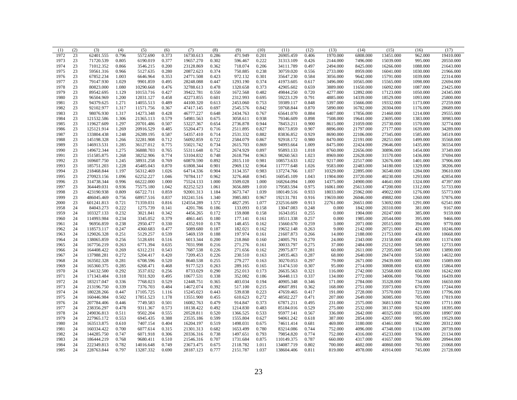| (1)  | (2) | (3)        | (4)   | (5)       | (6)   | (7)        | (8)   | (9)      | (10)  | (11)       | (12)  | (13)      | (14)      | (15)      | (16)     | (17)      |
|------|-----|------------|-------|-----------|-------|------------|-------|----------|-------|------------|-------|-----------|-----------|-----------|----------|-----------|
| 1972 | 23  | 62401.555  | 0.796 | 5572.690  | 0.373 | 16730.613  | 0.286 | 471.949  | 0.201 | 26905.459  | 0.406 | 1970.000  | 6808.000  | 13451.000 | 962.000  | 19410.000 |
| 1973 | 23  | 71720.539  | 0.805 | 6190.019  | 0.377 | 19657.270  | 0.302 | 596.467  | 0.222 | 31313.109  | 0.426 | 2144.000  | 7496.000  | 15039.000 | 995.000  | 20550.000 |
| 1974 | 23  | 71012.352  | 0.866 | 3546.215  | 0.200 | 23128.869  | 0.362 | 718.074  | 0.206 | 34111.789  | 0.497 | 2494.000  | 8425.000  | 16266.000 | 1088.000 | 21643.000 |
| 1975 | 23  | 59561.316  | 0.966 | 5127.635  | 0.280 | 20872.623  | 0.374 | 750.885  | 0.238 | 30759.020  | 0.556 | 2733.000  | 8959.000  | 16041.000 | 1030.000 | 21966.000 |
| 1976 | 23  | 67852.234  | 1.003 | 6646.964  | 0.353 | 24771.508  | 0.423 | 972.132  | 0.301 | 35647.230  | 0.584 | 3056.000  | 9642.000  | 15791.000 | 1039.000 | 22314.000 |
| 1977 | 23  | 79147.930  | 1.029 | 9901.859  | 0.495 | 28248.088  | 0.447 | 1293.190 | 0.374 | 41973.605  | 0.617 | 3496.000  | 10565.000 | 15565.000 | 1098.000 | 22694.000 |
| 1978 | 23  | 80823.000  | 1.080 | 10290.668 | 0.476 | 32788.613  | 0.478 | 1320.658 | 0.373 | 42905.602  | 0.659 | 3889.000  | 11650.000 | 16092.000 | 1087.000 | 23425.000 |
| 1979 | 23  | 89542.695  | 1.129 | 10153.716 | 0.427 | 39422.781  | 0.550 | 1672.568 | 0.482 | 49844.250  | 0.720 | 4277.000  | 12892.000 | 17123.000 | 1050.000 | 24345.000 |
| 1980 | 23  | 96504.969  | 1.200 | 12031.127 | 0.458 | 42273.855  | 0.601 | 2312.993 | 0.695 | 59223.129  | 0.791 | 4885.000  | 14339.000 | 18529.000 | 1093.000 | 25800.000 |
| 1981 | 23  | 94379.625  | 1.271 | 14055.513 | 0.489 | 44100.320  | 0.613 | 2453.060 | 0.753 | 59389.117  | 0.848 | 5397.000  | 15666.000 | 19332.000 | 1173.000 | 27259.000 |
| 1982 | 23  | 92102.977  | 1.317 | 11571.756 | 0.367 | 47417.145  | 0.697 | 2545.576 | 0.842 | 59768.844  | 0.870 | 5890.000  | 16782.000 | 20304.000 | 1176.000 | 28689.000 |
| 1983 | 23  | 98076.930  | 1.317 | 14273.348 | 0.428 | 46777.227  | 0.648 | 2434.763 | 0.767 | 65641.070  | 0.884 | 6407.000  | 17856.000 | 21460.000 | 1214.000 | 29555.000 |
| 1984 | 23  | 121532.586 | 1.306 | 21365.113 | 0.579 | 54981.563  | 0.675 | 3058.611 | 0.938 | 79346.609  | 0.898 | 7508.000  | 19641.000 | 23695.000 | 1383.000 | 30983.000 |
| 1985 | 23  | 119627.609 | 1.297 | 20701.486 | 0.507 | 53227.367  | 0.654 | 2736.878 | 0.944 | 78453.211  | 0.900 | 8615.000  | 21059.000 | 25730.000 | 1570.000 | 32774.000 |
| 1986 | 23  | 125121.914 | 1.269 | 20916.529 | 0.485 | 55204.473  | 0.716 | 2511.895 | 0.827 | 80173.859  | 0.907 | 8896.000  | 21797.000 | 27177.000 | 1639.000 | 34289.000 |
| 1987 | 23  | 133804.438 | 1.248 | 26289.195 | 0.587 | 54357.410  | 0.714 | 2531.332 | 0.882 | 83836.852  | 0.929 | 8690.000  | 22106.000 | 27345.000 | 1585.000 | 34519.000 |
| 1988 | 23  | 145198.328 | 1.266 | 32281.908 | 0.712 | 56092.859  | 0.722 | 2584.079 | 0.867 | 92918.172  | 0.980 | 8470.000  | 22191.000 | 28251.000 | 1499.000 | 35568.000 |
| 1989 | 23  | 146913.531 | 1.285 | 36127.012 | 0.775 | 55021.742  | 0.734 | 2615.703 | 0.869 | 94993.664  | 1.009 | 8475.000  | 22424.000 | 29646.000 | 1435.000 | 36554.000 |
| 1990 | 23  | 149672.344 | 1.275 | 36888.703 | 0.765 | 55311.648  | 0.752 | 2674.929 | 0.897 | 95893.133  | 1.018 | 8760.000  | 22656.000 | 30896.000 | 1454.000 | 37349.000 |
| 1991 | 23  | 151585.875 | 1.268 | 38252.906 | 0.774 | 53104.832  | 0.748 | 2618.794 | 0.963 | 98260.563  | 1.023 | 8969.000  | 22628.000 | 31570.000 | 1436.000 | 37694.000 |
| 1992 | 23  | 169607.750 | 1.245 | 38931.258 | 0.769 | 60870.590  | 0.892 | 2815.110 | 0.981 | 108573.633 | 1.022 | 9217.000  | 22517.000 |           | 1401.000 | 37906.000 |
| 1993 | 23  |            | 1.228 | 45485.043 | 0.870 |            | 0.901 | 2969.132 | 0.964 |            | 1.026 |           | 22483.000 | 32676.000 |          |           |
|      |     | 185751.203 |       |           |       | 61808.344  |       |          |       | 117777.648 |       | 9583.000  |           | 34180.000 | 1329.000 | 38206.000 |
| 1994 | 23  | 218468.844 | 1.197 | 56312.469 | 1.026 | 64714.336  | 0.904 | 3134.357 | 0.983 | 137274.766 | 1.037 | 10329.000 | 22895.000 | 36540.000 | 1284.000 | 39610.000 |
| 1995 | 23  | 270923.156 | 1.096 | 62252.227 | 1.046 | 70784.117  | 0.962 | 3276.468 | 0.945 | 160545.109 | 1.043 | 11904.000 | 23720.000 | 40230.000 | 1293.000 | 42854.000 |
| 1996 | 23  | 314738.344 | 0.996 | 66222.000 | 1.000 | 75524.133  | 1.000 | 3509.028 | 1.000 | 168264.094 | 1.000 | 14375.000 | 24900.000 | 44641.000 | 1324.000 | 47397.000 |
| 1997 | 23  | 364449.031 | 0.936 | 75575.180 | 1.042 | 82252.523  | 1.061 | 3656.889 | 1.010 | 179583.594 | 0.975 | 16061.000 | 25613.000 | 47200.000 | 1312.000 | 51733.000 |
| 1998 | 23  | 423190.938 | 0.809 | 66722.711 | 0.859 | 92001.313  | 1.184 | 3673.747 | 1.039 | 180149.516 | 0.933 | 18033.000 | 25962.000 | 49022.000 | 1276.000 | 55773.000 |
| 1999 | 23  | 486045.469 | 0.756 | 68957.516 | 0.837 | 102241.516 | 1.340 | 3985.883 | 0.967 | 192131.781 | 0.916 | 19659.000 | 26046.000 | 49882.000 | 1260.000 | 57876.000 |
| 2000 | 23  | 601241.813 | 0.721 | 71359.031 | 0.816 | 124554.289 | 1.572 | 4827.295 | 1.077 | 232516.609 | 0.913 | 22761.000 | 26651.000 | 53692.000 | 1291.000 | 62541.000 |
| 1958 | 24  | 84043.273  | 0.222 | 1275.739  | 0.141 | 4201.786   | 0.186 | 133.093  | 0.158 | 13047.083  | 0.248 | 0.000     | 1842.000  | 20310.000 | 381.000  | 9167.000  |
| 1959 | 24  | 103327.133 | 0.232 | 3021.841  | 0.342 | 4456.265   | 0.172 | 159.808  | 0.158 | 16343.051  | 0.255 | 0.000     | 1904.000  | 20247.000 | 385.000  | 9159.000  |
| 1960 | 24  | 114993.984 | 0.234 | 3345.052  | 0.379 | 4861.445   | 0.180 | 177.141  | 0.161 | 18511.338  | 0.257 | 0.000     | 1985.000  | 20544.000 | 395.000  | 9466.000  |
| 1961 | 24  | 96956.859  | 0.238 | 2950.477  | 0.330 | 4352.910   | 0.178 | 148.455  | 0.162 | 15660.670  | 0.259 | 3.000     | 2071.000  | 20515.000 | 394.000  | 9770.000  |
| 1962 | 24  | 118573.117 | 0.247 | 4360.683  | 0.477 | 5089.680   | 0.187 | 182.021  | 0.162 | 19652.148  | 0.263 | 9.000     | 2142.000  | 20721.000 | 421.000  | 10246.000 |
| 1963 | 24  | 129026.328 | 0.251 | 5129.257  | 0.539 | 5469.159   | 0.188 | 197.974  | 0.161 | 21607.873  | 0.266 | 14.000    | 2188.000  | 21753.000 | 438.000  | 10668.000 |
| 1964 | 24  | 138065.859 | 0.256 | 5128.691  | 0.516 | 6013.344   | 0.200 | 218.860  | 0.160 | 24005.791  | 0.270 | 24.000    | 2343.000  | 23158.000 | 458.000  | 11374.000 |
| 1965 | 24  | 167756.219 | 0.263 | 6771.394  | 0.635 | 7031.998   | 0.216 | 271.276  | 0.161 | 30033.797  | 0.275 | 37.000    | 2484.000  | 25212.000 | 509.000  | 12733.000 |
| 1966 | 24  | 164408.422 | 0.269 | 6312.231  | 0.543 | 7687.538   | 0.226 | 271.656  | 0.162 | 29975.877  | 0.281 | 60.000    | 2611.000  | 27205.000 | 549.000  | 13890.000 |
| 1967 | 24  | 137988.281 | 0.272 | 5204.417  | 0.420 | 7209.453   | 0.226 | 230.510  | 0.163 | 24935.463  | 0.287 | 68.000    | 2640.000  | 28474.000 | 550.000  | 14632.000 |
| 1968 | 24  | 163502.328 | 0.281 | 6708.596  | 0.520 | 8640.538   | 0.255 | 279.277  | 0.163 | 30270.053  | 0.297 | 79.000    | 2671.000  | 29439.000 | 603.000  | 15089.000 |
| 1969 | 24  | 165360.375 | 0.285 | 6268.471  | 0.468 | 9177.523   | 0.263 | 289.165  | 0.165 | 31474.510  | 0.307 | 95.000    | 2714.000  | 30808.000 | 658.000  | 15864.000 |
| 1970 | 24  | 134132.500 | 0.292 | 3537.032  | 0.256 | 8733.029   | 0.290 | 252.013  | 0.173 | 26635.563  | 0.321 | 116.000   | 2742.000  | 32568.000 | 650.000  | 16242.000 |
| 1971 | 24  | 171343.484 | 0.318 | 7031.920  | 0.495 | 10677.531  | 0.338 | 352.082  | 0.186 | 36448.113  | 0.337 | 134.000   | 2772.000  | 34006.000 | 706.000  | 16439.000 |
| 1972 | 24  | 183217.047 | 0.336 | 7768.023  | 0.529 | 12448.751  | 0.365 | 403.034  | 0.194 | 40905.348  | 0.346 | 171.000   | 2784.000  | 35328.000 | 734.000  | 16650.000 |
| 1973 | 24  | 213196.750 | 0.339 | 7376.703  | 0.484 | 14672.074  | 0.392 | 517.100  | 0.215 | 49607.891  | 0.362 | 168.000   | 2751.000  | 35973.000 | 670.000  | 17244.000 |
| 1974 | 24  | 180228.266 | 0.447 | 17105.725 | 1.116 | 15245.023  | 0.443 | 539.838  | 0.223 | 47659.465  | 0.417 | 191.000   | 2728.000  | 37570.000 | 723.000  | 17796.000 |
| 1975 | 24  | 160446.984 | 0.502 | 17851.523 | 1.178 | 13551.900  | 0.455 | 610.623  | 0.272 | 48502.227  | 0.471 | 207.000   | 2649.000  | 36985.000 | 705.000  | 17819.000 |
| 1976 | 24  | 207784.406 | 0.446 | 7749.583  | 0.501 | 16082.763  | 0.479 | 914.847  | 0.373 | 67871.211  | 0.495 | 231.000   | 2575.000  | 36813.000 | 742.000  | 17711.000 |
| 1977 | 24  | 238356.297 | 0.478 | 9311.367  | 0.573 | 18138.422  | 0.492 | 1214.830 | 0.483 | 85184.016  | 0.529 | 275.000   | 2532.000  | 38137.000 | 924.000  | 18395.000 |
| 1978 | 24  | 249036.813 | 0.511 | 9502.204  | 0.555 | 20528.811  | 0.520 | 1366.525 | 0.533 | 95977.141  | 0.567 | 336.000   | 2642.000  | 40325.000 | 1026.000 | 18907.000 |
| 1979 | 24  | 227965.172 | 0.553 | 6945.435  | 0.388 | 23535.186  | 0.599 | 1555.804 | 0.627 | 94061.242  | 0.618 | 387.000   | 2854.000  | 42057.000 | 995.000  | 19529.000 |
| 1980 | 24  | 163513.875 | 0.610 | 7407.154  | 0.404 | 16204.197  | 0.519 | 1498.031 | 0.675 | 74611.414  | 0.681 | 469.000   | 3180.000  | 43461.000 | 962.000  | 20312.000 |
| 1981 | 24  | 160334.422 | 0.700 | 6077.614  | 0.315 | 21301.313  | 0.682 | 1653.499 | 0.780 | 83214.086  | 0.744 | 752.000   | 4096.000  | 47348.000 | 1134.000 | 20739.000 |
| 1982 | 24  |            | 0.747 | 6071.918  |       |            | 0.738 |          | 0.793 |            | 0.774 |           |           |           |          |           |
|      |     | 144285.750 |       |           | 0.306 | 20336.316  |       | 1497.651 |       | 79854.820  |       | 752.000   | 4316.000  | 45233.000 | 936.000  | 21134.000 |
| 1983 | 24  | 186444.219 | 0.768 | 9680.411  | 0.510 | 21546.316  | 0.707 | 1731.684 | 0.875 | 110149.375 | 0.787 | 660.000   | 4317.000  | 41657.000 | 766.000  | 20944.000 |
| 1984 | 24  | 222349.813 | 0.782 | 14016.648 | 0.749 | 23673.475  | 0.675 | 2118.782 | 1.011 | 134087.719 | 0.802 | 700.000   | 4602.000  | 40860.000 | 703.000  | 21068.000 |
| 1985 | 24  | 228763.844 | 0.797 | 13287.332 | 0.690 | 28187.123  | 0.777 | 2151.787 | 1.037 | 138604.406 | 0.811 | 819.000   | 4978.000  | 41914.000 | 745.000  | 21728.000 |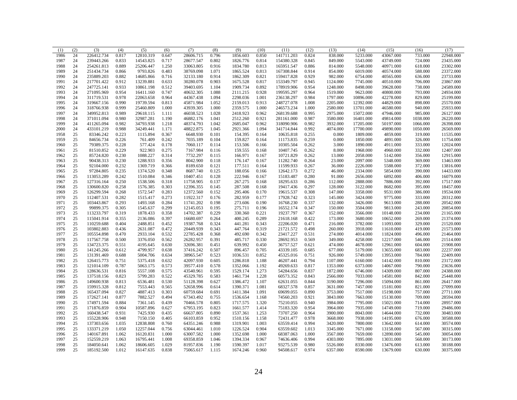| (1)  | (2) | (3)        | (4)   | (5)       | (6)   | (7)       | (8)            | (9)      | (10)  | (11)       | (12)  | (13)     | (14)      | (15)      | (16)     | (17)      |
|------|-----|------------|-------|-----------|-------|-----------|----------------|----------|-------|------------|-------|----------|-----------|-----------|----------|-----------|
| 1986 | 24  | 226412.734 | 0.817 | 12810.319 | 0.647 | 28606.715 | 0.796          | 1856.603 | 0.850 | 141711.203 | 0.824 | 838.000  | 5233.000  | 43067.000 | 733.000  | 22948.000 |
| 1987 | 24  | 239443.266 | 0.833 | 14543.825 | 0.717 | 28677.547 | 0.802          | 1826.776 | 0.814 | 154380.328 | 0.845 | 849.000  | 5543.000  | 43749.000 | 724.000  | 23435.000 |
| 1988 | 24  | 254261.813 | 0.889 | 25206.447 | 1.250 | 33063.805 | 0.916          | 1834.780 | 0.813 | 165951.547 | 0.886 | 814.000  | 5548.000  | 40971.000 | 618.000  | 23302.000 |
| 1989 | 24  | 251434.734 | 0.866 | 9793.826  | 0.483 | 38769.098 | 1.071          | 1865.524 | 0.813 | 167308.844 | 0.914 | 854.000  | 6019.000  | 40574.000 | 588.000  | 23372.000 |
| 1990 | 24  | 235889.203 | 0.882 | 14685.866 | 0.716 | 32133.180 | 0.914          | 1862.309 | 0.821 | 159417.828 | 0.929 | 982.000  | 6754.000  | 40565.000 | 636.000  | 23733.000 |
| 1991 | 24  | 217701.422 | 0.912 | 13239.881 | 0.633 | 30280.078 | 0.903          | 1675.528 | 0.817 | 153349.797 | 0.945 | 1124.000 | 7745.000  | 40510.000 | 706.000  | 23867.000 |
| 1992 | 24  | 247725.141 | 0.933 | 10861.198 | 0.512 | 39403.695 | 1.104          | 1909.734 | 0.892 | 178919.906 | 0.954 | 1248.000 | 8498.000  | 39628.000 | 738.000  | 24589.000 |
| 1993 | 24  | 271095.969 | 0.954 | 16411.160 | 0.747 | 40632.305 | 1.088          | 2111.215 | 0.928 | 199595.297 | 0.964 | 1519.000 | 9623.000  | 40800.000 | 793.000  | 24934.000 |
| 1994 | 24  | 311719.531 | 0.978 | 22063.658 | 0.964 | 44367.438 | 1.094          | 2298.036 | 1.001 | 236138.297 | 0.984 | 1797.000 | 10896.000 | 42278.000 | 829.000  | 25199.000 |
| 1995 | 24  | 319667.156 | 0.990 | 19739.594 | 0.813 | 45871.984 | 1.052          | 2159.013 | 0.913 | 248727.078 | 1.008 | 2205.000 | 12392.000 | 44829.000 | 898.000  | 25570.000 |
| 1996 | 24  | 318766.938 | 0.999 | 25460.809 | 1.000 | 43939.305 | 1.000          | 2359.575 | 1.000 | 246573.234 | 1.000 | 2580.000 | 13701.000 | 46580.000 | 940.000  | 25933.000 |
| 1997 | 24  | 349952.813 | 0.989 | 29618.115 | 1.111 | 46038.523 | 1.028          | 2418.923 | 0.962 | 268139.688 | 0.995 | 2975.000 | 15072.000 | 47946.000 | 985.000  | 26127.000 |
| 1998 | 24  | 371011.094 | 0.980 | 32987.281 | 1.190 | 46882.176 | 1.041          | 2512.260 | 0.921 | 281161.000 | 0.987 | 3580,000 | 16401.000 | 49814.000 | 1038.000 | 26220.000 |
| 1999 | 24  | 411265.094 | 0.982 | 34793.938 | 1.218 | 48374.793 | 1.042          | 2685.047 | 0.962 | 318090.906 | 0.982 | 3932.000 | 17205.000 | 50197.000 | 1066.000 | 26398.000 |
| 2000 | 24  | 433101.219 | 0.988 | 34249.441 | 1.171 | 48822.875 | 1.045          | 2921.366 | 1.094 | 341714.844 | 0.992 | 4074.000 | 17700.000 | 49890.000 | 1050.000 | 26569.000 |
| 1958 | 25  | 83346.242  | 0.223 | 1115.894  | 0.367 | 6648.930  | 0.101          | 154.395  | 0.164 | 10635.818  | 0.255 | 0.000    | 1809.000  | 4859.000  | 319.000  | 11535.000 |
| 1959 | 25  | 84656.734  | 0.226 | 761.409   | 0.242 | 7035.189  | 0.104          | 159.827  | 0.164 | 11173.835  | 0.259 | 0.000    | 1850.000  | 4891.000  | 326.000  | 11754.000 |
| 1960 | 25  | 79389.375  | 0.228 | 577.424   | 0.178 | 7060.117  | 0.114          | 153.506  | 0.166 | 10305.504  | 0.262 | 3.000    | 1890.000  | 4911.000  | 333.000  | 12024.000 |
| 1961 | 25  | 81510.852  | 0.229 | 922.903   | 0.275 | 7167.984  | 0.116          | 159.555  | 0.168 | 10407.745  | 0.262 | 8.000    | 1968.000  | 4960.000  | 332.000  | 12407.000 |
| 1962 | 25  | 85724.820  | 0.230 | 1088.227  | 0.314 | 7732.297  | 0.115          | 166.971  | 0.167 | 10721.829  | 0.262 | 13.000   | 2058.000  | 5142.000  | 356.000  | 12915.000 |
| 1963 | 25  | 90438.313  | 0.230 | 1288.933  | 0.356 | 8042.900  | 0.118          | 176.147  | 0.167 | 11282.740  | 0.264 | 23.000   | 2097.000  | 5348.000  | 369.000  | 13463.000 |
| 1964 | 25  | 92104.000  | 0.232 | 1369.719  | 0.366 | 8189.650  | 0.121          | 177.511  | 0.164 | 11599.933  | 0.267 | 36.000   | 2226.000  | 5588.000  | 372.000  | 13816.000 |
| 1965 | 25  | 97284.805  | 0.235 | 1374.520  | 0.348 | 8687.740  | 0.125          | 188.056  | 0.166 | 12642.173  | 0.272 | 46.000   | 2334.000  | 5854.000  | 390.000  | 14433.000 |
| 1966 | 25  | 113053.289 | 0.242 | 1510.084  | 0.346 | 10407.451 | 0.128          | 222.946  | 0.167 | 15183.487  | 0.280 | 91.000   | 2656.000  | 6892.000  | 406.000  | 16079.000 |
| 1967 | 25  | 127316.164 | 0.250 | 1538.506  | 0.318 | 11758.905 | 0.137          | 267.275  | 0.168 | 18295.633  | 0.286 | 112.000  | 2888.000  | 7886.000  | 392.000  | 17517.000 |
| 1968 | 25  | 130600.820 | 0.258 | 1576.385  | 0.303 | 12396.355 | 0.145          | 287.508  | 0.168 | 19417.436  | 0.297 | 128.000  | 3122.000  | 8682.000  | 395.000  | 18457.000 |
| 1969 | 25  | 126299.594 | 0.268 | 1572.547  | 0.283 | 12372.560 | 0.152          | 295.406  | 0.170 | 19615.537  | 0.308 | 147.000  | 3358.000  | 9531.000  | 386.000  | 19534.000 |
| 1970 | 25  | 112407.531 | 0.282 | 1515.417  | 0.273 | 11922.317 | 0.176          | 282.959  | 0.177 | 17928.742  | 0.323 | 145.000  | 3424.000  | 9775.000  | 333.000  | 20312.000 |
| 1971 | 25  | 103443.867 | 0.293 | 1493.168  | 0.284 | 11741.202 | 0.198          | 273.606  | 0.190 | 16768.230  | 0.337 | 132.000  | 3426.000  | 9613.000  | 288.000  | 20542.000 |
| 1972 | 25  | 99899.375  | 0.305 | 1545.637  | 0.299 | 12145.053 | 0.195          | 275.711  | 0.196 | 16552.174  | 0.347 | 150.000  | 3504.000  | 9813.000  | 243.000  | 20854.000 |
| 1973 | 25  | 113233.797 | 0.319 | 1878.433  | 0.358 | 14702.387 | 0.229          | 330.360  | 0.221 | 19237.797  | 0.367 | 152.000  | 3566.000  | 10148.000 | 234.000  | 21165.000 |
| 1974 | 25  | 115041.914 | 0.355 | 2136.086  | 0.397 | 16680.697 | 0.264          | 400.245  | 0.289 | 21618.168  | 0.422 | 173.000  | 3680.000  | 10652.000 | 269.000  | 21374.000 |
| 1975 | 25  | 110259.688 | 0.404 | 2488.851  | 0.452 | 19387.768 | 0.324          | 441.281  | 0.343 | 22206.020  | 0.471 | 216.000  | 3782.000  | 11093.000 | 329.000  | 21520.000 |
| 1976 | 25  | 103802.883 | 0.436 | 2631.087  | 0.472 | 20449.939 | 0.343          | 447.764  | 0.319 | 21721.572  | 0.498 | 260.000  | 3918.000  | 11610.000 | 419.000  | 21573.000 |
| 1977 | 25  | 105554.898 | 0.470 | 2933.104  | 0.532 | 22785.428 | 0.368          | 492.690  | 0.342 | 23417.227  | 0.531 | 274.000  | 4014.000  | 11824.000 | 496.000  | 21464.000 |
| 1978 | 25  | 117567.758 | 0.500 | 3376.050  | 0.562 | 26282.957 | 0.391          | 485.717  | 0.330 | 28692.953  | 0.569 | 349.000  | 4258.000  | 12217.000 | 546.000  | 21514.000 |
| 1979 | 25  | 134723.375 | 0.551 | 4195.645  | 0.630 | 32696.381 | 0.451          | 639.992  | 0.450 | 36757.527  | 0.621 | 474.000  | 4678.000  | 12961.000 | 604.000  | 21908.000 |
| 1980 | 25  | 141245.266 | 0.612 | 4799.957  | 0.638 | 37416.242 | 0.507          | 896.457  | 0.705 | 43339.105  | 0.685 | 677.000  | 5179.000  | 13655.000 | 683.000  | 22237.000 |
| 1981 | 25  | 131391.469 | 0.688 | 5004.706  | 0.634 | 38965.547 | 0.523          | 1036.531 | 0.852 | 45325.016  | 0.751 | 926.000  | 5749.000  | 13953.000 | 784.000  | 22409.000 |
| 1982 | 25  | 126415.773 | 0.751 | 5375.418  | 0.632 | 42097.930 | 0.605          | 1286.818 | 1.188 | 46207.441  | 0.794 | 1107.000 | 6160.000  | 14142.000 | 810.000  | 23172.000 |
| 1983 | 25  | 121014.109 | 0.787 | 5063.175  | 0.573 | 39577.410 | 0.578          | 1352.066 | 1.192 | 49269.633  | 0.817 | 1353.000 | 6373.000  | 14067.000 | 790.000  | 23636.000 |
| 1984 | 25  | 128636.531 | 0.816 | 5557.108  | 0.575 | 43540.961 | 0.595          | 1529.174 | 1.273 | 54284.656  | 0.837 | 1872.000 | 6746.000  | 14309.000 | 807.000  | 24388.000 |
| 1985 | 25  | 137518.156 | 0.823 | 5799.283  | 0.522 | 45329.785 | 0.583          | 1461.734 | 1.228 | 60573.352  | 0.843 | 2566.000 | 7033.000  | 14581.000 | 842.000  | 25448.000 |
| 1986 | 25  | 149600.938 | 0.813 | 6536.481  | 0.530 | 51128.398 | 0.627          | 1386.472 | 1.107 | 62631.055  | 0.844 | 3190.000 | 7296.000  | 15094.000 | 861.000  | 26417.000 |
| 1987 | 25  | 159915.328 | 0.812 | 7553.443  | 0.565 | 52658.996 | 0.614          | 1390.371 | 1.081 | 68327.578  | 0.857 | 3631.000 | 7457.000  | 15181.000 | 821.000  | 27099.000 |
| 1988 | 25  | 165437.094 | 0.827 | 4887.413  | 0.303 | 60759.684 | 0.691          | 1411.384 | 1.091 | 69699.055  | 0.890 | 3753.000 | 7517.000  | 15198.000 | 757.000  | 27711.000 |
|      | 25  | 172627.141 | 0.877 | 7882.527  | 0.494 | 67343.492 | 0.755          | 1536.654 | 1.168 | 74560.203  | 0.921 | 3843.000 | 7663.000  | 15130.000 | 709.000  | 28594.000 |
| 1989 | 25  |            |       |           |       |           |                |          |       |            |       |          |           |           |          |           |
| 1990 |     | 174971.594 | 0.884 | 7361.145  | 0.439 | 70466.578 | 0.805<br>0.823 | 1717.575 | 1.320 | 75210.055  | 0.940 | 3984.000 | 7795.000  | 15021.000 | 714.000  | 28957.000 |
| 1991 | 25  | 171876.859 | 0.904 | 10587.896 | 0.627 | 67953.195 |                | 1661.577 | 1.414 | 75183.320  | 0.954 | 3964.000 | 7935.000  | 14749.000 | 719.000  | 29486.000 |
| 1992 | 25  | 160438.547 | 0.931 | 7425.930  | 0.435 | 66637.805 | 0.890          | 1537.361 | 1.253 | 73707.250  | 0.964 | 3900.000 | 8043.000  | 14644.000 | 732.000  | 30483.000 |
| 1993 | 25  | 155228.906 | 0.948 | 7150.150  | 0.405 | 66103.859 | 0.952          | 1510.156 | 1.158 | 72431.477  | 0.978 | 3668.000 | 7938.000  | 14195.000 | 676.000  | 30588.000 |
| 1994 | 25  | 137303.656 | 1.035 | 12838.808 | 0.760 | 64351.246 | 0.988          | 1319.901 | 1.003 | 63559.414  | 0.994 | 3420.000 | 7800.000  | 13642.000 | 614.000  | 30574.000 |
| 1995 | 25  | 133371.219 | 1.050 | 12257.044 | 0.756 | 63044.461 | 1.010          | 1226.524 | 0.904 | 63559.602  | 1.013 | 3345.000 | 7671.000  | 13158.000 | 567.000  | 30315.000 |
| 1996 | 25  | 140167.891 | 1.062 | 16120.831 | 1.000 | 63007.582 | 1.000          | 1352.698 | 1.000 | 68387.063  | 1.000 | 3567.000 | 7659.000  | 12890.000 | 545.000  | 30054.000 |
| 1997 | 25  | 152559.219 | 1.063 | 16795.441 | 1.008 | 69358.859 | 1.046          | 1394.334 | 0.967 | 74636.406  | 0.994 | 4303.000 | 7895.000  | 13031.000 | 568.000  | 30173.000 |
| 1998 | 25  | 184050.641 | 1.062 | 18606.605 | 1.029 | 81957.836 | 1.190          | 1590.397 | 1.017 | 93275.539  | 0.980 | 5526.000 | 8330.000  | 13476.000 | 613.000  | 30188.000 |
| 1999 | 25  | 185192.500 | 1.012 | 16147.635 | 0.838 | 75065.617 | 1.115          | 1674.246 | 0.960 | 94508.617  | 0.974 | 6357.000 | 8590.000  | 13679.000 | 630.000  | 30375.000 |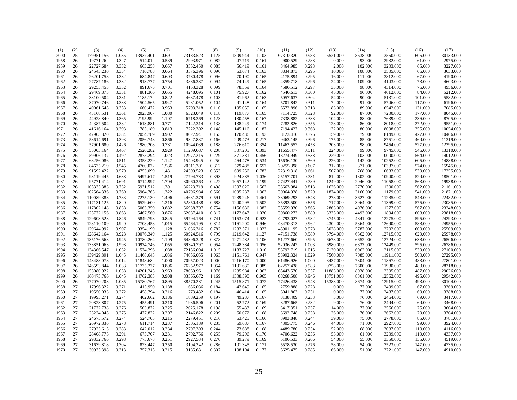| (1)  | (2) | (3)        | (4)   | (5)       | (6)   | (7)       | (8)   | (9)      | (10)  | (11)      | (12)  | (13)      | (14)     | (15)      | (16)    | (17)      |
|------|-----|------------|-------|-----------|-------|-----------|-------|----------|-------|-----------|-------|-----------|----------|-----------|---------|-----------|
| 2000 | 25  | 179951.156 | 1.035 | 13937.401 | 0.691 | 73183.523 | 1.125 | 1809.944 | 1.103 | 97310.320 | 0.983 | 6521.000  | 8638.000 | 13550.000 | 605.000 | 30133.000 |
| 1958 | 26  | 19771.262  | 0.327 | 514.012   | 0.539 | 2993.971  | 0.082 | 47.719   | 0.161 | 2900.529  | 0.288 | 0.000     | 93.000   | 2932.000  | 61.000  | 2975.000  |
| 1959 | 26  | 22727.684  | 0.332 | 663.258   | 0.657 | 3352.450  | 0.085 | 56.419   | 0.161 | 3464.985  | 0.293 | 2.000     | 102.000  | 3203.000  | 65.000  | 3227.000  |
| 1960 | 26  | 24543.230  | 0.334 | 716.788   | 0.664 | 3576.396  | 0.090 | 63.674   | 0.163 | 3834.873  | 0.295 | 10.000    | 108.000  | 3505.000  | 66.000  | 3633.000  |
| 1961 | 26  | 26201.758  | 0.332 | 684.847   | 0.603 | 3780.478  | 0.096 | 70.190   | 0.165 | 4175.894  | 0.295 | 16.000    | 111.000  | 3812.000  | 67.000  | 4190.000  |
| 1962 | 26  | 27787.186  | 0.332 | 913.777   | 0.754 | 3886.387  | 0.094 | 74.149   | 0.165 | 4359.718  | 0.296 | 24.000    | 109.000  | 4143.000  | 73.000  | 4603.000  |
| 1963 | 26  | 29255.453  | 0.332 | 891.675   | 0.701 | 4153.328  | 0.099 | 78.359   | 0.164 | 4586.512  | 0.297 | 33.000    | 98.000   | 4314.000  | 76.000  | 4956.000  |
| 1964 | 26  | 29469.873  | 0.331 | 881.366   | 0.655 | 4248.095  | 0.101 | 75.927   | 0.162 | 4546.613  | 0.300 | 45.000    | 96.000   | 4612.000  | 84.000  | 5212.000  |
| 1965 | 26  | 33100.504  | 0.331 | 1185.172  | 0.822 | 4637.478  | 0.103 | 81.962   | 0.163 | 5057.637  | 0.304 | 54.000    | 90.000   | 5131.000  | 101.000 | 5582.000  |
| 1966 | 26  | 37070.746  | 0.338 | 1504.565  | 0.947 | 5231.052  | 0.104 | 91.148   | 0.164 | 5701.842  | 0.311 | 72.000    | 91.000   | 5746.000  | 117.000 | 6196.000  |
| 1967 | 26  | 40061.645  | 0.353 | 1660.472  | 0.953 | 5793.318  | 0.110 | 105.055  | 0.165 | 6572.896  | 0.318 | 83.000    | 89.000   | 6542.000  | 131.000 | 7085.000  |
| 1968 | 26  | 43168.531  | 0.361 | 2023.907  | 1.080 | 6323.049  | 0.118 | 119.877  | 0.165 | 7114.725  | 0.328 | 92.000    | 87.000   | 7200.000  | 177.000 | 8045.000  |
| 1969 | 26  | 44928.840  | 0.365 | 2195.992  | 1.107 | 6718.369  | 0.123 | 130.458  | 0.167 | 7338.882  | 0.338 | 104.000   | 88.000   | 7639.000  | 236.000 | 8705.000  |
| 1970 | 26  | 42387.504  | 0.382 | 1613.881  | 0.771 | 7142.314  | 0.138 | 138.249  | 0.174 | 7282.826  | 0.355 | 123.000   | 86.000   | 8018.000  | 272.000 | 9551.000  |
| 1971 | 26  | 41616.164  | 0.393 | 1785.189  | 0.813 | 7222.302  | 0.148 | 145.116  | 0.187 | 7194.427  | 0.368 | 132.000   | 80.000   | 8098.000  | 355.000 | 10054.000 |
| 1972 | 26  | 47903.820  | 0.384 | 2054.789  | 0.902 | 8027.941  | 0.153 | 170.436  | 0.193 | 8123.410  | 0.376 | 159.000   | 79.000   | 8149.000  | 427.000 | 10466.000 |
| 1973 | 26  | 53614.691  | 0.393 | 2056.748  | 0.866 | 9327.837  | 0.166 | 209.473  | 0.217 | 9463.145  | 0.396 | 175.000   | 85.000   | 8751.000  | 469.000 | 11319.000 |
| 1974 | 26  | 57901.680  | 0.426 | 1980.208  | 0.781 | 10944.039 | 0.188 | 276.610  | 0.354 | 11462.552 | 0.458 | 203.000   | 98.000   | 9454.000  | 527.000 | 12395.000 |
| 1975 | 26  | 55003.164  | 0.467 | 2526.282  | 0.929 | 11209.687 | 0.208 | 307.205  | 0.393 | 11655.477 | 0.511 | 224.000   | 99.000   | 9745.000  | 546.000 | 13310.000 |
| 1976 | 26  | 59906.137  | 0.492 | 2875.294  | 1.023 | 12977.215 | 0.229 | 371.381  | 0.456 | 13274.949 | 0.538 | 229.000   | 103.000  | 10000.000 | 564.000 | 14012.000 |
| 1977 | 26  | 68256.086  | 0.511 | 3358.229  | 1.147 | 15403.945 | 0.250 | 464.478  | 0.534 | 15636.130 | 0.569 | 226.000   | 142.000  | 10252.000 | 605.000 | 14888.000 |
| 1978 | 26  | 84635.219  | 0.545 | 4760.072  | 1.536 | 20511.301 | 0.312 | 579.488  | 0.657 | 20255.398 | 0.607 | 312.000   | 371.000  | 10387.000 | 574.000 | 15945.000 |
| 1979 | 26  | 91592.422  | 0.570 | 4753.099  | 1.431 | 24399.523 | 0.353 | 699.256  | 0.783 | 22319.318 | 0.661 | 507.000   | 768.000  | 10683.000 | 539.000 | 17255.000 |
| 1980 | 26  | 93119.445  | 0.638 | 5497.617  | 1.519 | 27794.783 | 0.393 | 924.885  | 1.036 | 25157.701 | 0.731 | 812.000   | 1302.000 | 10940.000 | 529.000 | 18501.000 |
| 1981 | 26  | 95771.414  | 0.691 | 6714.997  | 1.704 | 30960.363 | 0.422 | 1057.142 | 1.199 | 27427.441 | 0.789 | 1249.000  | 2046.000 | 11058.000 | 563.000 | 19938.000 |
| 1982 | 26  | 105335.383 | 0.732 | 5931.512  | 1.391 | 36223.719 | 0.498 | 1307.020 | 1.562 | 33663.984 | 0.813 | 1626.000  | 2770.000 | 11300.000 | 562.000 | 21161.000 |
| 1983 | 26  | 102564.336 | 0.760 | 5964.763  | 1.322 | 40796.984 | 0.560 | 1095.237 | 1.363 | 30064.928 | 0.829 | 1874.000  | 3160.000 | 11179.000 | 541.000 | 21871.000 |
| 1984 | 26  | 110089.383 | 0.783 | 7275.130  | 1.496 | 44631.379 | 0.591 | 1239.246 | 1.461 | 33069.293 | 0.848 | 2278.000  | 3627.000 | 11285.000 | 548.000 | 22482.000 |
| 1985 | 26  | 117131.125 | 0.820 | 6529.600  | 1.216 | 52850.438 | 0.688 | 1240.295 | 1.502 | 35393.500 | 0.856 | 2717.000  | 3964.000 | 11369.000 | 575.000 | 23085.000 |
| 1986 | 26  | 117802.148 | 0.838 | 5063.359  | 0.882 | 56938.797 | 0.754 | 1156.636 | 1.382 | 35559.930 | 0.865 | 2863.000  | 4076.000 | 11277.000 | 567.000 | 23248.000 |
| 1987 | 26  | 125772.156 | 0.863 | 5467.560  | 0.876 | 62087.410 | 0.817 | 1172.647 | 1.020 | 39860.273 | 0.889 | 3335.000  | 4493.000 | 11804.000 | 603.000 | 23818.000 |
| 1988 | 26  | 129603.523 | 0.846 | 5849.793  | 0.845 | 59794.164 | 0.741 | 1153.074 | 0.923 | 42793.027 | 0.932 | 3745.000  | 4841.000 | 12275.000 | 595.000 | 24293.000 |
| 1989 | 26  | 128110.109 | 0.920 | 7708.458  | 1.015 | 65464.195 | 0.814 | 1161.200 | 0.946 | 43470.313 | 0.962 | 4302.000  | 5364.000 | 12690.000 | 588.000 | 24955.000 |
| 1990 | 26  | 129644.992 | 0.907 | 9354.199  | 1.128 | 61036.316 | 0.782 | 1232.571 | 1.023 | 45901.195 | 0.978 | 5028.000  | 5787.000 | 12702.000 | 600.000 | 25509.000 |
| 1991 | 26  | 128642.164 | 0.928 | 10076.349 | 1.125 | 60924.516 | 0.799 | 1219.642 | 1.127 | 47151.738 | 0.989 | 5794.000  | 6362.000 | 12715.000 | 629.000 | 25978.000 |
| 1992 | 26  | 135176.563 | 0.945 | 10780.264 | 1.109 | 64396.328 | 0.878 | 1271.482 | 1.106 | 51277.660 | 0.995 | 6673.000  | 6652.000 | 12724.000 | 638.000 | 26506.000 |
| 1993 | 26  | 133851.063 | 0.998 | 10974.746 | 1.055 | 69340.797 | 0.954 | 1248.384 | 1.056 | 52036.242 | 1.003 | 6980.000  | 6837.000 | 12449.000 | 595.000 | 26786.000 |
| 1994 | 26  | 134366.547 | 1.032 | 11574.296 | 1.088 | 72156.094 | 1.015 | 1183.723 | 1.010 | 53792.719 | 1.015 | 7130.000  | 6962.000 | 12115.000 | 539.000 | 27100.000 |
| 1995 | 26  | 139429.891 | 1.045 | 11468.643 | 1.036 | 74056.055 | 1.063 | 1151.761 | 0.947 | 58992.324 | 1.029 | 7560.000  | 7085.000 | 11911.000 | 500.000 | 27295.000 |
| 1996 | 26  | 143488.078 | 1.014 | 11848.682 | 1.000 | 70957.023 | 1.000 | 1216.170 | 1.000 | 61486.926 | 1.000 | 8437.000  | 7304.000 | 11867.000 | 483.000 | 27801.000 |
| 1997 | 26  | 146593.844 | 1.033 | 11735.277 | 0.896 | 76252.977 | 1.054 | 1191.630 | 0.989 | 62257.438 | 0.983 | 9758.000  | 7600.000 | 11980.000 | 480.000 | 28318.000 |
| 1998 | 26  | 153080.922 | 1.038 | 14201.243 | 0.963 | 78039.961 | 1.076 | 1235.984 | 0.963 | 65443.570 | 0.957 | 11883.000 | 8038.000 | 12305.000 | 487.000 | 29026.000 |
| 1999 | 26  | 160473.766 | 1.045 | 14762.383 | 0.908 | 83365.672 | 1.169 | 1308.590 | 0.965 | 68268.508 | 0.946 | 13751.000 | 8361.000 | 12562.000 | 495.000 | 29542.000 |
| 2000 | 26  | 177070.203 | 1.035 | 15780.767 | 0.895 | 88570.281 | 1.245 | 1515.871 | 1.072 | 77426.438 | 0.948 | 15383.000 | 8674.000 | 12915.000 | 493.000 | 30104.000 |
| 1958 | 27  | 17996.322  | 0.271 | 415.950   | 0.188 | 1656.036  | 0.184 | 42.649   | 0.165 | 2759.888  | 0.228 | 0.000     | 77.000   | 2499.000  | 67.000  | 3369.000  |
| 1959 | 27  | 19550.033  | 0.272 | 458.794   | 0.216 | 1773.432  | 0.184 | 46.414   | 0.165 | 3041.863  | 0.231 | 0.000     | 77.000   | 2487.000  | 69.000  | 3388.000  |
| 1960 | 27  | 19995.271  | 0.274 | 402.662   | 0.186 | 1889.259  | 0.197 | 49.237   | 0.167 | 3138.409  | 0.233 | 3.000     | 76.000   | 2464.000  | 69.000  | 3417.000  |
| 1961 | 27  | 20823.807  | 0.275 | 455.491   | 0.210 | 1936.506  | 0.201 | 52.772   | 0.169 | 3287.665  | 0.232 | 9.000     | 76.000   | 2494.000  | 69.000  | 3468.000  |
| 1962 | 27  | 21772.738  | 0.276 | 503.872   | 0.225 | 2025.178  | 0.198 | 55.433   | 0.169 | 3417.351  | 0.237 | 14.000    | 77.000   | 2566.000  | 75.000  | 3604.000  |
|      | 27  |            |       |           |       |           |       |          |       | 3692.748  |       |           |          |           |         |           |
| 1963 |     | 23224.045  | 0.275 | 477.822   | 0.207 | 2146.822  | 0.209 | 60.072   | 0.168 |           | 0.238 | 26.000    | 76.000   | 2662.000  | 79.000  | 3704.000  |
| 1964 | 27  | 24675.572  | 0.274 | 524.703   | 0.215 | 2279.451  | 0.216 | 63.425   | 0.166 | 3903.848  | 0.244 | 39.000    | 75.000   | 2778.000  | 85.000  | 3781.000  |
| 1965 | 27  | 26972.836  | 0.278 | 611.714   | 0.237 | 2505.189  | 0.235 | 69.687   | 0.167 | 4305.775  | 0.246 | 44.000    | 71.000   | 2927.000  | 99.000  | 3924.000  |
| 1966 | 27  | 27925.615  | 0.283 | 642.012   | 0.234 | 2707.303  | 0.244 | 73.688   | 0.168 | 4489.780  | 0.254 | 52.000    | 68.000   | 3037.000  | 110.000 | 4116.000  |
| 1967 | 27  | 28408.773  | 0.291 | 675.707   | 0.231 | 2792.756  | 0.255 | 79.296   | 0.170 | 4706.622  | 0.256 | 53.000    | 61.000   | 3209.000  | 119.000 | 4337.000  |
| 1968 | 27  | 29832.766  | 0.298 | 775.678   | 0.251 | 2927.534  | 0.270 | 89.279   | 0.169 | 5106.533  | 0.266 | 54.000    | 55.000   | 3350.000  | 135.000 | 4519.000  |
| 1969 | 27  | 31639.818  | 0.304 | 823.447   | 0.250 | 3104.242  | 0.286 | 101.345  | 0.171 | 5578.530  | 0.276 | 58.000    | 54.000   | 3523.000  | 147.000 | 4735.000  |
| 1970 | 27  | 30935.398  | 0.313 | 757.315   | 0.215 | 3185.631  | 0.307 | 108.104  | 0.177 | 5625.475  | 0.285 | 66.000    | 51.000   | 3721.000  | 147.000 | 4910.000  |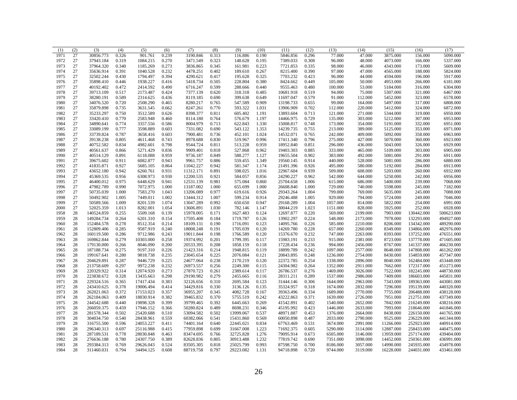| (1)  | (2) | (3)        | (4)   | (5)       | (6)   | (7)       | (8)   | (9)       | (10)  | (11)      | (12)  | (13)     | (14)     | (15)      | (16)       | (17)       |
|------|-----|------------|-------|-----------|-------|-----------|-------|-----------|-------|-----------|-------|----------|----------|-----------|------------|------------|
| 1971 | 27  | 30856.773  | 0.326 | 901.761   | 0.239 | 3190.846  | 0.313 | 116.886   | 0.190 | 5846.856  | 0.296 | 77.000   | 47.000   | 3875.000  | 156.000    | 5090.000   |
| 1972 | 27  | 37943.184  | 0.319 | 1084.215  | 0.270 | 3471.549  | 0.323 | 148.628   | 0.195 | 7389.033  | 0.308 | 96.000   | 48.000   | 4073.000  | 166.000    | 5337.000   |
| 1973 | 27  | 37964.320  | 0.340 | 1185.269  | 0.273 | 3836.865  | 0.345 | 161.981   | 0.223 | 7721.853  | 0.335 | 98.000   | 46.000   | 4343.000  | 173.000    | 5609.000   |
| 1974 | 27  | 35636.914  | 0.391 | 1040.528  | 0.232 | 4478.251  | 0.402 | 189.610   | 0.267 | 8215.400  | 0.390 | 97.000   | 47.000   | 4565.000  | 188.000    | 5824.000   |
| 1975 | 27  | 32502.244  | 0.430 | 1794.497  | 0.394 | 4290.621  | 0.417 | 195.628   | 0.325 | 7703.232  | 0.423 | 96.000   | 44.000   | 4594.000  | 196.000    | 5917.000   |
| 1976 | 27  | 35898.410  | 0.446 | 1938.227  | 0.416 | 5418.734  | 0.505 | 228.804   | 0.380 | 8424.662  | 0.449 | 105.000  | 50.000   | 4953.000  | 266.000    | 6181.000   |
| 1977 | 27  | 40192.402  | 0.472 | 2414.592  | 0.490 | 6716.247  | 0.599 | 288.666   | 0.440 | 9555.463  | 0.480 | 100.000  | 53.000   | 5184.000  | 316.000    | 6304.000   |
| 1978 | 27  | 39713.109  | 0.517 | 2173.487  | 0.424 | 7377.139  | 0.620 | 318.318   | 0.485 | 10681.918 | 0.519 | 94.000   | 75.000   | 5307.000  | 321.000    | 6467.000   |
| 1979 | 27  | 38280.191  | 0.589 | 2314.625  | 0.436 | 8119.185  | 0.690 | 399.638   | 0.649 | 11697.047 | 0.579 | 91.000   | 112.000  | 5452.000  | 323.000    | 6578.000   |
| 1980 | 27  | 34076.520  | 0.720 | 2508.290  | 0.465 | 8280.217  | 0.765 | 547.589   | 0.909 | 13198.733 | 0.655 | 99.000   | 164.000  | 5497.000  | 317.000    | 6808.000   |
| 1981 | 27  | 35879.898  | 0.735 | 3631.545  | 0.662 | 8247.261  | 0.770 | 593.322   | 1.031 | 13906.909 | 0.702 | 112.000  | 220.000  | 5412.000  | 324.000    | 6872.000   |
| 1982 | 27  | 35233.297  | 0.750 | 3512.589  | 0.626 | 8398.377  | 0.811 | 605.402   | 1.191 | 13893.604 | 0.713 | 121.000  | 271.000  | 5344.000  | 319.000    | 6950.000   |
| 1983 | 27  | 33420.410  | 0.770 | 2583.948  | 0.460 | 8114.180  | 0.764 | 576.679   | 1.197 | 14466.975 | 0.729 | 135.000  | 303.000  | 5212.000  | 307.000    | 6953.000   |
| 1984 | 27  | 34890.641  | 0.774 | 3357.556  | 0.586 | 8004.979  | 0.713 | 622.843   | 1.330 | 15008.817 | 0.748 | 173.000  | 354.000  | 5191.000  | 332.000    | 6951.000   |
| 1985 | 27  | 33089.199  | 0.777 | 3598.889  | 0.603 | 7331.082  | 0.690 | 543.122   | 1.353 | 14239.735 | 0.755 | 213.000  | 389.000  | 5125.000  | 353.000    | 6971.000   |
| 1986 | 27  | 33739.824  | 0.787 | 3658.416  | 0.603 | 7900.481  | 0.736 | 452.101   | 1.024 | 14532.071 | 0.765 | 242.000  | 409.000  | 5092.000  | 358.000    | 6963.000   |
| 1987 | 27  | 39138.238  | 0.805 | 4611.468  | 0.743 | 8978.688  | 0.830 | 519.967   | 0.996 | 17411.340 | 0.796 | 275.000  | 427.000  | 5070.000  | 360.000    | 6923.000   |
| 1988 | 27  | 40752.582  | 0.834 | 4982.601  | 0.798 | 9544.724  | 0.811 | 513.228   | 0.959 | 18952.840 | 0.851 | 296.000  | 436.000  | 5043.000  | 326.000    | 6929.000   |
| 1989 | 27  | 40561.637  | 0.866 | 5271.429  | 0.836 | 9909.401  | 0.818 | 527.868   | 0.962 | 19403.303 | 0.885 | 333.000  | 465.000  | 5109.000  | 303.000    | 6905.000   |
| 1990 | 27  | 40514.129  | 0.891 | 6118.088  | 0.959 | 9736.187  | 0.849 | 588.277   | 1.127 | 19655.504 | 0.902 | 383.000  | 492.000  | 5081.000  | 291.000    | 6911.000   |
| 1991 | 27  | 39675.602  | 0.911 | 6082.877  | 0.943 | 9961.757  | 0.886 | 559.455   | 1.349 | 19560.145 | 0.914 | 440.000  | 528.000  | 5081.000  | 286.000    | 6880.000   |
| 1992 | 27  | 41835.871  | 0.927 | 5685.105  | 0.864 | 11042.227 | 0.942 | 581.347   | 1.174 | 21491.396 | 0.926 | 495.000  | 580.000  | 5192.000  | 284.000    | 6913.000   |
| 1993 | 27  | 43652.180  | 0.942 | 6260.761  | 0.931 | 11312.171 | 0.891 | 598.025   | 1.016 | 22967.604 | 0.939 | 509.000  | 608.000  | 5203.000  | 260.000    | 6932.000   |
|      |     |            |       |           |       |           |       |           |       |           |       |          |          |           |            |            |
| 1994 | 27  | 45369.535  | 0.956 | 6308.973  | 0.930 | 12200.535 | 0.921 | 584.057   | 0.856 | 24290.227 | 0.962 | 542.000  | 644.000  | 5250.000  | 242.000    | 6956.000   |
| 1995 | 27  | 46400.012  | 0.975 | 6448.629  | 0.941 | 12531.139 | 0.981 | 575.084   | 0.860 | 25704.658 | 1.006 | 615.000  | 686.000  | 5400.000  | 239.000    | 7068.000   |
| 1996 | 27  | 47982.789  | 0.990 | 7072.975  | 1.000 | 13187.002 | 1.000 | 655.699   | 1.000 | 26608.840 | 1.000 | 729.000  | 740.000  | 5598.000  | 245.000    | 7182.000   |
| 1997 | 27  | 50735.039  | 1.000 | 7583.270  | 1.043 | 13206.089 | 0.977 | 619.616   | 0.926 | 29343.264 | 1.004 | 799.000  | 769.000  | 5635.000  | 245.000    | 7088.000   |
| 1998 | 27  | 50492.902  | 1.005 | 7449.011  | 1.002 | 13444.312 | 1.007 | 599.234   | 0.914 | 29246.488 | 1.005 | 929.000  | 794.000  | 5724.000  | 249.000    | 7046.000   |
| 1999 | 27  | 50589.566  | 1.009 | 8201.539  | 1.074 | 13047.289 | 0.992 | 650.650   | 0.947 | 29168.289 | 1.004 | 1057.000 | 814.000  | 5822.000  | 254.000    | 6991.000   |
| 2000 | 27  | 52025.359  | 1.013 | 8282.001  | 1.054 | 13606.891 | 1.030 | 782.146   | 1.147 | 30044.219 | 1.023 | 1151.000 | 828.000  | 5925.000  | 252.000    | 6928.000   |
| 1958 | 28  | 140524.859 | 0.255 | 5509.168  | 0.139 | 15978.005 | 0.171 | 1627.483  | 0.124 | 12697.877 | 0.220 | 569.000  | 2199.000 | 7903.000  | 130442.000 | 500623.000 |
| 1959 | 28  | 149284.734 | 0.264 | 6201.310  | 0.154 | 17595.408 | 0.184 | 1719.787  | 0.126 | 13902.297 | 0.224 | 548.000  | 2173.000 | 7978.000  | 132293.000 | 494927.000 |
| 1960 | 28  | 152484.578 | 0.278 | 8512.354  | 0.214 | 18109.131 | 0.190 | 1716.091  | 0.123 | 14095.766 | 0.226 | 585.000  | 2210.000 | 8206.000  | 134342.000 | 489290.000 |
| 1961 | 28  | 152809.406 | 0.285 | 9587.919  | 0.240 | 18008.248 | 0.191 | 1705.039  | 0.120 | 14269.780 | 0.228 | 657.000  | 2260.000 | 8349.000  | 134866.000 | 482976.000 |
| 1962 | 28  | 160119.500 | 0.286 | 9712.986  | 0.243 | 19011.844 | 0.198 | 1766.589  | 0.120 | 15376.670 | 0.232 | 747.000  | 2263.000 | 8393.000  | 137252.000 | 476551.000 |
| 1963 | 28  | 169862.844 | 0.279 | 10303.000 | 0.258 | 19374.992 | 0.201 | 1799.395  | 0.117 | 15983.191 | 0.233 | 915.000  | 2381.000 | 8723.000  | 137778.000 | 471605.000 |
| 1964 | 28  | 179130.000 | 0.266 | 8046.090  | 0.200 | 20533.395 | 0.208 | 1858.159  | 0.118 | 17228.434 | 0.236 | 994.000  | 2456.000 | 8767.000  | 141337.000 | 466230.000 |
| 1965 | 28  | 187188.734 | 0.275 | 9197.310  | 0.226 | 21423.316 | 0.214 | 1948.815  | 0.119 | 18899.789 | 0.242 | 1097.000 | 2577.000 | 8648.000  | 147808.000 | 461262.000 |
| 1966 | 28  | 199167.641 | 0.280 | 9818.738  | 0.235 | 23045.654 | 0.225 | 2076.084  | 0.121 | 20843.895 | 0.248 | 1236.000 | 2754.000 | 8430.000  | 154859.000 | 457347.000 |
| 1967 | 28  | 204629.891 | 0.287 | 9446.729  | 0.225 | 24677.064 | 0.238 | 2170.219  | 0.120 | 22372.785 | 0.254 | 1338.000 | 2896.000 | 8040.000  | 162484.000 | 453448.000 |
| 1968 | 28  | 213758.609 | 0.297 | 9972.238  | 0.232 | 26973.557 | 0.256 | 2249.300  | 0.115 | 24304.982 | 0.264 | 1352.000 | 2911.000 | 7662.000  | 172317.000 | 451273.000 |
| 1969 | 28  | 220329.922 | 0.314 | 12074.920 | 0.273 | 27870.723 | 0.261 | 2389.614  | 0.117 | 26786.537 | 0.276 | 1469.000 | 3026.000 | 7522.000  | 182245.000 | 448730.000 |
| 1970 | 28  | 223838.672 | 0.328 | 13435.663 | 0.298 | 29190.982 | 0.279 | 2455.665  | 0.116 | 28311.211 | 0.289 | 1537.000 | 2986.000 | 7409.000  | 186603.000 | 445831.000 |
| 1971 | 28  | 229324.516 | 0.365 | 17417.434 | 0.383 | 32126.656 | 0.310 | 2695.584  | 0.123 | 31444.146 | 0.306 | 1644.000 | 2963.000 | 7343.000  | 189363.000 | 443081.000 |
| 1972 | 28  | 243410.625 | 0.378 | 19006.494 | 0.414 | 34429.816 | 0.330 | 3136.126  | 0.135 | 35324.957 | 0.318 | 1674.000 | 2832.000 | 7296.000  | 195139.000 | 440320.000 |
| 1973 | 28  | 262021.063 | 0.372 | 17153.023 | 0.357 | 36955.207 | 0.345 | 4082.728  | 0.167 | 39363.496 | 0.334 | 1689.000 | 2770.000 | 7755.000  | 206488.000 | 438128.000 |
| 1974 | 28  | 262184.063 | 0.409 | 18830.914 | 0.382 | 39465.832 | 0.370 | 5755.519  | 0.242 | 43222.863 | 0.371 | 1639.000 | 2726.000 | 7951.000  | 212751.000 | 437349.000 |
| 1975 | 28  | 244542.688 | 0.440 | 19898.328 | 0.399 | 39799.465 | 0.392 | 6445.663  | 0.269 | 41542.891 | 0.402 | 1540.000 | 2652.000 | 7842.000  | 216249.000 | 438216.000 |
| 1976 | 28  | 266059.375 | 0.459 | 17946.152 | 0.366 | 50280.824 | 0.489 | 8698.231  | 0.346 | 45195.992 | 0.423 | 1446.000 | 2633.000 | 7993.000  | 218646.000 | 441846.000 |
|      | 28  |            | 0.502 | 25420.688 |       |           | 0.502 |           |       |           |       |          |          |           |            |            |
| 1977 |     | 281578.344 |       |           | 0.510 | 53094.582 |       | 13999.067 | 0.537 | 48971.887 | 0.453 | 1376.000 | 2664.000 | 8438.000  | 226150.000 | 441765.000 |
| 1978 | 28  | 304034.750 | 0.540 | 28438.961 | 0.559 | 60382.066 | 0.541 | 15431.860 | 0.569 | 60050.898 | 0.487 | 2033.000 | 2790.000 | 9525.000  | 236229.000 | 441344.000 |
| 1979 | 28  | 316755.500 | 0.596 | 24053.227 | 0.411 | 74401.164 | 0.640 | 22445.021 | 0.834 | 67763.469 | 0.531 | 3674.000 | 2991.000 | 11266.000 | 252923.000 | 440914.000 |
| 1980 | 28  | 296340.313 | 0.697 | 25116.988 | 0.415 | 77959.898 | 0.699 | 31667.008 | 1.223 | 71692.375 | 0.605 | 5290.000 | 3114.000 | 12887.000 | 258433.000 | 440475.000 |
| 1981 | 28  | 287189.531 | 0.778 | 28030.848 | 0.463 | 83474.695 | 0.766 | 32725.828 | 1.276 | 79095.914 | 0.673 | 6505.000 | 3146.000 | 13959.000 | 257174.000 | 439404.000 |
| 1982 | 28  | 276636.188 | 0.780 | 24307.750 | 0.389 | 82628.836 | 0.805 | 30913.488 | 1.232 | 77819.742 | 0.690 | 7351.000 | 3098.000 | 14452.000 | 250361.000 | 436991.000 |
| 1983 | 28  | 293384.313 | 0.769 | 29626.043 | 0.524 | 83505.305 | 0.818 | 25025.799 | 0.993 | 87598.750 | 0.700 | 8186.000 | 3057.000 | 14990.000 | 245935.000 | 434978.000 |
| 1984 | 28  | 311460.031 | 0.794 | 34494.125 | 0.608 | 88719.758 | 0.797 | 29223.082 | 1.131 | 94718.898 | 0.720 | 9744.000 | 3119.000 | 16228.000 | 244031.000 | 433461.000 |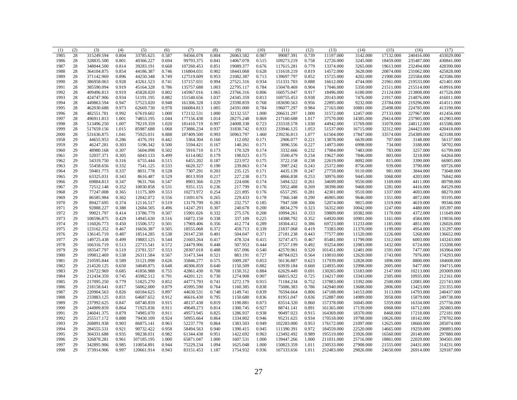| (1)          | (2)      | (3)                      | (4)            | (5)                    | (6)            | (7)                    | (8)            | (9)                | (10)           | (11)                   | (12)           | (13)                   | (14)                   | (15)                 | (16)                 | (17)                     |
|--------------|----------|--------------------------|----------------|------------------------|----------------|------------------------|----------------|--------------------|----------------|------------------------|----------------|------------------------|------------------------|----------------------|----------------------|--------------------------|
| 1985         | 28       | 315249.594               | 0.804          | 33785.625              | 0.587          | 94566.078              | 0.804          | 26063.582          | 0.987          | 99087.391              | 0.739          | 11197.000              | 3142.000               | 17132.000            | 240416.000           | 433029.000               |
| 1986         | 28       | 328835.500               | 0.801          | 40366.227              | 0.694          | 99793.375              | 0.841          | 14067.078          | 0.515          | 109273.219             | 0.758          | 12726.000              | 3245.000               | 18459.000            | 235487.000           | 430841.000               |
| 1987         | 28       | 348044.500               | 0.814          | 39283.191              | 0.668          | 107260.453             | 0.851          | 19089.377          | 0.676          | 117615.281             | 0.779          | 13374.000              | 3265.000               | 19613.000            | 232494.000           | 428390.000               |
| 1988         | 28       | 364104.875               | 0.854          | 44186.387              | 0.746          | 116804.031             | 0.902          | 18443.068          | 0.628          | 131618.219             | 0.819          | 14572.000              | 3628.000               | 20874.000            | 231062.000           | 425828.000               |
| 1989         | 28       | 371142.969               | 0.896          | 44250.348              | 0.749          | 127519.609             | 0.953          | 21082.387          | 0.713          | 139697.797             | 0.852          | 15725.000              | 4202.000               | 21900.000            | 225584.000           | 423586.000               |
| 1990         | 28       | 386958.063               | 0.928          | 43261.523              | 0.741          | 137157.031             | 0.994          | 27521.316          | 0.934          | 151331.703             | 0.888          | 16612.000              | 4744.000               | 21961.000            | 219533.000           | 421401.000               |
| 1991         | 28       | 385590.094               | 0.919          | 45164.328              | 0.786          | 135757.688             | 1.003          | 22795.117          | 0.784          | 150478.469             | 0.904          | 17046.000              | 5350.000               | 21511.000            | 215514.000           | 418916.000               |
| 1992         | 28       | 409496.813               | 0.919          | 45828.020              | 0.802          | 145967.016             | 1.065          | 23766.316          | 0.806          | 160575.047             | 0.917          | 18496.000              | 6180.000               | 21124.000            | 213808.000           | 417526.000               |
| 1993         | 28       | 424747.906               | 0.934          | 51191.195              | 0.882          | 151540.656             | 1.037          | 24345.359          | 0.813          | 169755.453             | 0.938          | 20143.000              | 7476.000               | 21917.000            | 214876.000           | 416011.000               |
| 1994         | 28       | 449863.594               | 0.947          | 57523.020              | 0.948          | 161306.328             | 1.020          | 23590.859          | 0.768          | 183690.563             | 0.956          | 22895.000              | 9232.000               | 23784.000            | 219296.000           | 414511.000               |
| 1995         | 28       | 462030.688               | 0.973          | 62669.730              | 0.978          | 166084.813             | 1.005          | 24591.000          | 0.784          | 196077.297             | 0.984          | 27163.000              | 10881.000              | 25498.000            | 224785.000           | 413190.000               |
| 1996         | 28       | 482551.781               | 0.992          | 67619.602              | 1.000          | 172132.531             | 1.000          | 32132.557          | 1.000          | 206631.297             | 1.000          | 31572.000              | 12457.000              | 27133.000            | 227967.000           | 412456.000               |
| 1997         | 28       | 496911.813               | 1.001          | 74853.195              | 1.044          | 177156.438             | 1.014          | 28275.248          | 0.869          | 217160.688             | 1.017          | 37570.000              | 14385.000              | 29414.000            | 237905.000           | 412903.000               |
| 1998         | 28       | 513496.250               | 1.007          | 78219.359              | 1.020          | 181410.719             | 0.997          | 24008.338          | 0.723          | 233318.578             | 1.030          | 44942.000              | 15769.000              | 31078.000            | 248112.000           | 415586.000               |
| 1999         | 28       | 517659.156               | 1.015          | 85987.688              | 1.068          | 173886.234             | 0.937          | 31830.742          | 0.933          | 233946.125             | 1.053          | 51537.000              | 16715.000              | 32312.000            | 244423.000           | 420418.000               |
| 2000         | 28       | 531636.875               | 1.041          | 75925.031              | 0.888          | 187409.500             | 0.993          | 50963.797          | 1.460          | 239236.813             | 1.077          | 61504.000              | 17847.000              | 33574.000            | 254389.000           | 423188.000               |
| 1958         | 29       | 44655.953                | 0.286          | 4376.191               | 0.442          | 5364.304               | 0.160          | 112.692            | 0.171          | 2906.077               | 0.221          | 13878.000              | 6639.000               | 707.000              | 3148.000             | 56137.000                |
| 1959         | 29       | 46247.281                | 0.303          | 5196.342               | 0.500          | 5594.421               | 0.167          | 140.261            | 0.171          | 3096.556               | 0.227          | 14973.000              | 6998.000               | 734.000              | 3188.000             | 58702.000                |
| 1960         | 29       | 48980.168                | 0.307          | 5604.098               | 0.502          | 5910.710               | 0.173          | 170.329            | 0.174          | 3332.666               | 0.232          | 17084.000              | 7483.000               | 783.000              | 3257.000             | 61799.000                |
| 1961         | 29       | 52037.371                | 0.305          | 6043.133               | 0.499          | 6114.082               | 0.179          | 198.023            | 0.175          | 3500.479               | 0.234          | 19627.000              | 7846.000               | 803.000              | 3218.000             | 64264.000                |
| 1962         | 29       | 54319.750                | 0.316          | 6755.444               | 0.515          | 6455.202               | 0.187          | 223.972            | 0.175          | 3722.158               | 0.238          | 22619.000              | 8092.000               | 815.000              | 3390.000             | 66905.000                |
| 1963         | 29       | 55458.656                | 0.332          | 7541.125               | 0.533          | 6620.327               | 0.190          | 239.863            | 0.174          | 3987.242               | 0.243          | 25372.000              | 8756.000               | 939.000              | 3790.000             | 69726.000                |
| 1964         | 29       | 59401.773                | 0.337          | 8031.778               | 0.528          | 7307.291               | 0.203          | 235.125            | 0.171          | 4435.139               | 0.247          | 27759.000              | 9110.000               | 981.000              | 3844.000             | 73048.000                |
| 1965         | 29       | 63325.031                | 0.343          | 8616.487               | 0.529          | 8013.959               | 0.217          | 227.238            | 0.173          | 4866.838               | 0.253          | 30976.000              | 9445.000               | 1068.000             | 4203.000             | 76842.000                |
| 1966         | 29       | 69884.813                | 0.347          | 9631.766               | 0.547          | 8903.366               | 0.229          | 224.606            | 0.174          | 5494.522               | 0.261          | 34699.000              | 9550.000               | 1169.000             | 4411.000             | 80798.000                |
| 1967         | 29       | 72512.148                | 0.352          | 10030.858              | 0.531          | 9351.155               | 0.236          | 217.799            | 0.176          | 5952.488               | 0.269          | 38398.000              | 9468.000               | 1281.000             | 4416.000             | 84529.000                |
| 1968         | 29       | 77247.008                | 0.365          | 11175.309              | 0.553          | 10273.972              | 0.254          | 221.895            | 0.176          | 6557.295               | 0.281          | 42301.000              | 9510.000               | 1337.000             | 4693.000             | 88270.000                |
| 1969         | 29       | 86585.984                | 0.362          | 12042.072              | 0.556          | 11691.676              | 0.265          | 229.433            | 0.178          | 7366.348               | 0.290          | 46905.000              | 9646.000               | 1351.000             | 4872.000             | 93195.000                |
| 1970         | 29       | 89427.695                | 0.374          | 12116.517              | 0.519          | 13179.799              | 0.283          | 232.757            | 0.185          | 7947.508               | 0.306          | 52074.000              | 9815.000               | 1319.000             | 4619.000             | 99346.000                |
|              | 29       |                          |                |                        |                |                        |                |                    |                |                        |                |                        |                        |                      |                      |                          |
| 1971         | 29       | 92888.227                | 0.388          | 12684.505              | 0.496          | 14247.293              | 0.307          | 240.678            | 0.200          | 8834.279               | 0.323<br>0.333 | 56352.000              | 10042.000              | 1247.000             | 4480.000             | 105397.000               |
| 1972         |          | 99021.797                | 0.414          | 13786.779              | 0.507          | 15901.026              | 0.332          | 275.576            | 0.208          | 10994.261              |                | 59809.000              | 10382.000              | 1170.000             | 4372.000             | 111649.000               |
| 1973<br>1974 | 29<br>29 | 108596.875<br>116026.773 | 0.429<br>0.450 | 14945.630<br>15506.572 | 0.516<br>0.501 | 16872.150<br>17969.406 | 0.338<br>0.356 | 337.109            | 0.225<br>0.289 | 14388.792              | 0.352<br>0.386 | 64920.000<br>69723.000 | 10901.000<br>11233.000 | 1161.000             | 4584.000             | 119036.000               |
| 1975         | 29       | 123162.352               | 0.467          | 16656.387              | 0.505          | 18555.068              | 0.372          | 412.774<br>459.713 | 0.339          | 18304.412<br>21837.068 | 0.419          | 73383.000              | 11370.000              | 1185.000<br>1199.000 | 4851.000<br>4954.000 | 126026.000<br>131297.000 |
| 1976         | 29       | 136145.719               | 0.487          | 18514.285              | 0.538          | 20147.230              | 0.401          | 504.047            | 0.371          | 27181.238              | 0.443          | 77577.000              | 11520.000              | 1226.000             | 5268.000             | 136652.000               |
| 1977         | 29       | 149725.438               | 0.499          | 19883.125              | 0.544          | 21603.264              | 0.417          | 478.324            | 0.415          | 32747.475              | 0.467          | 85481.000              | 11799.000              | 1312.000             | 6003.000             | 143243.000               |
| 1978         | 29       | 166316.719               | 0.513          | 22715.541              | 0.572          | 24479.906              | 0.448          | 507.953            | 0.444          | 37557.199              | 0.492          | 93254.000              | 12083.000              | 1432.000             |                      | 153208.000               |
| 1979         | 29       | 183547.797               | 0.519          | 23781.557              | 0.553          | 28307.018              | 0.488          | 657.096            | 0.540          | 42570.961              | 0.520          | 101451.000             | 12401.000              | 1591.000             | 6724.000<br>7477.000 | 163964.000               |
|              |          |                          |                |                        |                |                        |                |                    |                |                        |                |                        |                        |                      |                      |                          |
| 1980         | 29<br>29 | 199812.469               | 0.538          | 26311.584              | 0.567<br>0.626 | 31473.344              | 0.521          | 883.191            | 0.727<br>0.853 | 48784.023              | 0.564<br>0.623 | 110010.000             | 12620.000              | 1743.000             | 7976.000             | 174293.000               |
| 1981         | 29       | 210595.844               | 0.589          | 31121.098              |                | 35846.277              | 0.575          | 1009.287           | 0.882          | 56136.887              |                | 117939.000             | 12828.000              | 1896.000             | 8800.000             | 184608.000               |
| 1982         | 29       | 214520.125               | 0.650          | 34049.875              | 0.648          | 40306.859<br>42861.430 | 0.640<br>0.708 | 1150.509           |                | 63939.184              | 0.660<br>0.691 | 124935.000             | 12998.000              | 2005.000             | 9477.000             | 194715.000               |
| 1983         |          | 216722.969               | 0.685<br>0.745 | 41856.988              | 0.755<br>0.791 |                        | 0.730          | 1150.312           | 0.884<br>0.907 | 62629.449<br>66815.922 | 0.725          | 130265.000             | 13183.000              | 2147.000             | 10213.000            | 203009.000               |
| 1984         | 29       | 212434.359               | 0.779          | 45982.512              |                | 44201.121              |                | 1274.908           |                |                        |                | 134217.000             | 13343.000              | 2305.000             | 10935.000            | 212161.000               |
| 1985         | 29       | 217095.250               |                | 51825.270              | 0.852          | 44773.793              | 0.741          | 1272.179           | 0.915          | 71184.234              | 0.752          | 137883.000             | 13392.000              | 2500.000             | 12081.000            | 221743.000               |
| 1986         | 29       | 218158.641               | 0.817          | 56062.000              | 0.879          | 45995.590              | 0.764          | 1160.385           | 0.838          | 75086.383              | 0.786          | 142940.000             | 13688.000              | 2806.000             | 13423.000            | 231355.000               |
| 1987         | 29       | 220904.563               | 0.826          | 60184.625              | 0.897          | 44630.531              | 0.748          | 1149.741           | 0.839          | 76594.664              | 0.806          | 147188.000             | 14153.000              | 3113.000             | 14793.000            | 240437.000               |
| 1988         | 29       | 233883.125               | 0.831          | 64687.652              | 0.912          | 46616.430              | 0.795          | 1150.680           | 0.836          | 81951.047              | 0.836          | 152887.000             | 14989.000              | 3958.000             | 15879.000            | 249738.000               |
| 1989         | 29       | 237992.625               | 0.847          | 68740.859              | 0.915          | 48137.438              | 0.819          | 1190.881           | 0.873          | 83514.320              | 0.860          | 157378.000             | 16045.000              | 5359.000             | 16334.000            | 257756.000               |
| 1990         | 29       | 244909.859               | 0.864          | 71925.836              | 0.911          | 49649.273              | 0.814          | 1300.745           | 0.927          | 88741.141              | 0.891          | 161365.000             | 17139.000              | 6968.000             | 16712.000            | 265803.000               |
| 1991         | 29       | 246041.375               | 0.879          | 74985.070              | 0.911          | 49573.945              | 0.825          | 1286.937           | 0.938          | 90497.023              | 0.915          | 164369.000             | 18370.000              | 8468.000             | 17218.000            | 272181.000               |
| 1992         | 29       | 255517.172               | 0.888          | 79430.109              | 0.924          | 50955.664              | 0.864          | 1334.802           | 0.946          | 95231.625              | 0.934          | 170518.000             | 19798.000              | 10626.000            | 18142.000            | 278702.000               |
| 1993         | 29       | 268891.938               | 0.903          | 86875.141              | 0.963          | 52237.770              | 0.864          | 1383.503           | 0.949          | 102283.000             | 0.953          | 176172.000             | 21097.000              | 12625.000            | 18660.000            | 285074.000               |
| 1994         | 29       | 284555.531               | 0.921          | 90732.422              | 0.958          | 58494.563              | 0.940          | 1390.415           | 0.945          | 111390.391             | 0.972          | 184559.000             | 22520.000              | 14665.000            | 19259.000            | 290893.000               |
| 1995         | 29       | 304331.688               | 0.935          | 98238.031              | 0.982          | 61344.438              | 0.951          | 1422.692           | 0.963          | 123492.492             | 0.989          | 195519.000             | 23926.000              | 16560.000            | 20140.000            | 297880.000               |
| 1996         | 29       | 326878.281               | 0.961          | 107185.195             | 1.000          | 65871.047              | 1.000          | 1607.531           | 1.000          | 139447.266             | 1.000          | 211031.000             | 25716.000              | 18861.000            | 22029.000            | 304501.000               |
| 1997         | 29       | 342895.906               | 0.985          | 110054.891             | 0.944          | 75229.234              | 1.094          | 1625.048           | 1.000          | 150823.359             | 1.011          | 230533.000             | 27908.000              | 21555.000            | 24431.000            | 314231.000               |
| 1998         | 29       | 373914.906               | 0.997          | 120661.914             | 0.943          | 83151.453              | 1.187          | 1754.932           | 0.936          | 167333.656             | 1.011          | 252483.000             | 29826.000              | 24650.000            | 26914.000            | 329187.000               |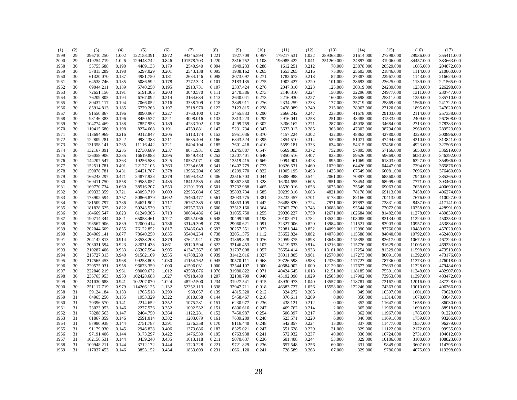| (1)          | (2)      | (3)        | (4)   | (5)        | (6)            | (7)                    | (8)   | (9)       | (10)           | (11)       | (12)           | (13)       | (14)                     | (15)      | (16)      | (17)       |
|--------------|----------|------------|-------|------------|----------------|------------------------|-------|-----------|----------------|------------|----------------|------------|--------------------------|-----------|-----------|------------|
| 1999         | 29       | 396710.250 | 1.002 | 122158.391 | 0.872          | 94345.594              | 1.221 | 1927.709  | 0.957          | 179217.531 | 1.022          | 289368.000 | 31614.000                | 27298.000 | 29936.000 | 355411.000 |
| 2000         | 29       | 419254.719 | 1.026 | 129448.742 | 0.846          | 101578.703             | 1.220 | 2316.752  | 1.108          | 196985.422 | 1.041          | 351269.000 | 34897.000                | 31906.000 | 34457.000 | 383663.000 |
| 1958         | 30       | 55755.688  | 0.190 | 4489.133   | 0.179          | 2540.940               | 0.094 | 1949.233  | 0.288          | 1612.251   | 0.212          | 70.000     | 23878.000                | 20529.000 | 1085.000  | 204872.000 |
| 1959         | 30       | 57815.289  | 0.198 | 5297.029   | 0.201          | 2543.138               | 0.095 | 1938.162  | 0.265          | 1653.265   | 0.216          | 75.000     | 25603.000                | 21846.000 | 1114.000  | 210860.000 |
| 1960         | 30       | 61320.070  | 0.187 | 4981.750   | 0.181          | 2634.146               | 0.098 | 2073.097  | 0.271          | 1782.672   | 0.218          | 87.000     | 27387.000                | 22967.000 | 1143.000  | 216624.000 |
| 1961         | 30       | 64538.746  | 0.185 | 5086.592   | 0.178          | 2772.323               | 0.101 | 2183.135  | 0.275          | 1902.427   | 0.220          | 101.000    | 28693.000                | 23625.000 | 1139.000  | 221565.000 |
| 1962         | 30       | 69044.211  | 0.189 | 5740.250   | 0.195          | 2913.731               | 0.107 | 2337.424  | 0.276          | 2047.310   | 0.223          | 125.000    | 30319.000                | 24239.000 | 1230.000  | 226298.000 |
| 1963         | 30       | 72651.156  | 0.191 | 6191.305   | 0.203          | 3040.570               | 0.111 | 2470.386  | 0.273          | 2146.310   | 0.224          | 150.000    | 32296.000                | 24977.000 | 1311.000  | 230747.000 |
| 1964         | 30       | 76209.805  | 0.194 | 6767.092   | 0.214          | 3164.634               | 0.113 | 2640.041  | 0.273          | 2216.930   | 0.227          | 160,000    | 33698,000                | 25311.000 | 1359.000  | 235710.000 |
| 1965         | 30       | 80437.117  | 0.194 | 7066.052   | 0.216          | 3338.709               | 0.118 | 2849.911  | 0.276          | 2334.259   | 0.233          | 177.000    | 35719.000                | 25869.000 | 1566.000  | 241722.000 |
| 1966         | 30       | 85914.813  | 0.185 | 6779.263   | 0.197          | 3518.970               | 0.122 | 3123.815  | 0.278          | 2478.089   | 0.240          | 215.000    | 38963.000                | 27120.000 | 1895.000  | 247620.000 |
| 1967         | 30       | 91550.867  | 0.196 | 8090.967   | 0.227          | 3760.100               | 0.127 | 3455.833  | 0.290          | 2666.242   | 0.247          | 233.000    | 41678.000                | 29103.000 | 2114.000  | 257338.000 |
| 1968         | 30       | 98146.383  | 0.196 | 8450.527   | 0.221          | 4008.016               | 0.133 | 3813.223  | 0.292          | 2916.041   | 0.258          | 251.000    | 43485.000                | 31533.000 | 2409.000  | 267808.000 |
| 1969         | 30       | 104774.469 | 0.188 | 7857.953   | 0.189          | 4283.702               | 0.138 | 4299.759  | 0.302          | 3206.162   | 0.271          | 287.000    | 45038.000                | 34684.000 | 2713.000  | 278383.000 |
| 1970         | 30       | 110415.680 | 0.198 | 8274.668   | 0.191          | 4759.881               | 0.147 | 5231.734  | 0.343          | 3633.013   | 0.285          | 363.000    | 47302.000                | 38794.000 | 2960.000  | 289523.000 |
| 1971         | 30       | 113694.969 | 0.216 | 9312.847   | 0.205          | 5113.174               | 0.153 | 5951.036  | 0.370          | 4157.224   | 0.302          | 432.000    | 48863.000                | 42780.000 | 3329.000  | 300896.000 |
| 1972         | 30       | 122809.281 | 0.222 | 9982.388   | 0.211          | 5635.404               | 0.166 | 6843.524  | 0.395          | 4854.510   | 0.314          | 539.000    | 51071.000                | 47494.000 | 4210.000  | 313841.000 |
| 1973         | 30       | 131358.141 | 0.235 | 11116.442  | 0.221          | 6494.104               | 0.185 | 7601.418  | 0.410          | 5599.181   | 0.333          | 634.000    | 54315.000                | 52456.000 | 4923.000  | 327505.000 |
| 1974         | 30       | 132167.891 | 0.285 | 12730.689  | 0.237          | 8071.931               | 0.228 | 10245.887 | 0.547          | 6669.883   | 0.372          | 752.000    | 57895.000                | 57166.000 | 5853.000  | 336919.000 |
| 1975         | 30       | 136058.906 | 0.335 | 16619.883  | 0.295          | 8849.483               | 0.252 | 12207.401 | 0.640          | 7850.516   | 0.407          | 833.000    | 59526.000                | 59669.000 | 6081.000  | 346392.000 |
| 1976         | 30       | 144207.547 | 0.363 | 19256.588  | 0.325          | 10537.071              | 0.300 | 13519.415 | 0.669          | 9094.901   | 0.428          | 895.000    | 61069.000                | 61803.000 | 6327.000  | 354966.000 |
| 1977         | 30       | 152511.781 | 0.401 | 22127.105  | 0.363          | 12234.658              | 0.341 | 16407.779 | 0.773          | 10326.531  | 0.460          | 1029.000   | 64426.000                | 64447.000 | 7294.000  | 365876.000 |
| 1978         | 30       | 159078.781 | 0.431 | 24421.787  | 0.378          | 13966.204              | 0.369 | 18209.770 | 0.822          | 11905.195  | 0.498          | 1425.000   | 67549.000                | 66081.000 | 7696.000  | 376460.000 |
| 1979         | 30       | 166243.297 | 0.471 | 24877.928  | 0.379          | 15994.432              | 0.406 | 23516.703 | 1.044          | 13888.988  | 0.544          | 2061.000   | 70897.000                | 68560.000 | 7940.000  | 385265.000 |
| 1980         | 30       | 169411.750 | 0.558 | 29585.057  | 0.435          | 18412.535              | 0.454 | 30367.850 | 1.328          | 16204.655  | 0.605          | 2851.000   | 73454.000                | 68999.000 | 7771.000  | 393460.000 |
| 1981         | 30       | 169770.734 | 0.660 | 38516.207  | 0.553          | 21201.799              | 0.501 | 33732.988 | 1.465          | 18530.016  | 0.658          | 3675.000   | 75549.000                | 69063.000 | 7638.000  | 400690.000 |
| 1982         | 30       | 169333.359 | 0.721 | 43093.719  | 0.603          | 22935.084              | 0.525 | 35803.734 | 1.585          | 20239.316  | 0.683          | 4821.000   | 78178.000                | 69113.000 | 7458.000  | 406274.000 |
| 1983         | 30       | 173902.594 | 0.757 | 50866.879  | 0.692          | 25460.477              | 0.561 | 32033.775 | 1.381          | 23232.457  | 0.701          | 6178.000   | 82166.000                | 70413.000 | 7676.000  | 410027.000 |
| 1984         | 30       | 181509.797 | 0.786 | 54621.902  | 0.717          | 26767.385              | 0.581 | 34853.109 | 1.442          | 26488.820  | 0.724          | 7971.000   | 87897.000                | 72831.000 | 8437.000  | 417141.000 |
| 1985         | 30       | 181828.625 | 0.822 | 59243.539  | 0.731          | 28757.783              | 0.600 | 33512.160 | 1.364          | 27962.770  | 0.743          | 10688.000  | 95544.000                | 77072.000 | 10358.000 | 428991.000 |
| 1986         | 30       | 184669.547 | 0.823 | 61249.305  | 0.713          | 30684.486              | 0.641 | 31055.750 | 1.255          | 29036.227  | 0.759          | 12671.000  | 102684.000               | 81482.000 | 11278.000 | 439839.000 |
| 1987         | 30       | 190714.344 | 0.821 | 65053.461  | 0.727          | 30952.066              | 0.648 | 30499.768 | 1.198          | 30102.471  | 0.784          | 13534.000  | 108085.000               | 83134.000 | 11224.000 | 450353.000 |
| 1988         | 30       | 198567.906 | 0.839 | 72000.414  | 0.786          | 33149.398              | 0.720 | 29060.621 | 1.091          | 32327.006  | 0.820          | 13984.000  | 111521.000               | 83903.000 | 10957.000 | 453834.000 |
| 1989         | 30       | 202044.609 | 0.855 | 76122.852  | 0.817          | 33486.043              | 0.693 | 30257.551 | 1.073          | 32981.344  | 0.852          | 14099.000  | 112990.000               | 83766.000 | 10489.000 | 457020.000 |
| 1990         | 30       | 204969.141 | 0.877 | 78640.250  | 0.835          | 35404.254              | 0.738 | 32051.375 | 1.112          | 33652.824  | 0.882          | 14078.000  | 115588.000               | 84040.000 | 10792.000 | 462483.000 |
| 1991         | 30       | 204142.813 |       | 83538.203  | 0.879          | 37641.941              | 0.783 | 31369.828 |                | 34059.375  | 0.898          |            |                          |           |           | 467324.000 |
|              |          |            | 0.914 |            |                |                        | 0.822 |           | 1.076          |            |                | 13648.000  | 115395.000               | 82617.000 | 10672.000 |            |
| 1992<br>1993 | 30<br>30 | 203031.594 | 0.923 | 82071.438  | 0.861<br>0.905 | 39120.594              | 0.887 | 32146.453 | 1.107<br>1.057 | 34119.633  | 0.914          | 13216.000  | 115776.000               | 81629.000 | 11005.000 | 469233.000 |
|              |          | 210287.406 | 0.933 | 86307.594  |                | 41347.367              |       | 31797.008 |                | 36654.414  | 0.938          | 13161.000  | 117254.000               | 81329.000 | 11598.000 | 473513.000 |
| 1994         | 30<br>30 | 215727.313 | 0.940 | 91582.109  | 0.955          | 41788.230<br>41154.762 | 0.939 | 31412.016 | 1.027          | 38011.805  | 0.961<br>0.988 | 12570.000  | 117273.000<br>117727.000 | 80091.000 | 11392.000 | 473176.000 |
| 1995         |          | 217565.453 | 0.968 | 99258.805  | 1.030          |                        | 0.945 | 30570.111 | 0.968          | 39726.598  |                | 12326.000  |                          | 78736.000 | 11373.000 | 476018.000 |
| 1996         | 30       | 220575.031 | 0.958 | 96673.359  | 1.000          | 41506.031              | 1.000 | 32544.107 | 1.000          | 40684.902  | 1.000          | 12129.000  | 117677.000               | 77633.000 | 11328.000 | 479484.000 |
| 1997         | 30       | 222840.219 | 0.961 | 98069.672  | 1.012          | 43568.676              | 1.076 | 31980.822 | 0.971          | 40424.645  | 1.018          | 12151.000  | 118185.000               | 75591.000 | 11248.000 | 482907.000 |
| 1998         | 30       | 236765.953 | 0.953 | 102428.688 | 1.027          | 47918.430              | 1.207 | 32130.799 | 0.940          | 43192.098  | 1.029          | 12503.000  | 117902.000               | 73953.000 | 11397.000 | 483472.000 |
| 1999         | 30       | 241030.688 | 0.941 | 102207.070 | 1.024          | 48792.500              | 1.234 | 31927.541 | 0.915          | 43930.973  | 1.040          | 13557.000  | 118781.000               | 72167.000 | 12016.000 | 487228.000 |
| 2000         | 30       | 251117.719 | 0.979 | 114266.125 | 1.132          | 52352.113              | 1.338 | 32947.711 | 0.918          | 46383.727  | 1.056          | 15558.000  | 122246.000               | 74363.000 | 13010.000 | 496366.000 |
| 1958         | 31       | 59124.184  | 0.133 | 1765.518   | 0.299          | 968.057                | 0.139 | 4815.320  | 0.212          | 324.272    | 0.205          | 0.000      | 349.000                  | 10397.000 | 1601.000  | 79628.000  |
| 1959         | 31       | 64965.250  | 0.135 | 1953.329   | 0.322          | 1010.858               | 0.144 | 5458.467  | 0.218          | 376.611    | 0.209          | 0.000      | 350.000                  | 11314.000 | 1678.000  | 83047.000  |
| 1960         | 31       | 70396.570  | 0.141 | 2214.652   | 0.352          | 1075.281               | 0.151 | 6230.977  | 0.236          | 438.121    | 0.212          | 0.000      | 352.000                  | 11647.000 | 1658.000  | 86030.000  |
| 1961         | 31       | 73023.953  | 0.146 | 2277.576   | 0.352          | 1092.532               | 0.151 | 6806.616  | 0.247          | 469.762    | 0.214          | 2.000      | 365.000                  | 11969.000 | 1690.000  | 88918.000  |
| 1962         | 31       | 78288.563  | 0.147 | 2404.750   | 0.364          | 1122.281               | 0.152 | 7450.987  | 0.254          | 506.397    | 0.217          | 3.000      | 362.000                  | 11967.000 | 1785.000  | 91220.000  |
| 1963         | 31       | 81867.859  | 0.146 | 2591.014   | 0.382          | 1203.079               | 0.161 | 7639.289  | 0.248          | 523.571    | 0.220          | 6.000      | 346.000                  | 11691.000 | 1759.000  | 93266.000  |
| 1964         | 31       | 87980.938  | 0.144 | 2751.787   | 0.391          | 1276.358               | 0.170 | 8116.440  | 0.248          | 542.857    | 0.224          | 13.000     | 337.000                  | 11477.000 | 1857.000  | 96279.000  |
| 1965         | 31       | 91179.930  | 0.145 | 2946.828   | 0.406          | 1373.686               | 0.183 | 8325.021  | 0.247          | 551.628    | 0.229          | 21.000     | 329.000                  | 11122.000 | 2172.000  | 99935.000  |
| 1966         | 31       | 97191.406  | 0.144 | 3173.297   | 0.422          | 1476.530               | 0.195 | 8763.938  | 0.241          | 572.932    | 0.237          | 40.000     | 330.000                  | 10724.000 | 2731.000  | 104612.000 |
| 1967         | 31       | 102156.531 | 0.144 | 3439.240   | 0.435          | 1613.118               | 0.211 | 9070.637  | 0.236          | 601.408    | 0.244          | 53.000     | 329.000                  | 10186.000 | 3100.000  | 108823.000 |
| 1968         | 31       | 109948.211 | 0.144 | 3712.172   | 0.444          | 1720.228               | 0.221 | 9721.829  | 0.236          | 657.548    | 0.256          | 60.000     | 331.000                  | 9849.000  | 3607.000  | 114795.000 |
| 1969         | 31       | 117037.453 | 0.146 | 3853.152   | 0.434          | 1833.699               | 0.231 | 10661.120 | 0.241          | 728.589    | 0.268          | 67.000     | 329.000                  | 9786.000  | 4075.000  | 119298.000 |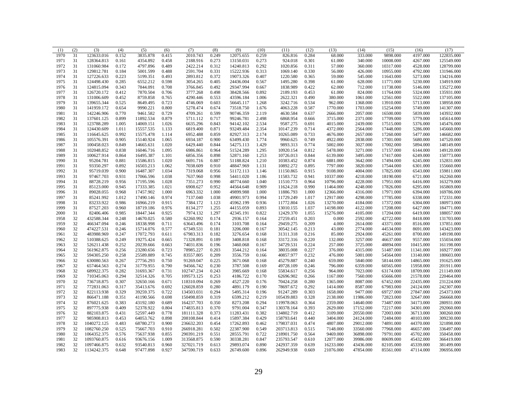| 31<br>1970<br>123633.016<br>0.152<br>3835.878<br>0.415<br>2010.743<br>0.249<br>12075.655<br>0.259<br>826.816<br>0.284<br>333.000<br>9898.000<br>4197.000<br>68.000<br>31<br>340.000<br>1971<br>128364.813<br>0.161<br>4354.892<br>0.458<br>2188.916<br>0.273<br>13150.031<br>0.273<br>924.018<br>0.301<br>61.000<br>10008.000<br>4267.000<br>1972<br>31<br>131060.984<br>0.172<br>4797.896<br>0.489<br>2422.214<br>0.312<br>14240.813<br>0.292<br>1020.856<br>0.311<br>57.000<br>360.000<br>10317.000<br>4528.000<br>31<br>129812.781<br>2591.704<br>0.331<br>15222.936<br>0.313<br>1069.140<br>0.330<br>426.000<br>4792.000<br>1973<br>0.184<br>5001.599<br>0.488<br>56.000<br>10955.000<br>1974<br>31<br>0.223<br>2893.812<br>0.372<br>19073.326<br>1220.580<br>0.365<br>545.000<br>5273.000<br>127226.633<br>5199.351<br>0.493<br>0.407<br>59.000<br>11643.000<br>1975<br>31<br>124498.430<br>0.285<br>6552.212<br>3054.265<br>0.405<br>24436.004<br>1495.280<br>0.398<br>628.000<br>5230.000<br>0.598<br>0.567<br>61.000<br>11771.000<br>1976<br>31<br>124815.094<br>0.343<br>7844.091<br>0.708<br>3766.845<br>0.492<br>29347.994<br>0.667<br>1838.989<br>0.422<br>62.000<br>712.000<br>11738.000<br>5146.000<br>1977<br>31<br>126720.172<br>0.412<br>7870.504<br>0.706<br>3777.268<br>0.498<br>38428.566<br>0.892<br>2189.193<br>0.453<br>61.000<br>824.000<br>11764.000<br>5324.000<br>0.553<br>0.490<br>5522.000<br>1978<br>31<br>131006.609<br>0.452<br>8759.858<br>0.765<br>4290.446<br>43596.184<br>1.006<br>2622.321<br>380.000<br>1061.000<br>12561.000<br>0.525<br>4746.069<br>3242.716<br>0.534<br>1368.000<br>5713.000<br>1979<br>31<br>139655.344<br>8649.495<br>0.723<br>0.603<br>56645.117<br>1.268<br>962.000<br>13910.000<br>31<br>141959.172<br>0.654<br>9990.221<br>0.800<br>5278.474<br>0.674<br>73518.750<br>4063.228<br>0.587<br>1703.000<br>15254.000<br>5749.000<br>1980<br>1.676<br>1770.000<br>0.770<br>0.599<br>4630.584<br>5839.000<br>1981<br>31<br>142246.906<br>9461.582<br>0.729<br>4709.261<br>90746.359<br>2.119<br>0.637<br>2666.000<br>2057.000<br>16500.000<br>31<br>5779.000<br>1982<br>137601.125<br>0.899<br>11892.534<br>0.879<br>5711.112<br>0.717<br>99246.781<br>2.498<br>6868.954<br>0.666<br>3715.000<br>2371.000<br>17709.000<br>123788.289<br>0.843<br>94142.102<br>9587.275<br>2439.000<br>1983<br>31<br>1.005<br>14069.151<br>1.026<br>6635.296<br>2.534<br>0.691<br>4015.000<br>17515.000<br>5376.000<br>145476.000<br>31<br>93249.484<br>0.714<br>1984<br>124430.609<br>1.011<br>15557.535<br>1.133<br>6819.400<br>0.871<br>2.354<br>10147.239<br>4372.000<br>2564.000<br>17448.000<br>5286.000<br>145660.000<br>1985<br>31<br>116645.625<br>0.992<br>15575.478<br>1.114<br>6952.488<br>0.859<br>82927.313<br>2.174<br>10265.089<br>0.733<br>4676.000<br>2657.000<br>17260.000<br>5477.000<br>146682.000<br>0.905<br>15140.924<br>0.900<br>63499.430<br>9960.625<br>0.749<br>2838.000<br>5680.000<br>1986<br>31<br>105576.391<br>1.065<br>6934.187<br>1.774<br>4922.000<br>17301.000<br>147520.000<br>0.774<br>3027.000<br>1987<br>31<br>100458.023<br>0.849<br>14665.631<br>1.020<br>6429.440<br>0.844<br>54275.113<br>1.429<br>9893.313<br>5002.000<br>17002.000<br>5894.000<br>148149.000<br>31<br>102048.852<br>0.838<br>16046.716<br>1.095<br>6986.861<br>0.964<br>51524.289<br>1.295<br>10920.154<br>0.812<br>5478.000<br>3271.000<br>17157.000<br>6144.000<br>149120.000<br>1988<br>31<br>100627.914<br>0.864<br>16495.387<br>0.898<br>1.253<br>10726.013<br>0.844<br>3495.000<br>17417.000<br>6249.000<br>1989<br>1.101<br>6856.356<br>52871.160<br>6139.000<br>150773.000<br>31<br>95204.781<br>0.881<br>15586.815<br>1.020<br>6691.716<br>0.887<br>51188.824<br>1.210<br>10383.452<br>0.874<br>6881.000<br>3642.000<br>17494.000<br>6245.000<br>152831.000<br>1990<br>31<br>93350.297<br>0.892<br>16503.213<br>1.062<br>7038.609<br>0.910<br>48847.969<br>1.131<br>10892.272<br>0.895<br>7797.000<br>3820.000<br>17544.000<br>6301.000<br>1991<br>155660.000<br>0.900<br>0.915<br>6543.000<br>1992<br>31<br>95719.039<br>16487.307<br>1.034<br>7319.068<br>0.956<br>51172.113<br>11150.865<br>9108.000<br>4004.000<br>17825.000<br>159811.000<br>1.146<br>31<br>0.941<br>4218.000<br>1993<br>97467.703<br>0.931<br>17066.596<br>1.038<br>7637.960<br>0.998<br>54411.020<br>1.186<br>11583.732<br>10337.000<br>18190.000<br>6721.000<br>162260.000<br>88728.219<br>7351.273<br>0.990<br>6416.000<br>1994<br>31<br>0.956<br>17195.596<br>1.028<br>48774.660<br>1.040<br>11510.773<br>0.964<br>10796.000<br>4228.000<br>17951.000<br>163279.000<br>31<br>0.990<br>1995<br>85123,000<br>0.945<br>17333.385<br>1.021<br>6908.627<br>0.952<br>44564.648<br>0.909<br>11624.218<br>11464.000<br>4248.000<br>17826.000<br>6295.000<br>165869.000<br>89028.055<br>6963.332<br>4316.000<br>1996<br>31<br>0.968<br>17457.902<br>1.000<br>1.000<br>49899.988<br>1.000<br>11886.793<br>1.000<br>12366.000<br>17971.000<br>6394.000<br>169786.000<br>31<br>85241.992<br>1.012<br>17490.146<br>0.974<br>7137.040<br>1.038<br>49901.973<br>0.994<br>11729.249<br>1.017<br>12917.000<br>4298.000<br>17785.000<br>6338.000<br>172331.000<br>1997<br>1998<br>31<br>83233.922<br>0.986<br>16966.219<br>0.915<br>7384.172<br>1.123<br>45962.199<br>0.936<br>11772.804<br>1.026<br>13270.000<br>4184.000<br>17372.000<br>6304.000<br>180973.000<br>31<br>1.037<br>4122.000<br>1999<br>87527.203<br>0.960<br>18719.186<br>0.976<br>8134.277<br>1.255<br>44155.059<br>0.893<br>13010.155<br>14198.000<br>17208.000<br>6427.000<br>184771.000<br>0.925<br>7974.132<br>1.297<br>12429.370<br>1.055<br>4105.000<br>2000<br>31<br>82406.406<br>0.985<br>18447.344<br>42345.191<br>0.822<br>15276.000<br>17204.000<br>6419.000<br>188057.000<br>32<br>432588.344<br>0.248<br>14670.025<br>0.580<br>62260.992<br>0.174<br>2936.157<br>0.164<br>27259.451<br>0.203<br>0.000<br>2592.000<br>42722.000<br>8418.000<br>1958<br>131703.000<br>32<br>466347.094<br>0.246<br>18338.998<br>0.711<br>63643.496<br>0.174<br>3103.708<br>29459.275<br>0.209<br>4.000<br>2614.000<br>1959<br>0.164<br>43371.000<br>8516.000<br>137851.000<br>32<br>474227.531<br>0.246<br>15714.076<br>0.577<br>67349.531<br>0.181<br>3206.000<br>30542.145<br>0.213<br>43.000<br>2774.000<br>44534.000<br>8691.000<br>143423.000<br>1960<br>0.167<br>32<br>483988.969<br>0.247<br>17072.793<br>0.611<br>67983.313<br>0.182<br>3276.654<br>31311.318<br>0.216<br>85.000<br>2924.000<br>45261.000<br>8700.000<br>149198.000<br>1961<br>0.168<br>32<br>19275.424<br>0.220<br>3257.000<br>1962<br>510388.625<br>0.249<br>0.665<br>71328.891<br>0.189<br>3408.818<br>33172.316<br>132.000<br>46637.000<br>9557.000<br>155034.000<br>0.168<br>32<br>0.252<br>20239.666<br>74031.836<br>0.196<br>3460.068<br>34729.531<br>0.224<br>257.000<br>3725.000<br>48894.000<br>10415.000<br>1963<br>526211.438<br>0.663<br>0.167<br>161198.000<br>32<br>23280.656<br>0.227<br>4315.000<br>1964<br>561962.875<br>0.256<br>0.723<br>78985.227<br>0.203<br>3544.212<br>0.164<br>38035.008<br>376.000<br>51487.000<br>11341.000<br>169277.000<br>32<br>1965<br>594305.250<br>0.258<br>25589.889<br>0.745<br>83557.805<br>0.209<br>3556.759<br>0.166<br>40857.977<br>0.232<br>476.000<br>5001.000<br>54564.000<br>13140.000<br>180603.000<br>32<br>91269.047<br>0.225<br>0.240<br>5840.000<br>1966<br>630080.563<br>0.267<br>27756.293<br>0.750<br>3671.068<br>0.168<br>45279.887<br>659.000<br>58144.000<br>14865.000<br>191625.000<br>32<br>657464.563<br>0.274<br>31779.955<br>0.790<br>94566.742<br>0.230<br>3787.508<br>49728.109<br>0.246<br>796.000<br>6359.000<br>60565.000<br>15958.000<br>201911.000<br>1967<br>0.169<br>32<br>689922.375<br>0.282<br>31693.367<br>0.731<br>102747.234<br>0.243<br>3985.669<br>55834.617<br>0.256<br>964.000<br>7023.000<br>63174.000<br>18709.000<br>211149.000<br>1968<br>0.168<br>32<br>0.294<br>1969<br>710345.063<br>32514.326<br>0.705<br>109573.125<br>0.253<br>4186.722<br>0.170<br>62696.902<br>0.266<br>1167.000<br>7560.000<br>65666.000<br>21578.000<br>220464.000<br>32<br>4527.220<br>0.280<br>231224.000<br>1970<br>736718.875<br>0.307<br>32650.166<br>0.671<br>118310.094<br>0.269<br>0.176<br>70424.258<br>1365.000<br>8087.000<br>67452.000<br>22435.000<br>1971<br>32<br>772831.063<br>0.317<br>35413.676<br>0.692<br>126028.859<br>0.280<br>4891.179<br>0.190<br>78697.672<br>0.292<br>1414.000<br>8587.000<br>67983.000<br>24124.000<br>32<br>1972<br>822113.938<br>0.329<br>39259.375<br>0.722<br>0.294<br>5495.314<br>91247.289<br>0.303<br>1658.000<br>9477.000<br>69727.000<br>27847.000<br>134503.031<br>0.196<br>32<br>1973<br>866471.188<br>0.351<br>41190.566<br>0.698<br>150498.859<br>0.319<br>6599.212<br>0.219<br>105439.883<br>0.328<br>2138.000<br>11986.000<br>72823.000<br>32647.000<br>32<br>1974<br>876021.625<br>0.383<br>43192.180<br>0.689<br>164237.703<br>0.350<br>8273.208<br>0.294<br>0.364<br>2359.000<br>14640.000<br>73487.000<br>34173.000<br>119978.063<br>32<br>9791.004<br>0.393<br>1975<br>897775.938<br>0.409<br>52378.922<br>0.804<br>174835.813<br>0.370<br>0.347<br>130378.164<br>2629.000<br>17152.000<br>72217.000<br>34301.000<br>32<br>882103.875<br>52597.449<br>0.778<br>181111.328<br>0.373<br>11283.431<br>0.382<br>134802.719<br>0.412<br>3109.000<br>20550.000<br>72003.000<br>36713.000<br>1976<br>0.431<br>32<br>15897.384<br>0.429<br>1977<br>985908.813<br>0.453<br>64053.762<br>0.898<br>208108.844<br>0.414<br>158793.641<br>0.440<br>3404.000<br>24124.000<br>72484.000<br>40103.000<br>32<br>1978<br>1040272.125<br>0.483<br>68780.273<br>0.900<br>236632.203<br>0.454<br>17262.893<br>0.462<br>179837.031<br>0.474<br>4807.000<br>29012.000<br>74891.000<br>44370.000<br>32<br>1979<br>1082760.250<br>0.525<br>75667.703<br>0.910<br>266918.281<br>0.502<br>22387.900<br>0.549<br>203713.813<br>0.515<br>7148.000<br>33560.000<br>77968.000<br>46657.000<br>32<br>1064352.375<br>0.576<br>75637.938<br>0.855<br>290391.219<br>0.551<br>28555.791<br>0.722<br>0.564<br>9469.000<br>36898.000<br>79791.000<br>45702.000<br>1980<br>218901.750<br>32<br>1.009<br>313568.875<br>0.590<br>30338.281<br>0.847<br>235793.547<br>0.610<br>12077.000<br>80699.000<br>45432.000<br>1981<br>1093760.875<br>0.616<br>93676.156<br>39986.000 | (1) | (2) | (3) | (4) | (5) | (6) | (7) | (8) | (9) | (10) | (11) | (12) | (13) | (14) | (15) | (16) | (17)       |
|--------------------------------------------------------------------------------------------------------------------------------------------------------------------------------------------------------------------------------------------------------------------------------------------------------------------------------------------------------------------------------------------------------------------------------------------------------------------------------------------------------------------------------------------------------------------------------------------------------------------------------------------------------------------------------------------------------------------------------------------------------------------------------------------------------------------------------------------------------------------------------------------------------------------------------------------------------------------------------------------------------------------------------------------------------------------------------------------------------------------------------------------------------------------------------------------------------------------------------------------------------------------------------------------------------------------------------------------------------------------------------------------------------------------------------------------------------------------------------------------------------------------------------------------------------------------------------------------------------------------------------------------------------------------------------------------------------------------------------------------------------------------------------------------------------------------------------------------------------------------------------------------------------------------------------------------------------------------------------------------------------------------------------------------------------------------------------------------------------------------------------------------------------------------------------------------------------------------------------------------------------------------------------------------------------------------------------------------------------------------------------------------------------------------------------------------------------------------------------------------------------------------------------------------------------------------------------------------------------------------------------------------------------------------------------------------------------------------------------------------------------------------------------------------------------------------------------------------------------------------------------------------------------------------------------------------------------------------------------------------------------------------------------------------------------------------------------------------------------------------------------------------------------------------------------------------------------------------------------------------------------------------------------------------------------------------------------------------------------------------------------------------------------------------------------------------------------------------------------------------------------------------------------------------------------------------------------------------------------------------------------------------------------------------------------------------------------------------------------------------------------------------------------------------------------------------------------------------------------------------------------------------------------------------------------------------------------------------------------------------------------------------------------------------------------------------------------------------------------------------------------------------------------------------------------------------------------------------------------------------------------------------------------------------------------------------------------------------------------------------------------------------------------------------------------------------------------------------------------------------------------------------------------------------------------------------------------------------------------------------------------------------------------------------------------------------------------------------------------------------------------------------------------------------------------------------------------------------------------------------------------------------------------------------------------------------------------------------------------------------------------------------------------------------------------------------------------------------------------------------------------------------------------------------------------------------------------------------------------------------------------------------------------------------------------------------------------------------------------------------------------------------------------------------------------------------------------------------------------------------------------------------------------------------------------------------------------------------------------------------------------------------------------------------------------------------------------------------------------------------------------------------------------------------------------------------------------------------------------------------------------------------------------------------------------------------------------------------------------------------------------------------------------------------------------------------------------------------------------------------------------------------------------------------------------------------------------------------------------------------------------------------------------------------------------------------------------------------------------------------------------------------------------------------------------------------------------------------------------------------------------------------------------------------------------------------------------------------------------------------------------------------------------------------------------------------------------------------------------------------------------------------------------------------------------------------------------------------------------------------------------------------------------------------------------------------------------------------------------------------------------------------------------------------------------------------------------------------------------------------------------------------------------------------------------------------------------------------------------------------------------------------------------------------------------------------------------------------------------------------------------------------------------------------------------------------------------------------------------------------------------------------------------------------------------------------------------------------------------------------------------------------------------------------------------------------------------------------------------------------------------------------------------------------------------------------------------------------------------------------------------------------------------------------------------------------------------------------------------------------------------------------------------------------------------------------------------------------------------------------------------------------------------------------------------------------------------------------------------------------------------------------------------------------------------------------------------------------------------------------------------------------------------------------------------------------------------------------------------------------------------------------------------------------------------------------------------------------------------------------------------------------------------------------------------------------------------------------------------------------------------------------------------------------------------------------------------------------------------------------------------------------------------------------------------------------------------------------------------------------------------------------------------------------------------------------------------------------------------------------------------------------------------------------------------------------------------------------------------------------------------------------------------------------------------------------------------------------------------------------------------------------------------------------------------------------------------------------------------------------------------------------------------------------------------------------------------------------------------------------------------------------------------------------------------------------------------------------------------------------------------------------------------------------------------------------------------------------------------------------------------------------------------------------------------------------------------------------------------------------------------------------------------------------------------------------------------------------------------------------------------------------------------------------------------------------------------------------------------------------------------------------------------------------------------------------------------------------|-----|-----|-----|-----|-----|-----|-----|-----|-----|------|------|------|------|------|------|------|------------|
|                                                                                                                                                                                                                                                                                                                                                                                                                                                                                                                                                                                                                                                                                                                                                                                                                                                                                                                                                                                                                                                                                                                                                                                                                                                                                                                                                                                                                                                                                                                                                                                                                                                                                                                                                                                                                                                                                                                                                                                                                                                                                                                                                                                                                                                                                                                                                                                                                                                                                                                                                                                                                                                                                                                                                                                                                                                                                                                                                                                                                                                                                                                                                                                                                                                                                                                                                                                                                                                                                                                                                                                                                                                                                                                                                                                                                                                                                                                                                                                                                                                                                                                                                                                                                                                                                                                                                                                                                                                                                                                                                                                                                                                                                                                                                                                                                                                                                                                                                                                                                                                                                                                                                                                                                                                                                                                                                                                                                                                                                                                                                                                                                                                                                                                                                                                                                                                                                                                                                                                                                                                                                                                                                                                                                                                                                                                                                                                                                                                                                                                                                                                                                                                                                                                                                                                                                                                                                                                                                                                                                                                                                                                                                                                                                                                                                                                                                                                                                                                                                                                                                                                                                                                                                                                                                                                                                                                                                                                                                                                                                                                                                                                                                                                                                                                                                                                                                                                                                                                                                                                                                                                                                                                                                                                                                                                                                                                                                                                                                                                                                                                                                                                                                                                                                                                                                                                                                                                                                                                                                                                                                                                                                                                                                                                                                                                                                                                                                                                                                                                                                                                                                                                                                                                                                                                                                                                                            |     |     |     |     |     |     |     |     |     |      |      |      |      |      |      |      | 122835.000 |
|                                                                                                                                                                                                                                                                                                                                                                                                                                                                                                                                                                                                                                                                                                                                                                                                                                                                                                                                                                                                                                                                                                                                                                                                                                                                                                                                                                                                                                                                                                                                                                                                                                                                                                                                                                                                                                                                                                                                                                                                                                                                                                                                                                                                                                                                                                                                                                                                                                                                                                                                                                                                                                                                                                                                                                                                                                                                                                                                                                                                                                                                                                                                                                                                                                                                                                                                                                                                                                                                                                                                                                                                                                                                                                                                                                                                                                                                                                                                                                                                                                                                                                                                                                                                                                                                                                                                                                                                                                                                                                                                                                                                                                                                                                                                                                                                                                                                                                                                                                                                                                                                                                                                                                                                                                                                                                                                                                                                                                                                                                                                                                                                                                                                                                                                                                                                                                                                                                                                                                                                                                                                                                                                                                                                                                                                                                                                                                                                                                                                                                                                                                                                                                                                                                                                                                                                                                                                                                                                                                                                                                                                                                                                                                                                                                                                                                                                                                                                                                                                                                                                                                                                                                                                                                                                                                                                                                                                                                                                                                                                                                                                                                                                                                                                                                                                                                                                                                                                                                                                                                                                                                                                                                                                                                                                                                                                                                                                                                                                                                                                                                                                                                                                                                                                                                                                                                                                                                                                                                                                                                                                                                                                                                                                                                                                                                                                                                                                                                                                                                                                                                                                                                                                                                                                                                                                                                                                            |     |     |     |     |     |     |     |     |     |      |      |      |      |      |      |      | 125549.000 |
|                                                                                                                                                                                                                                                                                                                                                                                                                                                                                                                                                                                                                                                                                                                                                                                                                                                                                                                                                                                                                                                                                                                                                                                                                                                                                                                                                                                                                                                                                                                                                                                                                                                                                                                                                                                                                                                                                                                                                                                                                                                                                                                                                                                                                                                                                                                                                                                                                                                                                                                                                                                                                                                                                                                                                                                                                                                                                                                                                                                                                                                                                                                                                                                                                                                                                                                                                                                                                                                                                                                                                                                                                                                                                                                                                                                                                                                                                                                                                                                                                                                                                                                                                                                                                                                                                                                                                                                                                                                                                                                                                                                                                                                                                                                                                                                                                                                                                                                                                                                                                                                                                                                                                                                                                                                                                                                                                                                                                                                                                                                                                                                                                                                                                                                                                                                                                                                                                                                                                                                                                                                                                                                                                                                                                                                                                                                                                                                                                                                                                                                                                                                                                                                                                                                                                                                                                                                                                                                                                                                                                                                                                                                                                                                                                                                                                                                                                                                                                                                                                                                                                                                                                                                                                                                                                                                                                                                                                                                                                                                                                                                                                                                                                                                                                                                                                                                                                                                                                                                                                                                                                                                                                                                                                                                                                                                                                                                                                                                                                                                                                                                                                                                                                                                                                                                                                                                                                                                                                                                                                                                                                                                                                                                                                                                                                                                                                                                                                                                                                                                                                                                                                                                                                                                                                                                                                                                                            |     |     |     |     |     |     |     |     |     |      |      |      |      |      |      |      | 128799.000 |
|                                                                                                                                                                                                                                                                                                                                                                                                                                                                                                                                                                                                                                                                                                                                                                                                                                                                                                                                                                                                                                                                                                                                                                                                                                                                                                                                                                                                                                                                                                                                                                                                                                                                                                                                                                                                                                                                                                                                                                                                                                                                                                                                                                                                                                                                                                                                                                                                                                                                                                                                                                                                                                                                                                                                                                                                                                                                                                                                                                                                                                                                                                                                                                                                                                                                                                                                                                                                                                                                                                                                                                                                                                                                                                                                                                                                                                                                                                                                                                                                                                                                                                                                                                                                                                                                                                                                                                                                                                                                                                                                                                                                                                                                                                                                                                                                                                                                                                                                                                                                                                                                                                                                                                                                                                                                                                                                                                                                                                                                                                                                                                                                                                                                                                                                                                                                                                                                                                                                                                                                                                                                                                                                                                                                                                                                                                                                                                                                                                                                                                                                                                                                                                                                                                                                                                                                                                                                                                                                                                                                                                                                                                                                                                                                                                                                                                                                                                                                                                                                                                                                                                                                                                                                                                                                                                                                                                                                                                                                                                                                                                                                                                                                                                                                                                                                                                                                                                                                                                                                                                                                                                                                                                                                                                                                                                                                                                                                                                                                                                                                                                                                                                                                                                                                                                                                                                                                                                                                                                                                                                                                                                                                                                                                                                                                                                                                                                                                                                                                                                                                                                                                                                                                                                                                                                                                                                                                            |     |     |     |     |     |     |     |     |     |      |      |      |      |      |      |      | 131946.000 |
|                                                                                                                                                                                                                                                                                                                                                                                                                                                                                                                                                                                                                                                                                                                                                                                                                                                                                                                                                                                                                                                                                                                                                                                                                                                                                                                                                                                                                                                                                                                                                                                                                                                                                                                                                                                                                                                                                                                                                                                                                                                                                                                                                                                                                                                                                                                                                                                                                                                                                                                                                                                                                                                                                                                                                                                                                                                                                                                                                                                                                                                                                                                                                                                                                                                                                                                                                                                                                                                                                                                                                                                                                                                                                                                                                                                                                                                                                                                                                                                                                                                                                                                                                                                                                                                                                                                                                                                                                                                                                                                                                                                                                                                                                                                                                                                                                                                                                                                                                                                                                                                                                                                                                                                                                                                                                                                                                                                                                                                                                                                                                                                                                                                                                                                                                                                                                                                                                                                                                                                                                                                                                                                                                                                                                                                                                                                                                                                                                                                                                                                                                                                                                                                                                                                                                                                                                                                                                                                                                                                                                                                                                                                                                                                                                                                                                                                                                                                                                                                                                                                                                                                                                                                                                                                                                                                                                                                                                                                                                                                                                                                                                                                                                                                                                                                                                                                                                                                                                                                                                                                                                                                                                                                                                                                                                                                                                                                                                                                                                                                                                                                                                                                                                                                                                                                                                                                                                                                                                                                                                                                                                                                                                                                                                                                                                                                                                                                                                                                                                                                                                                                                                                                                                                                                                                                                                                                                            |     |     |     |     |     |     |     |     |     |      |      |      |      |      |      |      | 134216.000 |
|                                                                                                                                                                                                                                                                                                                                                                                                                                                                                                                                                                                                                                                                                                                                                                                                                                                                                                                                                                                                                                                                                                                                                                                                                                                                                                                                                                                                                                                                                                                                                                                                                                                                                                                                                                                                                                                                                                                                                                                                                                                                                                                                                                                                                                                                                                                                                                                                                                                                                                                                                                                                                                                                                                                                                                                                                                                                                                                                                                                                                                                                                                                                                                                                                                                                                                                                                                                                                                                                                                                                                                                                                                                                                                                                                                                                                                                                                                                                                                                                                                                                                                                                                                                                                                                                                                                                                                                                                                                                                                                                                                                                                                                                                                                                                                                                                                                                                                                                                                                                                                                                                                                                                                                                                                                                                                                                                                                                                                                                                                                                                                                                                                                                                                                                                                                                                                                                                                                                                                                                                                                                                                                                                                                                                                                                                                                                                                                                                                                                                                                                                                                                                                                                                                                                                                                                                                                                                                                                                                                                                                                                                                                                                                                                                                                                                                                                                                                                                                                                                                                                                                                                                                                                                                                                                                                                                                                                                                                                                                                                                                                                                                                                                                                                                                                                                                                                                                                                                                                                                                                                                                                                                                                                                                                                                                                                                                                                                                                                                                                                                                                                                                                                                                                                                                                                                                                                                                                                                                                                                                                                                                                                                                                                                                                                                                                                                                                                                                                                                                                                                                                                                                                                                                                                                                                                                                                                            |     |     |     |     |     |     |     |     |     |      |      |      |      |      |      |      | 134919.000 |
|                                                                                                                                                                                                                                                                                                                                                                                                                                                                                                                                                                                                                                                                                                                                                                                                                                                                                                                                                                                                                                                                                                                                                                                                                                                                                                                                                                                                                                                                                                                                                                                                                                                                                                                                                                                                                                                                                                                                                                                                                                                                                                                                                                                                                                                                                                                                                                                                                                                                                                                                                                                                                                                                                                                                                                                                                                                                                                                                                                                                                                                                                                                                                                                                                                                                                                                                                                                                                                                                                                                                                                                                                                                                                                                                                                                                                                                                                                                                                                                                                                                                                                                                                                                                                                                                                                                                                                                                                                                                                                                                                                                                                                                                                                                                                                                                                                                                                                                                                                                                                                                                                                                                                                                                                                                                                                                                                                                                                                                                                                                                                                                                                                                                                                                                                                                                                                                                                                                                                                                                                                                                                                                                                                                                                                                                                                                                                                                                                                                                                                                                                                                                                                                                                                                                                                                                                                                                                                                                                                                                                                                                                                                                                                                                                                                                                                                                                                                                                                                                                                                                                                                                                                                                                                                                                                                                                                                                                                                                                                                                                                                                                                                                                                                                                                                                                                                                                                                                                                                                                                                                                                                                                                                                                                                                                                                                                                                                                                                                                                                                                                                                                                                                                                                                                                                                                                                                                                                                                                                                                                                                                                                                                                                                                                                                                                                                                                                                                                                                                                                                                                                                                                                                                                                                                                                                                                                                            |     |     |     |     |     |     |     |     |     |      |      |      |      |      |      |      | 135272.000 |
|                                                                                                                                                                                                                                                                                                                                                                                                                                                                                                                                                                                                                                                                                                                                                                                                                                                                                                                                                                                                                                                                                                                                                                                                                                                                                                                                                                                                                                                                                                                                                                                                                                                                                                                                                                                                                                                                                                                                                                                                                                                                                                                                                                                                                                                                                                                                                                                                                                                                                                                                                                                                                                                                                                                                                                                                                                                                                                                                                                                                                                                                                                                                                                                                                                                                                                                                                                                                                                                                                                                                                                                                                                                                                                                                                                                                                                                                                                                                                                                                                                                                                                                                                                                                                                                                                                                                                                                                                                                                                                                                                                                                                                                                                                                                                                                                                                                                                                                                                                                                                                                                                                                                                                                                                                                                                                                                                                                                                                                                                                                                                                                                                                                                                                                                                                                                                                                                                                                                                                                                                                                                                                                                                                                                                                                                                                                                                                                                                                                                                                                                                                                                                                                                                                                                                                                                                                                                                                                                                                                                                                                                                                                                                                                                                                                                                                                                                                                                                                                                                                                                                                                                                                                                                                                                                                                                                                                                                                                                                                                                                                                                                                                                                                                                                                                                                                                                                                                                                                                                                                                                                                                                                                                                                                                                                                                                                                                                                                                                                                                                                                                                                                                                                                                                                                                                                                                                                                                                                                                                                                                                                                                                                                                                                                                                                                                                                                                                                                                                                                                                                                                                                                                                                                                                                                                                                                                                            |     |     |     |     |     |     |     |     |     |      |      |      |      |      |      |      | 135931.000 |
|                                                                                                                                                                                                                                                                                                                                                                                                                                                                                                                                                                                                                                                                                                                                                                                                                                                                                                                                                                                                                                                                                                                                                                                                                                                                                                                                                                                                                                                                                                                                                                                                                                                                                                                                                                                                                                                                                                                                                                                                                                                                                                                                                                                                                                                                                                                                                                                                                                                                                                                                                                                                                                                                                                                                                                                                                                                                                                                                                                                                                                                                                                                                                                                                                                                                                                                                                                                                                                                                                                                                                                                                                                                                                                                                                                                                                                                                                                                                                                                                                                                                                                                                                                                                                                                                                                                                                                                                                                                                                                                                                                                                                                                                                                                                                                                                                                                                                                                                                                                                                                                                                                                                                                                                                                                                                                                                                                                                                                                                                                                                                                                                                                                                                                                                                                                                                                                                                                                                                                                                                                                                                                                                                                                                                                                                                                                                                                                                                                                                                                                                                                                                                                                                                                                                                                                                                                                                                                                                                                                                                                                                                                                                                                                                                                                                                                                                                                                                                                                                                                                                                                                                                                                                                                                                                                                                                                                                                                                                                                                                                                                                                                                                                                                                                                                                                                                                                                                                                                                                                                                                                                                                                                                                                                                                                                                                                                                                                                                                                                                                                                                                                                                                                                                                                                                                                                                                                                                                                                                                                                                                                                                                                                                                                                                                                                                                                                                                                                                                                                                                                                                                                                                                                                                                                                                                                                                                            |     |     |     |     |     |     |     |     |     |      |      |      |      |      |      |      | 137105.000 |
|                                                                                                                                                                                                                                                                                                                                                                                                                                                                                                                                                                                                                                                                                                                                                                                                                                                                                                                                                                                                                                                                                                                                                                                                                                                                                                                                                                                                                                                                                                                                                                                                                                                                                                                                                                                                                                                                                                                                                                                                                                                                                                                                                                                                                                                                                                                                                                                                                                                                                                                                                                                                                                                                                                                                                                                                                                                                                                                                                                                                                                                                                                                                                                                                                                                                                                                                                                                                                                                                                                                                                                                                                                                                                                                                                                                                                                                                                                                                                                                                                                                                                                                                                                                                                                                                                                                                                                                                                                                                                                                                                                                                                                                                                                                                                                                                                                                                                                                                                                                                                                                                                                                                                                                                                                                                                                                                                                                                                                                                                                                                                                                                                                                                                                                                                                                                                                                                                                                                                                                                                                                                                                                                                                                                                                                                                                                                                                                                                                                                                                                                                                                                                                                                                                                                                                                                                                                                                                                                                                                                                                                                                                                                                                                                                                                                                                                                                                                                                                                                                                                                                                                                                                                                                                                                                                                                                                                                                                                                                                                                                                                                                                                                                                                                                                                                                                                                                                                                                                                                                                                                                                                                                                                                                                                                                                                                                                                                                                                                                                                                                                                                                                                                                                                                                                                                                                                                                                                                                                                                                                                                                                                                                                                                                                                                                                                                                                                                                                                                                                                                                                                                                                                                                                                                                                                                                                                                            |     |     |     |     |     |     |     |     |     |      |      |      |      |      |      |      | 138958.000 |
|                                                                                                                                                                                                                                                                                                                                                                                                                                                                                                                                                                                                                                                                                                                                                                                                                                                                                                                                                                                                                                                                                                                                                                                                                                                                                                                                                                                                                                                                                                                                                                                                                                                                                                                                                                                                                                                                                                                                                                                                                                                                                                                                                                                                                                                                                                                                                                                                                                                                                                                                                                                                                                                                                                                                                                                                                                                                                                                                                                                                                                                                                                                                                                                                                                                                                                                                                                                                                                                                                                                                                                                                                                                                                                                                                                                                                                                                                                                                                                                                                                                                                                                                                                                                                                                                                                                                                                                                                                                                                                                                                                                                                                                                                                                                                                                                                                                                                                                                                                                                                                                                                                                                                                                                                                                                                                                                                                                                                                                                                                                                                                                                                                                                                                                                                                                                                                                                                                                                                                                                                                                                                                                                                                                                                                                                                                                                                                                                                                                                                                                                                                                                                                                                                                                                                                                                                                                                                                                                                                                                                                                                                                                                                                                                                                                                                                                                                                                                                                                                                                                                                                                                                                                                                                                                                                                                                                                                                                                                                                                                                                                                                                                                                                                                                                                                                                                                                                                                                                                                                                                                                                                                                                                                                                                                                                                                                                                                                                                                                                                                                                                                                                                                                                                                                                                                                                                                                                                                                                                                                                                                                                                                                                                                                                                                                                                                                                                                                                                                                                                                                                                                                                                                                                                                                                                                                                                                            |     |     |     |     |     |     |     |     |     |      |      |      |      |      |      |      | 141307.000 |
|                                                                                                                                                                                                                                                                                                                                                                                                                                                                                                                                                                                                                                                                                                                                                                                                                                                                                                                                                                                                                                                                                                                                                                                                                                                                                                                                                                                                                                                                                                                                                                                                                                                                                                                                                                                                                                                                                                                                                                                                                                                                                                                                                                                                                                                                                                                                                                                                                                                                                                                                                                                                                                                                                                                                                                                                                                                                                                                                                                                                                                                                                                                                                                                                                                                                                                                                                                                                                                                                                                                                                                                                                                                                                                                                                                                                                                                                                                                                                                                                                                                                                                                                                                                                                                                                                                                                                                                                                                                                                                                                                                                                                                                                                                                                                                                                                                                                                                                                                                                                                                                                                                                                                                                                                                                                                                                                                                                                                                                                                                                                                                                                                                                                                                                                                                                                                                                                                                                                                                                                                                                                                                                                                                                                                                                                                                                                                                                                                                                                                                                                                                                                                                                                                                                                                                                                                                                                                                                                                                                                                                                                                                                                                                                                                                                                                                                                                                                                                                                                                                                                                                                                                                                                                                                                                                                                                                                                                                                                                                                                                                                                                                                                                                                                                                                                                                                                                                                                                                                                                                                                                                                                                                                                                                                                                                                                                                                                                                                                                                                                                                                                                                                                                                                                                                                                                                                                                                                                                                                                                                                                                                                                                                                                                                                                                                                                                                                                                                                                                                                                                                                                                                                                                                                                                                                                                                                                            |     |     |     |     |     |     |     |     |     |      |      |      |      |      |      |      | 143932.000 |
|                                                                                                                                                                                                                                                                                                                                                                                                                                                                                                                                                                                                                                                                                                                                                                                                                                                                                                                                                                                                                                                                                                                                                                                                                                                                                                                                                                                                                                                                                                                                                                                                                                                                                                                                                                                                                                                                                                                                                                                                                                                                                                                                                                                                                                                                                                                                                                                                                                                                                                                                                                                                                                                                                                                                                                                                                                                                                                                                                                                                                                                                                                                                                                                                                                                                                                                                                                                                                                                                                                                                                                                                                                                                                                                                                                                                                                                                                                                                                                                                                                                                                                                                                                                                                                                                                                                                                                                                                                                                                                                                                                                                                                                                                                                                                                                                                                                                                                                                                                                                                                                                                                                                                                                                                                                                                                                                                                                                                                                                                                                                                                                                                                                                                                                                                                                                                                                                                                                                                                                                                                                                                                                                                                                                                                                                                                                                                                                                                                                                                                                                                                                                                                                                                                                                                                                                                                                                                                                                                                                                                                                                                                                                                                                                                                                                                                                                                                                                                                                                                                                                                                                                                                                                                                                                                                                                                                                                                                                                                                                                                                                                                                                                                                                                                                                                                                                                                                                                                                                                                                                                                                                                                                                                                                                                                                                                                                                                                                                                                                                                                                                                                                                                                                                                                                                                                                                                                                                                                                                                                                                                                                                                                                                                                                                                                                                                                                                                                                                                                                                                                                                                                                                                                                                                                                                                                                                                            |     |     |     |     |     |     |     |     |     |      |      |      |      |      |      |      | 145614.000 |
|                                                                                                                                                                                                                                                                                                                                                                                                                                                                                                                                                                                                                                                                                                                                                                                                                                                                                                                                                                                                                                                                                                                                                                                                                                                                                                                                                                                                                                                                                                                                                                                                                                                                                                                                                                                                                                                                                                                                                                                                                                                                                                                                                                                                                                                                                                                                                                                                                                                                                                                                                                                                                                                                                                                                                                                                                                                                                                                                                                                                                                                                                                                                                                                                                                                                                                                                                                                                                                                                                                                                                                                                                                                                                                                                                                                                                                                                                                                                                                                                                                                                                                                                                                                                                                                                                                                                                                                                                                                                                                                                                                                                                                                                                                                                                                                                                                                                                                                                                                                                                                                                                                                                                                                                                                                                                                                                                                                                                                                                                                                                                                                                                                                                                                                                                                                                                                                                                                                                                                                                                                                                                                                                                                                                                                                                                                                                                                                                                                                                                                                                                                                                                                                                                                                                                                                                                                                                                                                                                                                                                                                                                                                                                                                                                                                                                                                                                                                                                                                                                                                                                                                                                                                                                                                                                                                                                                                                                                                                                                                                                                                                                                                                                                                                                                                                                                                                                                                                                                                                                                                                                                                                                                                                                                                                                                                                                                                                                                                                                                                                                                                                                                                                                                                                                                                                                                                                                                                                                                                                                                                                                                                                                                                                                                                                                                                                                                                                                                                                                                                                                                                                                                                                                                                                                                                                                                                                            |     |     |     |     |     |     |     |     |     |      |      |      |      |      |      |      |            |
|                                                                                                                                                                                                                                                                                                                                                                                                                                                                                                                                                                                                                                                                                                                                                                                                                                                                                                                                                                                                                                                                                                                                                                                                                                                                                                                                                                                                                                                                                                                                                                                                                                                                                                                                                                                                                                                                                                                                                                                                                                                                                                                                                                                                                                                                                                                                                                                                                                                                                                                                                                                                                                                                                                                                                                                                                                                                                                                                                                                                                                                                                                                                                                                                                                                                                                                                                                                                                                                                                                                                                                                                                                                                                                                                                                                                                                                                                                                                                                                                                                                                                                                                                                                                                                                                                                                                                                                                                                                                                                                                                                                                                                                                                                                                                                                                                                                                                                                                                                                                                                                                                                                                                                                                                                                                                                                                                                                                                                                                                                                                                                                                                                                                                                                                                                                                                                                                                                                                                                                                                                                                                                                                                                                                                                                                                                                                                                                                                                                                                                                                                                                                                                                                                                                                                                                                                                                                                                                                                                                                                                                                                                                                                                                                                                                                                                                                                                                                                                                                                                                                                                                                                                                                                                                                                                                                                                                                                                                                                                                                                                                                                                                                                                                                                                                                                                                                                                                                                                                                                                                                                                                                                                                                                                                                                                                                                                                                                                                                                                                                                                                                                                                                                                                                                                                                                                                                                                                                                                                                                                                                                                                                                                                                                                                                                                                                                                                                                                                                                                                                                                                                                                                                                                                                                                                                                                                                            |     |     |     |     |     |     |     |     |     |      |      |      |      |      |      |      |            |
|                                                                                                                                                                                                                                                                                                                                                                                                                                                                                                                                                                                                                                                                                                                                                                                                                                                                                                                                                                                                                                                                                                                                                                                                                                                                                                                                                                                                                                                                                                                                                                                                                                                                                                                                                                                                                                                                                                                                                                                                                                                                                                                                                                                                                                                                                                                                                                                                                                                                                                                                                                                                                                                                                                                                                                                                                                                                                                                                                                                                                                                                                                                                                                                                                                                                                                                                                                                                                                                                                                                                                                                                                                                                                                                                                                                                                                                                                                                                                                                                                                                                                                                                                                                                                                                                                                                                                                                                                                                                                                                                                                                                                                                                                                                                                                                                                                                                                                                                                                                                                                                                                                                                                                                                                                                                                                                                                                                                                                                                                                                                                                                                                                                                                                                                                                                                                                                                                                                                                                                                                                                                                                                                                                                                                                                                                                                                                                                                                                                                                                                                                                                                                                                                                                                                                                                                                                                                                                                                                                                                                                                                                                                                                                                                                                                                                                                                                                                                                                                                                                                                                                                                                                                                                                                                                                                                                                                                                                                                                                                                                                                                                                                                                                                                                                                                                                                                                                                                                                                                                                                                                                                                                                                                                                                                                                                                                                                                                                                                                                                                                                                                                                                                                                                                                                                                                                                                                                                                                                                                                                                                                                                                                                                                                                                                                                                                                                                                                                                                                                                                                                                                                                                                                                                                                                                                                                                                            |     |     |     |     |     |     |     |     |     |      |      |      |      |      |      |      |            |
|                                                                                                                                                                                                                                                                                                                                                                                                                                                                                                                                                                                                                                                                                                                                                                                                                                                                                                                                                                                                                                                                                                                                                                                                                                                                                                                                                                                                                                                                                                                                                                                                                                                                                                                                                                                                                                                                                                                                                                                                                                                                                                                                                                                                                                                                                                                                                                                                                                                                                                                                                                                                                                                                                                                                                                                                                                                                                                                                                                                                                                                                                                                                                                                                                                                                                                                                                                                                                                                                                                                                                                                                                                                                                                                                                                                                                                                                                                                                                                                                                                                                                                                                                                                                                                                                                                                                                                                                                                                                                                                                                                                                                                                                                                                                                                                                                                                                                                                                                                                                                                                                                                                                                                                                                                                                                                                                                                                                                                                                                                                                                                                                                                                                                                                                                                                                                                                                                                                                                                                                                                                                                                                                                                                                                                                                                                                                                                                                                                                                                                                                                                                                                                                                                                                                                                                                                                                                                                                                                                                                                                                                                                                                                                                                                                                                                                                                                                                                                                                                                                                                                                                                                                                                                                                                                                                                                                                                                                                                                                                                                                                                                                                                                                                                                                                                                                                                                                                                                                                                                                                                                                                                                                                                                                                                                                                                                                                                                                                                                                                                                                                                                                                                                                                                                                                                                                                                                                                                                                                                                                                                                                                                                                                                                                                                                                                                                                                                                                                                                                                                                                                                                                                                                                                                                                                                                                                                            |     |     |     |     |     |     |     |     |     |      |      |      |      |      |      |      |            |
|                                                                                                                                                                                                                                                                                                                                                                                                                                                                                                                                                                                                                                                                                                                                                                                                                                                                                                                                                                                                                                                                                                                                                                                                                                                                                                                                                                                                                                                                                                                                                                                                                                                                                                                                                                                                                                                                                                                                                                                                                                                                                                                                                                                                                                                                                                                                                                                                                                                                                                                                                                                                                                                                                                                                                                                                                                                                                                                                                                                                                                                                                                                                                                                                                                                                                                                                                                                                                                                                                                                                                                                                                                                                                                                                                                                                                                                                                                                                                                                                                                                                                                                                                                                                                                                                                                                                                                                                                                                                                                                                                                                                                                                                                                                                                                                                                                                                                                                                                                                                                                                                                                                                                                                                                                                                                                                                                                                                                                                                                                                                                                                                                                                                                                                                                                                                                                                                                                                                                                                                                                                                                                                                                                                                                                                                                                                                                                                                                                                                                                                                                                                                                                                                                                                                                                                                                                                                                                                                                                                                                                                                                                                                                                                                                                                                                                                                                                                                                                                                                                                                                                                                                                                                                                                                                                                                                                                                                                                                                                                                                                                                                                                                                                                                                                                                                                                                                                                                                                                                                                                                                                                                                                                                                                                                                                                                                                                                                                                                                                                                                                                                                                                                                                                                                                                                                                                                                                                                                                                                                                                                                                                                                                                                                                                                                                                                                                                                                                                                                                                                                                                                                                                                                                                                                                                                                                                                            |     |     |     |     |     |     |     |     |     |      |      |      |      |      |      |      |            |
|                                                                                                                                                                                                                                                                                                                                                                                                                                                                                                                                                                                                                                                                                                                                                                                                                                                                                                                                                                                                                                                                                                                                                                                                                                                                                                                                                                                                                                                                                                                                                                                                                                                                                                                                                                                                                                                                                                                                                                                                                                                                                                                                                                                                                                                                                                                                                                                                                                                                                                                                                                                                                                                                                                                                                                                                                                                                                                                                                                                                                                                                                                                                                                                                                                                                                                                                                                                                                                                                                                                                                                                                                                                                                                                                                                                                                                                                                                                                                                                                                                                                                                                                                                                                                                                                                                                                                                                                                                                                                                                                                                                                                                                                                                                                                                                                                                                                                                                                                                                                                                                                                                                                                                                                                                                                                                                                                                                                                                                                                                                                                                                                                                                                                                                                                                                                                                                                                                                                                                                                                                                                                                                                                                                                                                                                                                                                                                                                                                                                                                                                                                                                                                                                                                                                                                                                                                                                                                                                                                                                                                                                                                                                                                                                                                                                                                                                                                                                                                                                                                                                                                                                                                                                                                                                                                                                                                                                                                                                                                                                                                                                                                                                                                                                                                                                                                                                                                                                                                                                                                                                                                                                                                                                                                                                                                                                                                                                                                                                                                                                                                                                                                                                                                                                                                                                                                                                                                                                                                                                                                                                                                                                                                                                                                                                                                                                                                                                                                                                                                                                                                                                                                                                                                                                                                                                                                                                            |     |     |     |     |     |     |     |     |     |      |      |      |      |      |      |      |            |
|                                                                                                                                                                                                                                                                                                                                                                                                                                                                                                                                                                                                                                                                                                                                                                                                                                                                                                                                                                                                                                                                                                                                                                                                                                                                                                                                                                                                                                                                                                                                                                                                                                                                                                                                                                                                                                                                                                                                                                                                                                                                                                                                                                                                                                                                                                                                                                                                                                                                                                                                                                                                                                                                                                                                                                                                                                                                                                                                                                                                                                                                                                                                                                                                                                                                                                                                                                                                                                                                                                                                                                                                                                                                                                                                                                                                                                                                                                                                                                                                                                                                                                                                                                                                                                                                                                                                                                                                                                                                                                                                                                                                                                                                                                                                                                                                                                                                                                                                                                                                                                                                                                                                                                                                                                                                                                                                                                                                                                                                                                                                                                                                                                                                                                                                                                                                                                                                                                                                                                                                                                                                                                                                                                                                                                                                                                                                                                                                                                                                                                                                                                                                                                                                                                                                                                                                                                                                                                                                                                                                                                                                                                                                                                                                                                                                                                                                                                                                                                                                                                                                                                                                                                                                                                                                                                                                                                                                                                                                                                                                                                                                                                                                                                                                                                                                                                                                                                                                                                                                                                                                                                                                                                                                                                                                                                                                                                                                                                                                                                                                                                                                                                                                                                                                                                                                                                                                                                                                                                                                                                                                                                                                                                                                                                                                                                                                                                                                                                                                                                                                                                                                                                                                                                                                                                                                                                                                            |     |     |     |     |     |     |     |     |     |      |      |      |      |      |      |      |            |
|                                                                                                                                                                                                                                                                                                                                                                                                                                                                                                                                                                                                                                                                                                                                                                                                                                                                                                                                                                                                                                                                                                                                                                                                                                                                                                                                                                                                                                                                                                                                                                                                                                                                                                                                                                                                                                                                                                                                                                                                                                                                                                                                                                                                                                                                                                                                                                                                                                                                                                                                                                                                                                                                                                                                                                                                                                                                                                                                                                                                                                                                                                                                                                                                                                                                                                                                                                                                                                                                                                                                                                                                                                                                                                                                                                                                                                                                                                                                                                                                                                                                                                                                                                                                                                                                                                                                                                                                                                                                                                                                                                                                                                                                                                                                                                                                                                                                                                                                                                                                                                                                                                                                                                                                                                                                                                                                                                                                                                                                                                                                                                                                                                                                                                                                                                                                                                                                                                                                                                                                                                                                                                                                                                                                                                                                                                                                                                                                                                                                                                                                                                                                                                                                                                                                                                                                                                                                                                                                                                                                                                                                                                                                                                                                                                                                                                                                                                                                                                                                                                                                                                                                                                                                                                                                                                                                                                                                                                                                                                                                                                                                                                                                                                                                                                                                                                                                                                                                                                                                                                                                                                                                                                                                                                                                                                                                                                                                                                                                                                                                                                                                                                                                                                                                                                                                                                                                                                                                                                                                                                                                                                                                                                                                                                                                                                                                                                                                                                                                                                                                                                                                                                                                                                                                                                                                                                                                            |     |     |     |     |     |     |     |     |     |      |      |      |      |      |      |      |            |
|                                                                                                                                                                                                                                                                                                                                                                                                                                                                                                                                                                                                                                                                                                                                                                                                                                                                                                                                                                                                                                                                                                                                                                                                                                                                                                                                                                                                                                                                                                                                                                                                                                                                                                                                                                                                                                                                                                                                                                                                                                                                                                                                                                                                                                                                                                                                                                                                                                                                                                                                                                                                                                                                                                                                                                                                                                                                                                                                                                                                                                                                                                                                                                                                                                                                                                                                                                                                                                                                                                                                                                                                                                                                                                                                                                                                                                                                                                                                                                                                                                                                                                                                                                                                                                                                                                                                                                                                                                                                                                                                                                                                                                                                                                                                                                                                                                                                                                                                                                                                                                                                                                                                                                                                                                                                                                                                                                                                                                                                                                                                                                                                                                                                                                                                                                                                                                                                                                                                                                                                                                                                                                                                                                                                                                                                                                                                                                                                                                                                                                                                                                                                                                                                                                                                                                                                                                                                                                                                                                                                                                                                                                                                                                                                                                                                                                                                                                                                                                                                                                                                                                                                                                                                                                                                                                                                                                                                                                                                                                                                                                                                                                                                                                                                                                                                                                                                                                                                                                                                                                                                                                                                                                                                                                                                                                                                                                                                                                                                                                                                                                                                                                                                                                                                                                                                                                                                                                                                                                                                                                                                                                                                                                                                                                                                                                                                                                                                                                                                                                                                                                                                                                                                                                                                                                                                                                                                            |     |     |     |     |     |     |     |     |     |      |      |      |      |      |      |      |            |
|                                                                                                                                                                                                                                                                                                                                                                                                                                                                                                                                                                                                                                                                                                                                                                                                                                                                                                                                                                                                                                                                                                                                                                                                                                                                                                                                                                                                                                                                                                                                                                                                                                                                                                                                                                                                                                                                                                                                                                                                                                                                                                                                                                                                                                                                                                                                                                                                                                                                                                                                                                                                                                                                                                                                                                                                                                                                                                                                                                                                                                                                                                                                                                                                                                                                                                                                                                                                                                                                                                                                                                                                                                                                                                                                                                                                                                                                                                                                                                                                                                                                                                                                                                                                                                                                                                                                                                                                                                                                                                                                                                                                                                                                                                                                                                                                                                                                                                                                                                                                                                                                                                                                                                                                                                                                                                                                                                                                                                                                                                                                                                                                                                                                                                                                                                                                                                                                                                                                                                                                                                                                                                                                                                                                                                                                                                                                                                                                                                                                                                                                                                                                                                                                                                                                                                                                                                                                                                                                                                                                                                                                                                                                                                                                                                                                                                                                                                                                                                                                                                                                                                                                                                                                                                                                                                                                                                                                                                                                                                                                                                                                                                                                                                                                                                                                                                                                                                                                                                                                                                                                                                                                                                                                                                                                                                                                                                                                                                                                                                                                                                                                                                                                                                                                                                                                                                                                                                                                                                                                                                                                                                                                                                                                                                                                                                                                                                                                                                                                                                                                                                                                                                                                                                                                                                                                                                                                            |     |     |     |     |     |     |     |     |     |      |      |      |      |      |      |      |            |
|                                                                                                                                                                                                                                                                                                                                                                                                                                                                                                                                                                                                                                                                                                                                                                                                                                                                                                                                                                                                                                                                                                                                                                                                                                                                                                                                                                                                                                                                                                                                                                                                                                                                                                                                                                                                                                                                                                                                                                                                                                                                                                                                                                                                                                                                                                                                                                                                                                                                                                                                                                                                                                                                                                                                                                                                                                                                                                                                                                                                                                                                                                                                                                                                                                                                                                                                                                                                                                                                                                                                                                                                                                                                                                                                                                                                                                                                                                                                                                                                                                                                                                                                                                                                                                                                                                                                                                                                                                                                                                                                                                                                                                                                                                                                                                                                                                                                                                                                                                                                                                                                                                                                                                                                                                                                                                                                                                                                                                                                                                                                                                                                                                                                                                                                                                                                                                                                                                                                                                                                                                                                                                                                                                                                                                                                                                                                                                                                                                                                                                                                                                                                                                                                                                                                                                                                                                                                                                                                                                                                                                                                                                                                                                                                                                                                                                                                                                                                                                                                                                                                                                                                                                                                                                                                                                                                                                                                                                                                                                                                                                                                                                                                                                                                                                                                                                                                                                                                                                                                                                                                                                                                                                                                                                                                                                                                                                                                                                                                                                                                                                                                                                                                                                                                                                                                                                                                                                                                                                                                                                                                                                                                                                                                                                                                                                                                                                                                                                                                                                                                                                                                                                                                                                                                                                                                                                                                            |     |     |     |     |     |     |     |     |     |      |      |      |      |      |      |      |            |
|                                                                                                                                                                                                                                                                                                                                                                                                                                                                                                                                                                                                                                                                                                                                                                                                                                                                                                                                                                                                                                                                                                                                                                                                                                                                                                                                                                                                                                                                                                                                                                                                                                                                                                                                                                                                                                                                                                                                                                                                                                                                                                                                                                                                                                                                                                                                                                                                                                                                                                                                                                                                                                                                                                                                                                                                                                                                                                                                                                                                                                                                                                                                                                                                                                                                                                                                                                                                                                                                                                                                                                                                                                                                                                                                                                                                                                                                                                                                                                                                                                                                                                                                                                                                                                                                                                                                                                                                                                                                                                                                                                                                                                                                                                                                                                                                                                                                                                                                                                                                                                                                                                                                                                                                                                                                                                                                                                                                                                                                                                                                                                                                                                                                                                                                                                                                                                                                                                                                                                                                                                                                                                                                                                                                                                                                                                                                                                                                                                                                                                                                                                                                                                                                                                                                                                                                                                                                                                                                                                                                                                                                                                                                                                                                                                                                                                                                                                                                                                                                                                                                                                                                                                                                                                                                                                                                                                                                                                                                                                                                                                                                                                                                                                                                                                                                                                                                                                                                                                                                                                                                                                                                                                                                                                                                                                                                                                                                                                                                                                                                                                                                                                                                                                                                                                                                                                                                                                                                                                                                                                                                                                                                                                                                                                                                                                                                                                                                                                                                                                                                                                                                                                                                                                                                                                                                                                                                            |     |     |     |     |     |     |     |     |     |      |      |      |      |      |      |      |            |
|                                                                                                                                                                                                                                                                                                                                                                                                                                                                                                                                                                                                                                                                                                                                                                                                                                                                                                                                                                                                                                                                                                                                                                                                                                                                                                                                                                                                                                                                                                                                                                                                                                                                                                                                                                                                                                                                                                                                                                                                                                                                                                                                                                                                                                                                                                                                                                                                                                                                                                                                                                                                                                                                                                                                                                                                                                                                                                                                                                                                                                                                                                                                                                                                                                                                                                                                                                                                                                                                                                                                                                                                                                                                                                                                                                                                                                                                                                                                                                                                                                                                                                                                                                                                                                                                                                                                                                                                                                                                                                                                                                                                                                                                                                                                                                                                                                                                                                                                                                                                                                                                                                                                                                                                                                                                                                                                                                                                                                                                                                                                                                                                                                                                                                                                                                                                                                                                                                                                                                                                                                                                                                                                                                                                                                                                                                                                                                                                                                                                                                                                                                                                                                                                                                                                                                                                                                                                                                                                                                                                                                                                                                                                                                                                                                                                                                                                                                                                                                                                                                                                                                                                                                                                                                                                                                                                                                                                                                                                                                                                                                                                                                                                                                                                                                                                                                                                                                                                                                                                                                                                                                                                                                                                                                                                                                                                                                                                                                                                                                                                                                                                                                                                                                                                                                                                                                                                                                                                                                                                                                                                                                                                                                                                                                                                                                                                                                                                                                                                                                                                                                                                                                                                                                                                                                                                                                                                            |     |     |     |     |     |     |     |     |     |      |      |      |      |      |      |      |            |
|                                                                                                                                                                                                                                                                                                                                                                                                                                                                                                                                                                                                                                                                                                                                                                                                                                                                                                                                                                                                                                                                                                                                                                                                                                                                                                                                                                                                                                                                                                                                                                                                                                                                                                                                                                                                                                                                                                                                                                                                                                                                                                                                                                                                                                                                                                                                                                                                                                                                                                                                                                                                                                                                                                                                                                                                                                                                                                                                                                                                                                                                                                                                                                                                                                                                                                                                                                                                                                                                                                                                                                                                                                                                                                                                                                                                                                                                                                                                                                                                                                                                                                                                                                                                                                                                                                                                                                                                                                                                                                                                                                                                                                                                                                                                                                                                                                                                                                                                                                                                                                                                                                                                                                                                                                                                                                                                                                                                                                                                                                                                                                                                                                                                                                                                                                                                                                                                                                                                                                                                                                                                                                                                                                                                                                                                                                                                                                                                                                                                                                                                                                                                                                                                                                                                                                                                                                                                                                                                                                                                                                                                                                                                                                                                                                                                                                                                                                                                                                                                                                                                                                                                                                                                                                                                                                                                                                                                                                                                                                                                                                                                                                                                                                                                                                                                                                                                                                                                                                                                                                                                                                                                                                                                                                                                                                                                                                                                                                                                                                                                                                                                                                                                                                                                                                                                                                                                                                                                                                                                                                                                                                                                                                                                                                                                                                                                                                                                                                                                                                                                                                                                                                                                                                                                                                                                                                                                            |     |     |     |     |     |     |     |     |     |      |      |      |      |      |      |      |            |
|                                                                                                                                                                                                                                                                                                                                                                                                                                                                                                                                                                                                                                                                                                                                                                                                                                                                                                                                                                                                                                                                                                                                                                                                                                                                                                                                                                                                                                                                                                                                                                                                                                                                                                                                                                                                                                                                                                                                                                                                                                                                                                                                                                                                                                                                                                                                                                                                                                                                                                                                                                                                                                                                                                                                                                                                                                                                                                                                                                                                                                                                                                                                                                                                                                                                                                                                                                                                                                                                                                                                                                                                                                                                                                                                                                                                                                                                                                                                                                                                                                                                                                                                                                                                                                                                                                                                                                                                                                                                                                                                                                                                                                                                                                                                                                                                                                                                                                                                                                                                                                                                                                                                                                                                                                                                                                                                                                                                                                                                                                                                                                                                                                                                                                                                                                                                                                                                                                                                                                                                                                                                                                                                                                                                                                                                                                                                                                                                                                                                                                                                                                                                                                                                                                                                                                                                                                                                                                                                                                                                                                                                                                                                                                                                                                                                                                                                                                                                                                                                                                                                                                                                                                                                                                                                                                                                                                                                                                                                                                                                                                                                                                                                                                                                                                                                                                                                                                                                                                                                                                                                                                                                                                                                                                                                                                                                                                                                                                                                                                                                                                                                                                                                                                                                                                                                                                                                                                                                                                                                                                                                                                                                                                                                                                                                                                                                                                                                                                                                                                                                                                                                                                                                                                                                                                                                                                                                            |     |     |     |     |     |     |     |     |     |      |      |      |      |      |      |      |            |
|                                                                                                                                                                                                                                                                                                                                                                                                                                                                                                                                                                                                                                                                                                                                                                                                                                                                                                                                                                                                                                                                                                                                                                                                                                                                                                                                                                                                                                                                                                                                                                                                                                                                                                                                                                                                                                                                                                                                                                                                                                                                                                                                                                                                                                                                                                                                                                                                                                                                                                                                                                                                                                                                                                                                                                                                                                                                                                                                                                                                                                                                                                                                                                                                                                                                                                                                                                                                                                                                                                                                                                                                                                                                                                                                                                                                                                                                                                                                                                                                                                                                                                                                                                                                                                                                                                                                                                                                                                                                                                                                                                                                                                                                                                                                                                                                                                                                                                                                                                                                                                                                                                                                                                                                                                                                                                                                                                                                                                                                                                                                                                                                                                                                                                                                                                                                                                                                                                                                                                                                                                                                                                                                                                                                                                                                                                                                                                                                                                                                                                                                                                                                                                                                                                                                                                                                                                                                                                                                                                                                                                                                                                                                                                                                                                                                                                                                                                                                                                                                                                                                                                                                                                                                                                                                                                                                                                                                                                                                                                                                                                                                                                                                                                                                                                                                                                                                                                                                                                                                                                                                                                                                                                                                                                                                                                                                                                                                                                                                                                                                                                                                                                                                                                                                                                                                                                                                                                                                                                                                                                                                                                                                                                                                                                                                                                                                                                                                                                                                                                                                                                                                                                                                                                                                                                                                                                                                            |     |     |     |     |     |     |     |     |     |      |      |      |      |      |      |      |            |
|                                                                                                                                                                                                                                                                                                                                                                                                                                                                                                                                                                                                                                                                                                                                                                                                                                                                                                                                                                                                                                                                                                                                                                                                                                                                                                                                                                                                                                                                                                                                                                                                                                                                                                                                                                                                                                                                                                                                                                                                                                                                                                                                                                                                                                                                                                                                                                                                                                                                                                                                                                                                                                                                                                                                                                                                                                                                                                                                                                                                                                                                                                                                                                                                                                                                                                                                                                                                                                                                                                                                                                                                                                                                                                                                                                                                                                                                                                                                                                                                                                                                                                                                                                                                                                                                                                                                                                                                                                                                                                                                                                                                                                                                                                                                                                                                                                                                                                                                                                                                                                                                                                                                                                                                                                                                                                                                                                                                                                                                                                                                                                                                                                                                                                                                                                                                                                                                                                                                                                                                                                                                                                                                                                                                                                                                                                                                                                                                                                                                                                                                                                                                                                                                                                                                                                                                                                                                                                                                                                                                                                                                                                                                                                                                                                                                                                                                                                                                                                                                                                                                                                                                                                                                                                                                                                                                                                                                                                                                                                                                                                                                                                                                                                                                                                                                                                                                                                                                                                                                                                                                                                                                                                                                                                                                                                                                                                                                                                                                                                                                                                                                                                                                                                                                                                                                                                                                                                                                                                                                                                                                                                                                                                                                                                                                                                                                                                                                                                                                                                                                                                                                                                                                                                                                                                                                                                                                            |     |     |     |     |     |     |     |     |     |      |      |      |      |      |      |      |            |
|                                                                                                                                                                                                                                                                                                                                                                                                                                                                                                                                                                                                                                                                                                                                                                                                                                                                                                                                                                                                                                                                                                                                                                                                                                                                                                                                                                                                                                                                                                                                                                                                                                                                                                                                                                                                                                                                                                                                                                                                                                                                                                                                                                                                                                                                                                                                                                                                                                                                                                                                                                                                                                                                                                                                                                                                                                                                                                                                                                                                                                                                                                                                                                                                                                                                                                                                                                                                                                                                                                                                                                                                                                                                                                                                                                                                                                                                                                                                                                                                                                                                                                                                                                                                                                                                                                                                                                                                                                                                                                                                                                                                                                                                                                                                                                                                                                                                                                                                                                                                                                                                                                                                                                                                                                                                                                                                                                                                                                                                                                                                                                                                                                                                                                                                                                                                                                                                                                                                                                                                                                                                                                                                                                                                                                                                                                                                                                                                                                                                                                                                                                                                                                                                                                                                                                                                                                                                                                                                                                                                                                                                                                                                                                                                                                                                                                                                                                                                                                                                                                                                                                                                                                                                                                                                                                                                                                                                                                                                                                                                                                                                                                                                                                                                                                                                                                                                                                                                                                                                                                                                                                                                                                                                                                                                                                                                                                                                                                                                                                                                                                                                                                                                                                                                                                                                                                                                                                                                                                                                                                                                                                                                                                                                                                                                                                                                                                                                                                                                                                                                                                                                                                                                                                                                                                                                                                                                            |     |     |     |     |     |     |     |     |     |      |      |      |      |      |      |      |            |
|                                                                                                                                                                                                                                                                                                                                                                                                                                                                                                                                                                                                                                                                                                                                                                                                                                                                                                                                                                                                                                                                                                                                                                                                                                                                                                                                                                                                                                                                                                                                                                                                                                                                                                                                                                                                                                                                                                                                                                                                                                                                                                                                                                                                                                                                                                                                                                                                                                                                                                                                                                                                                                                                                                                                                                                                                                                                                                                                                                                                                                                                                                                                                                                                                                                                                                                                                                                                                                                                                                                                                                                                                                                                                                                                                                                                                                                                                                                                                                                                                                                                                                                                                                                                                                                                                                                                                                                                                                                                                                                                                                                                                                                                                                                                                                                                                                                                                                                                                                                                                                                                                                                                                                                                                                                                                                                                                                                                                                                                                                                                                                                                                                                                                                                                                                                                                                                                                                                                                                                                                                                                                                                                                                                                                                                                                                                                                                                                                                                                                                                                                                                                                                                                                                                                                                                                                                                                                                                                                                                                                                                                                                                                                                                                                                                                                                                                                                                                                                                                                                                                                                                                                                                                                                                                                                                                                                                                                                                                                                                                                                                                                                                                                                                                                                                                                                                                                                                                                                                                                                                                                                                                                                                                                                                                                                                                                                                                                                                                                                                                                                                                                                                                                                                                                                                                                                                                                                                                                                                                                                                                                                                                                                                                                                                                                                                                                                                                                                                                                                                                                                                                                                                                                                                                                                                                                                                                            |     |     |     |     |     |     |     |     |     |      |      |      |      |      |      |      |            |
|                                                                                                                                                                                                                                                                                                                                                                                                                                                                                                                                                                                                                                                                                                                                                                                                                                                                                                                                                                                                                                                                                                                                                                                                                                                                                                                                                                                                                                                                                                                                                                                                                                                                                                                                                                                                                                                                                                                                                                                                                                                                                                                                                                                                                                                                                                                                                                                                                                                                                                                                                                                                                                                                                                                                                                                                                                                                                                                                                                                                                                                                                                                                                                                                                                                                                                                                                                                                                                                                                                                                                                                                                                                                                                                                                                                                                                                                                                                                                                                                                                                                                                                                                                                                                                                                                                                                                                                                                                                                                                                                                                                                                                                                                                                                                                                                                                                                                                                                                                                                                                                                                                                                                                                                                                                                                                                                                                                                                                                                                                                                                                                                                                                                                                                                                                                                                                                                                                                                                                                                                                                                                                                                                                                                                                                                                                                                                                                                                                                                                                                                                                                                                                                                                                                                                                                                                                                                                                                                                                                                                                                                                                                                                                                                                                                                                                                                                                                                                                                                                                                                                                                                                                                                                                                                                                                                                                                                                                                                                                                                                                                                                                                                                                                                                                                                                                                                                                                                                                                                                                                                                                                                                                                                                                                                                                                                                                                                                                                                                                                                                                                                                                                                                                                                                                                                                                                                                                                                                                                                                                                                                                                                                                                                                                                                                                                                                                                                                                                                                                                                                                                                                                                                                                                                                                                                                                                                            |     |     |     |     |     |     |     |     |     |      |      |      |      |      |      |      |            |
|                                                                                                                                                                                                                                                                                                                                                                                                                                                                                                                                                                                                                                                                                                                                                                                                                                                                                                                                                                                                                                                                                                                                                                                                                                                                                                                                                                                                                                                                                                                                                                                                                                                                                                                                                                                                                                                                                                                                                                                                                                                                                                                                                                                                                                                                                                                                                                                                                                                                                                                                                                                                                                                                                                                                                                                                                                                                                                                                                                                                                                                                                                                                                                                                                                                                                                                                                                                                                                                                                                                                                                                                                                                                                                                                                                                                                                                                                                                                                                                                                                                                                                                                                                                                                                                                                                                                                                                                                                                                                                                                                                                                                                                                                                                                                                                                                                                                                                                                                                                                                                                                                                                                                                                                                                                                                                                                                                                                                                                                                                                                                                                                                                                                                                                                                                                                                                                                                                                                                                                                                                                                                                                                                                                                                                                                                                                                                                                                                                                                                                                                                                                                                                                                                                                                                                                                                                                                                                                                                                                                                                                                                                                                                                                                                                                                                                                                                                                                                                                                                                                                                                                                                                                                                                                                                                                                                                                                                                                                                                                                                                                                                                                                                                                                                                                                                                                                                                                                                                                                                                                                                                                                                                                                                                                                                                                                                                                                                                                                                                                                                                                                                                                                                                                                                                                                                                                                                                                                                                                                                                                                                                                                                                                                                                                                                                                                                                                                                                                                                                                                                                                                                                                                                                                                                                                                                                                                            |     |     |     |     |     |     |     |     |     |      |      |      |      |      |      |      |            |
|                                                                                                                                                                                                                                                                                                                                                                                                                                                                                                                                                                                                                                                                                                                                                                                                                                                                                                                                                                                                                                                                                                                                                                                                                                                                                                                                                                                                                                                                                                                                                                                                                                                                                                                                                                                                                                                                                                                                                                                                                                                                                                                                                                                                                                                                                                                                                                                                                                                                                                                                                                                                                                                                                                                                                                                                                                                                                                                                                                                                                                                                                                                                                                                                                                                                                                                                                                                                                                                                                                                                                                                                                                                                                                                                                                                                                                                                                                                                                                                                                                                                                                                                                                                                                                                                                                                                                                                                                                                                                                                                                                                                                                                                                                                                                                                                                                                                                                                                                                                                                                                                                                                                                                                                                                                                                                                                                                                                                                                                                                                                                                                                                                                                                                                                                                                                                                                                                                                                                                                                                                                                                                                                                                                                                                                                                                                                                                                                                                                                                                                                                                                                                                                                                                                                                                                                                                                                                                                                                                                                                                                                                                                                                                                                                                                                                                                                                                                                                                                                                                                                                                                                                                                                                                                                                                                                                                                                                                                                                                                                                                                                                                                                                                                                                                                                                                                                                                                                                                                                                                                                                                                                                                                                                                                                                                                                                                                                                                                                                                                                                                                                                                                                                                                                                                                                                                                                                                                                                                                                                                                                                                                                                                                                                                                                                                                                                                                                                                                                                                                                                                                                                                                                                                                                                                                                                                                                            |     |     |     |     |     |     |     |     |     |      |      |      |      |      |      |      |            |
|                                                                                                                                                                                                                                                                                                                                                                                                                                                                                                                                                                                                                                                                                                                                                                                                                                                                                                                                                                                                                                                                                                                                                                                                                                                                                                                                                                                                                                                                                                                                                                                                                                                                                                                                                                                                                                                                                                                                                                                                                                                                                                                                                                                                                                                                                                                                                                                                                                                                                                                                                                                                                                                                                                                                                                                                                                                                                                                                                                                                                                                                                                                                                                                                                                                                                                                                                                                                                                                                                                                                                                                                                                                                                                                                                                                                                                                                                                                                                                                                                                                                                                                                                                                                                                                                                                                                                                                                                                                                                                                                                                                                                                                                                                                                                                                                                                                                                                                                                                                                                                                                                                                                                                                                                                                                                                                                                                                                                                                                                                                                                                                                                                                                                                                                                                                                                                                                                                                                                                                                                                                                                                                                                                                                                                                                                                                                                                                                                                                                                                                                                                                                                                                                                                                                                                                                                                                                                                                                                                                                                                                                                                                                                                                                                                                                                                                                                                                                                                                                                                                                                                                                                                                                                                                                                                                                                                                                                                                                                                                                                                                                                                                                                                                                                                                                                                                                                                                                                                                                                                                                                                                                                                                                                                                                                                                                                                                                                                                                                                                                                                                                                                                                                                                                                                                                                                                                                                                                                                                                                                                                                                                                                                                                                                                                                                                                                                                                                                                                                                                                                                                                                                                                                                                                                                                                                                                                            |     |     |     |     |     |     |     |     |     |      |      |      |      |      |      |      |            |
|                                                                                                                                                                                                                                                                                                                                                                                                                                                                                                                                                                                                                                                                                                                                                                                                                                                                                                                                                                                                                                                                                                                                                                                                                                                                                                                                                                                                                                                                                                                                                                                                                                                                                                                                                                                                                                                                                                                                                                                                                                                                                                                                                                                                                                                                                                                                                                                                                                                                                                                                                                                                                                                                                                                                                                                                                                                                                                                                                                                                                                                                                                                                                                                                                                                                                                                                                                                                                                                                                                                                                                                                                                                                                                                                                                                                                                                                                                                                                                                                                                                                                                                                                                                                                                                                                                                                                                                                                                                                                                                                                                                                                                                                                                                                                                                                                                                                                                                                                                                                                                                                                                                                                                                                                                                                                                                                                                                                                                                                                                                                                                                                                                                                                                                                                                                                                                                                                                                                                                                                                                                                                                                                                                                                                                                                                                                                                                                                                                                                                                                                                                                                                                                                                                                                                                                                                                                                                                                                                                                                                                                                                                                                                                                                                                                                                                                                                                                                                                                                                                                                                                                                                                                                                                                                                                                                                                                                                                                                                                                                                                                                                                                                                                                                                                                                                                                                                                                                                                                                                                                                                                                                                                                                                                                                                                                                                                                                                                                                                                                                                                                                                                                                                                                                                                                                                                                                                                                                                                                                                                                                                                                                                                                                                                                                                                                                                                                                                                                                                                                                                                                                                                                                                                                                                                                                                                                                            |     |     |     |     |     |     |     |     |     |      |      |      |      |      |      |      |            |
|                                                                                                                                                                                                                                                                                                                                                                                                                                                                                                                                                                                                                                                                                                                                                                                                                                                                                                                                                                                                                                                                                                                                                                                                                                                                                                                                                                                                                                                                                                                                                                                                                                                                                                                                                                                                                                                                                                                                                                                                                                                                                                                                                                                                                                                                                                                                                                                                                                                                                                                                                                                                                                                                                                                                                                                                                                                                                                                                                                                                                                                                                                                                                                                                                                                                                                                                                                                                                                                                                                                                                                                                                                                                                                                                                                                                                                                                                                                                                                                                                                                                                                                                                                                                                                                                                                                                                                                                                                                                                                                                                                                                                                                                                                                                                                                                                                                                                                                                                                                                                                                                                                                                                                                                                                                                                                                                                                                                                                                                                                                                                                                                                                                                                                                                                                                                                                                                                                                                                                                                                                                                                                                                                                                                                                                                                                                                                                                                                                                                                                                                                                                                                                                                                                                                                                                                                                                                                                                                                                                                                                                                                                                                                                                                                                                                                                                                                                                                                                                                                                                                                                                                                                                                                                                                                                                                                                                                                                                                                                                                                                                                                                                                                                                                                                                                                                                                                                                                                                                                                                                                                                                                                                                                                                                                                                                                                                                                                                                                                                                                                                                                                                                                                                                                                                                                                                                                                                                                                                                                                                                                                                                                                                                                                                                                                                                                                                                                                                                                                                                                                                                                                                                                                                                                                                                                                                                                            |     |     |     |     |     |     |     |     |     |      |      |      |      |      |      |      |            |
|                                                                                                                                                                                                                                                                                                                                                                                                                                                                                                                                                                                                                                                                                                                                                                                                                                                                                                                                                                                                                                                                                                                                                                                                                                                                                                                                                                                                                                                                                                                                                                                                                                                                                                                                                                                                                                                                                                                                                                                                                                                                                                                                                                                                                                                                                                                                                                                                                                                                                                                                                                                                                                                                                                                                                                                                                                                                                                                                                                                                                                                                                                                                                                                                                                                                                                                                                                                                                                                                                                                                                                                                                                                                                                                                                                                                                                                                                                                                                                                                                                                                                                                                                                                                                                                                                                                                                                                                                                                                                                                                                                                                                                                                                                                                                                                                                                                                                                                                                                                                                                                                                                                                                                                                                                                                                                                                                                                                                                                                                                                                                                                                                                                                                                                                                                                                                                                                                                                                                                                                                                                                                                                                                                                                                                                                                                                                                                                                                                                                                                                                                                                                                                                                                                                                                                                                                                                                                                                                                                                                                                                                                                                                                                                                                                                                                                                                                                                                                                                                                                                                                                                                                                                                                                                                                                                                                                                                                                                                                                                                                                                                                                                                                                                                                                                                                                                                                                                                                                                                                                                                                                                                                                                                                                                                                                                                                                                                                                                                                                                                                                                                                                                                                                                                                                                                                                                                                                                                                                                                                                                                                                                                                                                                                                                                                                                                                                                                                                                                                                                                                                                                                                                                                                                                                                                                                                                                            |     |     |     |     |     |     |     |     |     |      |      |      |      |      |      |      |            |
|                                                                                                                                                                                                                                                                                                                                                                                                                                                                                                                                                                                                                                                                                                                                                                                                                                                                                                                                                                                                                                                                                                                                                                                                                                                                                                                                                                                                                                                                                                                                                                                                                                                                                                                                                                                                                                                                                                                                                                                                                                                                                                                                                                                                                                                                                                                                                                                                                                                                                                                                                                                                                                                                                                                                                                                                                                                                                                                                                                                                                                                                                                                                                                                                                                                                                                                                                                                                                                                                                                                                                                                                                                                                                                                                                                                                                                                                                                                                                                                                                                                                                                                                                                                                                                                                                                                                                                                                                                                                                                                                                                                                                                                                                                                                                                                                                                                                                                                                                                                                                                                                                                                                                                                                                                                                                                                                                                                                                                                                                                                                                                                                                                                                                                                                                                                                                                                                                                                                                                                                                                                                                                                                                                                                                                                                                                                                                                                                                                                                                                                                                                                                                                                                                                                                                                                                                                                                                                                                                                                                                                                                                                                                                                                                                                                                                                                                                                                                                                                                                                                                                                                                                                                                                                                                                                                                                                                                                                                                                                                                                                                                                                                                                                                                                                                                                                                                                                                                                                                                                                                                                                                                                                                                                                                                                                                                                                                                                                                                                                                                                                                                                                                                                                                                                                                                                                                                                                                                                                                                                                                                                                                                                                                                                                                                                                                                                                                                                                                                                                                                                                                                                                                                                                                                                                                                                                                                            |     |     |     |     |     |     |     |     |     |      |      |      |      |      |      |      |            |
|                                                                                                                                                                                                                                                                                                                                                                                                                                                                                                                                                                                                                                                                                                                                                                                                                                                                                                                                                                                                                                                                                                                                                                                                                                                                                                                                                                                                                                                                                                                                                                                                                                                                                                                                                                                                                                                                                                                                                                                                                                                                                                                                                                                                                                                                                                                                                                                                                                                                                                                                                                                                                                                                                                                                                                                                                                                                                                                                                                                                                                                                                                                                                                                                                                                                                                                                                                                                                                                                                                                                                                                                                                                                                                                                                                                                                                                                                                                                                                                                                                                                                                                                                                                                                                                                                                                                                                                                                                                                                                                                                                                                                                                                                                                                                                                                                                                                                                                                                                                                                                                                                                                                                                                                                                                                                                                                                                                                                                                                                                                                                                                                                                                                                                                                                                                                                                                                                                                                                                                                                                                                                                                                                                                                                                                                                                                                                                                                                                                                                                                                                                                                                                                                                                                                                                                                                                                                                                                                                                                                                                                                                                                                                                                                                                                                                                                                                                                                                                                                                                                                                                                                                                                                                                                                                                                                                                                                                                                                                                                                                                                                                                                                                                                                                                                                                                                                                                                                                                                                                                                                                                                                                                                                                                                                                                                                                                                                                                                                                                                                                                                                                                                                                                                                                                                                                                                                                                                                                                                                                                                                                                                                                                                                                                                                                                                                                                                                                                                                                                                                                                                                                                                                                                                                                                                                                                                                            |     |     |     |     |     |     |     |     |     |      |      |      |      |      |      |      |            |
|                                                                                                                                                                                                                                                                                                                                                                                                                                                                                                                                                                                                                                                                                                                                                                                                                                                                                                                                                                                                                                                                                                                                                                                                                                                                                                                                                                                                                                                                                                                                                                                                                                                                                                                                                                                                                                                                                                                                                                                                                                                                                                                                                                                                                                                                                                                                                                                                                                                                                                                                                                                                                                                                                                                                                                                                                                                                                                                                                                                                                                                                                                                                                                                                                                                                                                                                                                                                                                                                                                                                                                                                                                                                                                                                                                                                                                                                                                                                                                                                                                                                                                                                                                                                                                                                                                                                                                                                                                                                                                                                                                                                                                                                                                                                                                                                                                                                                                                                                                                                                                                                                                                                                                                                                                                                                                                                                                                                                                                                                                                                                                                                                                                                                                                                                                                                                                                                                                                                                                                                                                                                                                                                                                                                                                                                                                                                                                                                                                                                                                                                                                                                                                                                                                                                                                                                                                                                                                                                                                                                                                                                                                                                                                                                                                                                                                                                                                                                                                                                                                                                                                                                                                                                                                                                                                                                                                                                                                                                                                                                                                                                                                                                                                                                                                                                                                                                                                                                                                                                                                                                                                                                                                                                                                                                                                                                                                                                                                                                                                                                                                                                                                                                                                                                                                                                                                                                                                                                                                                                                                                                                                                                                                                                                                                                                                                                                                                                                                                                                                                                                                                                                                                                                                                                                                                                                                                                            |     |     |     |     |     |     |     |     |     |      |      |      |      |      |      |      |            |
|                                                                                                                                                                                                                                                                                                                                                                                                                                                                                                                                                                                                                                                                                                                                                                                                                                                                                                                                                                                                                                                                                                                                                                                                                                                                                                                                                                                                                                                                                                                                                                                                                                                                                                                                                                                                                                                                                                                                                                                                                                                                                                                                                                                                                                                                                                                                                                                                                                                                                                                                                                                                                                                                                                                                                                                                                                                                                                                                                                                                                                                                                                                                                                                                                                                                                                                                                                                                                                                                                                                                                                                                                                                                                                                                                                                                                                                                                                                                                                                                                                                                                                                                                                                                                                                                                                                                                                                                                                                                                                                                                                                                                                                                                                                                                                                                                                                                                                                                                                                                                                                                                                                                                                                                                                                                                                                                                                                                                                                                                                                                                                                                                                                                                                                                                                                                                                                                                                                                                                                                                                                                                                                                                                                                                                                                                                                                                                                                                                                                                                                                                                                                                                                                                                                                                                                                                                                                                                                                                                                                                                                                                                                                                                                                                                                                                                                                                                                                                                                                                                                                                                                                                                                                                                                                                                                                                                                                                                                                                                                                                                                                                                                                                                                                                                                                                                                                                                                                                                                                                                                                                                                                                                                                                                                                                                                                                                                                                                                                                                                                                                                                                                                                                                                                                                                                                                                                                                                                                                                                                                                                                                                                                                                                                                                                                                                                                                                                                                                                                                                                                                                                                                                                                                                                                                                                                                                                            |     |     |     |     |     |     |     |     |     |      |      |      |      |      |      |      |            |
|                                                                                                                                                                                                                                                                                                                                                                                                                                                                                                                                                                                                                                                                                                                                                                                                                                                                                                                                                                                                                                                                                                                                                                                                                                                                                                                                                                                                                                                                                                                                                                                                                                                                                                                                                                                                                                                                                                                                                                                                                                                                                                                                                                                                                                                                                                                                                                                                                                                                                                                                                                                                                                                                                                                                                                                                                                                                                                                                                                                                                                                                                                                                                                                                                                                                                                                                                                                                                                                                                                                                                                                                                                                                                                                                                                                                                                                                                                                                                                                                                                                                                                                                                                                                                                                                                                                                                                                                                                                                                                                                                                                                                                                                                                                                                                                                                                                                                                                                                                                                                                                                                                                                                                                                                                                                                                                                                                                                                                                                                                                                                                                                                                                                                                                                                                                                                                                                                                                                                                                                                                                                                                                                                                                                                                                                                                                                                                                                                                                                                                                                                                                                                                                                                                                                                                                                                                                                                                                                                                                                                                                                                                                                                                                                                                                                                                                                                                                                                                                                                                                                                                                                                                                                                                                                                                                                                                                                                                                                                                                                                                                                                                                                                                                                                                                                                                                                                                                                                                                                                                                                                                                                                                                                                                                                                                                                                                                                                                                                                                                                                                                                                                                                                                                                                                                                                                                                                                                                                                                                                                                                                                                                                                                                                                                                                                                                                                                                                                                                                                                                                                                                                                                                                                                                                                                                                                                                            |     |     |     |     |     |     |     |     |     |      |      |      |      |      |      |      |            |
|                                                                                                                                                                                                                                                                                                                                                                                                                                                                                                                                                                                                                                                                                                                                                                                                                                                                                                                                                                                                                                                                                                                                                                                                                                                                                                                                                                                                                                                                                                                                                                                                                                                                                                                                                                                                                                                                                                                                                                                                                                                                                                                                                                                                                                                                                                                                                                                                                                                                                                                                                                                                                                                                                                                                                                                                                                                                                                                                                                                                                                                                                                                                                                                                                                                                                                                                                                                                                                                                                                                                                                                                                                                                                                                                                                                                                                                                                                                                                                                                                                                                                                                                                                                                                                                                                                                                                                                                                                                                                                                                                                                                                                                                                                                                                                                                                                                                                                                                                                                                                                                                                                                                                                                                                                                                                                                                                                                                                                                                                                                                                                                                                                                                                                                                                                                                                                                                                                                                                                                                                                                                                                                                                                                                                                                                                                                                                                                                                                                                                                                                                                                                                                                                                                                                                                                                                                                                                                                                                                                                                                                                                                                                                                                                                                                                                                                                                                                                                                                                                                                                                                                                                                                                                                                                                                                                                                                                                                                                                                                                                                                                                                                                                                                                                                                                                                                                                                                                                                                                                                                                                                                                                                                                                                                                                                                                                                                                                                                                                                                                                                                                                                                                                                                                                                                                                                                                                                                                                                                                                                                                                                                                                                                                                                                                                                                                                                                                                                                                                                                                                                                                                                                                                                                                                                                                                                                                            |     |     |     |     |     |     |     |     |     |      |      |      |      |      |      |      |            |
|                                                                                                                                                                                                                                                                                                                                                                                                                                                                                                                                                                                                                                                                                                                                                                                                                                                                                                                                                                                                                                                                                                                                                                                                                                                                                                                                                                                                                                                                                                                                                                                                                                                                                                                                                                                                                                                                                                                                                                                                                                                                                                                                                                                                                                                                                                                                                                                                                                                                                                                                                                                                                                                                                                                                                                                                                                                                                                                                                                                                                                                                                                                                                                                                                                                                                                                                                                                                                                                                                                                                                                                                                                                                                                                                                                                                                                                                                                                                                                                                                                                                                                                                                                                                                                                                                                                                                                                                                                                                                                                                                                                                                                                                                                                                                                                                                                                                                                                                                                                                                                                                                                                                                                                                                                                                                                                                                                                                                                                                                                                                                                                                                                                                                                                                                                                                                                                                                                                                                                                                                                                                                                                                                                                                                                                                                                                                                                                                                                                                                                                                                                                                                                                                                                                                                                                                                                                                                                                                                                                                                                                                                                                                                                                                                                                                                                                                                                                                                                                                                                                                                                                                                                                                                                                                                                                                                                                                                                                                                                                                                                                                                                                                                                                                                                                                                                                                                                                                                                                                                                                                                                                                                                                                                                                                                                                                                                                                                                                                                                                                                                                                                                                                                                                                                                                                                                                                                                                                                                                                                                                                                                                                                                                                                                                                                                                                                                                                                                                                                                                                                                                                                                                                                                                                                                                                                                                                            |     |     |     |     |     |     |     |     |     |      |      |      |      |      |      |      | 242307.000 |
|                                                                                                                                                                                                                                                                                                                                                                                                                                                                                                                                                                                                                                                                                                                                                                                                                                                                                                                                                                                                                                                                                                                                                                                                                                                                                                                                                                                                                                                                                                                                                                                                                                                                                                                                                                                                                                                                                                                                                                                                                                                                                                                                                                                                                                                                                                                                                                                                                                                                                                                                                                                                                                                                                                                                                                                                                                                                                                                                                                                                                                                                                                                                                                                                                                                                                                                                                                                                                                                                                                                                                                                                                                                                                                                                                                                                                                                                                                                                                                                                                                                                                                                                                                                                                                                                                                                                                                                                                                                                                                                                                                                                                                                                                                                                                                                                                                                                                                                                                                                                                                                                                                                                                                                                                                                                                                                                                                                                                                                                                                                                                                                                                                                                                                                                                                                                                                                                                                                                                                                                                                                                                                                                                                                                                                                                                                                                                                                                                                                                                                                                                                                                                                                                                                                                                                                                                                                                                                                                                                                                                                                                                                                                                                                                                                                                                                                                                                                                                                                                                                                                                                                                                                                                                                                                                                                                                                                                                                                                                                                                                                                                                                                                                                                                                                                                                                                                                                                                                                                                                                                                                                                                                                                                                                                                                                                                                                                                                                                                                                                                                                                                                                                                                                                                                                                                                                                                                                                                                                                                                                                                                                                                                                                                                                                                                                                                                                                                                                                                                                                                                                                                                                                                                                                                                                                                                                                                            |     |     |     |     |     |     |     |     |     |      |      |      |      |      |      |      | 254373.000 |
|                                                                                                                                                                                                                                                                                                                                                                                                                                                                                                                                                                                                                                                                                                                                                                                                                                                                                                                                                                                                                                                                                                                                                                                                                                                                                                                                                                                                                                                                                                                                                                                                                                                                                                                                                                                                                                                                                                                                                                                                                                                                                                                                                                                                                                                                                                                                                                                                                                                                                                                                                                                                                                                                                                                                                                                                                                                                                                                                                                                                                                                                                                                                                                                                                                                                                                                                                                                                                                                                                                                                                                                                                                                                                                                                                                                                                                                                                                                                                                                                                                                                                                                                                                                                                                                                                                                                                                                                                                                                                                                                                                                                                                                                                                                                                                                                                                                                                                                                                                                                                                                                                                                                                                                                                                                                                                                                                                                                                                                                                                                                                                                                                                                                                                                                                                                                                                                                                                                                                                                                                                                                                                                                                                                                                                                                                                                                                                                                                                                                                                                                                                                                                                                                                                                                                                                                                                                                                                                                                                                                                                                                                                                                                                                                                                                                                                                                                                                                                                                                                                                                                                                                                                                                                                                                                                                                                                                                                                                                                                                                                                                                                                                                                                                                                                                                                                                                                                                                                                                                                                                                                                                                                                                                                                                                                                                                                                                                                                                                                                                                                                                                                                                                                                                                                                                                                                                                                                                                                                                                                                                                                                                                                                                                                                                                                                                                                                                                                                                                                                                                                                                                                                                                                                                                                                                                                                                                            |     |     |     |     |     |     |     |     |     |      |      |      |      |      |      |      | 266668.000 |
|                                                                                                                                                                                                                                                                                                                                                                                                                                                                                                                                                                                                                                                                                                                                                                                                                                                                                                                                                                                                                                                                                                                                                                                                                                                                                                                                                                                                                                                                                                                                                                                                                                                                                                                                                                                                                                                                                                                                                                                                                                                                                                                                                                                                                                                                                                                                                                                                                                                                                                                                                                                                                                                                                                                                                                                                                                                                                                                                                                                                                                                                                                                                                                                                                                                                                                                                                                                                                                                                                                                                                                                                                                                                                                                                                                                                                                                                                                                                                                                                                                                                                                                                                                                                                                                                                                                                                                                                                                                                                                                                                                                                                                                                                                                                                                                                                                                                                                                                                                                                                                                                                                                                                                                                                                                                                                                                                                                                                                                                                                                                                                                                                                                                                                                                                                                                                                                                                                                                                                                                                                                                                                                                                                                                                                                                                                                                                                                                                                                                                                                                                                                                                                                                                                                                                                                                                                                                                                                                                                                                                                                                                                                                                                                                                                                                                                                                                                                                                                                                                                                                                                                                                                                                                                                                                                                                                                                                                                                                                                                                                                                                                                                                                                                                                                                                                                                                                                                                                                                                                                                                                                                                                                                                                                                                                                                                                                                                                                                                                                                                                                                                                                                                                                                                                                                                                                                                                                                                                                                                                                                                                                                                                                                                                                                                                                                                                                                                                                                                                                                                                                                                                                                                                                                                                                                                                                                                            |     |     |     |     |     |     |     |     |     |      |      |      |      |      |      |      | 280931.000 |
|                                                                                                                                                                                                                                                                                                                                                                                                                                                                                                                                                                                                                                                                                                                                                                                                                                                                                                                                                                                                                                                                                                                                                                                                                                                                                                                                                                                                                                                                                                                                                                                                                                                                                                                                                                                                                                                                                                                                                                                                                                                                                                                                                                                                                                                                                                                                                                                                                                                                                                                                                                                                                                                                                                                                                                                                                                                                                                                                                                                                                                                                                                                                                                                                                                                                                                                                                                                                                                                                                                                                                                                                                                                                                                                                                                                                                                                                                                                                                                                                                                                                                                                                                                                                                                                                                                                                                                                                                                                                                                                                                                                                                                                                                                                                                                                                                                                                                                                                                                                                                                                                                                                                                                                                                                                                                                                                                                                                                                                                                                                                                                                                                                                                                                                                                                                                                                                                                                                                                                                                                                                                                                                                                                                                                                                                                                                                                                                                                                                                                                                                                                                                                                                                                                                                                                                                                                                                                                                                                                                                                                                                                                                                                                                                                                                                                                                                                                                                                                                                                                                                                                                                                                                                                                                                                                                                                                                                                                                                                                                                                                                                                                                                                                                                                                                                                                                                                                                                                                                                                                                                                                                                                                                                                                                                                                                                                                                                                                                                                                                                                                                                                                                                                                                                                                                                                                                                                                                                                                                                                                                                                                                                                                                                                                                                                                                                                                                                                                                                                                                                                                                                                                                                                                                                                                                                                                                                            |     |     |     |     |     |     |     |     |     |      |      |      |      |      |      |      | 292060.000 |
|                                                                                                                                                                                                                                                                                                                                                                                                                                                                                                                                                                                                                                                                                                                                                                                                                                                                                                                                                                                                                                                                                                                                                                                                                                                                                                                                                                                                                                                                                                                                                                                                                                                                                                                                                                                                                                                                                                                                                                                                                                                                                                                                                                                                                                                                                                                                                                                                                                                                                                                                                                                                                                                                                                                                                                                                                                                                                                                                                                                                                                                                                                                                                                                                                                                                                                                                                                                                                                                                                                                                                                                                                                                                                                                                                                                                                                                                                                                                                                                                                                                                                                                                                                                                                                                                                                                                                                                                                                                                                                                                                                                                                                                                                                                                                                                                                                                                                                                                                                                                                                                                                                                                                                                                                                                                                                                                                                                                                                                                                                                                                                                                                                                                                                                                                                                                                                                                                                                                                                                                                                                                                                                                                                                                                                                                                                                                                                                                                                                                                                                                                                                                                                                                                                                                                                                                                                                                                                                                                                                                                                                                                                                                                                                                                                                                                                                                                                                                                                                                                                                                                                                                                                                                                                                                                                                                                                                                                                                                                                                                                                                                                                                                                                                                                                                                                                                                                                                                                                                                                                                                                                                                                                                                                                                                                                                                                                                                                                                                                                                                                                                                                                                                                                                                                                                                                                                                                                                                                                                                                                                                                                                                                                                                                                                                                                                                                                                                                                                                                                                                                                                                                                                                                                                                                                                                                                                                            |     |     |     |     |     |     |     |     |     |      |      |      |      |      |      |      | 300260.000 |
|                                                                                                                                                                                                                                                                                                                                                                                                                                                                                                                                                                                                                                                                                                                                                                                                                                                                                                                                                                                                                                                                                                                                                                                                                                                                                                                                                                                                                                                                                                                                                                                                                                                                                                                                                                                                                                                                                                                                                                                                                                                                                                                                                                                                                                                                                                                                                                                                                                                                                                                                                                                                                                                                                                                                                                                                                                                                                                                                                                                                                                                                                                                                                                                                                                                                                                                                                                                                                                                                                                                                                                                                                                                                                                                                                                                                                                                                                                                                                                                                                                                                                                                                                                                                                                                                                                                                                                                                                                                                                                                                                                                                                                                                                                                                                                                                                                                                                                                                                                                                                                                                                                                                                                                                                                                                                                                                                                                                                                                                                                                                                                                                                                                                                                                                                                                                                                                                                                                                                                                                                                                                                                                                                                                                                                                                                                                                                                                                                                                                                                                                                                                                                                                                                                                                                                                                                                                                                                                                                                                                                                                                                                                                                                                                                                                                                                                                                                                                                                                                                                                                                                                                                                                                                                                                                                                                                                                                                                                                                                                                                                                                                                                                                                                                                                                                                                                                                                                                                                                                                                                                                                                                                                                                                                                                                                                                                                                                                                                                                                                                                                                                                                                                                                                                                                                                                                                                                                                                                                                                                                                                                                                                                                                                                                                                                                                                                                                                                                                                                                                                                                                                                                                                                                                                                                                                                                                                            |     |     |     |     |     |     |     |     |     |      |      |      |      |      |      |      | 309230.000 |
|                                                                                                                                                                                                                                                                                                                                                                                                                                                                                                                                                                                                                                                                                                                                                                                                                                                                                                                                                                                                                                                                                                                                                                                                                                                                                                                                                                                                                                                                                                                                                                                                                                                                                                                                                                                                                                                                                                                                                                                                                                                                                                                                                                                                                                                                                                                                                                                                                                                                                                                                                                                                                                                                                                                                                                                                                                                                                                                                                                                                                                                                                                                                                                                                                                                                                                                                                                                                                                                                                                                                                                                                                                                                                                                                                                                                                                                                                                                                                                                                                                                                                                                                                                                                                                                                                                                                                                                                                                                                                                                                                                                                                                                                                                                                                                                                                                                                                                                                                                                                                                                                                                                                                                                                                                                                                                                                                                                                                                                                                                                                                                                                                                                                                                                                                                                                                                                                                                                                                                                                                                                                                                                                                                                                                                                                                                                                                                                                                                                                                                                                                                                                                                                                                                                                                                                                                                                                                                                                                                                                                                                                                                                                                                                                                                                                                                                                                                                                                                                                                                                                                                                                                                                                                                                                                                                                                                                                                                                                                                                                                                                                                                                                                                                                                                                                                                                                                                                                                                                                                                                                                                                                                                                                                                                                                                                                                                                                                                                                                                                                                                                                                                                                                                                                                                                                                                                                                                                                                                                                                                                                                                                                                                                                                                                                                                                                                                                                                                                                                                                                                                                                                                                                                                                                                                                                                                                                            |     |     |     |     |     |     |     |     |     |      |      |      |      |      |      |      | 321898.000 |
|                                                                                                                                                                                                                                                                                                                                                                                                                                                                                                                                                                                                                                                                                                                                                                                                                                                                                                                                                                                                                                                                                                                                                                                                                                                                                                                                                                                                                                                                                                                                                                                                                                                                                                                                                                                                                                                                                                                                                                                                                                                                                                                                                                                                                                                                                                                                                                                                                                                                                                                                                                                                                                                                                                                                                                                                                                                                                                                                                                                                                                                                                                                                                                                                                                                                                                                                                                                                                                                                                                                                                                                                                                                                                                                                                                                                                                                                                                                                                                                                                                                                                                                                                                                                                                                                                                                                                                                                                                                                                                                                                                                                                                                                                                                                                                                                                                                                                                                                                                                                                                                                                                                                                                                                                                                                                                                                                                                                                                                                                                                                                                                                                                                                                                                                                                                                                                                                                                                                                                                                                                                                                                                                                                                                                                                                                                                                                                                                                                                                                                                                                                                                                                                                                                                                                                                                                                                                                                                                                                                                                                                                                                                                                                                                                                                                                                                                                                                                                                                                                                                                                                                                                                                                                                                                                                                                                                                                                                                                                                                                                                                                                                                                                                                                                                                                                                                                                                                                                                                                                                                                                                                                                                                                                                                                                                                                                                                                                                                                                                                                                                                                                                                                                                                                                                                                                                                                                                                                                                                                                                                                                                                                                                                                                                                                                                                                                                                                                                                                                                                                                                                                                                                                                                                                                                                                                                                                            |     |     |     |     |     |     |     |     |     |      |      |      |      |      |      |      | 336497.000 |
|                                                                                                                                                                                                                                                                                                                                                                                                                                                                                                                                                                                                                                                                                                                                                                                                                                                                                                                                                                                                                                                                                                                                                                                                                                                                                                                                                                                                                                                                                                                                                                                                                                                                                                                                                                                                                                                                                                                                                                                                                                                                                                                                                                                                                                                                                                                                                                                                                                                                                                                                                                                                                                                                                                                                                                                                                                                                                                                                                                                                                                                                                                                                                                                                                                                                                                                                                                                                                                                                                                                                                                                                                                                                                                                                                                                                                                                                                                                                                                                                                                                                                                                                                                                                                                                                                                                                                                                                                                                                                                                                                                                                                                                                                                                                                                                                                                                                                                                                                                                                                                                                                                                                                                                                                                                                                                                                                                                                                                                                                                                                                                                                                                                                                                                                                                                                                                                                                                                                                                                                                                                                                                                                                                                                                                                                                                                                                                                                                                                                                                                                                                                                                                                                                                                                                                                                                                                                                                                                                                                                                                                                                                                                                                                                                                                                                                                                                                                                                                                                                                                                                                                                                                                                                                                                                                                                                                                                                                                                                                                                                                                                                                                                                                                                                                                                                                                                                                                                                                                                                                                                                                                                                                                                                                                                                                                                                                                                                                                                                                                                                                                                                                                                                                                                                                                                                                                                                                                                                                                                                                                                                                                                                                                                                                                                                                                                                                                                                                                                                                                                                                                                                                                                                                                                                                                                                                                                            |     |     |     |     |     |     |     |     |     |      |      |      |      |      |      |      | 350458.000 |
|                                                                                                                                                                                                                                                                                                                                                                                                                                                                                                                                                                                                                                                                                                                                                                                                                                                                                                                                                                                                                                                                                                                                                                                                                                                                                                                                                                                                                                                                                                                                                                                                                                                                                                                                                                                                                                                                                                                                                                                                                                                                                                                                                                                                                                                                                                                                                                                                                                                                                                                                                                                                                                                                                                                                                                                                                                                                                                                                                                                                                                                                                                                                                                                                                                                                                                                                                                                                                                                                                                                                                                                                                                                                                                                                                                                                                                                                                                                                                                                                                                                                                                                                                                                                                                                                                                                                                                                                                                                                                                                                                                                                                                                                                                                                                                                                                                                                                                                                                                                                                                                                                                                                                                                                                                                                                                                                                                                                                                                                                                                                                                                                                                                                                                                                                                                                                                                                                                                                                                                                                                                                                                                                                                                                                                                                                                                                                                                                                                                                                                                                                                                                                                                                                                                                                                                                                                                                                                                                                                                                                                                                                                                                                                                                                                                                                                                                                                                                                                                                                                                                                                                                                                                                                                                                                                                                                                                                                                                                                                                                                                                                                                                                                                                                                                                                                                                                                                                                                                                                                                                                                                                                                                                                                                                                                                                                                                                                                                                                                                                                                                                                                                                                                                                                                                                                                                                                                                                                                                                                                                                                                                                                                                                                                                                                                                                                                                                                                                                                                                                                                                                                                                                                                                                                                                                                                                                                            |     |     |     |     |     |     |     |     |     |      |      |      |      |      |      |      | 366419.000 |
| 32<br>1982<br>1097466.875<br>0.632<br>93540.813<br>0.960<br>327021.719<br>0.613<br>29893.074<br>0.890<br>242937.359<br>0.639<br>16233.000<br>43436.000<br>82105.000<br>45339.000                                                                                                                                                                                                                                                                                                                                                                                                                                                                                                                                                                                                                                                                                                                                                                                                                                                                                                                                                                                                                                                                                                                                                                                                                                                                                                                                                                                                                                                                                                                                                                                                                                                                                                                                                                                                                                                                                                                                                                                                                                                                                                                                                                                                                                                                                                                                                                                                                                                                                                                                                                                                                                                                                                                                                                                                                                                                                                                                                                                                                                                                                                                                                                                                                                                                                                                                                                                                                                                                                                                                                                                                                                                                                                                                                                                                                                                                                                                                                                                                                                                                                                                                                                                                                                                                                                                                                                                                                                                                                                                                                                                                                                                                                                                                                                                                                                                                                                                                                                                                                                                                                                                                                                                                                                                                                                                                                                                                                                                                                                                                                                                                                                                                                                                                                                                                                                                                                                                                                                                                                                                                                                                                                                                                                                                                                                                                                                                                                                                                                                                                                                                                                                                                                                                                                                                                                                                                                                                                                                                                                                                                                                                                                                                                                                                                                                                                                                                                                                                                                                                                                                                                                                                                                                                                                                                                                                                                                                                                                                                                                                                                                                                                                                                                                                                                                                                                                                                                                                                                                                                                                                                                                                                                                                                                                                                                                                                                                                                                                                                                                                                                                                                                                                                                                                                                                                                                                                                                                                                                                                                                                                                                                                                                                                                                                                                                                                                                                                                                                                                                                                                                                                                                                           |     |     |     |     |     |     |     |     |     |      |      |      |      |      |      |      | 381499.000 |
| 32<br>1983<br>1134242.375<br>0.648<br>97477.898<br>0.927<br>347590.719<br>0.633<br>26749.600<br>0.896<br>262949.938<br>0.669<br>21076.000<br>47854.000<br>85561.000<br>47114.000                                                                                                                                                                                                                                                                                                                                                                                                                                                                                                                                                                                                                                                                                                                                                                                                                                                                                                                                                                                                                                                                                                                                                                                                                                                                                                                                                                                                                                                                                                                                                                                                                                                                                                                                                                                                                                                                                                                                                                                                                                                                                                                                                                                                                                                                                                                                                                                                                                                                                                                                                                                                                                                                                                                                                                                                                                                                                                                                                                                                                                                                                                                                                                                                                                                                                                                                                                                                                                                                                                                                                                                                                                                                                                                                                                                                                                                                                                                                                                                                                                                                                                                                                                                                                                                                                                                                                                                                                                                                                                                                                                                                                                                                                                                                                                                                                                                                                                                                                                                                                                                                                                                                                                                                                                                                                                                                                                                                                                                                                                                                                                                                                                                                                                                                                                                                                                                                                                                                                                                                                                                                                                                                                                                                                                                                                                                                                                                                                                                                                                                                                                                                                                                                                                                                                                                                                                                                                                                                                                                                                                                                                                                                                                                                                                                                                                                                                                                                                                                                                                                                                                                                                                                                                                                                                                                                                                                                                                                                                                                                                                                                                                                                                                                                                                                                                                                                                                                                                                                                                                                                                                                                                                                                                                                                                                                                                                                                                                                                                                                                                                                                                                                                                                                                                                                                                                                                                                                                                                                                                                                                                                                                                                                                                                                                                                                                                                                                                                                                                                                                                                                                                                                                                           |     |     |     |     |     |     |     |     |     |      |      |      |      |      |      |      | 396956.000 |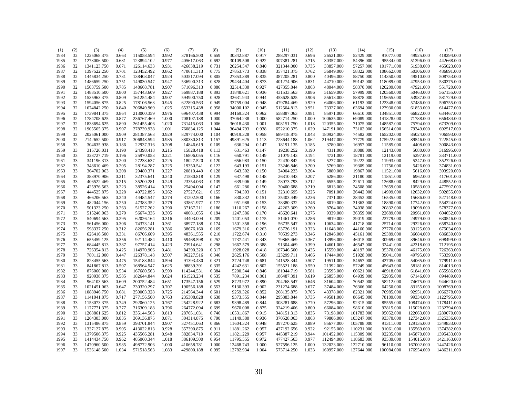| (1)  | (2) | (3)         | (4)   | (5)        | (6)   | (7)        | (8)   | (9)       | (10)  | (11)       | (12)  | (13)       | (14)       | (15)       | (16)       | (17)        |
|------|-----|-------------|-------|------------|-------|------------|-------|-----------|-------|------------|-------|------------|------------|------------|------------|-------------|
| 1984 | 32  | 1225068.375 | 0.663 | 115058.594 | 0.992 | 378166.500 | 0.659 | 30342.887 | 0.917 | 288297.031 | 0.696 | 26521.000  | 52429.000  | 91077.000  | 49925.000  | 418294.000  |
| 1985 | 32  | 1273006.500 | 0.681 | 123894.102 | 0.977 | 405617.063 | 0.692 | 30109.508 | 0.922 | 307381.281 | 0.715 | 30357.000  | 54396.000  | 95534.000  | 51396.000  | 442668.000  |
| 1986 | 32  | 1341123.750 | 0.671 | 126114.633 | 0.931 | 426038.219 | 0.731 | 26254.547 | 0.840 | 321344.000 | 0.735 | 33857.000  | 57257.000  | 101771.000 | 51938.000  | 465023.000  |
| 1987 | 32  | 1397522.250 | 0.701 | 123452.492 | 0.862 | 470611.313 | 0.775 | 27853.773 | 0.838 | 357421.375 | 0.762 | 36849.000  | 58322.000  | 108662.000 | 50306.000  | 486891.000  |
| 1988 | 32  | 1445834.250 | 0.731 | 138403.047 | 0.924 | 503517.094 | 0.805 | 27853.389 | 0.835 | 387205.281 | 0.800 | 40496.000  | 58750.000  | 114350.000 | 49510.000  | 508753.000  |
| 1989 | 32  | 1486659.250 | 0.751 | 149030.547 | 0.947 | 536900.313 | 0.828 | 29434.404 | 0.873 | 401274.906 | 0.831 | 44710.000  | 59142.000  | 118089.000 | 47953.000  | 530375.000  |
| 1990 | 32  | 1503759.500 | 0.785 | 148668.781 | 0.907 | 571696.313 | 0.886 | 32514.330 | 0.927 | 427355.844 | 0.863 | 48044.000  | 58370.000  | 120209.000 | 47921.000  | 551720.000  |
| 1991 | 32  | 1488510.500 | 0.800 | 157443.609 | 0.927 | 569887.188 | 0.893 | 31848.621 | 0.936 | 431533.563 | 0.886 | 51659.000  | 57999.000  | 120560.000 | 50463.000  | 567155.000  |
| 1992 | 32  | 1535963.375 | 0.809 | 161254.484 | 0.907 | 594900.750 | 0.928 | 32631.943 | 0.944 | 453628.625 | 0.906 | 55613.000  | 58878.000  | 119655.000 | 53937.000  | 581729.000  |
| 1993 | 32  | 1594056.875 | 0.825 | 178106.563 | 0.945 | 622890.563 | 0.949 | 33759.004 | 0.948 | 479784.469 | 0.929 | 64006.000  | 61193.000  | 122348.000 | 57486.000  | 596755.000  |
| 1994 | 32  | 1674842.250 | 0.840 | 206849.969 | 1.025 | 653315.438 | 0.958 | 34000.102 | 0.945 | 512504.813 | 0.951 | 73327.000  | 63694.000  | 127930.000 | 61853.000  | 614477.000  |
| 1995 | 32  | 1739841.375 | 0.864 | 213000.359 | 0.976 | 696407.438 | 0.994 | 34169.324 | 0.962 | 558887.063 | 0.981 | 85971.000  | 66610.000  | 134851.000 | 66822.000  | 634467.000  |
| 1996 | 32  | 1784708.625 | 0.877 | 236767.469 | 1.000 | 708107.188 | 1.000 | 37064.238 | 1.000 | 582714.250 | 1.000 | 100635.000 | 69089.000  | 141828.000 | 71788.000  | 656484.000  |
| 1997 | 32  | 1838694.625 | 0.890 | 261455.406 | 1.020 | 731415.063 | 1.006 | 36018.430 | 1.001 | 608151.750 | 1.018 | 120355.000 | 71075.000  | 148587.000 | 75794.000  | 673309.000  |
| 1998 | 32  | 1905565.375 | 0.907 | 278739.938 | 1.001 | 760834.125 | 1.044 | 36494.793 | 0.938 | 652210.375 | 1.029 | 147191.000 | 73102.000  | 156514.000 | 79349.000  | 692517.000  |
| 1999 | 32  | 2025061.000 | 0.909 | 281387.563 | 0.929 | 829774.000 | 1.104 | 40919.328 | 0.958 | 689418.875 | 1.043 | 180924.000 | 74582.000  | 165202.000 | 85024.000  | 706593.000  |
| 2000 | 32  | 2142652.500 | 0.917 | 306848.594 | 0.935 | 880330.813 | 1.157 | 49891.625 | 1.113 | 728644.188 | 1.062 | 219447.000 | 77779.000  | 175922.000 | 89546.000  | 722545.000  |
| 1958 | 33  | 304635.938  | 0.186 | 22937.316  | 0.208 | 14846.619  | 0.109 | 636.294   | 0.147 | 18191.135  | 0.185 | 3780.000   | 16957.000  | 11585.000  | 4408.000   | 300843.000  |
| 1959 | 33  | 315726.031  | 0.190 | 24398.418  | 0.215 | 15828.418  | 0.113 | 631.463   | 0.147 | 19238.252  | 0.190 | 4311.000   | 18088.000  | 12143.000  | 5080.000   | 316995.000  |
| 1960 | 33  | 328727.719  | 0.196 | 25970.053  | 0.221 | 16806.055  | 0.116 | 650.791   | 0.149 | 21079.143  | 0.194 | 4731.000   | 18781.000  | 12119.000  | 5297.000   | 333711.000  |
| 1961 | 33  | 341196.313  | 0.200 | 27233.637  | 0.225 | 18027.520  | 0.120 | 656.983   | 0.150 | 22430.842  | 0.196 | 5277.000   | 19222.000  | 11993.000  | 5247.000   | 352726.000  |
| 1962 | 33  | 348610.469  | 0.205 | 28194.287  | 0.225 | 19350.541  | 0.122 | 643.193   | 0.151 | 23246.846  | 0.200 | 5769.000   | 19309.000  | 11756.000  | 5426.000   | 374831.000  |
| 1963 | 33  | 364702.063  | 0.208 | 29480.371  | 0.227 | 20819.449  | 0.128 | 643.502   | 0.150 | 24904.223  | 0.204 | 5880.000   | 19867.000  | 11521.000  | 5616.000   | 393920.000  |
| 1964 | 33  | 383970.906  | 0.211 | 32375.641  | 0.240 | 21580.818  | 0.129 | 637.498   | 0.148 | 26310.443  | 0.207 | 6286.000   | 21180.000  | 11851.000  | 6962.000   | 417601.000  |
| 1965 | 33  | 406522.469  | 0.215 | 35200.281  | 0.249 | 23354.063  | 0.139 | 639.906   | 0.149 | 28073.793  | 0.212 | 6555.000   | 22611.000  | 12688.000  | 8429.000   | 448552.000  |
| 1966 | 33  | 425976.563  | 0.223 | 38526.414  | 0.259 | 25494.004  | 0.147 | 661.286   | 0.150 | 30400.688  | 0.219 | 6813.000   | 24508.000  | 13659.000  | 10583.000  | 477597.000  |
| 1967 | 33  | 444525.875  | 0.228 | 40722.895  | 0.262 | 27527.621  | 0.155 | 704.393   | 0.151 | 32310.695  | 0.225 | 7091.000   | 26442.000  | 14999.000  | 12632.000  | 502855.000  |
| 1968 | 33  | 466206.563  | 0.240 | 44484.547  | 0.274 | 31202.500  | 0.166 | 830.332   | 0.151 | 35403.449  | 0.236 | 7371.000   | 28452.000  | 16535.000  | 15686.000  | 527148.000  |
| 1969 | 33  | 482044.156  | 0.250 | 47383.352  | 0.279 | 33861.977  | 0.172 | 951.988   | 0.153 | 38380.332  | 0.246 | 8019.000   | 31363.000  | 18890.000  | 17742.000  | 554224.000  |
| 1970 | 33  | 501323.250  | 0.263 | 51527.262  | 0.290 | 37167.211  | 0.186 | 1110.267  | 0.158 | 42263.309  | 0.260 | 8764.000   | 34038.000  | 20832.000  | 19098.000  | 578377.000  |
| 1971 | 33  | 515240.063  | 0.279 | 56674.336  | 0.305 | 40081.055  | 0.194 | 1247.586  | 0.170 | 45620.641  | 0.275 | 9339.000   | 36359.000  | 22689.000  | 20961.000  | 604652.000  |
| 1972 | 33  | 540694.563  | 0.295 | 62026.164  | 0.316 | 44403.004  | 0.209 | 1401.053  | 0.175 | 51461.070  | 0.286 | 9819.000   | 39019.000  | 23779.000  | 24979.000  | 630546.000  |
| 1973 | 33  | 561456.000  | 0.306 | 74373.141  | 0.361 | 38977.188  | 0.174 | 1501.358  | 0.196 | 56735.547  | 0.300 | 10634.000  | 41718.000  | 25714.000  | 29326.000  | 658740.000  |
| 1974 | 33  | 598337.250  | 0.312 | 82656.281  | 0.386 | 38676.160  | 0.169 | 1679.316  | 0.263 | 63726.191  | 0.323 | 11648.000  | 44160.000  | 27770.000  | 33125.000  | 675034.000  |
| 1975 | 33  | 626416.500  | 0.331 | 86706.609  | 0.395 | 48361.555  | 0.210 | 1722.674  | 0.310 | 70539.273  | 0.346 | 12846.000  | 45161.000  | 29389.000  | 36684.000  | 686839.000  |
| 1976 | 33  | 655459.125  | 0.356 | 92114.484  | 0.410 | 59468.598  | 0.252 | 1737.441  | 0.343 | 79865.469  | 0.367 | 13996.000  | 46015.000  | 30969.000  | 39646.000  | 698499.000  |
| 1977 | 33  | 684445.813  | 0.387 | 97757.414  | 0.423 | 73914.641  | 0.298 | 1667.579  | 0.388 | 91304.469  | 0.399 | 14601.000  | 46547.000  | 32441.000  | 42318.000  | 712195.000  |
| 1978 | 33  | 726354.813  | 0.425 | 114970.906 | 0.481 | 84390.320  | 0.317 | 1928.028  | 0.418 | 107346.500 | 0.435 | 15550.000  | 48197.000  | 35370.000  | 46175.000  | 726263.000  |
| 1979 | 33  | 780112.000  | 0.447 | 126378.148 | 0.507 | 96227.516  | 0.346 | 2625.176  | 0.508 | 123299.711 | 0.466 | 17444.000  | 51928.000  | 39041.000  | 49795.000  | 753393.000  |
| 1980 | 33  | 823455.563  | 0.475 | 154183.844 | 0.594 | 91393.430  | 0.321 | 3724.748  | 0.681 | 141528.344 | 0.507 | 19511.000  | 54657.000  | 42705.000  | 54065.000  | 779911.000  |
| 1981 | 33  | 841867.813  | 0.507 | 168564.547 | 0.625 | 98839.391  | 0.335 | 4242.631  | 0.802 | 155521.188 | 0.550 | 21392.000  | 57249.000  | 45643.000  | 58181.000  | 814013.000  |
| 1982 | 33  | 876060.000  | 0.534 | 167680.563 | 0.599 | 114244.531 | 0.384 | 5200.544  | 0.846 | 181044.719 | 0.581 | 23595.000  | 60621.000  | 48918.000  | 61841.000  | 855986.000  |
| 1983 | 33  | 920938.375  | 0.585 | 182644.844 | 0.624 | 161523.234 | 0.535 | 7891.234  | 0.861 | 186487.391 | 0.619 | 26855,000  | 64939.000  | 52935.000  | 67146.000  | 894489.000  |
| 1984 | 33  | 964103.563  | 0.609 | 200752.484 | 0.651 | 173547.156 | 0.529 | 8723.972  | 0.890 | 204268.547 | 0.646 | 31604.000  | 70542.000  | 58212.000  | 74675.000  | 944620.000  |
| 1985 | 33  | 1021451.063 | 0.647 | 230320.297 | 0.707 | 190556.188 | 0.553 | 9130.393  | 0.902 | 231274.688 | 0.677 | 37484.000  | 76366.000  | 64250.000  | 83155.000  | 1008769.000 |
| 1986 | 33  | 1088946.750 | 0.681 | 250003.328 | 0.725 | 214564.344 | 0.601 | 9259.326  | 0.852 | 268135.875 | 0.705 | 43378.000  | 82321.000  | 70985.000  | 92951.000  | 1066378.000 |
| 1987 | 33  | 1141041.875 | 0.717 | 277156.500 | 0.763 | 235308.828 | 0.638 | 9373.555  | 0.844 | 295883.844 | 0.735 | 49581.000  | 86645.000  | 78109.000  | 99334.000  | 1122795.000 |
| 1988 | 33  | 1153073.375 | 0.749 | 292060.125 | 0.767 | 254228.922 | 0.683 | 9398.489  | 0.844 | 308281.688 | 0.770 | 57296.000  | 92315.000  | 85555.000  | 108474.000 | 1178411.000 |
| 1989 | 33  | 1177771.375 | 0.777 | 316309.188 | 0.796 | 264772.094 | 0.699 | 9670.008  | 0.875 | 324219.406 | 0.800 | 66084.000  | 98610.000  | 92815.000  | 115028.000 | 1232794.000 |
| 1990 | 33  | 1208861.625 | 0.812 | 335144.563 | 0.813 | 287651.031 | 0.746 | 10531.867 | 0.915 | 348151.313 | 0.835 | 73198.000  | 101783.000 | 95052.000  | 122663.000 | 1289070.000 |
| 1991 | 33  | 1264303.000 | 0.835 | 369136.875 | 0.871 | 304314.875 | 0.790 | 11149.580 | 0.936 | 370528.063 | 0.863 | 79806.000  | 103247.000 | 93370.000  | 127342.000 | 1325336.000 |
| 1992 | 33  | 1315486.875 | 0.859 | 393701.844 | 0.907 | 327451.063 | 0.866 | 11604.324 | 0.948 | 397270.625 | 0.889 | 85677.000  | 105788.000 | 91311.000  | 129135.000 | 1349833.000 |
| 1993 | 33  | 1337127.875 | 0.905 | 413022.813 | 0.928 | 357390.875 | 0.911 | 11881.262 | 0.957 | 427192.656 | 0.922 | 92155.000  | 110231.000 | 91061.000  | 135569.000 | 1374282.000 |
| 1994 | 33  | 1379506.375 | 0.925 | 435566.281 | 0.948 | 382834.719 | 0.953 | 11821.229 | 0.957 | 445387.219 | 0.944 | 101452.000 | 115309.000 | 92235.000  | 145870.000 | 1395433.000 |
| 1995 | 33  | 1414434.750 | 0.962 | 485060.344 | 1.018 | 386109.500 | 0.954 | 11795.555 | 0.972 | 477427.563 | 0.977 | 112494.000 | 118683.000 | 93539.000  | 154015.000 | 1421163.000 |
| 1996 | 33  | 1470960.500 | 0.985 | 498772.906 | 1.000 | 410658.781 | 1.000 | 12468.743 | 1.000 | 527596.125 | 1.000 | 132023.000 | 122710.000 | 96110.000  | 167002.000 | 1447426.000 |
| 1997 | 33  | 1536148.500 | 1.034 | 571518.563 | 1.083 | 429800.188 | 0.995 | 12782.934 | 1.004 | 573714.250 | 1.033 | 160957.000 | 127644.000 | 100084.000 | 176954.000 | 1486211.000 |
|      |     |             |       |            |       |            |       |           |       |            |       |            |            |            |            |             |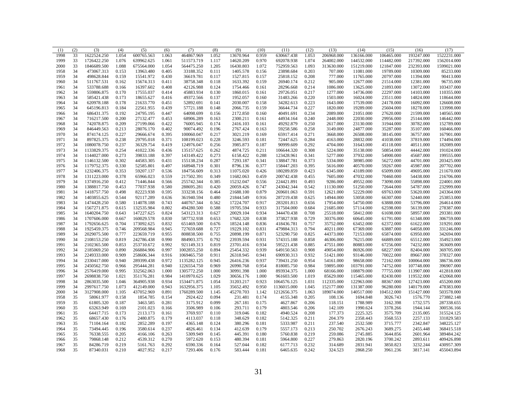| (1)  | (2) | (3)         | (4)   | (5)        | (6)   | (7)         | (8)   | (9)       | (10)  | (11)        | (12)  | (13)       | (14)       | (15)       | (16)       | (17)        |
|------|-----|-------------|-------|------------|-------|-------------|-------|-----------|-------|-------------|-------|------------|------------|------------|------------|-------------|
| 1998 | 33  | 1622524.250 | 1.054 | 600765.563 | 1.063 | 464867.969  | 1.052 | 13670.964 | 0.959 | 630667.438  | 1.053 | 206968.000 | 136166.000 | 106465.000 | 193247.000 | 1522231.000 |
| 1999 | 33  | 1726422.250 | 1.076 | 639962.625 | 1.061 | 511573.719  | 1.117 | 14620.209 | 0.970 | 692078.938  | 1.074 | 264002.000 | 144532.000 | 114482.000 | 217392.000 | 1562014.000 |
| 2000 | 33  | 1846689.500 | 1.088 | 675564.000 | 1.054 | 564475.250  | 1.205 | 16430.803 | 1.072 | 752959.563  | 1.093 | 313630.000 | 151219.000 | 121847.000 | 232393.000 | 1599021.000 |
| 1958 | 34  | 473067.313  | 0.153 | 13963.480  | 0.405 | 33188.352   | 0.111 | 1405.578  | 0.156 | 23898.684   | 0.203 | 707.000    | 11081.000  | 19789.000  | 10309.000  | 85233.000   |
| 1959 | 34  | 498628.844  | 0.159 | 15541.972  | 0.430 | 36619.781   | 0.117 | 1527.815  | 0.157 | 25818.152   | 0.208 | 777.000    | 11765.000  | 20797.000  | 11394.000  | 90413.000   |
| 1960 | 34  | 511767.531  | 0.162 | 15674.313  | 0.411 | 38758.348   | 0.118 | 1633.392  | 0.159 | 26940.174   | 0.212 | 905.000    | 12677.000  | 21514.000  | 12381.000  | 96735.000   |
| 1961 | 34  | 533788.688  | 0.166 | 16397.602  | 0.408 | 42126.988   | 0.124 | 1754.466  | 0.161 | 28296.668   | 0.214 | 1086.000   | 13625.000  | 21893.000  | 13072.000  | 103437.000  |
| 1962 | 34  | 559806.875  | 0.170 | 17555.037  | 0.414 | 45883.934   | 0.130 | 1860.015  | 0.161 | 29726.051   | 0.217 | 1277.000   | 14736.000  | 22297.000  | 14103.000  | 110355.000  |
| 1963 | 34  | 585421.438  | 0.173 | 18655.627  | 0.416 | 49372.566   | 0.137 | 1952.057  | 0.160 | 31483.266   | 0.220 | 1503.000   | 16024.000  | 23511.000  | 14824.000  | 118644.000  |
| 1964 | 34  | 620978.188  | 0.178 | 21633.770  | 0.451 | 52892.691   | 0.141 | 2030.007  | 0.158 | 34282.613   | 0.223 | 1643.000   | 17539.000  | 24178.000  | 16092.000  | 126608.000  |
| 1965 | 34  | 645196.813  | 0.184 | 22561.955  | 0.439 | 57721.188   | 0.148 | 2066.735  | 0.159 | 36644.734   | 0.227 | 1820.000   | 19289.000  | 25604.000  | 18278.000  | 133998.000  |
| 1966 | 34  | 686431.375  | 0.192 | 24795.195  | 0.447 | 64098.699   | 0.156 | 2172.850  | 0.160 | 40491.691   | 0.234 | 2089.000   | 21051.000  | 27620.000  | 21599.000  | 140565.000  |
| 1967 | 34  | 716217.500  | 0.200 | 27132.477  | 0.453 | 68906.289   | 0.163 | 2300.211  | 0.161 | 44934.164   | 0.240 | 2448.000   | 22030.000  | 29956.000  | 25144.000  | 146442.000  |
| 1968 | 34  | 742078.875  | 0.209 | 27199.066  | 0.422 | 76005.945   | 0.174 | 2416.103  | 0.161 | 49292.879   | 0.250 | 2617.000   | 23130.000  | 31944.000  | 30782.000  | 152789.000  |
| 1969 | 34  | 846449.563  | 0.213 | 28076.170  | 0.402 | 90074.492   | 0.196 | 2767.424  | 0.163 | 59258.586   | 0.258 | 3149.000   | 24877.000  | 35287.000  | 35107.000  | 160466.000  |
| 1970 | 34  | 874174.125  | 0.227 | 29666.674  | 0.395 | 100060.047  | 0.217 | 3021.219  | 0.169 | 65917.414   | 0.271 | 3668.000   | 26508.000  | 38145.000  | 36757.000  | 167901.000  |
| 1971 | 34  | 897825.375  | 0.238 | 29795.018  | 0.371 | 108199.023  | 0.228 | 3246.593  | 0.181 | 72447.625   | 0.284 | 4163.000   | 28832.000  | 41038.000  | 37819.000  | 174494.000  |
| 1972 | 34  | 1080078.750 | 0.237 | 36329.754  | 0.419 | 124976.047  | 0.256 | 3985.873  | 0.187 | 90999.609   | 0.292 | 4704.000   | 31643.000  | 45118.000  | 40511.000  | 182089.000  |
| 1973 | 34  | 1133829.375 | 0.254 | 41022.336  | 0.436 | 135157.625  | 0.262 | 4874.725  | 0.211 | 106644.320  | 0.308 | 5224.000   | 35138.000  | 50854.000  | 44442.000  | 191024.000  |
| 1974 | 34  | 1144027.000 | 0.273 | 39833.188  | 0.397 | 143149.422  | 0.273 | 6158.422  | 0.288 | 123428.961  | 0.341 | 5277.000   | 37932.000  | 54900.000  | 45687.000  | 199555.000  |
| 1975 | 34  | 1146132.500 | 0.302 | 44583.305  | 0.431 | 155138.234  | 0.287 | 7293.187  | 0.341 | 138847.781  | 0.373 | 5334.000   | 38985.000  | 56272.000  | 44701.000  | 203425.000  |
| 1976 | 34  | 1179752.375 | 0.330 | 52585.801  | 0.497 | 168948.719  | 0.301 | 8796.136  | 0.377 | 158447.203  | 0.395 | 5616.000   | 40570.000  | 59267.000  | 45987.000  | 207702.000  |
| 1977 | 34  | 1232406.375 | 0.353 | 59207.137  | 0.536 | 184756.609  | 0.313 | 11075.020 | 0.426 | 180289.859  | 0.423 | 6345.000   | 43189.000  | 65099.000  | 49695.000  | 211670.000  |
| 1978 | 34  | 1311223.000 | 0.378 | 65966.023  | 0.559 | 217502.391  | 0.349 | 11682.063 | 0.459 | 200742.438  | 0.455 | 7605.000   | 47032.000  | 70460.000  | 54438.000  | 216706.000  |
| 1979 | 34  | 1374916.250 | 0.412 | 71446.844  | 0.566 | 255742.344  | 0.385 | 15232.047 | 0.556 | 224421.891  | 0.493 | 9286.000   | 49552.000  | 73090.000  | 55898.000  | 224001.000  |
| 1980 | 34  | 1388817.750 | 0.453 | 77037.938  | 0.580 | 288695.281  | 0.420 | 20059.426 | 0.747 | 243042.344  | 0.542 | 11130.000  | 51250.000  | 72644.000  | 54787.000  | 232999.000  |
| 1981 | 34  | 1418757.750 | 0.498 | 82223.938  | 0.595 | 333238.156  | 0.464 | 21688.100 | 0.879 | 269601.063  | 0.591 | 12621.000  | 52229.000  | 69763.000  | 53620.000  | 243364.000  |
| 1982 | 34  | 1403855.625 | 0.544 | 92117.289  | 0.636 | 361940.594  | 0.480 | 21844.549 | 0.916 | 287219.438  | 0.625 | 14944.000  | 53058.000  | 66307.000  | 52440.000  | 253853.000  |
| 1983 | 34  | 1474428.250 | 0.580 | 114078.188 | 0.743 | 440767.344  | 0.562 | 17224.707 | 0.917 | 283201.813  | 0.656 | 17954.000  | 54750.000  | 63888.000  | 53796.000  | 264614.000  |
| 1984 | 34  | 1567271.875 | 0.615 | 132535.984 | 0.802 | 494280.500  | 0.588 | 19705.594 | 0.933 | 317504.000  | 0.684 | 21685.000  | 57114.000  | 62598.000  | 56139.000  | 278387.000  |
| 1985 | 34  | 1640204.750 | 0.643 | 147227.625 | 0.824 | 543123.313  | 0.627 | 20029.104 | 0.934 | 344470.438  | 0.708 | 25518.000  | 58412.000  | 61698.000  | 58957.000  | 293381.000  |
| 1986 | 34  | 1707606.000 | 0.667 | 160029.578 | 0.830 | 587732.938  | 0.653 | 17682.320 | 0.838 | 373827.938  | 0.729 | 30376.000  | 60645.000  | 61791.000  | 61348.000  | 306759.000  |
| 1987 | 34  | 1792656.625 | 0.704 | 173092.625 | 0.832 | 651469.500  | 0.676 | 18524.148 | 0.836 | 418436.781  | 0.757 | 35752.000  | 63452.000  | 62372.000  | 61622.000  | 319291.000  |
| 1988 | 34  | 1925459.375 | 0.746 | 209568.984 | 0.945 | 727659.688  | 0.727 | 19229.102 | 0.831 | 479884.313  | 0.794 | 40211.000  | 67369.000  | 63887.000  | 64058.000  | 331246.000  |
| 1989 | 34  | 2029075.500 | 0.777 | 223659.719 | 0.955 | 808838.500  | 0.755 | 20898.199 | 0.871 | 523290.750  | 0.825 | 44373.000  | 72153.000  | 65874.000  | 63950.000  | 342694.000  |
| 1990 | 34  | 2108153.250 | 0.819 | 242786.438 | 0.990 | 884903.375  | 0.792 | 23939.594 | 0.931 | 574315.188  | 0.858 | 46306.000  | 76215.000  | 66889.000  | 65512.000  | 354923.000  |
| 1991 | 34  | 2102365.500 | 0.853 | 253710.672 | 0.992 | 921149.313  | 0.819 | 23701.416 | 0.934 | 595221.438  | 0.885 | 47551.000  | 80883.000  | 67256.000  | 74232.000  | 363609.000  |
| 1992 | 34  | 2185069.250 | 0.890 | 266884.906 | 0.997 | 1002855.250 | 0.894 | 25454.332 | 0.939 | 649150.563  | 0.908 | 49054.000  | 86926.000  | 68227.000  | 82404.000  | 369705.000  |
| 1993 | 34  | 2249333.000 | 0.909 | 258606.344 | 0.916 | 1069465.750 | 0.911 | 26318.945 | 0.941 | 690930.313  | 0.932 | 51421.000  | 93146.000  | 70022.000  | 89667.000  | 378327.000  |
| 1994 | 34  | 2330417.000 | 0.940 | 289399.438 | 0.972 | 1135282.125 | 0.945 | 26416.236 | 0.937 | 739431.250  | 0.954 | 54161.000  | 98658.000  | 72162.000  | 100064.000 | 386736.000  |
| 1995 | 34  | 2450562.750 | 0.966 | 295444.281 | 0.940 | 1226554.750 | 0.969 | 26990.768 | 0.954 | 818085.750  | 0.984 | 59895.000  | 103791.000 | 74752.000  | 107748.000 | 396907.000  |
| 1996 | 34  | 2576419.000 | 0.995 | 332562.063 | 1.000 | 1305772.250 | 1.000 | 30991.398 | 1.000 | 893934.375  | 1.000 | 68166.000  | 108879.000 | 77755.000  | 113907.000 | 412818.000  |
| 1997 | 34  | 2698838.750 | 1.021 | 351176.281 | 0.984 | 1410970.625 | 1.029 | 30656.176 | 1.000 | 961603.500  | 1.019 | 85629.000  | 115465.000 | 82430.000  | 119532.000 | 432068.000  |
| 1998 | 34  | 2863035.500 | 1.046 | 364905.938 | 0.934 | 1534471.875 | 1.054 | 31203.217 | 0.923 | 1064576.125 | 1.031 | 112335.000 | 122963.000 | 88367.000  | 127423.000 | 455200.000  |
| 1999 | 34  | 2997617.750 | 1.073 | 412149.000 | 0.943 | 1632956.375 | 1.105 | 35652.492 | 0.950 | 1136015.000 | 1.045 | 152177.000 | 131387.000 | 96280.000  | 140179.000 | 478383.000  |
| 2000 | 34  | 3127908.000 | 1.105 | 437052.969 | 0.891 | 1760289.500 | 1.145 | 45270.703 | 1.142 | 1212656.375 | 1.063 | 189074.000 | 140517.000 | 104512.000 | 151427.000 | 503578.000  |
| 1958 | 35  | 58061.977   | 0.158 | 1854.785   | 0.154 | 2924.422    | 0.094 | 231.481   | 0.174 | 4155.348    | 0.205 | 108.136    | 1694.848   | 3026.743   | 1576.770   | 273882.148  |
| 1959 | 35  | 61805.320   | 0.187 | 3463.585   | 0.281 | 3175.912    | 0.099 | 267.181   | 0.175 | 4627.867    | 0.206 | 118.151    | 1788.989   | 3162.398   | 1732.575   | 287338.655  |
| 1960 | 35  | 63263.949   | 0.169 | 2101.023   | 0.166 | 3506.989    | 0.106 | 293.711   | 0.179 | 4803.546    | 0.206 | 142.109    | 1990.624   | 3378.266   | 1944.144   | 300536.166  |
| 1961 | 35  | 64417.715   | 0.173 | 2113.173   | 0.161 | 3769.937    | 0.110 | 319.046   | 0.182 | 4940.524    | 0.208 | 177.373    | 2225.325   | 3575.709   | 2135.005   | 315524.125  |
| 1962 | 35  | 68657.430   | 0.176 | 2480.875   | 0.179 | 4113.037    | 0.118 | 348.629   | 0.182 | 5142.325    | 0.211 | 204.379    | 2358.443   | 3568.553   | 2257.133   | 331829.583  |
| 1963 | 35  | 71104.164   | 0.182 | 2852.289   | 0.197 | 4365.148    | 0.124 | 380.296   | 0.181 | 5333.987    | 0.211 | 237.540    | 2532.500   | 3715.777   | 2342.847   | 348225.127  |
| 1964 | 35  | 73494.445   | 0.196 | 3580.614   | 0.237 | 4826.461    | 0.134 | 412.639   | 0.179 | 5557.173    | 0.213 | 250.702    | 2676.243   | 3689.275   | 2455.448   | 368415.518  |
| 1965 | 35  | 76338.555   | 0.205 | 4166.106   | 0.263 | 5309.949    | 0.145 | 445.391   | 0.180 | 5760.838    | 0.219 | 259.086    | 2745.885   | 3644.856   | 2601.964   | 389484.242  |
| 1966 | 35  | 79868.148   | 0.212 | 4539.312   | 0.270 | 5972.620    | 0.153 | 480.394   | 0.181 | 5964.800    | 0.227 | 279.863    | 2820.196   | 3700.242   | 2893.611   | 409426.898  |
| 1967 | 35  | 84286.719   | 0.219 | 5161.763   | 0.292 | 6590.336    | 0.164 | 527.044   | 0.182 | 6177.713    | 0.232 | 314.689    | 2831.941   | 3850.823   | 3232.244   | 430957.309  |
| 1968 | 35  | 87340.031   | 0.210 | 4027.952   | 0.217 | 7293.406    | 0.176 | 583.444   | 0.181 | 6465.635    | 0.242 | 324.523    | 2868.250   | 3961.236   | 3817.141   | 455043.894  |
|      |     |             |       |            |       |             |       |           |       |             |       |            |            |            |            |             |